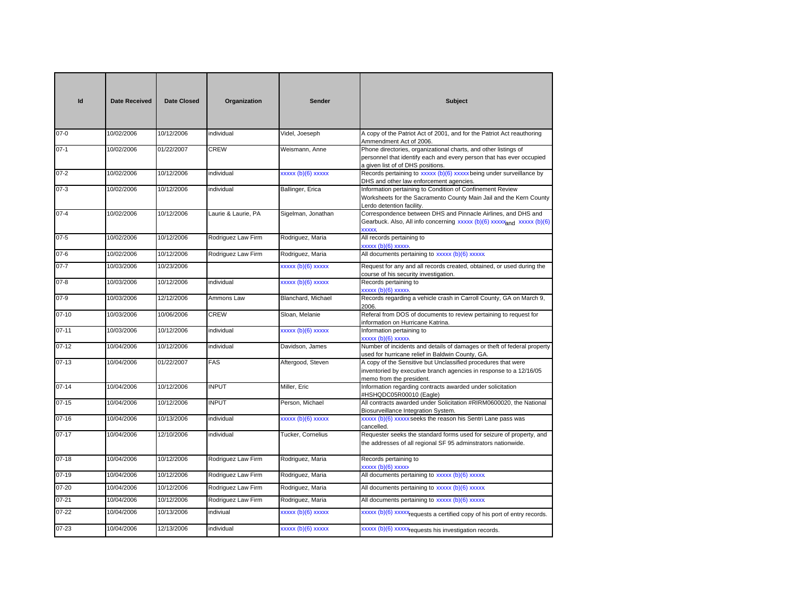| Id        | <b>Date Received</b> | <b>Date Closed</b> | Organization        | Sender             | Subject                                                                                                                                                                      |
|-----------|----------------------|--------------------|---------------------|--------------------|------------------------------------------------------------------------------------------------------------------------------------------------------------------------------|
| $07 - 0$  | 10/02/2006           | 10/12/2006         | individual          | Videl, Joeseph     | A copy of the Patriot Act of 2001, and for the Patriot Act reauthoring<br>Ammendment Act of 2006.                                                                            |
| $07-1$    | 10/02/2006           | 01/22/2007         | <b>CREW</b>         | Weismann, Anne     | Phone directories, organizational charts, and other listings of<br>personnel that identify each and every person that has ever occupied<br>a given list of of DHS positions. |
| $07 - 2$  | 10/02/2006           | 10/12/2006         | individual          | xxxxx (b)(6) xxxxx | Records pertaining to xxxxx (b)(6) xxxxx being under surveillance by<br>DHS and other law enforcement agencies.                                                              |
| $07-3$    | 10/02/2006           | 10/12/2006         | individual          | Ballinger, Erica   | Information pertaining to Condition of Confinement Review<br>Worksheets for the Sacramento County Main Jail and the Kern County<br>Lerdo detention facility.                 |
| $07 - 4$  | 10/02/2006           | 10/12/2006         | Laurie & Laurie, PA | Sigelman, Jonathan | Correspondence between DHS and Pinnacle Airlines, and DHS and<br>Gearbuck. Also, All info concerning xxxxx (b)(6) xxxxxand xxxxx (b)(6)<br><b>XXXXX.</b>                     |
| $07 - 5$  | 10/02/2006           | 10/12/2006         | Rodriguez Law Firm  | Rodriguez, Maria   | All records pertaining to<br>xxxxx (b)(6) xxxxx                                                                                                                              |
| $07 - 6$  | 10/02/2006           | 10/12/2006         | Rodriguez Law Firm  | Rodriguez, Maria   | All documents pertaining to xxxxx (b)(6) xxxxx                                                                                                                               |
| $07 - 7$  | 10/03/2006           | 10/23/2006         |                     | xxxxx (b)(6) xxxxx | Request for any and all records created, obtained, or used during the<br>course of his security investigation.                                                               |
| $07 - 8$  | 10/03/2006           | 10/12/2006         | individual          | xxxxx (b)(6) xxxxx | Records pertaining to<br>xxxxx (b)(6) xxxxx                                                                                                                                  |
| $07 - 9$  | 10/03/2006           | 12/12/2006         | Ammons Law          | Blanchard, Michael | Records regarding a vehicle crash in Carroll County, GA on March 9,<br>2006.                                                                                                 |
| $07-10$   | 10/03/2006           | 10/06/2006         | CREW                | Sloan, Melanie     | Referal from DOS of documents to review pertaining to request for<br>information on Hurricane Katrina.                                                                       |
| $07 - 11$ | 10/03/2006           | 10/12/2006         | individual          | xxxxx (b)(6) xxxxx | Information pertaining to<br>xxxxx (b)(6) xxxxx                                                                                                                              |
| $07 - 12$ | 10/04/2006           | 10/12/2006         | individual          | Davidson, James    | Number of incidents and details of damages or theft of federal property<br>used for hurricane relief in Baldwin County, GA.                                                  |
| $07-13$   | 10/04/2006           | 01/22/2007         | <b>FAS</b>          | Aftergood, Steven  | A copy of the Sensitive but Unclassified procedures that were<br>inventoried by executive branch agencies in response to a 12/16/05<br>memo from the president.              |
| $07 - 14$ | 10/04/2006           | 10/12/2006         | <b>INPUT</b>        | Miller, Eric       | Information regarding contracts awarded under solicitation<br>#HSHQDC05R00010 (Eagle)                                                                                        |
| $07 - 15$ | 10/04/2006           | 10/12/2006         | <b>INPUT</b>        | Person, Michael    | All contracts awarded under Solicitation #RIRM0600020, the National<br>Biosurveillance Integration System.                                                                   |
| $07-16$   | 10/04/2006           | 10/13/2006         | individual          | xxxxx (b)(6) xxxxx | xxxxx (b)(6) xxxxx seeks the reason his Sentri Lane pass was<br>cancelled.                                                                                                   |
| $07 - 17$ | 10/04/2006           | 12/10/2006         | individual          | Tucker, Cornelius  | Requester seeks the standard forms used for seizure of property, and<br>the addresses of all regional SF 95 adminstrators nationwide.                                        |
| $07-18$   | 10/04/2006           | 10/12/2006         | Rodriguez Law Firm  | Rodriguez, Maria   | Records pertaining to<br>xxxxx (b)(6) xxxxx                                                                                                                                  |
| $07-19$   | 10/04/2006           | 10/12/2006         | Rodriguez Law Firm  | Rodriguez, Maria   | All documents pertaining to xxxxx (b)(6) xxxxx                                                                                                                               |
| 07-20     | 10/04/2006           | 10/12/2006         | Rodriguez Law Firm  | Rodriguez, Maria   | All documents pertaining to xxxxx (b)(6) xxxxx                                                                                                                               |
| $07 - 21$ | 10/04/2006           | 10/12/2006         | Rodriguez Law Firm  | Rodriguez, Maria   | All documents pertaining to xxxxx (b)(6) xxxxx                                                                                                                               |
| $07 - 22$ | 10/04/2006           | 10/13/2006         | indiviual           | xxxxx (b)(6) xxxxx | xxxxx (b)(6) xxxxx <sub>equests</sub> a certified copy of his port of entry records.                                                                                         |
| $07 - 23$ | 10/04/2006           | 12/13/2006         | individual          | xxxxx (b)(6) xxxxx | xxxxx (b)(6) xxxxx <sub>requests</sub> his investigation records.                                                                                                            |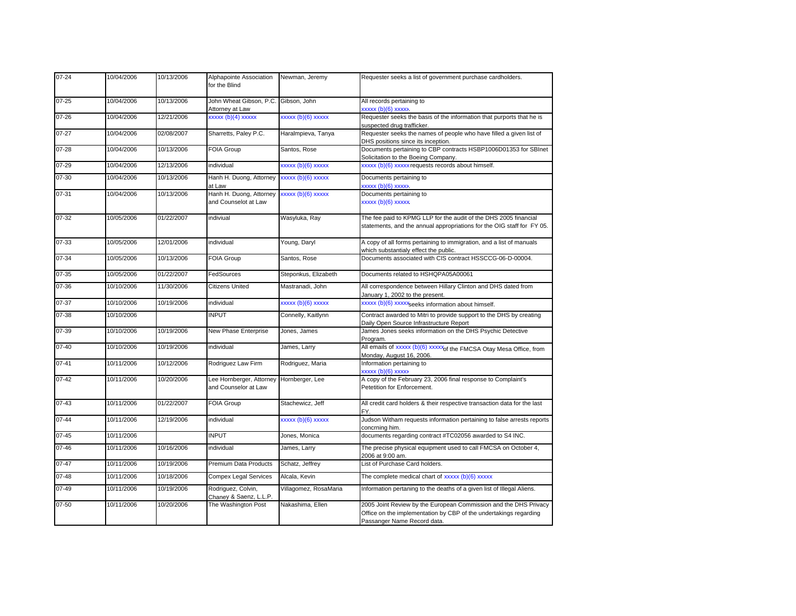| 07-24     | 10/04/2006 | 10/13/2006 | Alphapointe Association<br>for the Blind                         | Newman, Jeremy        | Requester seeks a list of government purchase cardholders.                                                                                                           |
|-----------|------------|------------|------------------------------------------------------------------|-----------------------|----------------------------------------------------------------------------------------------------------------------------------------------------------------------|
| $07 - 25$ | 10/04/2006 | 10/13/2006 | John Wheat Gibson, P.C. Gibson, John<br>Attorney at Law          |                       | All records pertaining to<br>xxxxx (b)(6) xxxxx                                                                                                                      |
| 07-26     | 10/04/2006 | 12/21/2006 | $xxxxx(b)(4)$ $xxxxx$                                            | xxxxx (b)(6) xxxxx    | Requester seeks the basis of the information that purports that he is<br>suspected drug trafficker.                                                                  |
| 07-27     | 10/04/2006 | 02/08/2007 | Sharretts, Paley P.C.                                            | Haralmpieva, Tanya    | Requester seeks the names of people who have filled a given list of<br>DHS positions since its inception.                                                            |
| 07-28     | 10/04/2006 | 10/13/2006 | FOIA Group                                                       | Santos, Rose          | Documents pertaining to CBP contracts HSBP1006D01353 for SBInet<br>Solicitation to the Boeing Company.                                                               |
| 07-29     | 10/04/2006 | 12/13/2006 | individual                                                       | xxxxx (b)(6) xxxxx    | xxxxx (b)(6) xxxxx requests records about himself.                                                                                                                   |
| $07 - 30$ | 10/04/2006 | 10/13/2006 | Hanh H. Duong, Attorney<br>at Law                                | xxxxx (b)(6) xxxxx    | Documents pertaining to<br>xxxxx(b)(6)xxxxx                                                                                                                          |
| 07-31     | 10/04/2006 | 10/13/2006 | Hanh H. Duong, Attorney<br>and Counselot at Law                  | xxxxx (b)(6) xxxxx    | Documents pertaining to<br>xxxxx (b)(6) xxxxx                                                                                                                        |
| 07-32     | 10/05/2006 | 01/22/2007 | indiviual                                                        | Wasyluka, Ray         | The fee paid to KPMG LLP for the audit of the DHS 2005 financial<br>statements, and the annual appropriations for the OIG staff for FY 05.                           |
| 07-33     | 10/05/2006 | 12/01/2006 | individual                                                       | Young, Daryl          | A copy of all forms pertaining to immigration, and a list of manuals<br>which substantialy effect the public.                                                        |
| 07-34     | 10/05/2006 | 10/13/2006 | <b>FOIA Group</b>                                                | Santos, Rose          | Documents associated with CIS contract HSSCCG-06-D-00004.                                                                                                            |
| 07-35     | 10/05/2006 | 01/22/2007 | FedSources                                                       | Steponkus, Elizabeth  | Documents related to HSHQPA05A00061                                                                                                                                  |
| 07-36     | 10/10/2006 | 11/30/2006 | Citizens United                                                  | Mastranadi, John      | All correspondence between Hillary Clinton and DHS dated from<br>January 1, 2002 to the present.                                                                     |
| 07-37     | 10/10/2006 | 10/19/2006 | individual                                                       | xxxxx (b)(6) xxxxx    | xxxxx (b)(6) xxxxx <sub>seeks</sub> information about himself.                                                                                                       |
| 07-38     | 10/10/2006 |            | <b>INPUT</b>                                                     | Connelly, Kaitlynn    | Contract awarded to Mitri to provide support to the DHS by creating<br>Daily Open Source Infrastructure Report                                                       |
| 07-39     | 10/10/2006 | 10/19/2006 | New Phase Enterprise                                             | Jones, James          | James Jones seeks information on the DHS Psychic Detective<br>Program.                                                                                               |
| $07 - 40$ | 10/10/2006 | 10/19/2006 | individual                                                       | James, Larry          | All emails of xxxxx (b)(6) xxxxxyof the FMCSA Otay Mesa Office, from<br>Monday, August 16, 2006.                                                                     |
| $07 - 41$ | 10/11/2006 | 10/12/2006 | Rodriguez Law Firm                                               | Rodriguez, Maria      | Information pertaining to<br>xxxxx (b)(6) xxxxx                                                                                                                      |
| 07-42     | 10/11/2006 | 10/20/2006 | Lee Hornberger, Attorney Hornberger, Lee<br>and Counselor at Law |                       | A copy of the February 23, 2006 final response to Complaint's<br>Petetition for Enforcement.                                                                         |
| 07-43     | 10/11/2006 | 01/22/2007 | <b>FOIA Group</b>                                                | Stachewicz, Jeff      | All credit card holders & their respective transaction data for the last<br>FY.                                                                                      |
| $07 - 44$ | 10/11/2006 | 12/19/2006 | individual                                                       | xxxxx (b)(6) xxxxx    | Judson Witham requests information pertaining to false arrests reports<br>concrning him.                                                                             |
| $07 - 45$ | 10/11/2006 |            | <b>INPUT</b>                                                     | Jones, Monica         | documents regarding contract #TC02056 awarded to S4 INC.                                                                                                             |
| $07 - 46$ | 10/11/2006 | 10/16/2006 | individual                                                       | James, Larry          | The precise physical equipment used to call FMCSA on October 4,<br>2006 at 9:00 am.                                                                                  |
| $07 - 47$ | 10/11/2006 | 10/19/2006 | Premium Data Products                                            | Schatz, Jeffrey       | List of Purchase Card holders.                                                                                                                                       |
| $07 - 48$ | 10/11/2006 | 10/18/2006 | Compex Legal Services                                            | Alcala, Kevin         | The complete medical chart of xxxxx (b)(6) xxxxx                                                                                                                     |
| $07 - 49$ | 10/11/2006 | 10/19/2006 | Rodriguez, Colvin,<br>Chaney & Saenz, L.L.P.                     | Villagomez, RosaMaria | Information pertaning to the deaths of a given list of Illegal Aliens.                                                                                               |
| 07-50     | 10/11/2006 | 10/20/2006 | The Washington Post                                              | Nakashima, Ellen      | 2005 Joint Review by the European Commission and the DHS Privacy<br>Office on the implementation by CBP of the undertakings regarding<br>Passanger Name Record data. |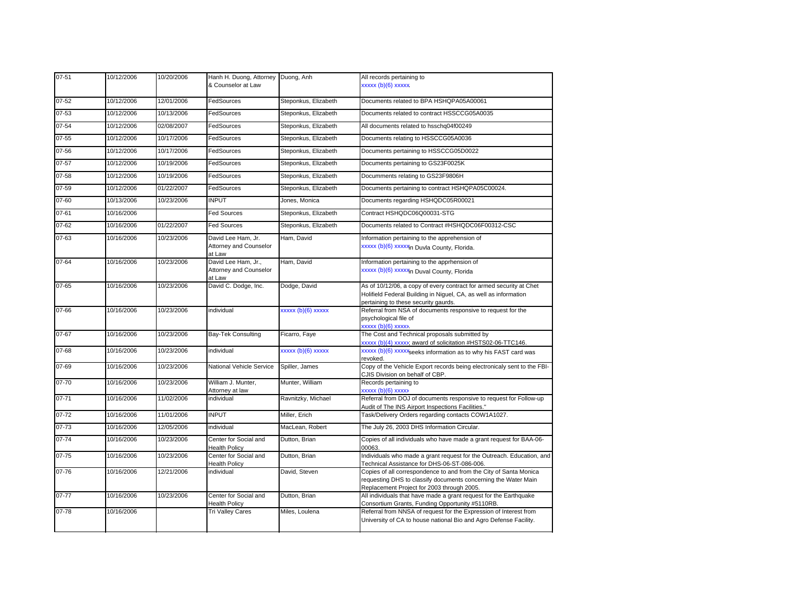| $07 - 51$ | 10/12/2006 | 10/20/2006 | Hanh H. Duong, Attorney Duong, Anh<br>& Counselor at Law |                      | All records pertaining to<br>xxxxx (b)(6) xxxxx                                                                                                                                   |
|-----------|------------|------------|----------------------------------------------------------|----------------------|-----------------------------------------------------------------------------------------------------------------------------------------------------------------------------------|
| $07 - 52$ | 10/12/2006 | 12/01/2006 | FedSources                                               | Steponkus, Elizabeth | Documents related to BPA HSHQPA05A00061                                                                                                                                           |
| 07-53     | 10/12/2006 | 10/13/2006 | FedSources                                               | Steponkus, Elizabeth | Documents related to contract HSSCCG05A0035                                                                                                                                       |
| 07-54     | 10/12/2006 | 02/08/2007 | FedSources                                               | Steponkus, Elizabeth | All documents related to hsschq04f00249                                                                                                                                           |
| 07-55     | 10/12/2006 | 10/17/2006 | FedSources                                               | Steponkus, Elizabeth | Documents relating to HSSCCG05A0036                                                                                                                                               |
| 07-56     | 10/12/2006 | 10/17/2006 | FedSources                                               | Steponkus, Elizabeth | Documents pertaining to HSSCCG05D0022                                                                                                                                             |
| 07-57     | 10/12/2006 | 10/19/2006 | FedSources                                               | Steponkus, Elizabeth | Documents pertaining to GS23F0025K                                                                                                                                                |
| 07-58     | 10/12/2006 | 10/19/2006 | FedSources                                               | Steponkus, Elizabeth | Documments relating to GS23F9806H                                                                                                                                                 |
| 07-59     | 10/12/2006 | 01/22/2007 | FedSources                                               | Steponkus, Elizabeth | Documents pertaining to contract HSHQPA05C00024.                                                                                                                                  |
| 07-60     | 10/13/2006 | 10/23/2006 | <b>INPUT</b>                                             | Jones, Monica        | Documents regarding HSHQDC05R00021                                                                                                                                                |
| 07-61     | 10/16/2006 |            | <b>Fed Sources</b>                                       | Steponkus, Elizabeth | Contract HSHQDC06Q00031-STG                                                                                                                                                       |
| 07-62     | 10/16/2006 | 01/22/2007 | <b>Fed Sources</b>                                       | Steponkus, Elizabeth | Documents related to Contract #HSHQDC06F00312-CSC                                                                                                                                 |
| 07-63     | 10/16/2006 | 10/23/2006 | David Lee Ham, Jr.<br>Attorney and Counselor<br>at Law   | Ham, David           | Information pertaining to the apprehension of<br>xxxxx (b)(6) xxxxxin Duvla County, Florida.                                                                                      |
| 07-64     | 10/16/2006 | 10/23/2006 | David Lee Ham, Jr.,<br>Attorney and Counselor<br>at Law  | Ham, David           | Information pertaining to the apprhension of<br>xxxxx (b)(6) xxxxxn Duval County, Florida                                                                                         |
| 07-65     | 10/16/2006 | 10/23/2006 | David C. Dodge, Inc.                                     | Dodge, David         | As of 10/12/06, a copy of every contract for armed security at Chet<br>Holifield Federal Building in Niguel, CA, as well as information<br>pertaining to these security gaurds.   |
| 07-66     | 10/16/2006 | 10/23/2006 | individual                                               | xxxxx (b)(6) xxxxx   | Referral from NSA of documents responsive to request for the<br>psychological file of<br>xxxxx (b)(6) xxxxx                                                                       |
| 07-67     | 10/16/2006 | 10/23/2006 | Bay-Tek Consulting                                       | Ficarro, Faye        | The Cost and Technical proposals submitted by                                                                                                                                     |
| 07-68     | 10/16/2006 | 10/23/2006 | individual                                               | xxxxx (b)(6) xxxxx   | xxxxx (b)(4) xxxxx; award of solicitation #HSTS02-06-TTC146.<br>xxxxx (b)(6) xxxxx <sub>Seeks</sub> information as to why his FAST card was<br>revoked.                           |
| 07-69     | 10/16/2006 | 10/23/2006 | National Vehicle Service                                 | Spiller, James       | Copy of the Vehicle Export records being electronicaly sent to the FBI-<br>CJIS Division on behalf of CBP.                                                                        |
| 07-70     | 10/16/2006 | 10/23/2006 | William J. Munter,<br>Attorney at law                    | Munter, William      | Records pertaining to<br>xxxxx (b)(6) xxxxx                                                                                                                                       |
| 07-71     | 10/16/2006 | 11/02/2006 | individual                                               | Ravnitzky, Michael   | Referral from DOJ of documents responsive to request for Follow-up<br>Audit of The INS Airport Inspections Facilities."                                                           |
| 07-72     | 10/16/2006 | 11/01/2006 | <b>INPUT</b>                                             | Miller, Erich        | Task/Delivery Orders regarding contacts COW1A1027.                                                                                                                                |
| 07-73     | 10/16/2006 | 12/05/2006 | individual                                               | MacLean, Robert      | The July 26, 2003 DHS Information Circular.                                                                                                                                       |
| 07-74     | 10/16/2006 | 10/23/2006 | Center for Social and<br><b>Health Policy</b>            | Dutton, Brian        | Copies of all individuals who have made a grant request for BAA-06-<br>00063                                                                                                      |
| $07 - 75$ | 10/16/2006 | 10/23/2006 | Center for Social and<br><b>Health Policy</b>            | Dutton, Brian        | Individuals who made a grant request for the Outreach. Education, and<br>Technical Assistance for DHS-06-ST-086-006.                                                              |
| 07-76     | 10/16/2006 | 12/21/2006 | individual                                               | David, Steven        | Copies of all correspondence to and from the City of Santa Monica<br>requesting DHS to classify documents concerning the Water Main<br>Replacement Project for 2003 through 2005. |
| 07-77     | 10/16/2006 | 10/23/2006 | Center for Social and<br><b>Health Policy</b>            | Dutton, Brian        | All individuals that have made a grant request for the Earthquake<br>Consortium Grants, Funding Opportunity #5110RB.                                                              |
| 07-78     | 10/16/2006 |            | Tri Valley Cares                                         | Miles, Loulena       | Referral from NNSA of request for the Expression of Interest from<br>University of CA to house national Bio and Agro Defense Facility.                                            |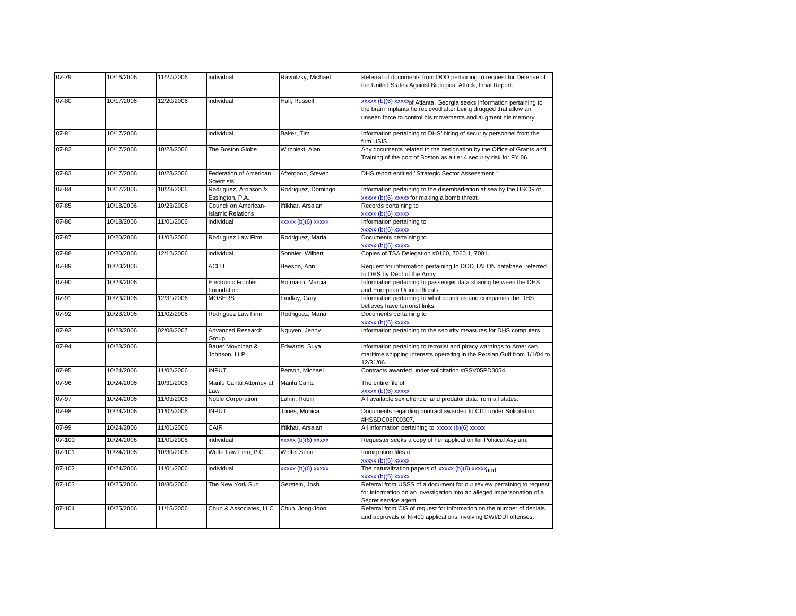| 07-79  | 10/16/2006 | 11/27/2006 | individual                                       | Ravnitzky, Michael | Referral of documents from DOD pertaining to request for Defense of<br>the United States Against Biological Attack, Final Report.                                                                          |
|--------|------------|------------|--------------------------------------------------|--------------------|------------------------------------------------------------------------------------------------------------------------------------------------------------------------------------------------------------|
| 07-80  | 10/17/2006 | 12/20/2006 | individual                                       | Hall, Russell      | xxxxx (b)(6) xxxxxof Atlanta, Georgia seeks information pertaining to<br>the brain implants he recieved after being drugged that allow an<br>unseen force to control his movements and augment his memory. |
| 07-81  | 10/17/2006 |            | ndividual                                        | Baker, Tim         | Information pertaining to DHS' hiring of security personnel from the<br>firm USIS.                                                                                                                         |
| 07-82  | 10/17/2006 | 10/23/2006 | The Boston Globe                                 | Wirzbieki, Alan    | Any documents related to the designation by the Office of Grants and<br>Training of the port of Boston as a tier 4 security risk for FY 06.                                                                |
| 07-83  | 10/17/2006 | 10/23/2006 | Federation of American<br>Scientists             | Aftergood, Steven  | DHS report entitled "Strategic Sector Assessment."                                                                                                                                                         |
| 07-84  | 10/17/2006 | 10/23/2006 | Rodriguez, Aronson &<br>Essington, P.A.          | Rodriguez, Domingo | Information pertaining to the disembarkation at sea by the USCG of<br>xxxxx (b)(6) xxxxx for making a bomb threat.                                                                                         |
| 07-85  | 10/18/2006 | 10/23/2006 | Council on American-<br><b>Islamic Relations</b> | Iftikhar, Arsalan  | Records pertaining to<br>xxxxx (b)(6) xxxxx                                                                                                                                                                |
| 07-86  | 10/18/2006 | 11/01/2006 | individual                                       | xxxxx (b)(6) xxxxx | Information pertaining to<br>xxxxx (b)(6) xxxxx                                                                                                                                                            |
| 07-87  | 10/20/2006 | 11/02/2006 | Rodriguez Law Firm                               | Rodriguez, Maria   | Documents pertaining to<br>xxxxx (b)(6) xxxxx                                                                                                                                                              |
| 07-88  | 10/20/2006 | 12/12/2006 | individual                                       | Sonnier, Wilbert   | Copies of TSA Delegation #0160, 7060.1, 7001.                                                                                                                                                              |
| 07-89  | 10/20/2006 |            | <b>ACLU</b>                                      | Beeson, Ann        | Request for information pertaining to DOD TALON database, referred<br>to DHS by Dept of the Army                                                                                                           |
| 07-90  | 10/23/2006 |            | Electronic Frontier<br>Foundation                | Hofmann, Marcia    | Information pertaining to passenger data sharing between the DHS<br>and European Union officials.                                                                                                          |
| 07-91  | 10/23/2006 | 12/31/2006 | <b>MOSERS</b>                                    | Findlay, Gary      | Information pertaining to what countries and companies the DHS<br>believes have terrorist links.                                                                                                           |
| 07-92  | 10/23/2006 | 11/02/2006 | Rodriguez Law Firm                               | Rodriguez, Maria   | Documents pertaining to<br>xxxxx (b)(6) xxxxx                                                                                                                                                              |
| 07-93  | 10/23/2006 | 02/08/2007 | <b>Advanced Research</b><br>Group                | Nguyen, Jenny      | Information pertaining to the security measures for DHS computers.                                                                                                                                         |
| 07-94  | 10/23/2006 |            | Bauer Moynihan &<br>Johnson, LLP                 | Edwards, Suya      | Information pertaining to terrorist and piracy warnings to American<br>maritime shipping interests operating in the Persian Gulf from 1/1/04 to<br>12/31/06.                                               |
| 07-95  | 10/24/2006 | 11/02/2006 | <b>INPUT</b>                                     | Person, Michael    | Contracts awarded under solicitation #GSV05PD0054.                                                                                                                                                         |
| 07-96  | 10/24/2006 | 10/31/2006 | Marilu Cantu Attorney at<br>Law                  | Marilu Cantu       | The entire file of<br>xxxxx (b)(6) xxxxx                                                                                                                                                                   |
| 07-97  | 10/24/2006 | 11/03/2006 | Noble Corporation                                | Lahiri, Robin      | All available sex offender and predator data from all states.                                                                                                                                              |
| 07-98  | 10/24/2006 | 11/02/2006 | <b>INPUT</b>                                     | Jones, Monica      | Documents regarding contract awarded to CITI under Solicitation<br>#HSSDC06F00307.                                                                                                                         |
| 07-99  | 10/24/2006 | 11/01/2006 | CAIR                                             | Iftikhar, Arsalan  | All information pertaining to xxxxx (b)(6) xxxxx                                                                                                                                                           |
| 07-100 | 10/24/2006 | 11/01/2006 | individual                                       | xxxxx (b)(6) xxxxx | Requester seeks a copy of her application for Political Asylum.                                                                                                                                            |
| 07-101 | 10/24/2006 | 10/30/2006 | Wolfe Law Firm, P.C.                             | Wolfe, Sean        | Immigration files of<br>xxxxx (b)(6) xxxxx                                                                                                                                                                 |
| 07-102 | 10/24/2006 | 11/01/2006 | individual                                       | xxxxx (b)(6) xxxxx | The naturalization papers of xxxxx (b)(6) xxxxxand<br>xxxxx (b)(6) xxxxx                                                                                                                                   |
| 07-103 | 10/25/2006 | 10/30/2006 | The New York Sun                                 | Gerstein, Josh     | Referral from USSS of a document for our review pertaining to request<br>for information on an investigation into an alleged impersonation of a<br>Secret service agent.                                   |
| 07-104 | 10/25/2006 | 11/15/2006 | Chun & Associates, LLC                           | Chun, Jong-Joon    | Referral from CIS of request for information on the number of denials<br>and approvals of N-400 applications involving DWI/DUI offenses.                                                                   |
|        |            |            |                                                  |                    |                                                                                                                                                                                                            |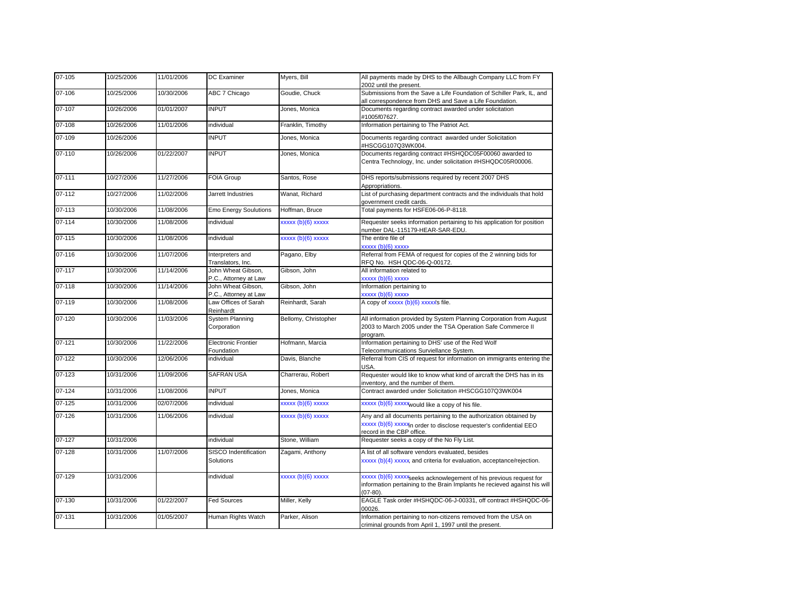| 07-105     | 10/25/2006 | 11/01/2006 | <b>DC</b> Examiner                          | Myers, Bill          | All payments made by DHS to the Allbaugh Company LLC from FY<br>2002 until the present.                                                                                    |
|------------|------------|------------|---------------------------------------------|----------------------|----------------------------------------------------------------------------------------------------------------------------------------------------------------------------|
| 07-106     | 10/25/2006 | 10/30/2006 | ABC 7 Chicago                               | Goudie, Chuck        | Submissions from the Save a Life Foundation of Schiller Park, IL, and<br>all correspondence from DHS and Save a Life Foundation.                                           |
| 07-107     | 10/26/2006 | 01/01/2007 | <b>INPUT</b>                                | Jones, Monica        | Documents regarding contract awarded under solicitation<br>#1005f07627.                                                                                                    |
| 07-108     | 10/26/2006 | 11/01/2006 | individual                                  | Franklin, Timothy    | Information pertaining to The Patriot Act.                                                                                                                                 |
| 07-109     | 10/26/2006 |            | <b>INPUT</b>                                | Jones, Monica        | Documents regarding contract awarded under Solicitation<br>#HSCGG107Q3WK004.                                                                                               |
| 07-110     | 10/26/2006 | 01/22/2007 | <b>INPUT</b>                                | Jones, Monica        | Documents regarding contract #HSHQDC05F00060 awarded to<br>Centra Technology, Inc. under solicitation #HSHQDC05R00006.                                                     |
| 07-111     | 10/27/2006 | 11/27/2006 | FOIA Group                                  | Santos, Rose         | DHS reports/submissions required by recent 2007 DHS<br>Appropriations.                                                                                                     |
| 07-112     | 10/27/2006 | 11/02/2006 | Jarrett Industries                          | Wanat, Richard       | List of purchasing department contracts and the individuals that hold<br>government credit cards.                                                                          |
| 07-113     | 10/30/2006 | 11/08/2006 | <b>Emo Energy Soulutions</b>                | Hoffman, Bruce       | Total payments for HSFE06-06-P-8118.                                                                                                                                       |
| 07-114     | 10/30/2006 | 11/08/2006 | individual                                  | xxxxx (b)(6) xxxxx   | Requester seeks information pertaining to his application for position<br>number DAL-115179-HEAR-SAR-EDU.                                                                  |
| 07-115     | 10/30/2006 | 11/08/2006 | individual                                  | xxxxx (b)(6) xxxxx   | The entire file of<br>xxxxx (b)(6) xxxxx                                                                                                                                   |
| 07-116     | 10/30/2006 | 11/07/2006 | Interpreters and<br>Translators, Inc.       | Pagano, Elby         | Referral from FEMA of request for copies of the 2 winning bids for<br>RFQ No. HSH QDC-06-Q-00172.                                                                          |
| 07-117     | 10/30/2006 | 11/14/2006 | John Wheat Gibson,<br>P.C., Attorney at Law | Gibson, John         | All information related to<br>xxxxx (b)(6) xxxxx                                                                                                                           |
| 07-118     | 10/30/2006 | 11/14/2006 | John Wheat Gibson,<br>P.C., Attorney at Law | Gibson, John         | Information pertaining to<br>xxxxx (b)(6) xxxxx                                                                                                                            |
| 07-119     | 10/30/2006 | 11/08/2006 | Law Offices of Sarah<br>Reinhardt           | Reinhardt, Sarah     | A copy of xxxxx (b)(6) xxxxxls file.                                                                                                                                       |
| 07-120     | 10/30/2006 | 11/03/2006 | System Planning<br>Corporation              | Bellomy, Christopher | All information provided by System Planning Corporation from August<br>2003 to March 2005 under the TSA Operation Safe Commerce II<br>program.                             |
| 07-121     | 10/30/2006 | 11/22/2006 | <b>Electronic Frontier</b><br>Foundation    | Hofmann, Marcia      | Information pertaining to DHS' use of the Red Wolf<br>Telecommunications Surviellance System.                                                                              |
| 07-122     | 10/30/2006 | 12/06/2006 | individual                                  | Davis, Blanche       | Referral from CIS of request for information on immigrants entering the<br>USA.                                                                                            |
| 07-123     | 10/31/2006 | 11/09/2006 | <b>SAFRAN USA</b>                           | Charrerau, Robert    | Requester would like to know what kind of aircraft the DHS has in its<br>inventory, and the number of them.                                                                |
| 07-124     | 10/31/2006 | 11/08/2006 | <b>INPUT</b>                                | Jones, Monica        | Contract awarded under Solicitation #HSCGG107Q3WK004                                                                                                                       |
| 07-125     | 10/31/2006 | 02/07/2006 | individual                                  | xxxxx (b)(6) xxxxx   | $xxxx(6)(6)$ $xxxxx$ would like a copy of his file.                                                                                                                        |
| 07-126     | 10/31/2006 | 11/06/2006 | individual                                  | xxxxx (b)(6) xxxxx   | Any and all documents pertaining to the authorization obtained by<br>xxxxx (b)(6) xxxxxin order to disclose requester's confidential EEO<br>record in the CBP office.      |
| $07 - 127$ | 10/31/2006 |            | individual                                  | Stone, William       | Requester seeks a copy of the No Fly List.                                                                                                                                 |
| 07-128     | 10/31/2006 | 11/07/2006 | SISCO Indentification<br><b>Solutions</b>   | Zagami, Anthony      | A list of all software vendors evaluated, besides<br>xxxxx (b)(4) xxxxx, and criteria for evaluation, acceptance/rejection.                                                |
| 07-129     | 10/31/2006 |            | individual                                  | xxxxx (b)(6) xxxxx   | xxxxx (b)(6) xxxxx <sub>Seeks</sub> acknowlegement of his previous request for<br>information pertaining to the Brain Implants he recieved against his will<br>$(07-80)$ . |
| 07-130     | 10/31/2006 | 01/22/2007 | <b>Fed Sources</b>                          | Miller, Kelly        | EAGLE Task order #HSHQDC-06-J-00331, off contract #HSHQDC-06-<br>00026                                                                                                     |
| 07-131     | 10/31/2006 | 01/05/2007 | Human Rights Watch                          | Parker, Alison       | Information pertaining to non-citizens removed from the USA on<br>criminal grounds from April 1, 1997 until the present.                                                   |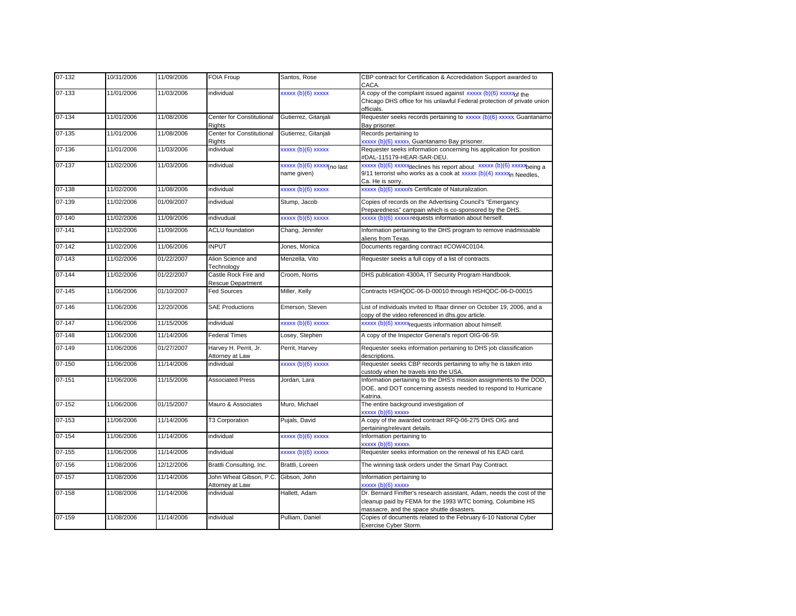| 07-132 | 10/31/2006 | 11/09/2006 | <b>FOIA Froup</b>                          | Santos, Rose                                          | CBP contract for Certification & Accredidation Support awarded to<br>CACA.                                                                                                         |
|--------|------------|------------|--------------------------------------------|-------------------------------------------------------|------------------------------------------------------------------------------------------------------------------------------------------------------------------------------------|
| 07-133 | 11/01/2006 | 11/03/2006 | individual                                 | xxxxx (b)(6) xxxxx                                    | A copy of the complaint issued against xxxxx (b)(6) xxxxx6f the<br>Chicago DHS office for his unlawful Federal protection of private union<br>officials.                           |
| 07-134 | 11/01/2006 | 11/08/2006 | Center for Constitutional<br>Rights        | Gutierrez, Gitanjali                                  | Requester seeks records pertaining to xxxxx (b)(6) xxxxx, Guantanamo<br>Bay prisoner.                                                                                              |
| 07-135 | 11/01/2006 | 11/08/2006 | Center for Constitutional<br>Rights        | Gutierrez, Gitanjali                                  | Records pertaining to<br>xxxxx (b)(6) xxxxx, Guantanamo Bay prisoner.                                                                                                              |
| 07-136 | 11/01/2006 | 11/03/2006 | individual                                 | xxxxx (b)(6) xxxxx                                    | Requester seeks information concerning his application for position<br>#DAL-115179-HEAR-SAR-DEU.                                                                                   |
| 07-137 | 11/02/2006 | 11/03/2006 | individual                                 | xxxxx (b)(6) xxxxx <sub>(no</sub> last<br>name given) | xxxxx (b)(6) xxxxxdeclines his report about xxxxx (b)(6) xxxxxbeing a<br>9/11 terrorist who works as a cook at xxxxx (b)(4) xxxxxn Needles,<br>Ca. He is sorry.                    |
| 07-138 | 11/02/2006 | 11/08/2006 | individual                                 | xxxxx (b)(6) xxxxx                                    | xxxxx (b)(6) xxxxx Certificate of Naturalization.                                                                                                                                  |
| 07-139 | 11/02/2006 | 01/09/2007 | individual                                 | Stump, Jacob                                          | Copies of records on the Advertising Council's "Emergancy<br>Preparedness" campain which is co-sponsored by the DHS.                                                               |
| 07-140 | 11/02/2006 | 11/09/2006 | indivudual                                 | xxxxx (b)(6) xxxxx                                    | xxxxx (b)(6) xxxxx requests information about herself.                                                                                                                             |
| 07-141 | 11/02/2006 | 11/09/2006 | <b>ACLU</b> foundation                     | Chang, Jennifer                                       | Information pertaining to the DHS program to remove inadmissable<br>aliens from Texas.                                                                                             |
| 07-142 | 11/02/2006 | 11/06/2006 | <b>INPUT</b>                               | Jones, Monica                                         | Documents regarding contract #COW4C0104.                                                                                                                                           |
| 07-143 | 11/02/2006 | 01/22/2007 | Alion Science and<br>Technology            | Menzella, Vito                                        | Requester seeks a full copy of a list of contracts.                                                                                                                                |
| 07-144 | 11/02/2006 | 01/22/2007 | Castle Rock Fire and<br>Rescue Department  | Croom, Norris                                         | DHS publication 4300A, IT Security Program Handbook.                                                                                                                               |
| 07-145 | 11/06/2006 | 01/10/2007 | <b>Fed Sources</b>                         | Miller, Kelly                                         | Contracts HSHQDC-06-D-00010 through HSHQDC-06-D-00015                                                                                                                              |
| 07-146 | 11/06/2006 | 12/20/2006 | <b>SAE Productions</b>                     | Emerson, Steven                                       | List of individuals invited to Iftaar dinner on October 19, 2006, and a<br>copy of the video referenced in dhs.gov article.                                                        |
| 07-147 | 11/06/2006 | 11/15/2006 | individual                                 | xxxxx (b)(6) xxxxx                                    | xxxxx (b)(6) xxxxx <sub>equests</sub> information about himself.                                                                                                                   |
| 07-148 | 11/06/2006 | 11/14/2006 | <b>Federal Times</b>                       | Losey, Stephen                                        | A copy of the Inspector General's report OIG-06-59.                                                                                                                                |
| 07-149 | 11/06/2006 | 01/27/2007 | Harvey H. Perrit, Jr.<br>Attorney at Law   | Perrit, Harvey                                        | Requester seeks information pertaining to DHS job classification<br>descriptions.                                                                                                  |
| 07-150 | 11/06/2006 | 11/14/2006 | individual                                 | xxxxx (b)(6) xxxxx                                    | Requester seeks CBP records pertaining to why he is taken into<br>custody when he travels into the USA.                                                                            |
| 07-151 | 11/06/2006 | 11/15/2006 | <b>Associated Press</b>                    | Jordan, Lara                                          | Information pertaining to the DHS's mission assignments to the DOD,<br>DOE, and DOT concerning assests needed to respond to Hurricane<br>Katrina.                                  |
| 07-152 | 11/06/2006 | 01/15/2007 | Mauro & Associates                         | Muro, Michael                                         | The entire background investigation of<br>xxxxx (b)(6) xxxxx                                                                                                                       |
| 07-153 | 11/06/2006 | 11/14/2006 | <b>T3 Corporation</b>                      | Pujals, David                                         | A copy of the awarded contract RFQ-06-275 DHS OIG and<br>pertaining/relevant details.                                                                                              |
| 07-154 | 11/06/2006 | 11/14/2006 | individual                                 | $xxxxx(b)(6)$ xxxxx                                   | Information pertaining to<br>xxxxx (b)(6) xxxxx                                                                                                                                    |
| 07-155 | 11/06/2006 | 11/14/2006 | individual                                 | xxxxx (b)(6) xxxxx                                    | Requester seeks information on the renewal of his EAD card.                                                                                                                        |
| 07-156 | 11/08/2006 | 12/12/2006 | Brattli Consulting, Inc.                   | Brattli, Loreen                                       | The winning task orders under the Smart Pay Contract.                                                                                                                              |
| 07-157 | 11/08/2006 | 11/14/2006 | John Wheat Gibson, P.C.<br>Attorney at Law | Gibson, John                                          | Information pertaining to<br>xxxxx (b)(6) xxxxx                                                                                                                                    |
| 07-158 | 11/08/2006 | 11/14/2006 | individual                                 | Hallett, Adam                                         | Dr. Bernard Finifter's research assistant, Adam, needs the cost of the<br>cleanup paid by FEMA for the 1993 WTC boming, Columbine HS<br>massacre, and the space shuttle disasters. |
| 07-159 | 11/08/2006 | 11/14/2006 | individual                                 | Pulliam, Daniel                                       | Copies of documents related to the February 6-10 National Cyber<br>Exercise Cyber Storm.                                                                                           |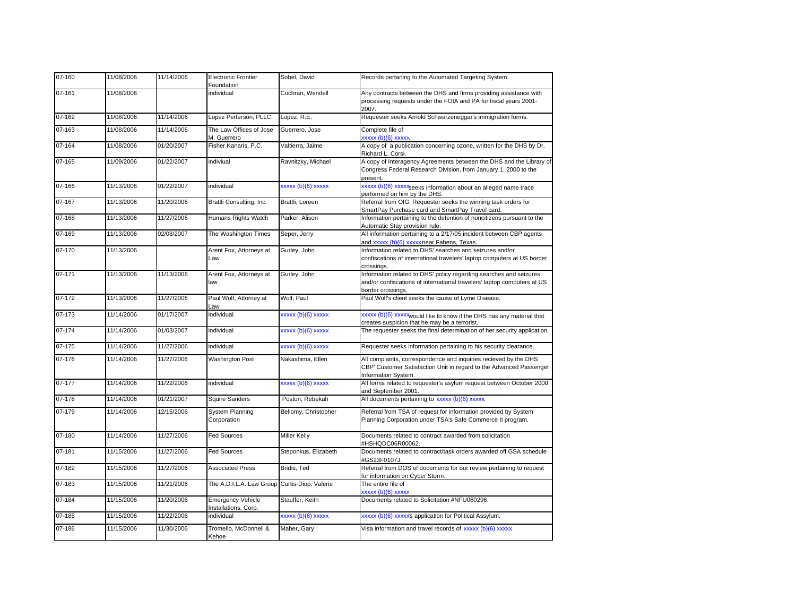| 07-160 | 11/08/2006 | 11/14/2006 | <b>Electronic Frontier</b><br>Foundation         | Sobel, David         | Records pertaning to the Automated Targeting System.                                                                                                               |
|--------|------------|------------|--------------------------------------------------|----------------------|--------------------------------------------------------------------------------------------------------------------------------------------------------------------|
| 07-161 | 11/08/2006 |            | individual                                       | Cochran, Wendell     | Any contracts between the DHS and firms providing assistance with<br>processing requests under the FOIA and PA for fiscal years 2001-<br>2007.                     |
| 07-162 | 11/08/2006 | 11/14/2006 | Lopez Perterson, PLLC                            | Lopez, R.E.          | Requester seeks Arnold Schwarzeneggar's immigration forms.                                                                                                         |
| 07-163 | 11/08/2006 | 11/14/2006 | The Law Offices of Jose<br>M. Guerrero           | Guerrero, Jose       | Complete file of<br>xxxxx (b)(6) xxxxx                                                                                                                             |
| 07-164 | 11/08/2006 | 01/20/2007 | Fisher Kanaris, P.C.                             | Valtierra, Jaime     | A copy of a publication concerning ozone, written for the DHS by Dr.<br>Richard L. Corsi.                                                                          |
| 07-165 | 11/09/2006 | 01/22/2007 | indiviual                                        | Ravnitzky, Michael   | A copy of Interagency Agreements between the DHS and the Library of<br>Congress Federal Research Division, from January 1, 2000 to the<br>present.                 |
| 07-166 | 11/13/2006 | 01/22/2007 | individual                                       | xxxxx (b)(6) xxxxx   | xxxxx (b)(6) xxxxx <sub>seeks</sub> information about an alleged name trace<br>performed on him by the DHS.                                                        |
| 07-167 | 11/13/2006 | 11/20/2006 | Brattli Consulting, Inc.                         | Brattli, Loreen      | Referral from OIG. Requester seeks the winning task orders for<br>SmartPay Purchase card and SmartPay Travel card.                                                 |
| 07-168 | 11/13/2006 | 11/27/2006 | Humans Rights Watch                              | Parker, Alison       | Information pertaining to the detention of noncitizens pursuant to the<br>Automatic Stay provision rule.                                                           |
| 07-169 | 11/13/2006 | 02/08/2007 | The Washington Times                             | Seper, Jerry         | All information pertaining to a 2/17/05 incident between CBP agents<br>and xxxxx (b)(6) xxxxx near Fabens, Texas.                                                  |
| 07-170 | 11/13/2006 |            | Arent Fox, Attorneys at<br>Law                   | Gurley, John         | Information related to DHS' searches and seizures and/or<br>confiscations of international travelers' laptop computers at US border<br>crossings.                  |
| 07-171 | 11/13/2006 | 11/13/2006 | Arent Fox, Attorneys at<br>law                   | Gurley, John         | Information related to DHS' policy regarding searches and seizures<br>and/or confiscations of international travelers' laptop computers at US<br>border crossings. |
| 07-172 | 11/13/2006 | 11/27/2006 | Paul Wolf, Attorney at<br>Law                    | Wolf, Paul           | Paul Wolf's client seeks the cause of Lyme Disease.                                                                                                                |
| 07-173 | 11/14/2006 | 01/17/2007 | individual                                       | xxxxx (b)(6) xxxxx   | xxxxx (b)(6) xxxxxwould like to know if the DHS has any material that<br>creates suspicion that he may be a terrorist.                                             |
| 07-174 | 11/14/2006 | 01/03/2007 | individual                                       | xxxxx (b)(6) xxxxx   | The requester seeks the final determination of her security application.                                                                                           |
| 07-175 | 11/14/2006 | 11/27/2006 | individual                                       | xxxxx (b)(6) xxxxx   | Requester seeks information pertaining to his security clearance.                                                                                                  |
| 07-176 | 11/14/2006 | 11/27/2006 | <b>Washington Post</b>                           | Nakashima, Ellen     | All complaints, correspondence and inquiries recieved by the DHS<br>CBP' Customer Satisfaction Unit in regard to the Advanced Passenger<br>Information System.     |
| 07-177 | 11/14/2006 | 11/22/2006 | individual                                       | xxxxx (b)(6) xxxxx   | All forms related to requester's asylum request between October 2000<br>and September 2001.                                                                        |
| 07-178 | 11/14/2006 | 01/21/2007 | Squire Sanders                                   | Poston, Rebekah      | All documents pertaining to xxxxx (b)(6) xxxxx                                                                                                                     |
| 07-179 | 11/14/2006 | 12/15/2006 | System Planning<br>Corporation                   | Bellomy, Christopher | Referral from TSA of request for information provided by System<br>Planning Corporation under TSA's Safe Commerce II program.                                      |
| 07-180 | 11/14/2006 | 11/27/2006 | <b>Fed Sources</b>                               | Miller Kelly         | Documents related to contract awarded from solicitation<br>#HSHQDC06R00062                                                                                         |
| 07-181 | 11/15/2006 | 11/27/2006 | <b>Fed Sources</b>                               | Steponkus, Elizabeth | Documents related to contract/task orders awarded off GSA schedule<br>#GS23F0107J.                                                                                 |
| 07-182 | 11/15/2006 | 11/27/2006 | <b>Associated Press</b>                          | Bridis, Ted          | Referral from DOS of documents for our review pertaining to request<br>for information on Cyber Storm.                                                             |
| 07-183 | 11/15/2006 | 11/21/2006 | The A.D.I.L.A. Law Group Curtis-Diop, Valerie    |                      | The entire file of<br>xxxxx (b)(6) xxxxx                                                                                                                           |
| 07-184 | 11/15/2006 | 11/20/2006 | <b>Emergency Vehicle</b><br>Installations, Corp. | Stauffer, Keith      | Documents related to Solicitation #NFU060296.                                                                                                                      |
| 07-185 | 11/15/2006 | 11/22/2006 | individual                                       | xxxxx (b)(6) xxxxx   | xxxxx (b)(6) xxxxxs application for Political Assylum.                                                                                                             |
| 07-186 | 11/15/2006 | 11/30/2006 | Tromello, McDonnell &<br>Kehoe                   | Maher, Gary          | Visa information and travel records of xxxxx (b)(6) xxxxx                                                                                                          |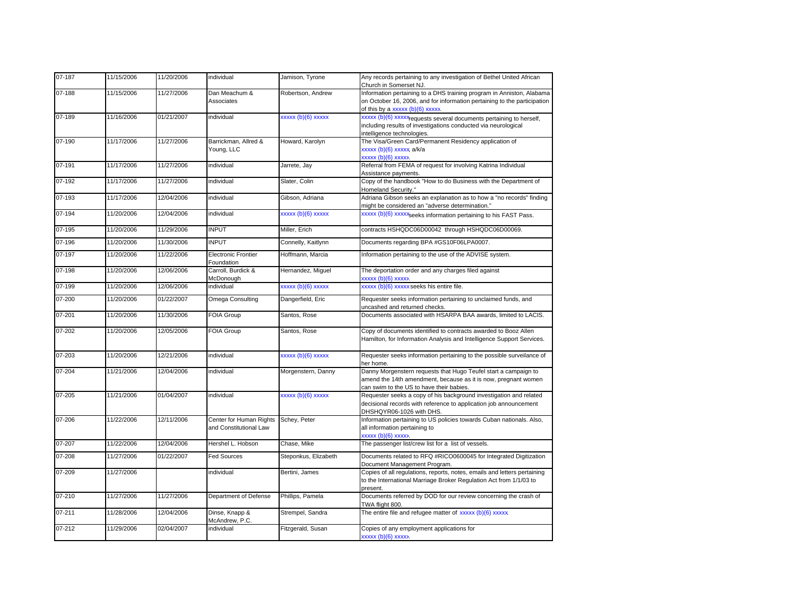| 07-187     | 11/15/2006 | 11/20/2006 | individual                                        | Jamison, Tyrone      | Any records pertaining to any investigation of Bethel United African<br>Church in Somerset NJ.                                                                                        |
|------------|------------|------------|---------------------------------------------------|----------------------|---------------------------------------------------------------------------------------------------------------------------------------------------------------------------------------|
| 07-188     | 11/15/2006 | 11/27/2006 | Dan Meachum &<br>Associates                       | Robertson, Andrew    | Information pertaining to a DHS training program in Anniston, Alabama<br>on October 16, 2006, and for information pertaining to the participation<br>of this by a xxxxx (b)(6) xxxxx. |
| 07-189     | 11/16/2006 | 01/21/2007 | individual                                        | xxxxx (b)(6) xxxxx   | xxxxx (b)(6) xxxxx <sub>requests</sub> several documents pertaining to herself,<br>including results of investigations conducted via neurological<br>intelligence technologies.       |
| 07-190     | 11/17/2006 | 11/27/2006 | Barrickman, Allred &<br>Young, LLC                | Howard, Karolyn      | The Visa/Green Card/Permanent Residency application of<br>xxxxx (b)(6) xxxxx, a/k/a<br>xxxxx (b)(6) xxxxx                                                                             |
| 07-191     | 11/17/2006 | 11/27/2006 | individual                                        | Jarrete, Jay         | Referral from FEMA of request for involving Katrina Individual<br>Assistance payments.                                                                                                |
| 07-192     | 11/17/2006 | 11/27/2006 | individual                                        | Slater, Colin        | Copy of the handbook "How to do Business with the Department of<br>Homeland Security."                                                                                                |
| 07-193     | 11/17/2006 | 12/04/2006 | individual                                        | Gibson, Adriana      | Adriana Gibson seeks an explanation as to how a "no records" finding<br>might be considered an "adverse determination."                                                               |
| 07-194     | 11/20/2006 | 12/04/2006 | individual                                        | xxxxx (b)(6) xxxxx   | xxxxx (b)(6) xxxxx <sub>seeks</sub> information pertaining to his FAST Pass.                                                                                                          |
| $07 - 195$ | 11/20/2006 | 11/29/2006 | <b>INPUT</b>                                      | Miller, Erich        | contracts HSHQDC06D00042 through HSHQDC06D00069.                                                                                                                                      |
| 07-196     | 11/20/2006 | 11/30/2006 | <b>INPUT</b>                                      | Connelly, Kaitlynn   | Documents regarding BPA #GS10F06LPA0007.                                                                                                                                              |
| 07-197     | 11/20/2006 | 11/22/2006 | <b>Electronic Frontier</b><br>Foundation          | Hoffmann, Marcia     | Information pertaining to the use of the ADVISE system.                                                                                                                               |
| 07-198     | 11/20/2006 | 12/06/2006 | Carroll, Burdick &<br>McDonough                   | Hernandez, Miquel    | The deportation order and any charges filed against<br>xxxxx (b)(6) xxxxx                                                                                                             |
| 07-199     | 11/20/2006 | 12/06/2006 | individual                                        | xxxxx (b)(6) xxxxx   | xxxxx (b)(6) xxxxx seeks his entire file.                                                                                                                                             |
| 07-200     | 11/20/2006 | 01/22/2007 | Omega Consulting                                  | Dangerfield, Eric    | Requester seeks information pertaining to unclaimed funds, and<br>uncashed and returned checks.                                                                                       |
| 07-201     | 11/20/2006 | 11/30/2006 | <b>FOIA Group</b>                                 | Santos, Rose         | Documents associated with HSARPA BAA awards, limited to LACIS.                                                                                                                        |
| 07-202     | 11/20/2006 | 12/05/2006 | <b>FOIA Group</b>                                 | Santos, Rose         | Copy of documents identified to contracts awarded to Booz Allen<br>Hamilton, for Information Analysis and Intelligence Support Services.                                              |
| 07-203     | 11/20/2006 | 12/21/2006 | individual                                        | xxxxx (b)(6) xxxxx   | Requester seeks information pertaining to the possible surveilance of<br>her home.                                                                                                    |
| 07-204     | 11/21/2006 | 12/04/2006 | individual                                        | Morgenstern, Danny   | Danny Morgenstern requests that Hugo Teufel start a campaign to<br>amend the 14th amendment, because as it is now, pregnant women<br>can swim to the US to have their babies.         |
| 07-205     | 11/21/2006 | 01/04/2007 | individual                                        | xxxxx (b)(6) xxxxx   | Requester seeks a copy of his background investigation and related<br>decisional records with reference to application job announcement<br>DHSHQYR06-1026 with DHS.                   |
| 07-206     | 11/22/2006 | 12/11/2006 | Center for Human Rights<br>and Constitutional Law | Schey, Peter         | Information pertaining to US policies towards Cuban nationals. Also,<br>all information pertaining to<br>xxxxx (b)(6) xxxxx                                                           |
| 07-207     | 11/22/2006 | 12/04/2006 | Hershel L. Hobson                                 | Chase, Mike          | The passenger list/crew list for a list of vessels.                                                                                                                                   |
| 07-208     | 11/27/2006 | 01/22/2007 | <b>Fed Sources</b>                                | Steponkus, Elizabeth | Documents related to RFQ #RICO0600045 for Integrated Digitization<br>Document Management Program.                                                                                     |
| 07-209     | 11/27/2006 |            | individual                                        | Bertini, James       | Copies of all regulations, reports, notes, emails and letters pertaining<br>to the International Marriage Broker Regulation Act from 1/1/03 to<br>present.                            |
| 07-210     | 11/27/2006 | 11/27/2006 | Department of Defense                             | Phillips, Pamela     | Documents referred by DOD for our review concerning the crash of<br>TWA flight 800.                                                                                                   |
| 07-211     | 11/28/2006 | 12/04/2006 | Dinse, Knapp &<br>McAndrew, P.C.                  | Strempel, Sandra     | The entire file and refugee matter of xxxxx (b)(6) xxxxx                                                                                                                              |
| 07-212     | 11/29/2006 | 02/04/2007 | individual                                        | Fitzgerald, Susan    | Copies of any employment applications for<br>xxxxx (b)(6) xxxxx                                                                                                                       |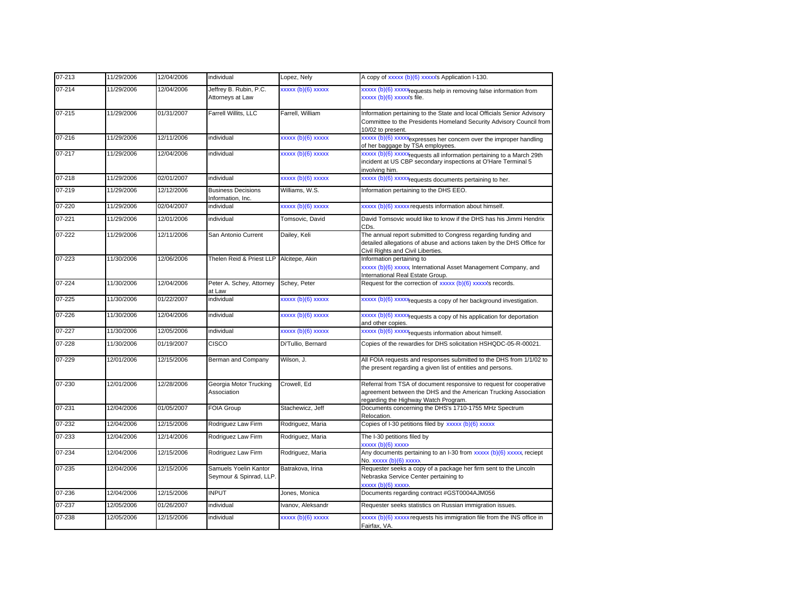| 07-213     | 11/29/2006 | 12/04/2006 | individual                                       | Lopez, Nely        | A copy of xxxxx (b)(6) xxxxx Application I-130.                                                                                                                                |
|------------|------------|------------|--------------------------------------------------|--------------------|--------------------------------------------------------------------------------------------------------------------------------------------------------------------------------|
| 07-214     | 11/29/2006 | 12/04/2006 | Jeffrey B. Rubin, P.C.<br>Attorneys at Law       | xxxxx (b)(6) xxxxx | xxxxx (b)(6) xxxxx <sub>requests</sub> help in removing false information from<br>xxxxx (b)(6) xxxxxs file.                                                                    |
| 07-215     | 11/29/2006 | 01/31/2007 | Farrell Willits, LLC                             | Farrell, William   | Information pertaining to the State and local Officials Senior Advisory<br>Committee to the Presidents Homeland Security Advisory Council from<br>10/02 to present.            |
| 07-216     | 11/29/2006 | 12/11/2006 | individual                                       | xxxxx (b)(6) xxxxx | xxxxx (b)(6) xxxxxexpresses her concern over the improper handling<br>of her baggage by TSA employees.                                                                         |
| 07-217     | 11/29/2006 | 12/04/2006 | individual                                       | xxxxx (b)(6) xxxxx | xxxxx (b)(6) xxxxx <sub>fequests</sub> all information pertaining to a March 29th<br>incident at US CBP secondary inspections at O'Hare Terminal 5<br>involving him.           |
| 07-218     | 11/29/2006 | 02/01/2007 | individual                                       | xxxxx (b)(6) xxxxx | xxxxx (b)(6) xxxxx <sub>requests</sub> documents pertaining to her.                                                                                                            |
| 07-219     | 11/29/2006 | 12/12/2006 | <b>Business Decisions</b><br>Information, Inc.   | Williams, W.S.     | Information pertaining to the DHS EEO.                                                                                                                                         |
| 07-220     | 11/29/2006 | 02/04/2007 | individual                                       | xxxxx (b)(6) xxxxx | xxxxx (b)(6) xxxxx requests information about himself.                                                                                                                         |
| 07-221     | 11/29/2006 | 12/01/2006 | individual                                       | Tomsovic, David    | David Tomsovic would like to know if the DHS has his Jimmi Hendrix<br>CD <sub>s</sub>                                                                                          |
| 07-222     | 11/29/2006 | 12/11/2006 | San Antonio Current                              | Dailey, Keli       | The annual report submitted to Congress regarding funding and<br>detailed allegations of abuse and actions taken by the DHS Office for<br>Civil Rights and Civil Liberties.    |
| 07-223     | 11/30/2006 | 12/06/2006 | Thelen Reid & Priest LLP Alcitepe, Akin          |                    | Information pertaining to<br>xxxxx (b)(6) xxxxx, International Asset Management Company, and<br>International Real Estate Group.                                               |
| $07 - 224$ | 11/30/2006 | 12/04/2006 | Peter A. Schey, Attorney<br>at Law               | Schey, Peter       | Request for the correction of xxxxx (b)(6) xxxxxs records.                                                                                                                     |
| 07-225     | 11/30/2006 | 01/22/2007 | individual                                       | xxxxx (b)(6) xxxxx | xxxxx (b)(6) xxxxx <sub>fequests</sub> a copy of her background investigation.                                                                                                 |
| 07-226     | 11/30/2006 | 12/04/2006 | individual                                       | xxxxx (b)(6) xxxxx | xxxxx (b)(6) xxxxx <sub>equests</sub> a copy of his application for deportation<br>and other copies.                                                                           |
| 07-227     | 11/30/2006 | 12/05/2006 | individual                                       | xxxxx (b)(6) xxxxx | xxxxx (b)(6) xxxxx <sub>requests</sub> information about himself.                                                                                                              |
| 07-228     | 11/30/2006 | 01/19/2007 | <b>CISCO</b>                                     | Di'Tullio, Bernard | Copies of the rewardies for DHS solicitation HSHQDC-05-R-00021.                                                                                                                |
| 07-229     | 12/01/2006 | 12/15/2006 | Berman and Company                               | Wilson, J.         | All FOIA requests and responses submitted to the DHS from 1/1/02 to<br>the present regarding a given list of entities and persons.                                             |
| 07-230     | 12/01/2006 | 12/28/2006 | Georgia Motor Trucking<br>Association            | Crowell, Ed        | Referral from TSA of document responsive to request for cooperative<br>agreement between the DHS and the American Trucking Association<br>regarding the Highway Watch Program. |
| 07-231     | 12/04/2006 | 01/05/2007 | <b>FOIA Group</b>                                | Stachewicz, Jeff   | Documents concerning the DHS's 1710-1755 MHz Spectrum<br>Relocation.                                                                                                           |
| 07-232     | 12/04/2006 | 12/15/2006 | Rodriquez Law Firm                               | Rodriguez, Maria   | Copies of I-30 petitions filed by xxxxx (b)(6) xxxxx                                                                                                                           |
| 07-233     | 12/04/2006 | 12/14/2006 | Rodriguez Law Firm                               | Rodriguez, Maria   | The I-30 petitions filed by<br>xxxxx (b)(6) xxxxx                                                                                                                              |
| 07-234     | 12/04/2006 | 12/15/2006 | Rodriguez Law Firm                               | Rodriguez, Maria   | Any documents pertaining to an I-30 from xxxxx (b)(6) xxxxx, reciept<br>No. xxxxx (b)(6) xxxxx.                                                                                |
| 07-235     | 12/04/2006 | 12/15/2006 | Samuels Yoelin Kantor<br>Seymour & Spinrad, LLP. | Batrakova, Irina   | Requester seeks a copy of a package her firm sent to the Lincoln<br>Nebraska Service Center pertaining to<br>xxxxx (b)(6) xxxxx                                                |
| 07-236     | 12/04/2006 | 12/15/2006 | <b>INPUT</b>                                     | Jones, Monica      | Documents regarding contract #GST0004AJM056                                                                                                                                    |
| 07-237     | 12/05/2006 | 01/26/2007 | individual                                       | Ivanov, Aleksandr  | Requester seeks statistics on Russian immigration issues.                                                                                                                      |
| 07-238     | 12/05/2006 | 12/15/2006 | individual                                       | xxxxx (b)(6) xxxxx | xxxxx (b)(6) xxxxx requests his immigration file from the INS office in<br>Fairfax, VA.                                                                                        |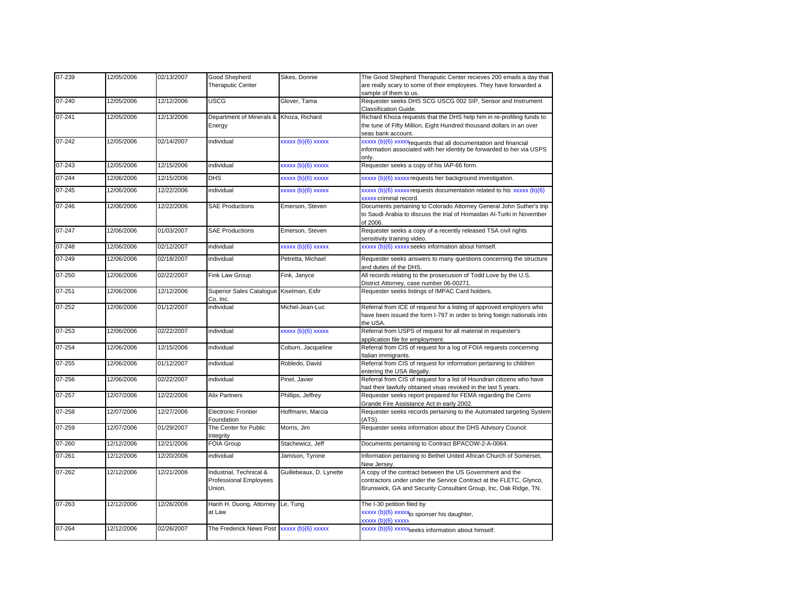| 07-239 | 12/05/2006 | 02/13/2007 | Good Shepherd<br><b>Theraputic Center</b>                          | Sikes, Donnie           | The Good Shepherd Theraputic Center recieves 200 emails a day that<br>are really scary to some of their employees. They have forwarded a<br>sample of them to us.                                  |
|--------|------------|------------|--------------------------------------------------------------------|-------------------------|----------------------------------------------------------------------------------------------------------------------------------------------------------------------------------------------------|
| 07-240 | 12/05/2006 | 12/12/2006 | <b>USCG</b>                                                        | Glover, Tama            | Requester seeks DHS SCG USCG 002 SIP, Sensor and Instrument<br><b>Classification Guide.</b>                                                                                                        |
| 07-241 | 12/05/2006 | 12/13/2006 | Department of Minerals &<br>Energy                                 | Khoza, Richard          | Richard Khoza requests that the DHS help him in re-profiling funds to<br>the tune of Fifty Million, Eight Hundred thousand dollars in an over<br>seas bank account.                                |
| 07-242 | 12/05/2006 | 02/14/2007 | individual                                                         | xxxxx (b)(6) xxxxx      | xxxxx (b)(6) xxxxx equests that all documentation and financial<br>information associated with her identity be forwarded to her via USPS<br>onlv.                                                  |
| 07-243 | 12/05/2006 | 12/15/2006 | individual                                                         | xxxxx (b)(6) xxxxx      | Requester seeks a copy of his IAP-66 form.                                                                                                                                                         |
| 07-244 | 12/06/2006 | 12/15/2006 | <b>DHS</b>                                                         | xxxxx (b)(6) xxxxx      | xxxxx (b)(6) xxxxx requests her background investigation.                                                                                                                                          |
| 07-245 | 12/06/2006 | 12/22/2006 | individual                                                         | xxxxx (b)(6) xxxxx      | $xxxxx (b)(6)$ xxxxx requests documentation related to his xxxxx $(b)(6)$<br>xxxxx criminal record.                                                                                                |
| 07-246 | 12/06/2006 | 12/22/2006 | <b>SAE Productions</b>                                             | Emerson, Steven         | Documents pertaining to Colorado Attorney General John Suther's trip<br>to Saudi Arabia to discuss the trial of Homaidan Al-Turki in November<br>of 2006.                                          |
| 07-247 | 12/06/2006 | 01/03/2007 | <b>SAE Productions</b>                                             | Emerson, Steven         | Requester seeks a copy of a recently released TSA civil rights<br>sensitivity training video.                                                                                                      |
| 07-248 | 12/06/2006 | 02/12/2007 | individual                                                         | xxxxx (b)(6) xxxxx      | xxxxx (b)(6) xxxxx seeks information about himself.                                                                                                                                                |
| 07-249 | 12/06/2006 | 02/18/2007 | individual                                                         | Petretta, Michael       | Requester seeks answers to many questions concerning the structure<br>and duties of the DHS.                                                                                                       |
| 07-250 | 12/06/2006 | 02/22/2007 | Fink Law Group                                                     | Fink, Janyce            | All records relating to the prosecusion of Todd Love by the U.S.<br>District Attorney, case number 06-00271.                                                                                       |
| 07-251 | 12/06/2006 | 12/12/2006 | Superior Sales Catalogue Kiselman, Esfir<br>Co. Inc.               |                         | Requester seeks listings of IMPAC Card holders.                                                                                                                                                    |
| 07-252 | 12/06/2006 | 01/12/2007 | individual                                                         | Michel-Jean-Luc         | Referral from ICE of request for a listing of approved employers who<br>have been issued the form I-797 in order to bring foeign nationals into<br>the USA.                                        |
| 07-253 | 12/06/2006 | 02/22/2007 | individual                                                         | xxxxx (b)(6) xxxxx      | Referral from USPS of request for all material in requester's<br>application file for employment.                                                                                                  |
| 07-254 | 12/06/2006 | 12/15/2006 | individual                                                         | Coburn, Jacqueline      | Referral from CIS of request for a log of FOIA requests concerning<br>Italian immigrants.                                                                                                          |
| 07-255 | 12/06/2006 | 01/12/2007 | individual                                                         | Robledo, David          | Referral from CIS of request for information pertaining to children<br>entering the USA illegally.                                                                                                 |
| 07-256 | 12/06/2006 | 02/22/2007 | individual                                                         | Pinel, Javier           | Referral from CIS of request for a list of Houndran citizens who have<br>had their lawfully obtained visas revoked in the last 5 years.                                                            |
| 07-257 | 12/07/2006 | 12/22/2006 | <b>Alix Partners</b>                                               | Phillips, Jeffrey       | Requester seeks report prepared for FEMA regarding the Cerro<br>Grande Fire Assistance Act in early 2002.                                                                                          |
| 07-258 | 12/07/2006 | 12/27/2006 | <b>Electronic Frontier</b><br>Foundation                           | Hoffmann, Marcia        | Requester seeks records pertaining to the Automated targeting System<br>(ATS).                                                                                                                     |
| 07-259 | 12/07/2006 | 01/29/2007 | The Center for Public<br>Integrity                                 | Morris, Jim             | Requester seeks information about the DHS Advisory Council.                                                                                                                                        |
| 07-260 | 12/12/2006 | 12/21/2006 | <b>FOIA Group</b>                                                  | Stachewicz, Jeff        | Documents pertaining to Contract BPACOW-2-A-0064.                                                                                                                                                  |
| 07-261 | 12/12/2006 | 12/20/2006 | individual                                                         | Jamison, Tyrone         | Information pertaining to Bethel United African Church of Somerset,<br>New Jersey.                                                                                                                 |
| 07-262 | 12/12/2006 | 12/21/2006 | Industrial, Technical &<br><b>Professional Employees</b><br>Union. | Guillebeaux, D. Lynette | A copy of the contract between the US Government and the<br>contractors under under the Service Contract at the FLETC, Glynco,<br>Brunswick, GA and Security Consultant Group, Inc, Oak Ridge, TN. |
| 07-263 | 12/12/2006 | 12/26/2006 | Hanh H. Duong, Attorney<br>at Law                                  | Le, Tung                | The I-30 petition filed by<br>xxxxx (b)(6) xxxxx to sponser his daughter,<br>xxxxx (b)(6) xxxxx                                                                                                    |
| 07-264 | 12/12/2006 | 02/26/2007 | The Frederick News Post xxxxx (b)(6) xxxxx                         |                         | xxxxx (b)(6) xxxxxseeks information about himself.                                                                                                                                                 |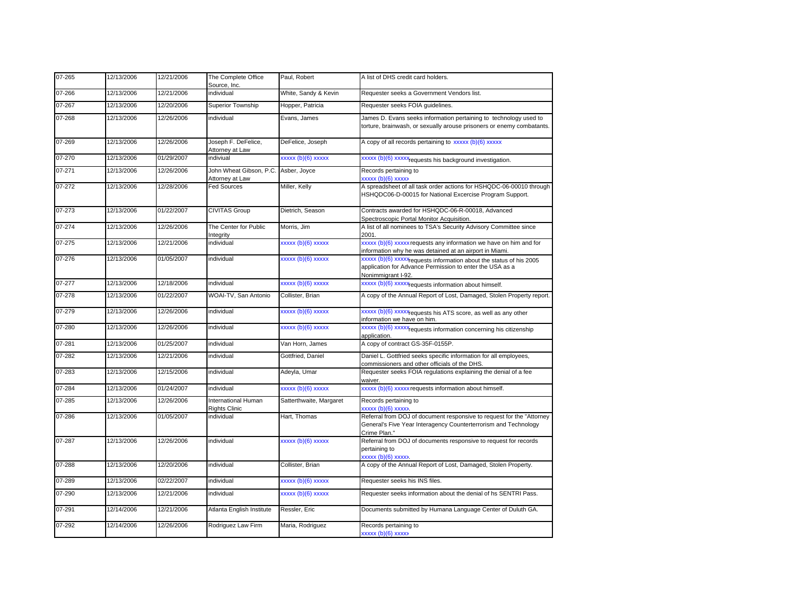| 07-265 | 12/13/2006 | 12/21/2006 | The Complete Office<br>Source, Inc.                | Paul, Robert            | A list of DHS credit card holders.                                                                                                                              |
|--------|------------|------------|----------------------------------------------------|-------------------------|-----------------------------------------------------------------------------------------------------------------------------------------------------------------|
| 07-266 | 12/13/2006 | 12/21/2006 | individual                                         | White, Sandy & Kevin    | Requester seeks a Government Vendors list.                                                                                                                      |
| 07-267 | 12/13/2006 | 12/20/2006 | <b>Superior Township</b>                           | Hopper, Patricia        | Requester seeks FOIA guidelines.                                                                                                                                |
| 07-268 | 12/13/2006 | 12/26/2006 | individual                                         | Evans, James            | James D. Evans seeks information pertaining to technology used to<br>torture, brainwash, or sexually arouse prisoners or enemy combatants.                      |
| 07-269 | 12/13/2006 | 12/26/2006 | Joseph F. DeFelice,<br>Attorney at Law             | DeFelice, Joseph        | A copy of all records pertaining to xxxxx (b)(6) xxxxx                                                                                                          |
| 07-270 | 12/13/2006 | 01/29/2007 | indiviual                                          | xxxxx (b)(6) xxxxx      | xxxxx (b)(6) xxxxxequests his background investigation.                                                                                                         |
| 07-271 | 12/13/2006 | 12/26/2006 | John Wheat Gibson, P.C.<br>Attorney at Law         | Asber, Joyce            | Records pertaining to<br>$\frac{f(x)}{g(x)}$ (b)(6) $\frac{x}{x}$                                                                                               |
| 07-272 | 12/13/2006 | 12/28/2006 | <b>Fed Sources</b>                                 | Miller, Kelly           | A spreadsheet of all task order actions for HSHQDC-06-00010 through<br>HSHQDC06-D-00015 for National Excercise Program Support.                                 |
| 07-273 | 12/13/2006 | 01/22/2007 | <b>CIVITAS Group</b>                               | Dietrich, Season        | Contracts awarded for HSHQDC-06-R-00018, Advanced<br>Spectroscopic Portal Monitor Acquisition.                                                                  |
| 07-274 | 12/13/2006 | 12/26/2006 | The Center for Public<br>Integrity                 | Morris, Jim             | A list of all nominees to TSA's Security Advisory Committee since<br>2001                                                                                       |
| 07-275 | 12/13/2006 | 12/21/2006 | individual                                         | xxxxx (b)(6) xxxxx      | xxxxx (b)(6) xxxxx requests any information we have on him and for<br>information why he was detained at an airport in Miami.                                   |
| 07-276 | 12/13/2006 | 01/05/2007 | individual                                         | xxxxx (b)(6) xxxxx      | xxxxx (b)(6) xxxxx <sub>frequests</sub> information about the status of his 2005 application for Advance Permission to enter the USA as a<br>Nonimmigrant I-92. |
| 07-277 | 12/13/2006 | 12/18/2006 | individual                                         | xxxxx (b)(6) xxxxx      | xxxxx (b)(6) xxxxx <sub>requests</sub> information about himself.                                                                                               |
| 07-278 | 12/13/2006 | 01/22/2007 | WOAI-TV, San Antonio                               | Collister, Brian        | A copy of the Annual Report of Lost, Damaged, Stolen Property report.                                                                                           |
| 07-279 | 12/13/2006 | 12/26/2006 | individual                                         | xxxxx (b)(6) xxxxx      | xxxxx (b)(6) xxxxx <sub>f</sub> equests his ATS score, as well as any other<br>information we have on him.                                                      |
| 07-280 | 12/13/2006 | 12/26/2006 | individual                                         | xxxxx (b)(6) xxxxx      | xxxxx (b)(6) xxxxx <sub>requests</sub> information concerning his citizenship<br>application.                                                                   |
| 07-281 | 12/13/2006 | 01/25/2007 | individual                                         | Van Horn, James         | A copy of contract GS-35F-0155P.                                                                                                                                |
| 07-282 | 12/13/2006 | 12/21/2006 | individual                                         | Gottfried, Daniel       | Daniel L. Gottfried seeks specific information for all employees,<br>commissioners and other officials of the DHS                                               |
| 07-283 | 12/13/2006 | 12/15/2006 | individual                                         | Adeyla, Umar            | Requester seeks FOIA regulations explaining the denial of a fee<br>waiver.                                                                                      |
| 07-284 | 12/13/2006 | 01/24/2007 | individual                                         | xxxxx (b)(6) xxxxx      | xxxxx (b)(6) xxxxx requests information about himself.                                                                                                          |
| 07-285 | 12/13/2006 | 12/26/2006 | <b>International Human</b><br><b>Rights Clinic</b> | Satterthwaite, Margaret | Records pertaining to<br>$\frac{f(x)}{f(x)}$ (b)(6) $\frac{x}{x}$                                                                                               |
| 07-286 | 12/13/2006 | 01/05/2007 | individual                                         | Hart, Thomas            | Referral from DOJ of document responsive to request for the "Attorney<br>General's Five Year Interagency Counterterrorism and Technology<br>Crime Plan."        |
| 07-287 | 12/13/2006 | 12/26/2006 | individual                                         | xxxxx (b)(6) xxxxx      | Referral from DOJ of documents responsive to request for records<br>pertaining to<br>xxxxx (b)(6) xxxxx                                                         |
| 07-288 | 12/13/2006 | 12/20/2006 | individual                                         | Collister, Brian        | A copy of the Annual Report of Lost, Damaged, Stolen Property.                                                                                                  |
| 07-289 | 12/13/2006 | 02/22/2007 | individual                                         | xxxxx (b)(6) xxxxx      | Requester seeks his INS files.                                                                                                                                  |
| 07-290 | 12/13/2006 | 12/21/2006 | individual                                         | xxxxx (b)(6) xxxxx      | Requester seeks information about the denial of hs SENTRI Pass.                                                                                                 |
| 07-291 | 12/14/2006 | 12/21/2006 | Atlanta English Institute                          | Ressler, Eric           | Documents submitted by Humana Language Center of Duluth GA.                                                                                                     |
| 07-292 | 12/14/2006 | 12/26/2006 | Rodriguez Law Firm                                 | Maria, Rodriguez        | Records pertaining to<br>xxxxx (b)(6) xxxxx                                                                                                                     |
|        |            |            |                                                    |                         |                                                                                                                                                                 |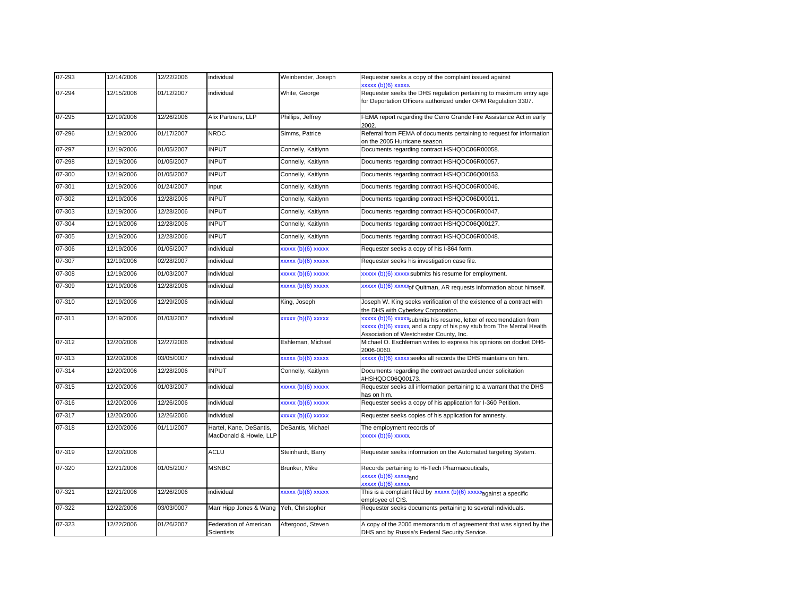| 07-293 | 12/14/2006 | 12/22/2006 | individual                                        | Weinbender, Joseph | Requester seeks a copy of the complaint issued against<br>xxxxx (b)(6) xxxxx                                                                                                                        |
|--------|------------|------------|---------------------------------------------------|--------------------|-----------------------------------------------------------------------------------------------------------------------------------------------------------------------------------------------------|
| 07-294 | 12/15/2006 | 01/12/2007 | individual                                        | White, George      | Requester seeks the DHS regulation pertaining to maximum entry age<br>for Deportation Officers authorized under OPM Regulation 3307.                                                                |
| 07-295 | 12/19/2006 | 12/26/2006 | Alix Partners, LLP                                | Phillips, Jeffrey  | FEMA report regarding the Cerro Grande Fire Assistance Act in early<br>2002.                                                                                                                        |
| 07-296 | 12/19/2006 | 01/17/2007 | <b>NRDC</b>                                       | Simms, Patrice     | Referral from FEMA of documents pertaining to request for information<br>on the 2005 Hurricane season.                                                                                              |
| 07-297 | 12/19/2006 | 01/05/2007 | <b>INPUT</b>                                      | Connelly, Kaitlynn | Documents regarding contract HSHQDC06R00058.                                                                                                                                                        |
| 07-298 | 12/19/2006 | 01/05/2007 | <b>INPUT</b>                                      | Connelly, Kaitlynn | Documents regarding contract HSHQDC06R00057.                                                                                                                                                        |
| 07-300 | 12/19/2006 | 01/05/2007 | <b>INPUT</b>                                      | Connelly, Kaitlynn | Documents regarding contract HSHQDC06Q00153.                                                                                                                                                        |
| 07-301 | 12/19/2006 | 01/24/2007 | Input                                             | Connelly, Kaitlynn | Documents regarding contract HSHQDC06R00046.                                                                                                                                                        |
| 07-302 | 12/19/2006 | 12/28/2006 | <b>INPUT</b>                                      | Connelly, Kaitlynn | Documents regarding contract HSHQDC06D00011.                                                                                                                                                        |
| 07-303 | 12/19/2006 | 12/28/2006 | <b>INPUT</b>                                      | Connelly, Kaitlynn | Documents regarding contract HSHQDC06R00047.                                                                                                                                                        |
| 07-304 | 12/19/2006 | 12/28/2006 | <b>INPUT</b>                                      | Connelly, Kaitlynn | Documents regarding contract HSHQDC06Q00127.                                                                                                                                                        |
| 07-305 | 12/19/2006 | 12/28/2006 | <b>INPUT</b>                                      | Connelly, Kaitlynn | Documents regarding contract HSHQDC06R00048.                                                                                                                                                        |
| 07-306 | 12/19/2006 | 01/05/2007 | individual                                        | xxxxx (b)(6) xxxxx | Requester seeks a copy of his I-864 form.                                                                                                                                                           |
| 07-307 | 12/19/2006 | 02/28/2007 | individual                                        | xxxxx (b)(6) xxxxx | Requester seeks his investigation case file.                                                                                                                                                        |
| 07-308 | 12/19/2006 | 01/03/2007 | individual                                        | xxxxx (b)(6) xxxxx | xxxxx (b)(6) xxxxx submits his resume for employment.                                                                                                                                               |
| 07-309 | 12/19/2006 | 12/28/2006 | individual                                        | xxxxx (b)(6) xxxxx | xxxxx (b)(6) xxxxx <sub>of</sub> Quitman, AR requests information about himself.                                                                                                                    |
| 07-310 | 12/19/2006 | 12/29/2006 | individual                                        | King, Joseph       | Joseph W. King seeks verification of the existence of a contract with<br>the DHS with Cyberkey Corporation.                                                                                         |
| 07-311 | 12/19/2006 | 01/03/2007 | individual                                        | xxxxx (b)(6) xxxxx | xxxxx (b)(6) xxxxx <sub>s</sub> ubmits his resume, letter of recomendation from<br>xxxxx (b)(6) xxxxx, and a copy of his pay stub from The Mental Health<br>Association of Westchester County, Inc. |
| 07-312 | 12/20/2006 | 12/27/2006 | individual                                        | Eshleman, Michael  | Michael O. Eschleman writes to express his opinions on docket DH6-<br>2006-0060.                                                                                                                    |
| 07-313 | 12/20/2006 | 03/05/0007 | individual                                        | xxxxx (b)(6) xxxxx | xxxxx (b)(6) xxxxx seeks all records the DHS maintains on him.                                                                                                                                      |
| 07-314 | 12/20/2006 | 12/28/2006 | <b>INPUT</b>                                      | Connelly, Kaitlynn | Documents regarding the contract awarded under solicitation<br>#HSHQDC06Q00173.                                                                                                                     |
| 07-315 | 12/20/2006 | 01/03/2007 | individual                                        | xxxxx (b)(6) xxxxx | Requester seeks all information pertaining to a warrant that the DHS<br>has on him.                                                                                                                 |
| 07-316 | 12/20/2006 | 12/26/2006 | individual                                        | xxxxx (b)(6) xxxxx | Requester seeks a copy of his application for I-360 Petition.                                                                                                                                       |
| 07-317 | 12/20/2006 | 12/26/2006 | individual                                        | xxxxx (b)(6) xxxxx | Requester seeks copies of his application for amnesty.                                                                                                                                              |
| 07-318 | 12/20/2006 | 01/11/2007 | Hartel, Kane, DeSantis,<br>MacDonald & Howie, LLP | DeSantis, Michael  | The employment records of<br>xxxxx (b)(6) xxxxx                                                                                                                                                     |
| 07-319 | 12/20/2006 |            | <b>ACLU</b>                                       | Steinhardt, Barry  | Requester seeks information on the Automated targeting System.                                                                                                                                      |
| 07-320 | 12/21/2006 | 01/05/2007 | <b>MSNBC</b>                                      | Brunker, Mike      | Records pertaining to Hi-Tech Pharmaceuticals,<br>xxxxx (b)(6) xxxxxand<br>xxxxx (b)(6) xxxxx                                                                                                       |
| 07-321 | 12/21/2006 | 12/26/2006 | individual                                        | xxxxx (b)(6) xxxxx | This is a complaint filed by $xxxxx$ (b)(6) $xxxxx$ <sub>against</sub> a specific<br>employee of CIS.                                                                                               |
| 07-322 | 12/22/2006 | 03/03/0007 | Marr Hipp Jones & Wang                            | Yeh, Christopher   | Requester seeks documents pertaining to several individuals.                                                                                                                                        |
| 07-323 | 12/22/2006 | 01/26/2007 | Federation of American<br><b>Scientists</b>       | Aftergood, Steven  | A copy of the 2006 memorandum of agreement that was signed by the<br>DHS and by Russia's Federal Security Service.                                                                                  |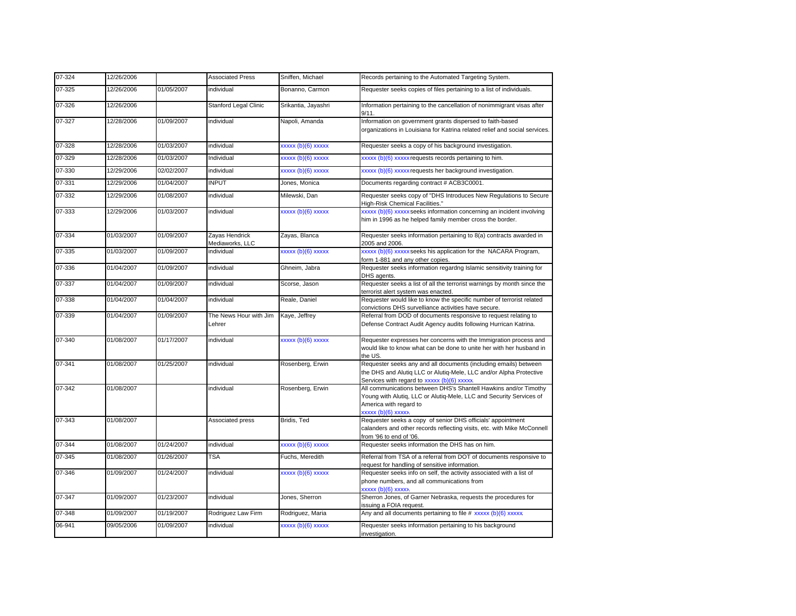| 07-324 | 12/26/2006 |            | <b>Associated Press</b>           | Sniffen, Michael    | Records pertaining to the Automated Targeting System.                                                                                                                                   |
|--------|------------|------------|-----------------------------------|---------------------|-----------------------------------------------------------------------------------------------------------------------------------------------------------------------------------------|
| 07-325 | 12/26/2006 | 01/05/2007 | individual                        | Bonanno, Carmon     | Requester seeks copies of files pertaining to a list of individuals.                                                                                                                    |
| 07-326 | 12/26/2006 |            | Stanford Legal Clinic             | Srikantia, Jayashri | Information pertaining to the cancellation of nonimmigrant visas after<br>9/11.                                                                                                         |
| 07-327 | 12/28/2006 | 01/09/2007 | individual                        | Napoli, Amanda      | Information on government grants dispersed to faith-based<br>organizations in Louisiana for Katrina related relief and social services.                                                 |
| 07-328 | 12/28/2006 | 01/03/2007 | individual                        | xxxxx (b)(6) xxxxx  | Requester seeks a copy of his background investigation.                                                                                                                                 |
| 07-329 | 12/28/2006 | 01/03/2007 | Individual                        | xxxxx (b)(6) xxxxx  | xxxxx (b)(6) xxxxx requests records pertaining to him.                                                                                                                                  |
| 07-330 | 12/29/2006 | 02/02/2007 | individual                        | xxxxx (b)(6) xxxxx  | xxxxx (b)(6) xxxxx requests her background investigation.                                                                                                                               |
| 07-331 | 12/29/2006 | 01/04/2007 | <b>INPUT</b>                      | Jones, Monica       | Documents regarding contract # ACB3C0001.                                                                                                                                               |
| 07-332 | 12/29/2006 | 01/08/2007 | individual                        | Milewski, Dan       | Requester seeks copy of "DHS Introduces New Regulations to Secure<br>High-Risk Chemical Facilities."                                                                                    |
| 07-333 | 12/29/2006 | 01/03/2007 | individual                        | xxxxx (b)(6) xxxxx  | xxxxx (b)(6) xxxxx seeks information concerning an incident involving<br>him in 1996 as he helped family member cross the border.                                                       |
| 07-334 | 01/03/2007 | 01/09/2007 | Zayas Hendrick<br>Mediaworks, LLC | Zayas, Blanca       | Requester seeks information pertaining to 8(a) contracts awarded in<br>2005 and 2006.                                                                                                   |
| 07-335 | 01/03/2007 | 01/09/2007 | individual                        | xxxxx (b)(6) xxxxx  | xxxxx (b)(6) xxxxx seeks his application for the NACARA Program,<br>form 1-881 and any other copies.                                                                                    |
| 07-336 | 01/04/2007 | 01/09/2007 | individual                        | Ghneim, Jabra       | Requester seeks information regardng Islamic sensitivity training for<br>DHS agents.                                                                                                    |
| 07-337 | 01/04/2007 | 01/09/2007 | individual                        | Scorse, Jason       | Requester seeks a list of all the terrorist warnings by month since the<br>terrorist alert system was enacted.                                                                          |
| 07-338 | 01/04/2007 | 01/04/2007 | individual                        | Reale, Daniel       | Requester would like to know the specific number of terrorist related<br>convictions DHS survelliance activities have secure.                                                           |
| 07-339 | 01/04/2007 | 01/09/2007 | The News Hour with Jim<br>Lehrer  | Kaye, Jeffrey       | Referral from DOD of documents responsive to request relating to<br>Defense Contract Audit Agency audits following Hurrican Katrina.                                                    |
| 07-340 | 01/08/2007 | 01/17/2007 | individual                        | $xxxxx(b)(6)$ xxxxx | Requester expresses her concerns with the Immigration process and<br>would like to know what can be done to unite her with her husband in<br>the US.                                    |
| 07-341 | 01/08/2007 | 01/25/2007 | individual                        | Rosenberg, Erwin    | Requester seeks any and all documents (including emails) between<br>the DHS and Alutiq LLC or Alutiq-Mele, LLC and/or Alpha Protective<br>Services with regard to xxxxx (b)(6) xxxxx.   |
| 07-342 | 01/08/2007 |            | individual                        | Rosenberg, Erwin    | All communications between DHS's Shantell Hawkins and/or Timothy<br>Young with Alutiq, LLC or Alutiq-Mele, LLC and Security Services of<br>America with regard to<br>xxxxx (b)(6) xxxxx |
| 07-343 | 01/08/2007 |            | Associated press                  | Bridis, Ted         | Requester seeks a copy of senior DHS officials' appointment<br>calanders and other records reflecting visits, etc. with Mike McConnell<br>from '96 to end of '06.                       |
| 07-344 | 01/08/2007 | 01/24/2007 | individual                        | xxxxx (b)(6) xxxxx  | Requester seeks information the DHS has on him.                                                                                                                                         |
| 07-345 | 01/08/2007 | 01/26/2007 | <b>TSA</b>                        | Fuchs, Meredith     | Referral from TSA of a referral from DOT of documents responsive to<br>request for handling of sensitive information.                                                                   |
| 07-346 | 01/09/2007 | 01/24/2007 | individual                        | xxxxx (b)(6) xxxxx  | Requester seeks info on self, the activity associated with a list of<br>phone numbers, and all communications from<br>$\frac{1}{2}$ (b)(6) $\frac{1}{2}$ xxxxx                          |
| 07-347 | 01/09/2007 | 01/23/2007 | individual                        | Jones, Sherron      | Sherron Jones, of Garner Nebraska, requests the procedures for<br>issuing a FOIA request.                                                                                               |
| 07-348 | 01/09/2007 | 01/19/2007 | Rodriquez Law Firm                | Rodriguez, Maria    | Any and all documents pertaining to file # xxxxx (b)(6) xxxxx                                                                                                                           |
| 06-941 | 09/05/2006 | 01/09/2007 | individual                        | $xxxxx(b)(6)$ xxxxx | Requester seeks information pertaining to his background<br>investigation.                                                                                                              |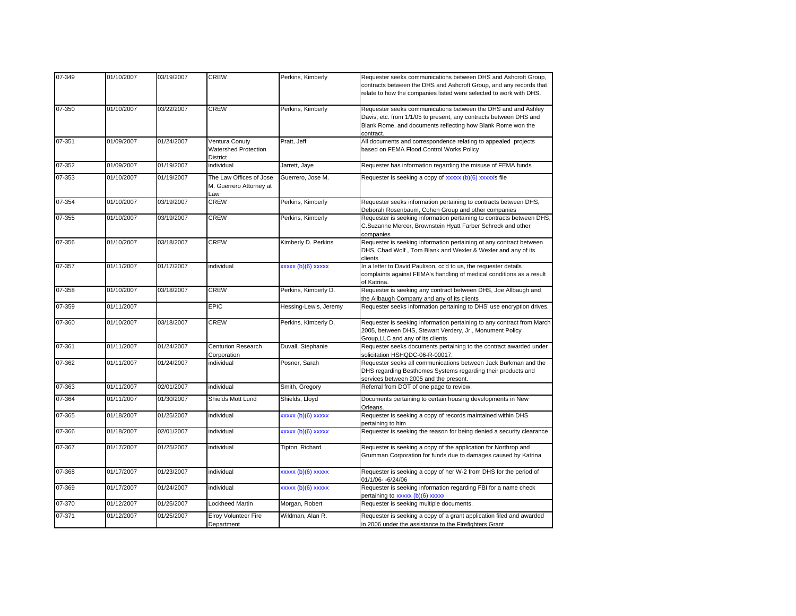| 07-349<br>Requester seeks communications between DHS and Ashcroft Group,<br>01/10/2007<br>03/19/2007<br><b>CREW</b><br>Perkins, Kimberly<br>contracts between the DHS and Ashcroft Group, and any records that<br>relate to how the companies listed were selected to work with DHS.<br>07-350<br>01/10/2007<br>03/22/2007<br>CREW<br>Perkins, Kimberly<br>Requester seeks communications between the DHS and and Ashley<br>Davis, etc. from 1/1/05 to present, any contracts between DHS and<br>Blank Rome, and documents reflecting how Blank Rome won the<br>contract.<br>07-351<br>Pratt, Jeff<br>01/09/2007<br>01/24/2007<br>Ventura Conuty<br>All documents and correspondence relating to appealed projects<br>Watershed Protection<br>based on FEMA Flood Control Works Policy<br>District<br>07-352<br>01/09/2007<br>01/19/2007<br>individual<br>Jarrett, Jaye<br>Requester has information regarding the misuse of FEMA funds<br>07-353<br>01/10/2007<br>01/19/2007<br>The Law Offices of Jose<br>Guerrero, Jose M.<br>Requester is seeking a copy of xxxxx (b)(6) xxxxx file<br>M. Guerrero Attorney at<br>Law<br>07-354<br>01/10/2007<br>03/19/2007<br>CREW<br>Perkins, Kimberly<br>Requester seeks information pertaining to contracts between DHS,<br>Deborah Rosenbaum, Cohen Group and other companies<br>07-355<br>01/10/2007<br>03/19/2007<br>CREW<br>Perkins, Kimberly<br>Requester is seeking information pertaining to contracts between DHS,<br>C.Suzanne Mercer, Brownstein Hyatt Farber Schreck and other<br>companies<br>07-356<br>01/10/2007<br>03/18/2007<br>CREW<br>Kimberly D. Perkins<br>Requester is seeking information pertaining ot any contract between<br>DHS, Chad Wolf, Tom Blank and Wexler & Wexler and any of its<br>clients<br>07-357<br>01/11/2007<br>01/17/2007<br>xxxxx (b)(6) xxxxx<br>In a letter to David Paulison, cc'd to us, the requester details<br>individual<br>complaints against FEMA's handling of medical conditions as a result<br>of Katrina.<br>07-358<br>01/10/2007<br>03/18/2007<br>CREW<br>Perkins, Kimberly D.<br>Requester is seeking any contract between DHS, Joe Allbaugh and<br>the Allbaugh Company and any of its clients<br><b>EPIC</b><br>07-359<br>01/11/2007<br>Requester seeks information pertaining to DHS' use encryption drives.<br>Hessing-Lewis, Jeremy<br>07-360<br>01/10/2007<br>03/18/2007<br>CREW<br>Perkins, Kimberly D.<br>Requester is seeking information pertaining to any contract from March<br>2005, between DHS, Stewart Verdery, Jr., Monument Policy<br>Group, LLC and any of its clients<br>07-361<br>01/11/2007<br>01/24/2007<br><b>Centurion Research</b><br>Duvall, Stephanie<br>Requester seeks documents pertaining to the contract awarded under<br>solicitation HSHQDC-06-R-00017.<br>Corporation<br>07-362<br>01/11/2007<br>01/24/2007<br>Posner, Sarah<br>Requester seeks all communications between Jack Burkman and the<br>ndividual<br>DHS regarding Besthomes Systems regarding their products and<br>services between 2005 and the present.<br>07-363<br>01/11/2007<br>02/01/2007<br>Smith, Gregory<br>Referral from DOT of one page to review.<br>ndividual<br>07-364<br>01/11/2007<br>01/30/2007<br>Shields, Lloyd<br>Documents pertaining to certain housing developments in New<br>Shields Mott Lund |  |
|----------------------------------------------------------------------------------------------------------------------------------------------------------------------------------------------------------------------------------------------------------------------------------------------------------------------------------------------------------------------------------------------------------------------------------------------------------------------------------------------------------------------------------------------------------------------------------------------------------------------------------------------------------------------------------------------------------------------------------------------------------------------------------------------------------------------------------------------------------------------------------------------------------------------------------------------------------------------------------------------------------------------------------------------------------------------------------------------------------------------------------------------------------------------------------------------------------------------------------------------------------------------------------------------------------------------------------------------------------------------------------------------------------------------------------------------------------------------------------------------------------------------------------------------------------------------------------------------------------------------------------------------------------------------------------------------------------------------------------------------------------------------------------------------------------------------------------------------------------------------------------------------------------------------------------------------------------------------------------------------------------------------------------------------------------------------------------------------------------------------------------------------------------------------------------------------------------------------------------------------------------------------------------------------------------------------------------------------------------------------------------------------------------------------------------------------------------------------------------------------------------------------------------------------------------------------------------------------------------------------------------------------------------------------------------------------------------------------------------------------------------------------------------------------------------------------------------------------------------------------------------------------------------------------------------------------------------------------------------------------------------------------------------------------------------------------------------------------------------------------------------------------------------------------------------------------------------------------------------------------------------------------------------------------------------------------------|--|
|                                                                                                                                                                                                                                                                                                                                                                                                                                                                                                                                                                                                                                                                                                                                                                                                                                                                                                                                                                                                                                                                                                                                                                                                                                                                                                                                                                                                                                                                                                                                                                                                                                                                                                                                                                                                                                                                                                                                                                                                                                                                                                                                                                                                                                                                                                                                                                                                                                                                                                                                                                                                                                                                                                                                                                                                                                                                                                                                                                                                                                                                                                                                                                                                                                                                                                                            |  |
|                                                                                                                                                                                                                                                                                                                                                                                                                                                                                                                                                                                                                                                                                                                                                                                                                                                                                                                                                                                                                                                                                                                                                                                                                                                                                                                                                                                                                                                                                                                                                                                                                                                                                                                                                                                                                                                                                                                                                                                                                                                                                                                                                                                                                                                                                                                                                                                                                                                                                                                                                                                                                                                                                                                                                                                                                                                                                                                                                                                                                                                                                                                                                                                                                                                                                                                            |  |
|                                                                                                                                                                                                                                                                                                                                                                                                                                                                                                                                                                                                                                                                                                                                                                                                                                                                                                                                                                                                                                                                                                                                                                                                                                                                                                                                                                                                                                                                                                                                                                                                                                                                                                                                                                                                                                                                                                                                                                                                                                                                                                                                                                                                                                                                                                                                                                                                                                                                                                                                                                                                                                                                                                                                                                                                                                                                                                                                                                                                                                                                                                                                                                                                                                                                                                                            |  |
|                                                                                                                                                                                                                                                                                                                                                                                                                                                                                                                                                                                                                                                                                                                                                                                                                                                                                                                                                                                                                                                                                                                                                                                                                                                                                                                                                                                                                                                                                                                                                                                                                                                                                                                                                                                                                                                                                                                                                                                                                                                                                                                                                                                                                                                                                                                                                                                                                                                                                                                                                                                                                                                                                                                                                                                                                                                                                                                                                                                                                                                                                                                                                                                                                                                                                                                            |  |
|                                                                                                                                                                                                                                                                                                                                                                                                                                                                                                                                                                                                                                                                                                                                                                                                                                                                                                                                                                                                                                                                                                                                                                                                                                                                                                                                                                                                                                                                                                                                                                                                                                                                                                                                                                                                                                                                                                                                                                                                                                                                                                                                                                                                                                                                                                                                                                                                                                                                                                                                                                                                                                                                                                                                                                                                                                                                                                                                                                                                                                                                                                                                                                                                                                                                                                                            |  |
|                                                                                                                                                                                                                                                                                                                                                                                                                                                                                                                                                                                                                                                                                                                                                                                                                                                                                                                                                                                                                                                                                                                                                                                                                                                                                                                                                                                                                                                                                                                                                                                                                                                                                                                                                                                                                                                                                                                                                                                                                                                                                                                                                                                                                                                                                                                                                                                                                                                                                                                                                                                                                                                                                                                                                                                                                                                                                                                                                                                                                                                                                                                                                                                                                                                                                                                            |  |
|                                                                                                                                                                                                                                                                                                                                                                                                                                                                                                                                                                                                                                                                                                                                                                                                                                                                                                                                                                                                                                                                                                                                                                                                                                                                                                                                                                                                                                                                                                                                                                                                                                                                                                                                                                                                                                                                                                                                                                                                                                                                                                                                                                                                                                                                                                                                                                                                                                                                                                                                                                                                                                                                                                                                                                                                                                                                                                                                                                                                                                                                                                                                                                                                                                                                                                                            |  |
|                                                                                                                                                                                                                                                                                                                                                                                                                                                                                                                                                                                                                                                                                                                                                                                                                                                                                                                                                                                                                                                                                                                                                                                                                                                                                                                                                                                                                                                                                                                                                                                                                                                                                                                                                                                                                                                                                                                                                                                                                                                                                                                                                                                                                                                                                                                                                                                                                                                                                                                                                                                                                                                                                                                                                                                                                                                                                                                                                                                                                                                                                                                                                                                                                                                                                                                            |  |
|                                                                                                                                                                                                                                                                                                                                                                                                                                                                                                                                                                                                                                                                                                                                                                                                                                                                                                                                                                                                                                                                                                                                                                                                                                                                                                                                                                                                                                                                                                                                                                                                                                                                                                                                                                                                                                                                                                                                                                                                                                                                                                                                                                                                                                                                                                                                                                                                                                                                                                                                                                                                                                                                                                                                                                                                                                                                                                                                                                                                                                                                                                                                                                                                                                                                                                                            |  |
|                                                                                                                                                                                                                                                                                                                                                                                                                                                                                                                                                                                                                                                                                                                                                                                                                                                                                                                                                                                                                                                                                                                                                                                                                                                                                                                                                                                                                                                                                                                                                                                                                                                                                                                                                                                                                                                                                                                                                                                                                                                                                                                                                                                                                                                                                                                                                                                                                                                                                                                                                                                                                                                                                                                                                                                                                                                                                                                                                                                                                                                                                                                                                                                                                                                                                                                            |  |
|                                                                                                                                                                                                                                                                                                                                                                                                                                                                                                                                                                                                                                                                                                                                                                                                                                                                                                                                                                                                                                                                                                                                                                                                                                                                                                                                                                                                                                                                                                                                                                                                                                                                                                                                                                                                                                                                                                                                                                                                                                                                                                                                                                                                                                                                                                                                                                                                                                                                                                                                                                                                                                                                                                                                                                                                                                                                                                                                                                                                                                                                                                                                                                                                                                                                                                                            |  |
|                                                                                                                                                                                                                                                                                                                                                                                                                                                                                                                                                                                                                                                                                                                                                                                                                                                                                                                                                                                                                                                                                                                                                                                                                                                                                                                                                                                                                                                                                                                                                                                                                                                                                                                                                                                                                                                                                                                                                                                                                                                                                                                                                                                                                                                                                                                                                                                                                                                                                                                                                                                                                                                                                                                                                                                                                                                                                                                                                                                                                                                                                                                                                                                                                                                                                                                            |  |
|                                                                                                                                                                                                                                                                                                                                                                                                                                                                                                                                                                                                                                                                                                                                                                                                                                                                                                                                                                                                                                                                                                                                                                                                                                                                                                                                                                                                                                                                                                                                                                                                                                                                                                                                                                                                                                                                                                                                                                                                                                                                                                                                                                                                                                                                                                                                                                                                                                                                                                                                                                                                                                                                                                                                                                                                                                                                                                                                                                                                                                                                                                                                                                                                                                                                                                                            |  |
|                                                                                                                                                                                                                                                                                                                                                                                                                                                                                                                                                                                                                                                                                                                                                                                                                                                                                                                                                                                                                                                                                                                                                                                                                                                                                                                                                                                                                                                                                                                                                                                                                                                                                                                                                                                                                                                                                                                                                                                                                                                                                                                                                                                                                                                                                                                                                                                                                                                                                                                                                                                                                                                                                                                                                                                                                                                                                                                                                                                                                                                                                                                                                                                                                                                                                                                            |  |
|                                                                                                                                                                                                                                                                                                                                                                                                                                                                                                                                                                                                                                                                                                                                                                                                                                                                                                                                                                                                                                                                                                                                                                                                                                                                                                                                                                                                                                                                                                                                                                                                                                                                                                                                                                                                                                                                                                                                                                                                                                                                                                                                                                                                                                                                                                                                                                                                                                                                                                                                                                                                                                                                                                                                                                                                                                                                                                                                                                                                                                                                                                                                                                                                                                                                                                                            |  |
| Orleans.                                                                                                                                                                                                                                                                                                                                                                                                                                                                                                                                                                                                                                                                                                                                                                                                                                                                                                                                                                                                                                                                                                                                                                                                                                                                                                                                                                                                                                                                                                                                                                                                                                                                                                                                                                                                                                                                                                                                                                                                                                                                                                                                                                                                                                                                                                                                                                                                                                                                                                                                                                                                                                                                                                                                                                                                                                                                                                                                                                                                                                                                                                                                                                                                                                                                                                                   |  |
| 07-365<br>01/18/2007<br>01/25/2007<br>xxxxx (b)(6) xxxxx<br>Requester is seeking a copy of records maintained within DHS<br>individual<br>pertaining to him                                                                                                                                                                                                                                                                                                                                                                                                                                                                                                                                                                                                                                                                                                                                                                                                                                                                                                                                                                                                                                                                                                                                                                                                                                                                                                                                                                                                                                                                                                                                                                                                                                                                                                                                                                                                                                                                                                                                                                                                                                                                                                                                                                                                                                                                                                                                                                                                                                                                                                                                                                                                                                                                                                                                                                                                                                                                                                                                                                                                                                                                                                                                                                |  |
| 07-366<br>01/18/2007<br>02/01/2007<br>xxxxx (b)(6) xxxxx<br>Requester is seeking the reason for being denied a security clearance<br>individual                                                                                                                                                                                                                                                                                                                                                                                                                                                                                                                                                                                                                                                                                                                                                                                                                                                                                                                                                                                                                                                                                                                                                                                                                                                                                                                                                                                                                                                                                                                                                                                                                                                                                                                                                                                                                                                                                                                                                                                                                                                                                                                                                                                                                                                                                                                                                                                                                                                                                                                                                                                                                                                                                                                                                                                                                                                                                                                                                                                                                                                                                                                                                                            |  |
| 07-367<br>01/17/2007<br>01/25/2007<br>ndividual<br>Tipton, Richard<br>Requester is seeking a copy of the application for Northrop and<br>Grumman Corporation for funds due to damages caused by Katrina                                                                                                                                                                                                                                                                                                                                                                                                                                                                                                                                                                                                                                                                                                                                                                                                                                                                                                                                                                                                                                                                                                                                                                                                                                                                                                                                                                                                                                                                                                                                                                                                                                                                                                                                                                                                                                                                                                                                                                                                                                                                                                                                                                                                                                                                                                                                                                                                                                                                                                                                                                                                                                                                                                                                                                                                                                                                                                                                                                                                                                                                                                                    |  |
| 07-368<br>01/17/2007<br>01/23/2007<br>xxxxx (b)(6) xxxxx<br>individual<br>Requester is seeking a copy of her W-2 from DHS for the period of<br>01/1/06- -6/24/06                                                                                                                                                                                                                                                                                                                                                                                                                                                                                                                                                                                                                                                                                                                                                                                                                                                                                                                                                                                                                                                                                                                                                                                                                                                                                                                                                                                                                                                                                                                                                                                                                                                                                                                                                                                                                                                                                                                                                                                                                                                                                                                                                                                                                                                                                                                                                                                                                                                                                                                                                                                                                                                                                                                                                                                                                                                                                                                                                                                                                                                                                                                                                           |  |
| 07-369<br>01/17/2007<br>Requester is seeking information regarding FBI for a name check<br>01/24/2007<br>xxxxx (b)(6) xxxxx<br>individual<br>pertaining to xxxxx (b)(6) xxxxx                                                                                                                                                                                                                                                                                                                                                                                                                                                                                                                                                                                                                                                                                                                                                                                                                                                                                                                                                                                                                                                                                                                                                                                                                                                                                                                                                                                                                                                                                                                                                                                                                                                                                                                                                                                                                                                                                                                                                                                                                                                                                                                                                                                                                                                                                                                                                                                                                                                                                                                                                                                                                                                                                                                                                                                                                                                                                                                                                                                                                                                                                                                                              |  |
| 07-370<br>01/12/2007<br>01/25/2007<br>Lockheed Martin<br>Morgan, Robert<br>Requester is seeking multiple documents.                                                                                                                                                                                                                                                                                                                                                                                                                                                                                                                                                                                                                                                                                                                                                                                                                                                                                                                                                                                                                                                                                                                                                                                                                                                                                                                                                                                                                                                                                                                                                                                                                                                                                                                                                                                                                                                                                                                                                                                                                                                                                                                                                                                                                                                                                                                                                                                                                                                                                                                                                                                                                                                                                                                                                                                                                                                                                                                                                                                                                                                                                                                                                                                                        |  |
| 07-371<br>01/12/2007<br>01/25/2007<br>Wildman, Alan R.<br>Elroy Volunteer Fire<br>Requester is seeking a copy of a grant application filed and awarded<br>Department<br>in 2006 under the assistance to the Firefighters Grant                                                                                                                                                                                                                                                                                                                                                                                                                                                                                                                                                                                                                                                                                                                                                                                                                                                                                                                                                                                                                                                                                                                                                                                                                                                                                                                                                                                                                                                                                                                                                                                                                                                                                                                                                                                                                                                                                                                                                                                                                                                                                                                                                                                                                                                                                                                                                                                                                                                                                                                                                                                                                                                                                                                                                                                                                                                                                                                                                                                                                                                                                             |  |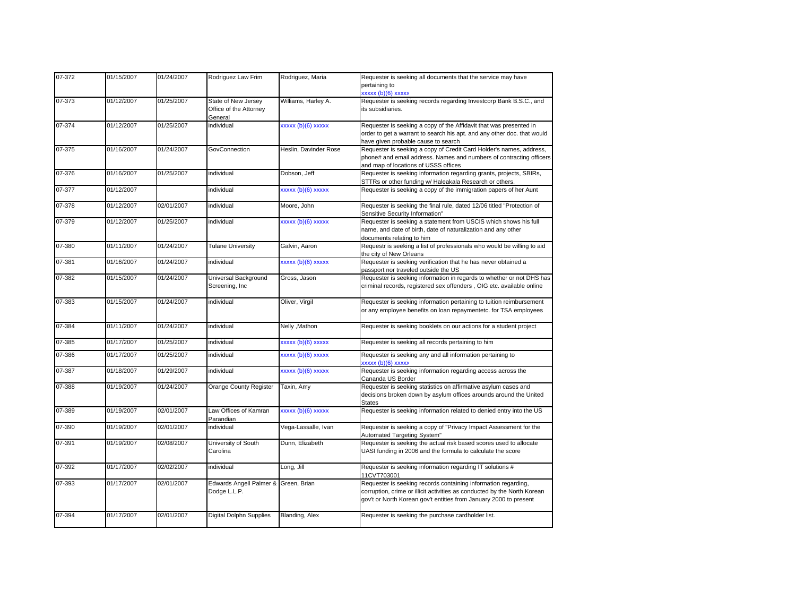| 07-372 | 01/15/2007 | 01/24/2007 | Rodriguez Law Frim                                       | Rodriguez, Maria      | Requester is seeking all documents that the service may have<br>pertaining to<br>xxxxx (b)(6) xxxxx                                                                                                             |
|--------|------------|------------|----------------------------------------------------------|-----------------------|-----------------------------------------------------------------------------------------------------------------------------------------------------------------------------------------------------------------|
| 07-373 | 01/12/2007 | 01/25/2007 | State of New Jersey<br>Office of the Attorney<br>General | Williams, Harley A.   | Requester is seeking records regarding Investcorp Bank B.S.C., and<br>its subsidiaries.                                                                                                                         |
| 07-374 | 01/12/2007 | 01/25/2007 | ndividual                                                | xxxxx (b)(6) xxxxx    | Requester is seeking a copy of the Affidavit that was presented in<br>order to get a warrant to search his apt. and any other doc. that would<br>have given probable cause to search                            |
| 07-375 | 01/16/2007 | 01/24/2007 | GovConnection                                            | Heslin, Davinder Rose | Requester is seeking a copy of Credit Card Holder's names, address,<br>phone# and email address. Names and numbers of contracting officers<br>and map of locations of USSS offices                              |
| 07-376 | 01/16/2007 | 01/25/2007 | individual                                               | Dobson, Jeff          | Requester is seeking information regarding grants, projects, SBIRs,<br>STTRs or other funding w/ Haleakala Research or others.                                                                                  |
| 07-377 | 01/12/2007 |            | ndividual                                                | xxxxx (b)(6) xxxxx    | Requester is seeking a copy of the immigration papers of her Aunt                                                                                                                                               |
| 07-378 | 01/12/2007 | 02/01/2007 | individual                                               | Moore, John           | Requester is seeking the final rule, dated 12/06 titled "Protection of<br>Sensitive Security Information"                                                                                                       |
| 07-379 | 01/12/2007 | 01/25/2007 | individual                                               | xxxxx (b)(6) xxxxx    | Requester is seeking a statement from USCIS which shows his full<br>name, and date of birth, date of naturalization and any other<br>documents relating to him                                                  |
| 07-380 | 01/11/2007 | 01/24/2007 | <b>Tulane University</b>                                 | Galvin, Aaron         | Requestr is seeking a list of professionals who would be willing to aid<br>the city of New Orleans                                                                                                              |
| 07-381 | 01/16/2007 | 01/24/2007 | individual                                               | xxxxx (b)(6) xxxxx    | Requester is seeking verification that he has never obtained a<br>passport nor traveled outside the US                                                                                                          |
| 07-382 | 01/15/2007 | 01/24/2007 | Universal Background<br>Screening, Inc                   | Gross, Jason          | Requester is seeking information in regards to whether or not DHS has<br>criminal records, registered sex offenders, OIG etc. available online                                                                  |
| 07-383 | 01/15/2007 | 01/24/2007 | ndividual                                                | Oliver, Virgil        | Requester is seeking information pertaining to tuition reimbursement<br>or any employee benefits on loan repaymentetc. for TSA employees                                                                        |
| 07-384 | 01/11/2007 | 01/24/2007 | individual                                               | Nelly , Mathon        | Requester is seeking booklets on our actions for a student project                                                                                                                                              |
| 07-385 | 01/17/2007 | 01/25/2007 | ndividual                                                | xxxxx (b)(6) xxxxx    | Requester is seeking all records pertaining to him                                                                                                                                                              |
| 07-386 | 01/17/2007 | 01/25/2007 | individual                                               | xxxxx (b)(6) xxxxx    | Requester is seeking any and all information pertaining to<br>xxxxx (b)(6) xxxxx                                                                                                                                |
| 07-387 | 01/18/2007 | 01/29/2007 | individual                                               | xxxxx (b)(6) xxxxx    | Requester is seeking information regarding access across the<br>Cananda US Border                                                                                                                               |
| 07-388 | 01/19/2007 | 01/24/2007 | Orange County Register                                   | Taxin, Amy            | Requester is seeking statistics on affirmative asylum cases and<br>decisions broken down by asylum offices arounds around the United<br><b>States</b>                                                           |
| 07-389 | 01/19/2007 | 02/01/2007 | Law Offices of Kamran<br>Parandian                       | xxxxx (b)(6) xxxxx    | Requester is seeking information related to denied entry into the US                                                                                                                                            |
| 07-390 | 01/19/2007 | 02/01/2007 | ndividual                                                | Vega-Lassalle, Ivan   | Requester is seeking a copy of "Privacy Impact Assessment for the<br>Automated Targeting System"                                                                                                                |
| 07-391 | 01/19/2007 | 02/08/2007 | University of South<br>Carolina                          | Dunn, Elizabeth       | Requester is seeking the actual risk based scores used to allocate<br>UASI funding in 2006 and the formula to calculate the score                                                                               |
| 07-392 | 01/17/2007 | 02/02/2007 | ndividual                                                | Long, Jill            | Requester is seeking information regarding IT solutions #<br>11CVT703001                                                                                                                                        |
| 07-393 | 01/17/2007 | 02/01/2007 | Edwards Angell Palmer & Green, Brian<br>Dodge L.L.P.     |                       | Requester is seeking records containing information regarding,<br>corruption, crime or illicit activities as conducted by the North Korean<br>gov't or North Korean gov't entities from January 2000 to present |
| 07-394 | 01/17/2007 | 02/01/2007 | <b>Digital Dolphn Supplies</b>                           | Blanding, Alex        | Requester is seeking the purchase cardholder list.                                                                                                                                                              |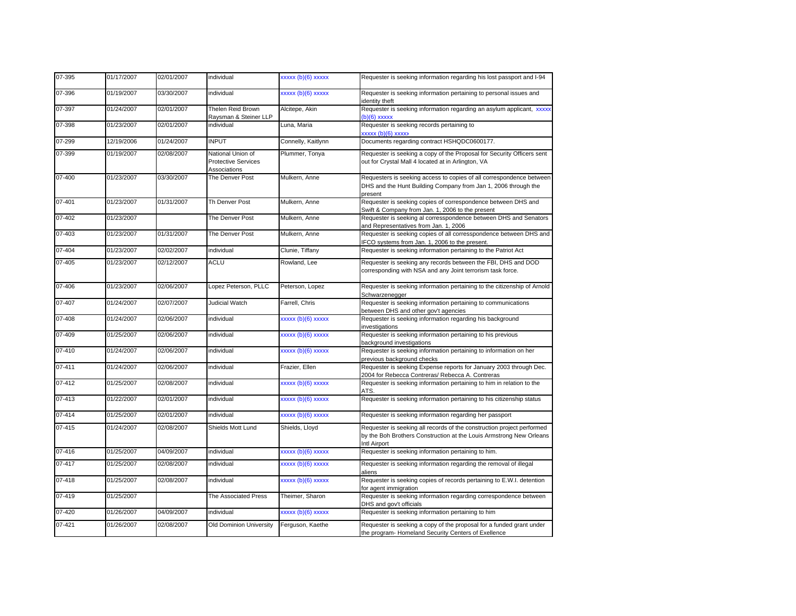| 07-395     | 01/17/2007 | 02/01/2007 | individual                                                      | xxxxx (b)(6) xxxxx  | Requester is seeking information regarding his lost passport and I-94                                                                                         |
|------------|------------|------------|-----------------------------------------------------------------|---------------------|---------------------------------------------------------------------------------------------------------------------------------------------------------------|
| 07-396     | 01/19/2007 | 03/30/2007 | individual                                                      | xxxxx (b)(6) xxxxx  | Requester is seeking information pertaining to personal issues and<br>identity theft                                                                          |
| 07-397     | 01/24/2007 | 02/01/2007 | Thelen Reid Brown<br>Raysman & Steiner LLP                      | Alcitepe, Akin      | Requester is seeking information regarding an asylum applicant, xxxxx<br>$(b)(6)$ xxxxx                                                                       |
| 07-398     | 01/23/2007 | 02/01/2007 | individual                                                      | Luna, Maria         | Requester is seeking records pertaining to<br>xxxxx (b)(6) xxxxx                                                                                              |
| 07-299     | 12/19/2006 | 01/24/2007 | <b>INPUT</b>                                                    | Connelly, Kaitlynn  | Documents regarding contract HSHQDC0600177.                                                                                                                   |
| 07-399     | 01/19/2007 | 02/08/2007 | National Union of<br><b>Protective Services</b><br>Associations | Plummer, Tonya      | Requester is seeking a copy of the Proposal for Security Officers sent<br>out for Crystal Mall 4 located at in Arlington, VA                                  |
| 07-400     | 01/23/2007 | 03/30/2007 | The Denver Post                                                 | Mulkern, Anne       | Requesters is seeking access to copies of all correspondence between<br>DHS and the Hunt Building Company from Jan 1, 2006 through the<br>present             |
| 07-401     | 01/23/2007 | 01/31/2007 | Th Denver Post                                                  | Mulkern, Anne       | Requester is seeking copies of correspondence between DHS and<br>Swift & Company from Jan. 1, 2006 to the present                                             |
| $07 - 402$ | 01/23/2007 |            | The Denver Post                                                 | Mulkern, Anne       | Requester is seeking al corresspondence between DHS and Senators<br>and Representatives from Jan. 1, 2006                                                     |
| 07-403     | 01/23/2007 | 01/31/2007 | The Denver Post                                                 | Mulkern, Anne       | Requester is seeking copies of all corresspondence between DHS and<br>IFCO systems from Jan. 1, 2006 to the present.                                          |
| 07-404     | 01/23/2007 | 02/02/2007 | individual                                                      | Clunie, Tiffany     | Requester is seeking information pertaining to the Patriot Act                                                                                                |
| 07-405     | 01/23/2007 | 02/12/2007 | <b>ACLU</b>                                                     | Rowland, Lee        | Requester is seeking any records between the FBI, DHS and DOD<br>corresponding with NSA and any Joint terrorism task force.                                   |
| 07-406     | 01/23/2007 | 02/06/2007 | Lopez Peterson, PLLC                                            | Peterson, Lopez     | Requester is seeking information pertaining to the citizenship of Arnold<br>Schwarzenegger                                                                    |
| 07-407     | 01/24/2007 | 02/07/2007 | Judicial Watch                                                  | Farrell, Chris      | Requester is seeking information pertaining to communications<br>between DHS and other gov't agencies                                                         |
| 07-408     | 01/24/2007 | 02/06/2007 | individual                                                      | xxxxx (b)(6) xxxxx  | Requester is seeking information regarding his background<br>investigations                                                                                   |
| 07-409     | 01/25/2007 | 02/06/2007 | individual                                                      | xxxxx (b)(6) xxxxx  | Requester is seeking information pertaining to his previous<br>background investigations                                                                      |
| 07-410     | 01/24/2007 | 02/06/2007 | individual                                                      | xxxxx (b)(6) xxxxx  | Requester is seeking information pertaining to information on her<br>previous background checks                                                               |
| 07-411     | 01/24/2007 | 02/06/2007 | individual                                                      | Frazier, Ellen      | Requester is seeking Expense reports for January 2003 through Dec.<br>2004 for Rebecca Contreras/ Rebecca A. Contreras                                        |
| 07-412     | 01/25/2007 | 02/08/2007 | individual                                                      | xxxxx (b)(6) xxxxx  | Requester is seeking information pertaining to him in relation to the<br>ATS.                                                                                 |
| 07-413     | 01/22/2007 | 02/01/2007 | individual                                                      | xxxxx (b)(6) xxxxx  | Requester is seeking information pertaining to his citizenship status                                                                                         |
| 07-414     | 01/25/2007 | 02/01/2007 | individual                                                      | xxxxx (b)(6) xxxxx  | Requester is seeking information regarding her passport                                                                                                       |
| 07-415     | 01/24/2007 | 02/08/2007 | Shields Mott Lund                                               | Shields, Lloyd      | Requester is seeking all records of the construction project performed<br>by the Boh Brothers Construction at the Louis Armstrong New Orleans<br>Intl Airport |
| 07-416     | 01/25/2007 | 04/09/2007 | individual                                                      | xxxxx (b)(6) xxxxx  | Requester is seeking information pertaining to him.                                                                                                           |
| 07-417     | 01/25/2007 | 02/08/2007 | individual                                                      | $xxxxx(b)(6)$ xxxxx | Requester is seeking information regarding the removal of illegal<br>aliens                                                                                   |
| 07-418     | 01/25/2007 | 02/08/2007 | individual                                                      | xxxxx (b)(6) xxxxx  | Requester is seeking copies of records pertaining to E.W.I. detention<br>for agent immigration                                                                |
| 07-419     | 01/25/2007 |            | The Associated Press                                            | Theimer, Sharon     | Requester is seeking information regarding correspondence between<br>DHS and gov't officials                                                                  |
| 07-420     | 01/26/2007 | 04/09/2007 | individual                                                      | xxxxx (b)(6) xxxxx  | Requester is seeking information pertaining to him                                                                                                            |
| $07 - 421$ | 01/26/2007 | 02/08/2007 | <b>Old Dominion University</b>                                  | Ferguson, Kaethe    | Requester is seeking a copy of the proposal for a funded grant under<br>the program- Homeland Security Centers of Exellence                                   |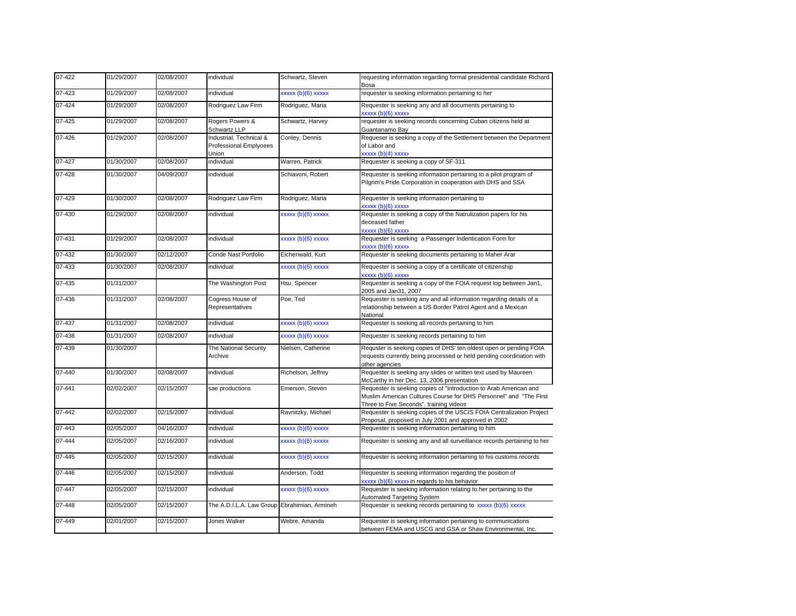| 07-422 | 01/29/2007 | 02/08/2007 | individual                                                        | Schwartz, Steven   | requesting information regarding formal presidential candidate Richard<br>Bosa                                                                                                    |
|--------|------------|------------|-------------------------------------------------------------------|--------------------|-----------------------------------------------------------------------------------------------------------------------------------------------------------------------------------|
| 07-423 | 01/29/2007 | 02/08/2007 | individual                                                        | xxxxx (b)(6) xxxxx | requester is seeking information pertaining to her                                                                                                                                |
| 07-424 | 01/29/2007 | 02/08/2007 | Rodriguez Law Firm                                                | Rodriguez, Maria   | Requester is seeking any and all documents pertaining to<br>xxxxx (b)(6) xxxxx                                                                                                    |
| 07-425 | 01/29/2007 | 02/08/2007 | Rogers Powers &<br>Schwartz LLP                                   | Schwartz, Harvey   | requester is seeking records concerning Cuban citizens held at<br>Guantanamo Bay                                                                                                  |
| 07-426 | 01/29/2007 | 02/08/2007 | Industrial, Technical &<br><b>Professional Emplyoees</b><br>Union | Conley, Dennis     | Requeser is seeking a copy of the Settlement between the Department<br>of Labor and<br>xxxxx(b)(4)xxxxx                                                                           |
| 07-427 | 01/30/2007 | 02/08/2007 | individual                                                        | Warren, Patrick    | Requester is seeking a copy of SF-311                                                                                                                                             |
| 07-428 | 01/30/2007 | 04/09/2007 | individual                                                        | Schiavoni, Robert  | Requester is seeking information pertaining to a pilot program of<br>Pilgrim's Pride Corporation in cooperation with DHS and SSA                                                  |
| 07-429 | 01/30/2007 | 02/08/2007 | Rodriguez Law Firm                                                | Rodriguez, Maria   | Requester is seeking information pertaining to<br>xxxxx (b)(6) xxxxx                                                                                                              |
| 07-430 | 01/29/2007 | 02/08/2007 | individual                                                        | xxxxx (b)(6) xxxxx | Requester is seeking a copy of the Natrulization papers for his<br>deceased father<br>xxxxx (b)(6) xxxxx                                                                          |
| 07-431 | 01/29/2007 | 02/08/2007 | individual                                                        | xxxxx (b)(6) xxxxx | Requester is seeking a Passenger Indentication Form for<br>xxxxx (b)(6) xxxxx                                                                                                     |
| 07-432 | 01/30/2007 | 02/12/2007 | Conde Nast Portfolio                                              | Eichenwald, Kurt   | Requester is seeking documents pertaining to Maher Arar                                                                                                                           |
| 07-433 | 01/30/2007 | 02/08/2007 | individual                                                        | xxxxx (b)(6) xxxxx | Requester is seeking a copy of a certificate of citizenship<br>xxxxx (b)(6) xxxxx                                                                                                 |
| 07-435 | 01/31/2007 |            | The Washington Post                                               | Hsu, Spencer       | Requester is seeking a copy of the FOIA request log between Jan1,<br>2005 and Jan31, 2007                                                                                         |
| 07-436 | 01/31/2007 | 02/08/2007 | Cogress House of<br>Representatives                               | Poe, Ted           | Requester is seeking any and all information regarding details of a<br>relationship between a US Border Patrol Agent and a Mexican<br>National                                    |
| 07-437 | 01/31/2007 | 02/08/2007 | individual                                                        | xxxxx (b)(6) xxxxx | Requester is seeking all records pertaining to him                                                                                                                                |
| 07-438 | 01/31/2007 | 02/08/2007 | individual                                                        | xxxxx (b)(6) xxxxx | Requester is seeking records pertaining to him                                                                                                                                    |
| 07-439 | 01/30/2007 |            | The National Security<br>Archive                                  | Nielsen, Catherine | Requster is seeking copies of DHS' ten oldest open or pending FOIA<br>requests currently being processed or held pending coordination with<br>other agencies                      |
| 07-440 | 01/30/2007 | 02/08/2007 | individual                                                        | Richelson, Jeffrey | Requester is seeking any slides or written text used by Maureen<br>McCarthy in her Dec. 13, 2006 presentation                                                                     |
| 07-441 | 02/02/2007 | 02/15/2007 | sae productions                                                   | Emerson, Steven    | Requester is seeking copies of "Introduction to Arab American and<br>Muslim American Cultures Course for DHS Personnel" and "The First<br>Three to Five Seconds". training videos |
| 07-442 | 02/02/2007 | 02/15/2007 | individual                                                        | Ravnitzky, Michael | Requester is seeking copies of the USCIS FOIA Centralization Project<br>Proposal, proposed in July 2001 and approved in 2002                                                      |
| 07-443 | 02/05/2007 | 04/16/2007 | individual                                                        | xxxxx (b)(6) xxxxx | Requester is seeking information pertaining to him                                                                                                                                |
| 07-444 | 02/05/2007 | 02/16/2007 | individual                                                        | xxxxx (b)(6) xxxxx | Requester is seeking any and all surveillance records pertaining to her                                                                                                           |
| 07-445 | 02/05/2007 | 02/15/2007 | individual                                                        | xxxxx (b)(6) xxxxx | Requester is seeking information pertaining to his customs records                                                                                                                |
| 07-446 | 02/05/2007 | 02/15/2007 | individual                                                        | Anderson, Todd     | Requester is seeking information regarding the position of<br>xxxxx (b)(6) xxxxx in regards to his behavior                                                                       |
| 07-447 | 02/05/2007 | 02/15/2007 | individual                                                        | xxxxx (b)(6) xxxxx | Requester is seeking information relating to her pertaining to the<br><b>Automated Targeting System</b>                                                                           |
| 07-448 | 02/05/2007 | 02/15/2007 | The A.D.I.L.A. Law Group Ebrahimian, Armineh                      |                    | Requester is seeking records pertaining to xxxxx (b)(6) xxxxx                                                                                                                     |
| 07-449 | 02/01/2007 | 02/15/2007 | Jones Walker                                                      | Webre, Amanda      | Requester is seeking information pertaining to communications<br>between FEMA and USCG and GSA or Shaw Environmental, Inc.                                                        |
|        |            |            |                                                                   |                    |                                                                                                                                                                                   |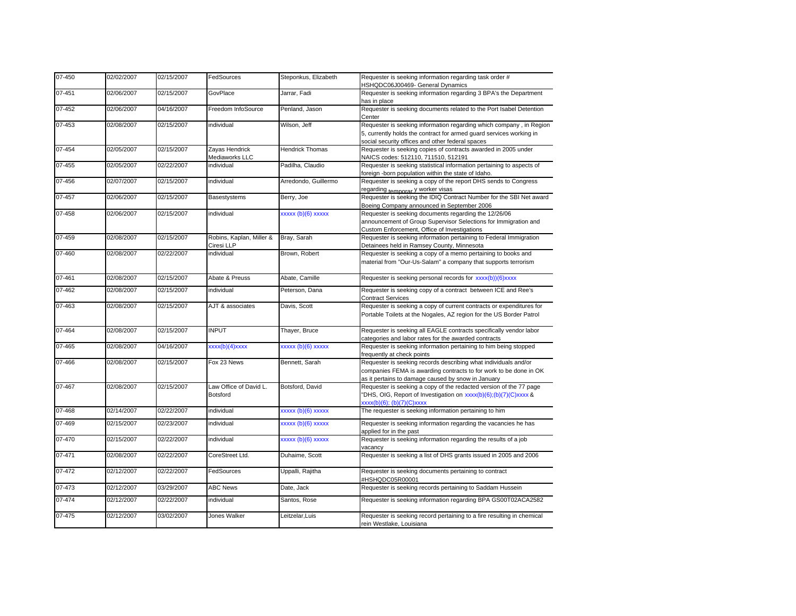| 07-450     | 02/02/2007 | 02/15/2007 | FedSources                                | Steponkus, Elizabeth   | Requester is seeking information regarding task order #<br>HSHQDC06J00469- General Dynamics                                                                                                    |
|------------|------------|------------|-------------------------------------------|------------------------|------------------------------------------------------------------------------------------------------------------------------------------------------------------------------------------------|
| $07 - 451$ | 02/06/2007 | 02/15/2007 | GovPlace                                  | Jarrar, Fadi           | Requester is seeking information regarding 3 BPA's the Department<br>has in place                                                                                                              |
| 07-452     | 02/06/2007 | 04/16/2007 | Freedom InfoSource                        | Penland, Jason         | Requester is seeking documents related to the Port Isabel Detention<br>Center                                                                                                                  |
| 07-453     | 02/08/2007 | 02/15/2007 | individual                                | Wilson, Jeff           | Requester is seeking information regarding which company, in Region<br>5, currently holds the contract for armed guard services working in<br>social security offices and other federal spaces |
| 07-454     | 02/05/2007 | 02/15/2007 | Zayas Hendrick<br>Mediaworks LLC          | <b>Hendrick Thomas</b> | Requester is seeking copies of contracts awarded in 2005 under<br>NAICS codes: 512110, 711510, 512191                                                                                          |
| 07-455     | 02/05/2007 | 02/22/2007 | individual                                | Padilha, Claudio       | Requester is seeking statistical information pertaining to aspects of<br>foreign -born population within the state of Idaho.                                                                   |
| 07-456     | 02/07/2007 | 02/15/2007 | individual                                | Arredondo, Guillermo   | Requester is seeking a copy of the report DHS sends to Congress<br>regarding <sub>temporar</sub> y worker visas                                                                                |
| $07 - 457$ | 02/06/2007 | 02/15/2007 | Basestystems                              | Berry, Joe             | Requester is seeking the IDIQ Contract Number for the SBI Net award<br>Boeing Company announced in September 2006                                                                              |
| 07-458     | 02/06/2007 | 02/15/2007 | individual                                | xxxxx (b)(6) xxxxx     | Requester is seeking documents regarding the 12/26/06<br>announcement of Group Supervisor Selections for Immigration and<br>Custom Enforcement, Office of Investigations                       |
| 07-459     | 02/08/2007 | 02/15/2007 | Robins, Kaplan, Miller &<br>Ciresi LLP    | Bray, Sarah            | Requester is seeking information pertaining to Federal Immigration<br>Detainees held in Ramsey County, Minnesota                                                                               |
| 07-460     | 02/08/2007 | 02/22/2007 | individual                                | Brown, Robert          | Requester is seeking a copy of a memo pertaining to books and<br>material from "Our-Us-Salam" a company that supports terrorism                                                                |
| 07-461     | 02/08/2007 | 02/15/2007 | Abate & Preuss                            | Abate, Camille         | Requester is seeking personal records for xxxx(b))(6)xxxx                                                                                                                                      |
| $07 - 462$ | 02/08/2007 | 02/15/2007 | individual                                | Peterson, Dana         | Requester is seeking copy of a contract between ICE and Ree's<br><b>Contract Services</b>                                                                                                      |
| 07-463     | 02/08/2007 | 02/15/2007 | AJT & associates                          | Davis, Scott           | Requester is seeking a copy of current contracts or expenditures for<br>Portable Toilets at the Nogales, AZ region for the US Border Patrol                                                    |
| 07-464     | 02/08/2007 | 02/15/2007 | <b>INPUT</b>                              | Thayer, Bruce          | Requester is seeking all EAGLE contracts specifically vendor labor<br>categories and labor rates for the awarded contracts                                                                     |
| 07-465     | 02/08/2007 | 04/16/2007 | xxxx(b)(4)xxxx                            | xxxxx (b)(6) xxxxx     | Requester is seeking information pertaining to him being stopped<br>frequently at check points                                                                                                 |
| 07-466     | 02/08/2007 | 02/15/2007 | Fox 23 News                               | Bennett, Sarah         | Requester is seeking records describing what individuals and/or<br>companies FEMA is awarding contracts to for work to be done in OK<br>as it pertains to damage caused by snow in January     |
| 07-467     | 02/08/2007 | 02/15/2007 | Law Office of David L.<br><b>Botsford</b> | Botsford, David        | Requester is seeking a copy of the redacted version of the 77 page<br>"DHS, OIG, Report of Investigation on xxxx(b)(6);(b)(7)(C)xxxx &<br>xxxx(b)(6); (b)(7)(C)xxxx                            |
| 07-468     | 02/14/2007 | 02/22/2007 | individual                                | xxxxx (b)(6) xxxxx     | The requester is seeking information pertaining to him                                                                                                                                         |
| 07-469     | 02/15/2007 | 02/23/2007 | individual                                | xxxxx (b)(6) xxxxx     | Requester is seeking information regarding the vacancies he has<br>applied for in the past                                                                                                     |
| 07-470     | 02/15/2007 | 02/22/2007 | individual                                | xxxxx (b)(6) xxxxx     | Requester is seeking information regarding the results of a job<br>vacancy                                                                                                                     |
| 07-471     | 02/08/2007 | 02/22/2007 | CoreStreet Ltd.                           | Duhaime, Scott         | Requester is seeking a list of DHS grants issued in 2005 and 2006                                                                                                                              |
| $07 - 472$ | 02/12/2007 | 02/22/2007 | FedSources                                | Uppalli, Rajitha       | Requester is seeking documents pertaining to contract<br>#HSHQDC05R00001                                                                                                                       |
| 07-473     | 02/12/2007 | 03/29/2007 | <b>ABC News</b>                           | Date, Jack             | Requester is seeking records pertaining to Saddam Hussein                                                                                                                                      |
| $07 - 474$ | 02/12/2007 | 02/22/2007 | individual                                | Santos, Rose           | Requester is seeking information regarding BPA GS00T02ACA2582                                                                                                                                  |
| 07-475     | 02/12/2007 | 03/02/2007 | Jones Walker                              | Leitzelar,Luis         | Requester is seeking record pertaining to a fire resulting in chemical<br>rein Westlake, Louisiana                                                                                             |
|            |            |            |                                           |                        |                                                                                                                                                                                                |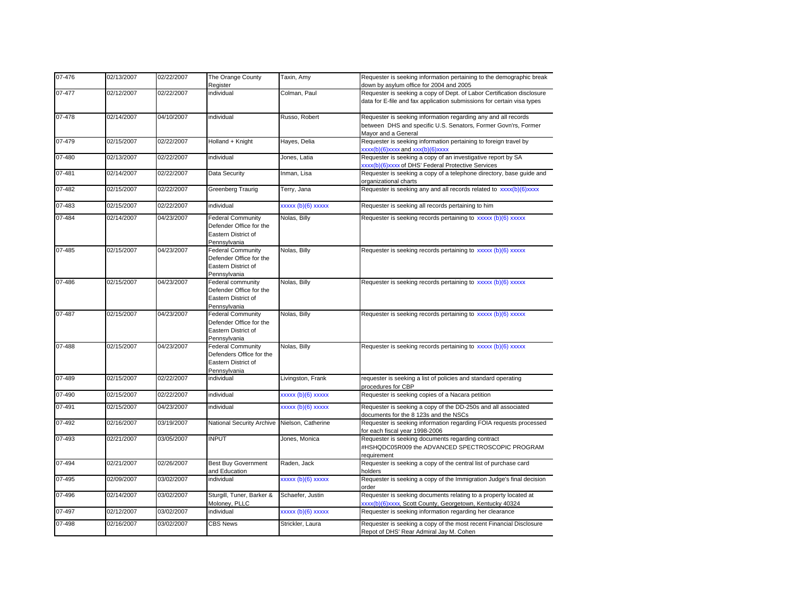| 07-476 | 02/13/2007 | 02/22/2007 | The Orange County<br>Register                                                               | Taxin, Amy         | Requester is seeking information pertaining to the demographic break<br>down by asylum office for 2004 and 2005                                         |
|--------|------------|------------|---------------------------------------------------------------------------------------------|--------------------|---------------------------------------------------------------------------------------------------------------------------------------------------------|
| 07-477 | 02/12/2007 | 02/22/2007 | individual                                                                                  | Colman, Paul       | Requester is seeking a copy of Dept. of Labor Certification disclosure<br>data for E-file and fax application submissions for certain visa types        |
| 07-478 | 02/14/2007 | 04/10/2007 | individual                                                                                  | Russo, Robert      | Requester is seeking information regarding any and all records<br>between DHS and specific U.S. Senators, Former Govn'rs, Former<br>Mayor and a General |
| 07-479 | 02/15/2007 | 02/22/2007 | Holland + Knight                                                                            | Hayes, Delia       | Requester is seeking information pertaining to foreign travel by<br>$xxxx(b)(6)xxxx$ and $xxx(b)(6)xxxx$                                                |
| 07-480 | 02/13/2007 | 02/22/2007 | individual                                                                                  | Jones, Latia       | Requester is seeking a copy of an investigative report by SA<br>xxxx(b)(6)xxxx of DHS' Federal Protective Services                                      |
| 07-481 | 02/14/2007 | 02/22/2007 | Data Security                                                                               | Inman, Lisa        | Requester is seeking a copy of a telephone directory, base guide and<br>organizational charts                                                           |
| 07-482 | 02/15/2007 | 02/22/2007 | <b>Greenberg Traurig</b>                                                                    | Terry, Jana        | Requester is seeking any and all records related to xxxx(b)(6)xxxx                                                                                      |
| 07-483 | 02/15/2007 | 02/22/2007 | individual                                                                                  | xxxxx (b)(6) xxxxx | Requester is seeking all records pertaining to him                                                                                                      |
| 07-484 | 02/14/2007 | 04/23/2007 | <b>Federal Community</b><br>Defender Office for the<br>Eastern District of<br>Pennsylvania  | Nolas, Billy       | Requester is seeking records pertaining to xxxxx (b)(6) xxxxx                                                                                           |
| 07-485 | 02/15/2007 | 04/23/2007 | <b>Federal Community</b><br>Defender Office for the<br>Eastern District of<br>Pennsylvania  | Nolas, Billy       | Requester is seeking records pertaining to xxxxx (b)(6) xxxxx                                                                                           |
| 07-486 | 02/15/2007 | 04/23/2007 | Federal community<br>Defender Office for the<br>Eastern District of<br>Pennsylvania         | Nolas, Billy       | Requester is seeking records pertaining to xxxxx (b)(6) xxxxx                                                                                           |
| 07-487 | 02/15/2007 | 04/23/2007 | <b>Federal Community</b><br>Defender Office for the<br>Eastern District of<br>Pennsylvania  | Nolas, Billy       | Requester is seeking records pertaining to xxxxx (b)(6) xxxxx                                                                                           |
| 07-488 | 02/15/2007 | 04/23/2007 | <b>Federal Community</b><br>Defenders Office for the<br>Eastern District of<br>Pennsylvania | Nolas, Billy       | Requester is seeking records pertaining to xxxxx (b)(6) xxxxx                                                                                           |
| 07-489 | 02/15/2007 | 02/22/2007 | individual                                                                                  | Livingston, Frank  | requester is seeking a list of policies and standard operating<br>procedures for CBP                                                                    |
| 07-490 | 02/15/2007 | 02/22/2007 | individual                                                                                  | xxxxx (b)(6) xxxxx | Requester is seeking copies of a Nacara petition                                                                                                        |
| 07-491 | 02/15/2007 | 04/23/2007 | individual                                                                                  | xxxxx (b)(6) xxxxx | Requester is seeking a copy of the DD-250s and all associated<br>documents for the 8 123s and the NSCs                                                  |
| 07-492 | 02/16/2007 | 03/19/2007 | National Security Archive Nielson, Catherine                                                |                    | Requester is seeking information regarding FOIA requests processed<br>for each fiscal year 1998-2006                                                    |
| 07-493 | 02/21/2007 | 03/05/2007 | <b>INPUT</b>                                                                                | Jones, Monica      | Requester is seeking documents regarding contract<br>#HSHQDC05R009 the ADVANCED SPECTROSCOPIC PROGRAM<br>requirement                                    |
| 07-494 | 02/21/2007 | 02/26/2007 | <b>Best Buy Government</b><br>and Education                                                 | Raden, Jack        | Requester is seeking a copy of the central list of purchase card<br>holders                                                                             |
| 07-495 | 02/09/2007 | 03/02/2007 | individual                                                                                  | xxxxx (b)(6) xxxxx | Requester is seeking a copy of the Immigration Judge's final decision<br>order                                                                          |
| 07-496 | 02/14/2007 | 03/02/2007 | Sturgill, Tuner, Barker &<br>Moloney, PLLC                                                  | Schaefer, Justin   | Requester is seeking documents relating to a property located at<br>xxxx(b)(6)xxxx, Scott County, Georgetown, Kentucky 40324                            |
| 07-497 | 02/12/2007 | 03/02/2007 | individual                                                                                  | xxxxx (b)(6) xxxxx | Requester is seeking information regarding her clearance                                                                                                |
| 07-498 | 02/16/2007 | 03/02/2007 | <b>CBS News</b>                                                                             | Strickler, Laura   | Requester is seeking a copy of the most recent Financial Disclosure<br>Repot of DHS' Rear Admiral Jay M. Cohen                                          |
|        |            |            |                                                                                             |                    |                                                                                                                                                         |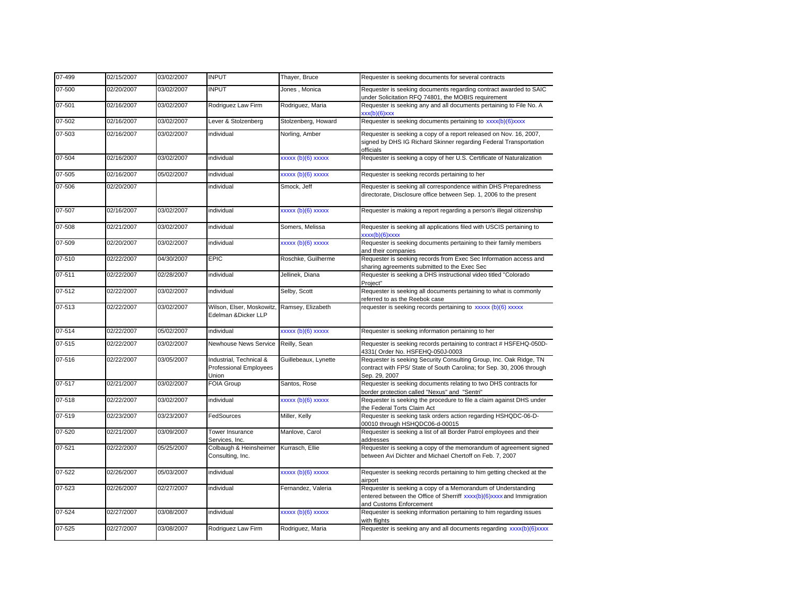| 07-499     | 02/15/2007 | 03/02/2007 | <b>INPUT</b>                                               | Thayer, Bruce        | Requester is seeking documents for several contracts                                                                                                             |
|------------|------------|------------|------------------------------------------------------------|----------------------|------------------------------------------------------------------------------------------------------------------------------------------------------------------|
| 07-500     | 02/20/2007 | 03/02/2007 | <b>INPUT</b>                                               | Jones, Monica        | Requester is seeking documents regarding contract awarded to SAIC<br>under Solicitation RFQ 74801, the MOBIS requirement                                         |
| 07-501     | 02/16/2007 | 03/02/2007 | Rodriguez Law Firm                                         | Rodriguez, Maria     | Requester is seeking any and all documents pertaining to File No. A<br>$xxx(b)(6)$ xxx                                                                           |
| 07-502     | 02/16/2007 | 03/02/2007 | Lever & Stolzenberg                                        | Stolzenberg, Howard  | Requester is seeking documents pertaining to xxxx(b)(6)xxxx                                                                                                      |
| 07-503     | 02/16/2007 | 03/02/2007 | individual                                                 | Norling, Amber       | Requester is seeking a copy of a report released on Nov. 16, 2007,<br>signed by DHS IG Richard Skinner regarding Federal Transportation<br>officials             |
| 07-504     | 02/16/2007 | 03/02/2007 | individual                                                 | xxxxx (b)(6) xxxxx   | Requester is seeking a copy of her U.S. Certificate of Naturalization                                                                                            |
| 07-505     | 02/16/2007 | 05/02/2007 | individual                                                 | xxxxx (b)(6) xxxxx   | Requester is seeking records pertaining to her                                                                                                                   |
| 07-506     | 02/20/2007 |            | individual                                                 | Smock, Jeff          | Requester is seeking all correspondence within DHS Preparedness<br>directorate, Disclosure office between Sep. 1, 2006 to the present                            |
| 07-507     | 02/16/2007 | 03/02/2007 | individual                                                 | xxxxx (b)(6) xxxxx   | Requester is making a report regarding a person's illegal citizenship                                                                                            |
| 07-508     | 02/21/2007 | 03/02/2007 | individual                                                 | Somers, Melissa      | Requester is seeking all applications filed with USCIS pertaining to<br>$xxx(b)(6)$ xxxx                                                                         |
| 07-509     | 02/20/2007 | 03/02/2007 | individual                                                 | $xxxxx(b)(6)$ xxxxx  | Requester is seeking documents pertaining to their family members<br>and their companies                                                                         |
| 07-510     | 02/22/2007 | 04/30/2007 | <b>EPIC</b>                                                | Roschke, Guilherme   | Requester is seeking records from Exec Sec Information access and<br>sharing agreements submitted to the Exec Sec                                                |
| $07 - 511$ | 02/22/2007 | 02/28/2007 | individual                                                 | Jellinek, Diana      | Requester is seeking a DHS instructional video titled "Colorado<br>Project"                                                                                      |
| 07-512     | 02/22/2007 | 03/02/2007 | individual                                                 | Selby, Scott         | Requester is seeking all documents pertaining to what is commonly<br>referred to as the Reebok case                                                              |
| 07-513     | 02/22/2007 | 03/02/2007 | Wilson, Elser, Moskowitz.<br>Edelman & Dicker LLP          | Ramsey, Elizabeth    | requester is seeking records pertaining to xxxxx (b)(6) xxxxx                                                                                                    |
| 07-514     | 02/22/2007 | 05/02/2007 | individual                                                 | xxxxx (b)(6) xxxxx   | Requester is seeking information pertaining to her                                                                                                               |
| $07 - 515$ | 02/22/2007 | 03/02/2007 | Newhouse News Service                                      | Reilly, Sean         | Requester is seeking records pertaining to contract # HSFEHQ-050D-<br>4331( Order No. HSFEHQ-050J-0003                                                           |
| 07-516     | 02/22/2007 | 03/05/2007 | Industrial, Technical &<br>Professional Employees<br>Union | Guillebeaux, Lynette | Requester is seeking Security Consulting Group, Inc. Oak Ridge, TN<br>contract with FPS/ State of South Carolina; for Sep. 30, 2006 through<br>Sep. 29, 2007     |
| 07-517     | 02/21/2007 | 03/02/2007 | <b>FOIA Group</b>                                          | Santos, Rose         | Requester is seeking documents relating to two DHS contracts for<br>border protection called "Nexus" and "Sentri"                                                |
| 07-518     | 02/22/2007 | 03/02/2007 | individual                                                 | xxxxx (b)(6) xxxxx   | Requester is seeking the procedure to file a claim against DHS under<br>the Federal Torts Claim Act                                                              |
| 07-519     | 02/23/2007 | 03/23/2007 | FedSources                                                 | Miller, Kelly        | Requester is seeking task orders action regarding HSHQDC-06-D-<br>00010 through HSHQDC06-d-00015                                                                 |
| 07-520     | 02/21/2007 | 03/09/2007 | Tower Insurance<br>Services, Inc.                          | Manlove, Carol       | Requester is seeking a list of all Border Patrol employees and their<br>addresses                                                                                |
| 07-521     | 02/22/2007 | 05/25/2007 | Colbaugh & Heinsheimer<br>Consulting, Inc.                 | Kurrasch, Ellie      | Requester is seeking a copy of the memorandum of agreement signed<br>between Avi Dichter and Michael Chertoff on Feb. 7, 2007                                    |
| 07-522     | 02/26/2007 | 05/03/2007 | individual                                                 | xxxxx (b)(6) xxxxx   | Requester is seeking records pertaining to him getting checked at the<br>airport                                                                                 |
| 07-523     | 02/26/2007 | 02/27/2007 | individual                                                 | Fernandez, Valeria   | Requester is seeking a copy of a Memorandum of Understanding<br>entered between the Office of Sherriff xxxx(b)(6)xxxx and Immigration<br>and Customs Enforcement |
| 07-524     | 02/27/2007 | 03/08/2007 | individual                                                 | xxxxx (b)(6) xxxxx   | Requester is seeking information pertaining to him regarding issues<br>with flights                                                                              |
| 07-525     | 02/27/2007 | 03/08/2007 | Rodriguez Law Firm                                         | Rodriguez, Maria     | Requester is seeking any and all documents regarding xxxx(b)(6)xxxx                                                                                              |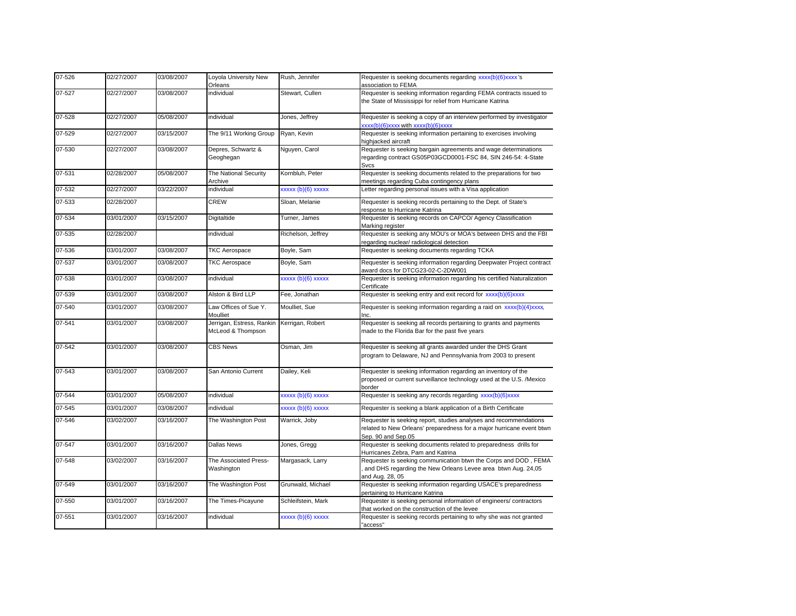| 07-526 | 02/27/2007 | 03/08/2007 | Loyola University New<br>Orleans               | Rush, Jennifer     | Requester is seeking documents regarding xxxx(b)(6)xxxx's<br>association to FEMA                                                                                 |
|--------|------------|------------|------------------------------------------------|--------------------|------------------------------------------------------------------------------------------------------------------------------------------------------------------|
| 07-527 | 02/27/2007 | 03/08/2007 | individual                                     | Stewart, Cullen    | Requester is seeking information regarding FEMA contracts issued to<br>the State of Mississippi for relief from Hurricane Katrina                                |
| 07-528 | 02/27/2007 | 05/08/2007 | individual                                     | Jones, Jeffrey     | Requester is seeking a copy of an interview performed by investigator<br>$xxxx(b)(6)xxxx with xxxx(b)(6)xxxxx$                                                   |
| 07-529 | 02/27/2007 | 03/15/2007 | The 9/11 Working Group                         | Ryan, Kevin        | Requester is seeking information pertaining to exercises involving<br>highjacked aircraft                                                                        |
| 07-530 | 02/27/2007 | 03/08/2007 | Depres, Schwartz &<br>Geoghegan                | Nguyen, Carol      | Requester is seeking bargain agreements and wage determinations<br>regarding contract GS05P03GCD0001-FSC 84, SIN 246-54: 4-State<br><b>Svcs</b>                  |
| 07-531 | 02/28/2007 | 05/08/2007 | The National Security<br>Archive               | Kornbluh, Peter    | Requester is seeking documents related to the preparations for two<br>meetings regarding Cuba contingency plans                                                  |
| 07-532 | 02/27/2007 | 03/22/2007 | individual                                     | xxxxx (b)(6) xxxxx | Letter regarding personal issues with a Visa application                                                                                                         |
| 07-533 | 02/28/2007 |            | CREW                                           | Sloan, Melanie     | Requester is seeking records pertaining to the Dept. of State's<br>response to Hurricane Katrina                                                                 |
| 07-534 | 03/01/2007 | 03/15/2007 | Digitaltide                                    | Turner, James      | Requester is seeking records on CAPCO/ Agency Classification<br>Marking register                                                                                 |
| 07-535 | 02/28/2007 |            | individual                                     | Richelson, Jeffrey | Requester is seeking any MOU's or MOA's between DHS and the FBI<br>regarding nuclear/ radiological detection                                                     |
| 07-536 | 03/01/2007 | 03/08/2007 | <b>TKC Aerospace</b>                           | Boyle, Sam         | Requester is seeking documents regarding TCKA                                                                                                                    |
| 07-537 | 03/01/2007 | 03/08/2007 | <b>TKC Aerospace</b>                           | Boyle, Sam         | Requester is seeking information regarding Deepwater Project contract<br>award docs for DTCG23-02-C-2DW001                                                       |
| 07-538 | 03/01/2007 | 03/08/2007 | individual                                     | xxxxx (b)(6) xxxxx | Requester is seeking information regarding his certified Naturalization<br>Certificate                                                                           |
| 07-539 | 03/01/2007 | 03/08/2007 | Alston & Bird LLP                              | Fee, Jonathan      | Requester is seeking entry and exit record for xxxx(b)(6)xxxx                                                                                                    |
| 07-540 | 03/01/2007 | 03/08/2007 | Law Offices of Sue Y.<br>Moulliet              | Moulliet, Sue      | Requester is seeking information regarding a raid on xxxx(b)(4)xxxx,<br>Inc.                                                                                     |
| 07-541 | 03/01/2007 | 03/08/2007 | Jerrigan, Estress, Rankin<br>McLeod & Thompson | Kerrigan, Robert   | Requester is seeking all records pertaining to grants and payments<br>made to the Florida Bar for the past five years                                            |
| 07-542 | 03/01/2007 | 03/08/2007 | <b>CBS News</b>                                | Osman, Jim         | Requester is seeking all grants awarded under the DHS Grant<br>program to Delaware, NJ and Pennsylvania from 2003 to present                                     |
| 07-543 | 03/01/2007 | 03/08/2007 | San Antonio Current                            | Dailey, Keli       | Requester is seeking information regarding an inventory of the<br>proposed or current surveillance technology used at the U.S. /Mexico<br>border                 |
| 07-544 | 03/01/2007 | 05/08/2007 | individual                                     | xxxxx (b)(6) xxxxx | Requester is seeking any records regarding xxxx(b)(6)xxxx                                                                                                        |
| 07-545 | 03/01/2007 | 03/08/2007 | individual                                     | xxxxx (b)(6) xxxxx | Requester is seeking a blank application of a Birth Certificate                                                                                                  |
| 07-546 | 03/02/2007 | 03/16/2007 | The Washington Post                            | Warrick, Joby      | Requester is seeking report, studies analyses and recommendations<br>related to New Orleans' preparedness for a major hurricane event btwn<br>Sep. 90 and Sep.05 |
| 07-547 | 03/01/2007 | 03/16/2007 | <b>Dallas News</b>                             | Jones, Gregg       | Requester is seeking documents related to preparedness drills for<br>Hurricanes Zebra, Pam and Katrina                                                           |
| 07-548 | 03/02/2007 | 03/16/2007 | The Associated Press-<br>Washington            | Margasack, Larry   | Requester is seeking communication btwn the Corps and DOD, FEMA<br>and DHS regarding the New Orleans Levee area btwn Aug. 24,05<br>and Aug. 28, 05               |
| 07-549 | 03/01/2007 | 03/16/2007 | The Washington Post                            | Grunwald, Michael  | Requester is seeking information regarding USACE's preparedness<br>pertaining to Hurricane Katrina                                                               |
| 07-550 | 03/01/2007 | 03/16/2007 | The Times-Picayune                             | Schleifstein, Mark | Requester is seeking personal information of engineers/ contractors<br>that worked on the construction of the levee                                              |
|        |            |            |                                                |                    |                                                                                                                                                                  |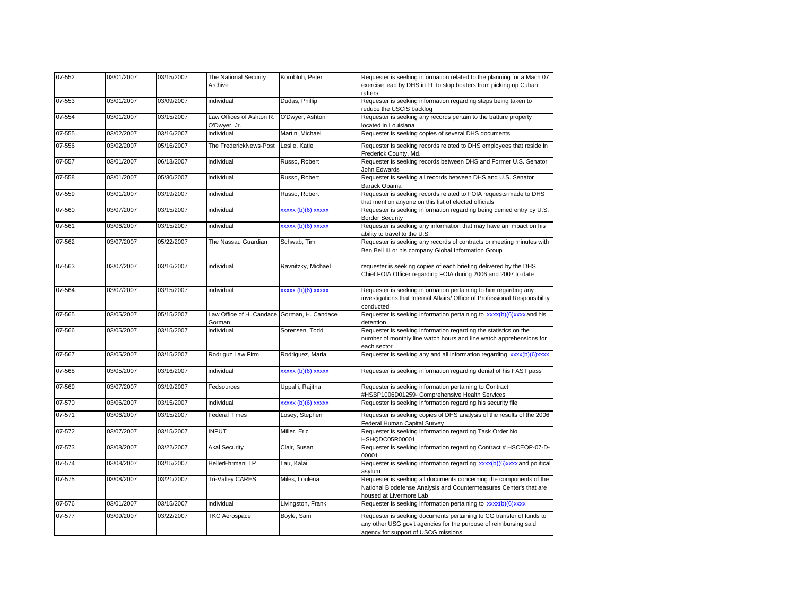| 07-552     | 03/01/2007 | 03/15/2007 | The National Security<br>Archive                      | Kornbluh, Peter     | Requester is seeking information related to the planning for a Mach 07<br>exercise lead by DHS in FL to stop boaters from picking up Cuban<br>rafters                           |
|------------|------------|------------|-------------------------------------------------------|---------------------|---------------------------------------------------------------------------------------------------------------------------------------------------------------------------------|
| 07-553     | 03/01/2007 | 03/09/2007 | individual                                            | Dudas, Phillip      | Requester is seeking information regarding steps being taken to<br>reduce the USCIS backlog                                                                                     |
| 07-554     | 03/01/2007 | 03/15/2007 | Law Offices of Ashton R.<br>O'Dwyer, Jr.              | O'Dwyer, Ashton     | Requester is seeking any records pertain to the batture property<br>located in Louisiana                                                                                        |
| $07 - 555$ | 03/02/2007 | 03/16/2007 | individual                                            | Martin, Michael     | Requester is seeking copies of several DHS documents                                                                                                                            |
| 07-556     | 03/02/2007 | 05/16/2007 | The FrederickNews-Post                                | Leslie, Katie       | Requester is seeking records related to DHS employees that reside in<br>Frederick County, Md.                                                                                   |
| 07-557     | 03/01/2007 | 06/13/2007 | individual                                            | Russo, Robert       | Requester is seeking records between DHS and Former U.S. Senator<br>John Edwards                                                                                                |
| 07-558     | 03/01/2007 | 05/30/2007 | individual                                            | Russo, Robert       | Requester is seeking all records between DHS and U.S. Senator<br>Barack Obama                                                                                                   |
| 07-559     | 03/01/2007 | 03/19/2007 | individual                                            | Russo, Robert       | Requester is seeking records related to FOIA requests made to DHS<br>that mention anyone on this list of elected officials                                                      |
| 07-560     | 03/07/2007 | 03/15/2007 | individual                                            | xxxxx (b)(6) xxxxx  | Requester is seeking information regarding being denied entry by U.S.<br><b>Border Security</b>                                                                                 |
| 07-561     | 03/06/2007 | 03/15/2007 | individual                                            | $xxxxx(b)(6)$ xxxxx | Requester is seeking any information that may have an impact on his<br>ability to travel to the U.S.                                                                            |
| 07-562     | 03/07/2007 | 05/22/2007 | The Nassau Guardian                                   | Schwab, Tim         | Requester is seeking any records of contracts or meeting minutes with<br>Ben Bell III or his company Global Information Group                                                   |
| 07-563     | 03/07/2007 | 03/16/2007 | individual                                            | Ravnitzky, Michael  | requester is seeking copies of each briefing delivered by the DHS<br>Chief FOIA Officer regarding FOIA during 2006 and 2007 to date                                             |
| 07-564     | 03/07/2007 | 03/15/2007 | individual                                            | xxxxx (b)(6) xxxxx  | Requester is seeking information pertaining to him regarding any<br>investigations that Internal Affairs/ Office of Professional Responsibility<br>conducted                    |
| 07-565     | 03/05/2007 | 05/15/2007 | Law Office of H. Candace Gorman, H. Candace<br>Gorman |                     | Requester is seeking information pertaining to xxxx(b)(6)xxxx and his<br>detention                                                                                              |
| 07-566     | 03/05/2007 | 03/15/2007 | individual                                            | Sorensen, Todd      | Requester is seeking information regarding the statistics on the<br>number of monthly line watch hours and line watch apprehensions for<br>each sector                          |
| 07-567     | 03/05/2007 | 03/15/2007 | Rodriguz Law Firm                                     | Rodriguez, Maria    | Requester is seeking any and all information regarding xxxx(b)(6)xxxx                                                                                                           |
| 07-568     | 03/05/2007 | 03/16/2007 | individual                                            | $xxxxx(b)(6)$ xxxxx | Requester is seeking information regarding denial of his FAST pass                                                                                                              |
| 07-569     | 03/07/2007 | 03/19/2007 | Fedsources                                            | Uppalli, Rajitha    | Requester is seeking information pertaining to Contract<br>#HSBP1006D01259- Comprehensive Health Services                                                                       |
| 07-570     | 03/06/2007 | 03/15/2007 | individual                                            | xxxxx (b)(6) xxxxx  | Requester is seeking information regarding his security file                                                                                                                    |
| 07-571     | 03/06/2007 | 03/15/2007 | <b>Federal Times</b>                                  | Losey, Stephen      | Requester is seeking copies of DHS analysis of the results of the 2006<br>Federal Human Capital Survey                                                                          |
| 07-572     | 03/07/2007 | 03/15/2007 | <b>INPUT</b>                                          | Miller, Eric        | Requester is seeking information regarding Task Order No.<br>HSHQDC05R00001                                                                                                     |
| 07-573     | 03/08/2007 | 03/22/2007 | <b>Akal Security</b>                                  | Clair, Susan        | Requester is seeking information regarding Contract # HSCEOP-07-D-<br>00001                                                                                                     |
| 07-574     | 03/08/2007 | 03/15/2007 | HellerEhrmanLLP                                       | Lau, Kalai          | Requester is seeking information regarding xxxx(b)(6)xxxx and political<br>asvlum                                                                                               |
| $07 - 575$ | 03/08/2007 | 03/21/2007 | Tri-Valley CARES                                      | Miles, Loulena      | Requester is seeking all documents concerning the components of the<br>National Biodefense Analysis and Countermeasures Center's that are<br>housed at Livermore Lab            |
| 07-576     | 03/01/2007 | 03/15/2007 | individual                                            | Livingston, Frank   | Requester is seeking information pertaining to xxxx(b)(6)xxxx                                                                                                                   |
| $07 - 577$ | 03/09/2007 | 03/22/2007 | <b>TKC Aerospace</b>                                  | Boyle, Sam          | Requester is seeking documents pertaining to CG transfer of funds to<br>any other USG gov't agencies for the purpose of reimbursing said<br>agency for support of USCG missions |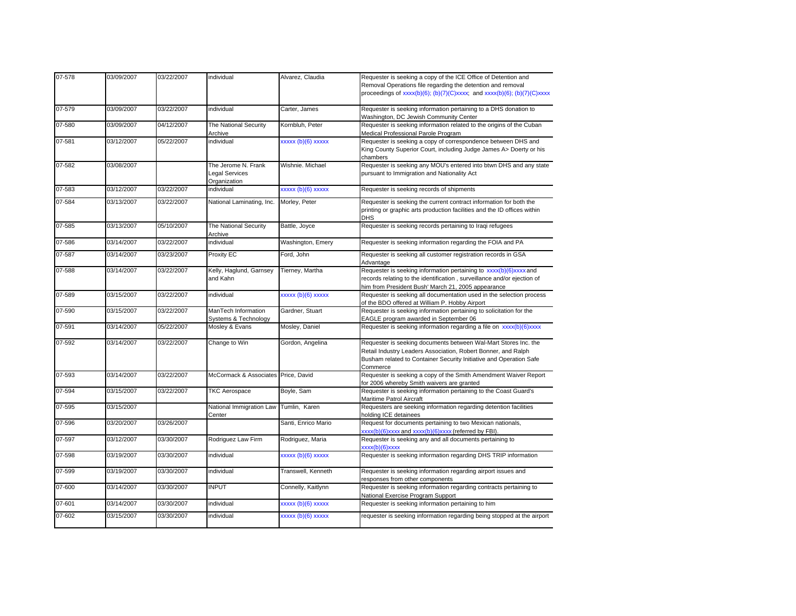| 07-578 | 03/09/2007 | 03/22/2007 | individual                                                   | Alvarez, Claudia    | Requester is seeking a copy of the ICE Office of Detention and<br>Removal Operations file regarding the detention and removal<br>proceedings of xxxx(b)(6); (b)(7)(C)xxxx; and xxxx(b)(6); (b)(7)(C)xxxx           |
|--------|------------|------------|--------------------------------------------------------------|---------------------|--------------------------------------------------------------------------------------------------------------------------------------------------------------------------------------------------------------------|
| 07-579 | 03/09/2007 | 03/22/2007 | individual                                                   | Carter, James       | Requester is seeking information pertaining to a DHS donation to<br>Washington, DC Jewish Community Center                                                                                                         |
| 07-580 | 03/09/2007 | 04/12/2007 | The National Security<br>Archive                             | Kornbluh, Peter     | Requester is seeking information related to the origins of the Cuban<br>Medical Professional Parole Program                                                                                                        |
| 07-581 | 03/12/2007 | 05/22/2007 | individual                                                   | xxxxx (b)(6) xxxxx  | Requester is seeking a copy of correspondence between DHS and<br>King County Superior Court, including Judge James A> Doerty or his<br>chambers                                                                    |
| 07-582 | 03/08/2007 |            | The Jerome N. Frank<br><b>Legal Services</b><br>Organization | Wishnie, Michael    | Requester is seeking any MOU's entered into btwn DHS and any state<br>pursuant to Immigration and Nationality Act                                                                                                  |
| 07-583 | 03/12/2007 | 03/22/2007 | individual                                                   | xxxxx (b)(6) xxxxx  | Requester is seeking records of shipments                                                                                                                                                                          |
| 07-584 | 03/13/2007 | 03/22/2007 | National Laminating, Inc.                                    | Morley, Peter       | Requester is seeking the current contract information for both the<br>printing or graphic arts production facilities and the ID offices within<br><b>DHS</b>                                                       |
| 07-585 | 03/13/2007 | 05/10/2007 | The National Security<br>Archive                             | Battle, Joyce       | Requester is seeking records pertaining to Iraqi refugees                                                                                                                                                          |
| 07-586 | 03/14/2007 | 03/22/2007 | individual                                                   | Washington, Emery   | Requester is seeking information regarding the FOIA and PA                                                                                                                                                         |
| 07-587 | 03/14/2007 | 03/23/2007 | Proxity EC                                                   | Ford, John          | Requester is seeking all customer registration records in GSA<br>Advantage                                                                                                                                         |
| 07-588 | 03/14/2007 | 03/22/2007 | Kelly, Haglund, Garnsey<br>and Kahn                          | Tierney, Martha     | Requester is seeking information pertaining to xxxx(b)(6)xxxx and<br>records relating to the identification, surveillance and/or ejection of<br>him from President Bush' March 21, 2005 appearance                 |
| 07-589 | 03/15/2007 | 03/22/2007 | individual                                                   | $xxxxx(b)(6)$ xxxxx | Requester is seeking all documentation used in the selection process<br>of the BDO offered at William P. Hobby Airport                                                                                             |
| 07-590 | 03/15/2007 | 03/22/2007 | ManTech Information<br>Systems & Technology                  | Gardner, Stuart     | Requester is seeking information pertaining to solicitation for the<br>EAGLE program awarded in September 06                                                                                                       |
| 07-591 | 03/14/2007 | 05/22/2007 | Mosley & Evans                                               | Mosley, Daniel      | Requester is seeking information regarding a file on xxxx(b)(6)xxxx                                                                                                                                                |
| 07-592 | 03/14/2007 | 03/22/2007 | Change to Win                                                | Gordon, Angelina    | Requester is seeking documents between Wal-Mart Stores Inc. the<br>Retail Industry Leaders Association, Robert Bonner, and Ralph<br>Busham related to Container Security Initiative and Operation Safe<br>Commerce |
| 07-593 | 03/14/2007 | 03/22/2007 | McCormack & Associates Price, David                          |                     | Requester is seeking a copy of the Smith Amendment Waiver Report<br>for 2006 whereby Smith waivers are granted                                                                                                     |
| 07-594 | 03/15/2007 | 03/22/2007 | <b>TKC Aerospace</b>                                         | Boyle, Sam          | Requester is seeking information pertaining to the Coast Guard's<br>Maritime Patrol Aircraft                                                                                                                       |
| 07-595 | 03/15/2007 |            | National Immigration Law<br>Center                           | Tumlin, Karen       | Requesters are seeking information regarding detention facilities<br>holding ICE detainees                                                                                                                         |
| 07-596 | 03/20/2007 | 03/26/2007 |                                                              | Santi, Enrico Mario | Request for documents pertaining to two Mexican nationals,<br>xxxx(b)(6)xxxx and xxxx(b)(6)xxxx (referred by FBI).                                                                                                 |
| 07-597 | 03/12/2007 | 03/30/2007 | Rodriguez Law Firm                                           | Rodriguez, Maria    | Requester is seeking any and all documents pertaining to<br>$xxx(b)(6)$ xxxx                                                                                                                                       |
| 07-598 | 03/19/2007 | 03/30/2007 | individual                                                   | $xxxxx(b)(6)$ xxxxx | Requester is seeking information regarding DHS TRIP information                                                                                                                                                    |
| 07-599 | 03/19/2007 | 03/30/2007 | individual                                                   | Transwell, Kenneth  | Requester is seeking information regarding airport issues and<br>responses from other components                                                                                                                   |
| 07-600 | 03/14/2007 | 03/30/2007 | <b>INPUT</b>                                                 | Connelly, Kaitlynn  | Requester is seeking information regarding contracts pertaining to<br>National Exercise Program Support                                                                                                            |
| 07-601 | 03/14/2007 | 03/30/2007 | individual                                                   | $xxxxx(b)(6)$ xxxxx | Requester is seeking information pertaining to him                                                                                                                                                                 |
| 07-602 | 03/15/2007 | 03/30/2007 | individual                                                   | $xxxxx(b)(6)$ xxxxx | requester is seeking information regarding being stopped at the airport                                                                                                                                            |
|        |            |            |                                                              |                     |                                                                                                                                                                                                                    |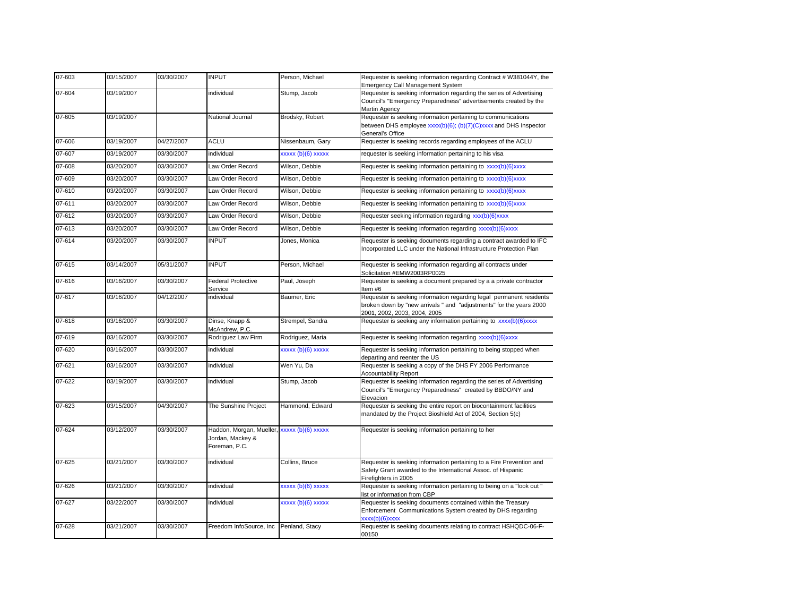| 07-603 | 03/15/2007 | 03/30/2007 | <b>INPUT</b>                                                                     | Person, Michael    | Requester is seeking information regarding Contract # W381044Y, the<br>Emergency Call Management System                                                                     |
|--------|------------|------------|----------------------------------------------------------------------------------|--------------------|-----------------------------------------------------------------------------------------------------------------------------------------------------------------------------|
| 07-604 | 03/19/2007 |            | individual                                                                       | Stump, Jacob       | Requester is seeking information regarding the series of Advertising<br>Council's "Emergency Preparedness" advertisements created by the<br>Martin Agency                   |
| 07-605 | 03/19/2007 |            | National Journal                                                                 | Brodsky, Robert    | Requester is seeking information pertaining to communications<br>between DHS employee xxxx(b)(6); (b)(7)(C)xxxx and DHS Inspector<br>General's Office                       |
| 07-606 | 03/19/2007 | 04/27/2007 | ACLU                                                                             | Nissenbaum, Gary   | Requester is seeking records regarding employees of the ACLU                                                                                                                |
| 07-607 | 03/19/2007 | 03/30/2007 | individual                                                                       | xxxxx (b)(6) xxxxx | requester is seeking information pertaining to his visa                                                                                                                     |
| 07-608 | 03/20/2007 | 03/30/2007 | Law Order Record                                                                 | Wilson, Debbie     | Requester is seeking information pertaining to xxxx(b)(6)xxxx                                                                                                               |
| 07-609 | 03/20/2007 | 03/30/2007 | Law Order Record                                                                 | Wilson, Debbie     | Requester is seeking information pertaining to xxxx(b)(6)xxxx                                                                                                               |
| 07-610 | 03/20/2007 | 03/30/2007 | Law Order Record                                                                 | Wilson, Debbie     | Requester is seeking information pertaining to xxxx(b)(6)xxxx                                                                                                               |
| 07-611 | 03/20/2007 | 03/30/2007 | Law Order Record                                                                 | Wilson, Debbie     | Requester is seeking information pertaining to xxxx(b)(6)xxxx                                                                                                               |
| 07-612 | 03/20/2007 | 03/30/2007 | Law Order Record                                                                 | Wilson, Debbie     | Requester seeking information regarding xxx(b)(6)xxxx                                                                                                                       |
| 07-613 | 03/20/2007 | 03/30/2007 | Law Order Record                                                                 | Wilson, Debbie     | Requester is seeking information regarding xxxx(b)(6)xxxx                                                                                                                   |
| 07-614 | 03/20/2007 | 03/30/2007 | <b>INPUT</b>                                                                     | Jones, Monica      | Requester is seeking documents regarding a contract awarded to IFC<br>Incorporated LLC under the National Infrastructure Protection Plan                                    |
| 07-615 | 03/14/2007 | 05/31/2007 | <b>INPUT</b>                                                                     | Person, Michael    | Requester is seeking information regarding all contracts under<br>Solicitation #EMW2003RP0025                                                                               |
| 07-616 | 03/16/2007 | 03/30/2007 | <b>Federal Protective</b><br>Service                                             | Paul, Joseph       | Requester is seeking a document prepared by a a private contractor<br>Item#6                                                                                                |
| 07-617 | 03/16/2007 | 04/12/2007 | individual                                                                       | Baumer, Eric       | Requester is seeking information regarding legal permanent residents<br>broken down by "new arrivals " and "adjustments" for the years 2000<br>2001, 2002, 2003, 2004, 2005 |
| 07-618 | 03/16/2007 | 03/30/2007 | Dinse, Knapp &<br>McAndrew, P.C.                                                 | Strempel, Sandra   | Requester is seeking any information pertaining to xxxx(b)(6)xxxx                                                                                                           |
| 07-619 | 03/16/2007 | 03/30/2007 | Rodriguez Law Firm                                                               | Rodriguez, Maria   | Requester is seeking information regarding xxxx(b)(6)xxxx                                                                                                                   |
| 07-620 | 03/16/2007 | 03/30/2007 | individual                                                                       | xxxxx (b)(6) xxxxx | Requester is seeking information pertaining to being stopped when<br>departing and reenter the US                                                                           |
| 07-621 | 03/16/2007 | 03/30/2007 | individual                                                                       | Wen Yu, Da         | Requester is seeking a copy of the DHS FY 2006 Performance<br><b>Accountability Report</b>                                                                                  |
| 07-622 | 03/19/2007 | 03/30/2007 | individual                                                                       | Stump, Jacob       | Requester is seeking information regarding the series of Advertising<br>Council's "Emergency Preparedness" created by BBDO/NY and<br>Elevacion                              |
| 07-623 | 03/15/2007 | 04/30/2007 | The Sunshine Project                                                             | Hammond, Edward    | Requester is seeking the entire report on biocontainment facilities<br>mandated by the Project Bioshield Act of 2004, Section 5(c)                                          |
| 07-624 | 03/12/2007 | 03/30/2007 | Haddon, Morgan, Mueller, xxxxx (b)(6) xxxxx<br>Jordan, Mackey &<br>Foreman, P.C. |                    | Requester is seeking information pertaining to her                                                                                                                          |
| 07-625 | 03/21/2007 | 03/30/2007 | individual                                                                       | Collins, Bruce     | Requester is seeking information pertaining to a Fire Prevention and<br>Safety Grant awarded to the International Assoc. of Hispanic<br>Firefighters in 2005                |
| 07-626 | 03/21/2007 | 03/30/2007 | individual                                                                       | xxxxx (b)(6) xxxxx | Requester is seeking information pertaining to being on a "look out "<br>list or information from CBP                                                                       |
| 07-627 | 03/22/2007 | 03/30/2007 | individual                                                                       | xxxxx (b)(6) xxxxx | Requester is seeking documents contained within the Treasury<br>Enforcement Communications System created by DHS regarding<br>xxxx(b)(6)xxxx                                |
| 07-628 | 03/21/2007 | 03/30/2007 | Freedom InfoSource, Inc                                                          | Penland, Stacy     | Requester is seeking documents relating to contract HSHQDC-06-F-<br>00150                                                                                                   |
|        |            |            |                                                                                  |                    |                                                                                                                                                                             |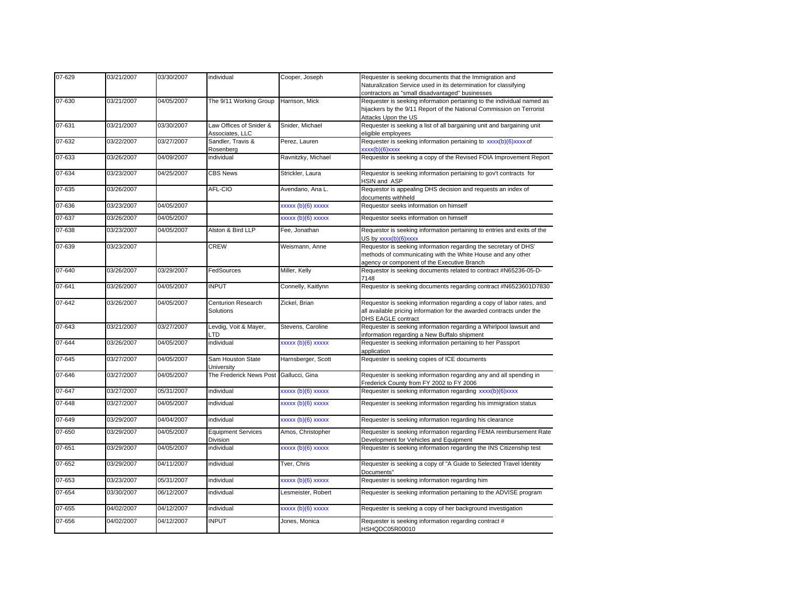| 07-629 | 03/21/2007 | 03/30/2007 | individual                             | Cooper, Joseph     | Requester is seeking documents that the Immigration and                                               |
|--------|------------|------------|----------------------------------------|--------------------|-------------------------------------------------------------------------------------------------------|
|        |            |            |                                        |                    | Naturalization Service used in its determination for classifying                                      |
|        |            |            |                                        |                    | contractors as "small disadvantaged" businesses                                                       |
| 07-630 | 03/21/2007 | 04/05/2007 | The 9/11 Working Group                 | Harrison, Mick     | Requester is seeking information pertaining to the individual named as                                |
|        |            |            |                                        |                    | hijackers by the 9/11 Report of the National Commission on Terrorist                                  |
| 07-631 | 03/21/2007 | 03/30/2007 | Law Offices of Snider &                |                    | Attacks Upon the US                                                                                   |
|        |            |            | Associates, LLC                        | Snider, Michael    | Requester is seeking a list of all bargaining unit and bargaining unit<br>eligible employees          |
| 07-632 | 03/22/2007 | 03/27/2007 | Sandler, Travis &                      | Perez, Lauren      | Requester is seeking information pertaining to xxxx(b)(6)xxxx of                                      |
|        |            |            | Rosenberg                              |                    | xxxx(b)(6)xxxxx                                                                                       |
| 07-633 | 03/26/2007 | 04/09/2007 | individual                             | Ravnitzky, Michael | Requestor is seeking a copy of the Revised FOIA Improvement Report                                    |
|        |            |            |                                        |                    |                                                                                                       |
| 07-634 | 03/23/2007 | 04/25/2007 | <b>CBS News</b>                        | Strickler, Laura   | Requestor is seeking information pertaining to gov't contracts for                                    |
|        |            |            |                                        |                    | HSIN and ASP                                                                                          |
| 07-635 | 03/26/2007 |            | AFL-CIO                                | Avendano, Ana L.   | Requestor is appealing DHS decision and requests an index of                                          |
|        |            |            |                                        |                    | documents withheld                                                                                    |
| 07-636 | 03/23/2007 | 04/05/2007 |                                        | xxxxx (b)(6) xxxxx | Requestor seeks information on himself                                                                |
| 07-637 | 03/26/2007 | 04/05/2007 |                                        | xxxxx (b)(6) xxxxx | Requestor seeks information on himself                                                                |
|        |            |            |                                        |                    |                                                                                                       |
| 07-638 | 03/23/2007 | 04/05/2007 | Alston & Bird LLP                      | Fee, Jonathan      | Requestor is seeking information pertaining to entries and exits of the                               |
|        |            |            |                                        |                    | US by xxxx(b)(6)xxxx                                                                                  |
| 07-639 | 03/23/2007 |            | CREW                                   | Weismann, Anne     | Requestor is seeking information regarding the secretary of DHS'                                      |
|        |            |            |                                        |                    | methods of communicating with the White House and any other                                           |
|        |            |            |                                        |                    | agency or component of the Executive Branch                                                           |
| 07-640 | 03/26/2007 | 03/29/2007 | FedSources                             | Miller, Kelly      | Requestor is seeking documents related to contract #N65236-05-D-<br>7148                              |
| 07-641 | 03/26/2007 | 04/05/2007 | <b>INPUT</b>                           | Connelly, Kaitlynn | Requestor is seeking documents regarding contract #N6523601D7830                                      |
|        |            |            |                                        |                    |                                                                                                       |
| 07-642 | 03/26/2007 | 04/05/2007 | Centurion Research                     | Zickel, Brian      | Requestor is seeking information regarding a copy of labor rates, and                                 |
|        |            |            | Solutions                              |                    | all available pricing information for the awarded contracts under the                                 |
|        |            |            |                                        |                    | DHS EAGLE contract                                                                                    |
| 07-643 | 03/21/2007 | 03/27/2007 | Levdig, Voit & Mayer,                  | Stevens, Caroline  | Requester is seeking information regarding a Whirlpool lawsuit and                                    |
|        |            |            | LTD                                    |                    | information regarding a New Buffalo shipment                                                          |
| 07-644 | 03/26/2007 | 04/05/2007 | individual                             | xxxxx (b)(6) xxxxx | Requester is seeking information pertaining to her Passport                                           |
|        |            |            |                                        |                    | application                                                                                           |
| 07-645 | 03/27/2007 | 04/05/2007 | Sam Houston State                      | Harnsberger, Scott | Requester is seeking copies of ICE documents                                                          |
|        |            |            | University                             |                    |                                                                                                       |
| 07-646 | 03/27/2007 | 04/05/2007 | The Frederick News Post Gallucci, Gina |                    | Requester is seeking information regarding any and all spending in                                    |
| 07-647 | 03/27/2007 | 05/31/2007 | individual                             | xxxxx (b)(6) xxxxx | Frederick County from FY 2002 to FY 2006<br>Requester is seeking information regarding xxxx(b)(6)xxxx |
|        |            |            |                                        |                    |                                                                                                       |
| 07-648 | 03/27/2007 | 04/05/2007 | individual                             | xxxxx (b)(6) xxxxx | Requester is seeking information regarding his immigration status                                     |
|        |            |            |                                        |                    |                                                                                                       |
| 07-649 | 03/29/2007 | 04/04/2007 | individual                             | xxxxx (b)(6) xxxxx | Requester is seeking information regarding his clearance                                              |
| 07-650 | 03/29/2007 | 04/05/2007 | <b>Equipment Services</b>              | Amos, Christopher  | Requester is seeking information regarding FEMA reimbursement Rate                                    |
|        |            |            | Division                               |                    | Development for Vehicles and Equipment                                                                |
| 07-651 | 03/29/2007 | 04/05/2007 | individual                             | xxxxx (b)(6) xxxxx | Requester is seeking information regarding the INS Citizenship test                                   |
|        |            |            |                                        |                    |                                                                                                       |
| 07-652 | 03/29/2007 | 04/11/2007 | individual                             | Tver, Chris        | Requester is seeking a copy of "A Guide to Selected Travel Identity                                   |
|        |            |            |                                        |                    | Documents"                                                                                            |
| 07-653 | 03/23/2007 | 05/31/2007 | individual                             | xxxxx (b)(6) xxxxx | Requester is seeking information regarding him                                                        |
| 07-654 | 03/30/2007 | 06/12/2007 | individual                             | Lesmeister, Robert | Requester is seeking information pertaining to the ADVISE program                                     |
|        |            |            |                                        |                    |                                                                                                       |
| 07-655 | 04/02/2007 | 04/12/2007 | individual                             | xxxxx (b)(6) xxxxx | Requester is seeking a copy of her background investigation                                           |
|        |            |            |                                        |                    |                                                                                                       |
| 07-656 | 04/02/2007 | 04/12/2007 | <b>INPUT</b>                           | Jones, Monica      | Requester is seeking information regarding contract #                                                 |
|        |            |            |                                        |                    | HSHQDC05R00010                                                                                        |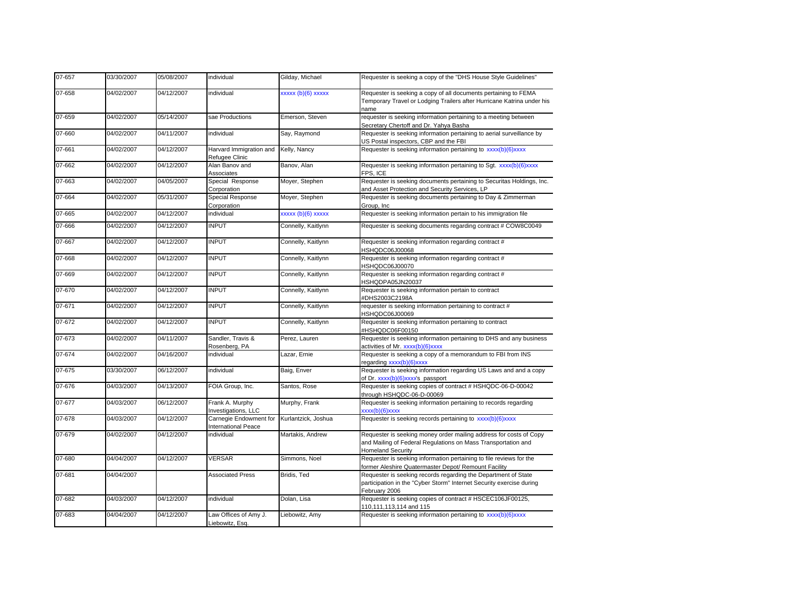| 07-657 | 03/30/2007 | 05/08/2007 | individual                                           | Gilday, Michael     | Requester is seeking a copy of the "DHS House Style Guidelines"                                                                                                 |
|--------|------------|------------|------------------------------------------------------|---------------------|-----------------------------------------------------------------------------------------------------------------------------------------------------------------|
| 07-658 | 04/02/2007 | 04/12/2007 | individual                                           | xxxxx (b)(6) xxxxx  | Requester is seeking a copy of all documents pertaining to FEMA<br>Temporary Travel or Lodging Trailers after Hurricane Katrina under his<br>name               |
| 07-659 | 04/02/2007 | 05/14/2007 | sae Productions                                      | Emerson, Steven     | requester is seeking information pertaining to a meeting between<br>Secretary Chertoff and Dr. Yahya Basha                                                      |
| 07-660 | 04/02/2007 | 04/11/2007 | individual                                           | Say, Raymond        | Requester is seeking information pertaining to aerial surveillance by<br>US Postal inspectors, CBP and the FBI                                                  |
| 07-661 | 04/02/2007 | 04/12/2007 | Harvard Immigration and<br>Refugee Clinic            | Kelly, Nancy        | Requester is seeking information pertaining to xxxx(b)(6)xxxx                                                                                                   |
| 07-662 | 04/02/2007 | 04/12/2007 | Alan Banov and<br>Associates                         | Banov, Alan         | Requester is seeking information pertaining to Sgt. xxxx(b)(6)xxxx<br>FPS, ICE                                                                                  |
| 07-663 | 04/02/2007 | 04/05/2007 | Special Response<br>Corporation                      | Moyer, Stephen      | Requester is seeking documents pertaining to Securitas Holdings, Inc.<br>and Asset Protection and Security Services, LP                                         |
| 07-664 | 04/02/2007 | 05/31/2007 | <b>Special Response</b><br>Corporation               | Moyer, Stephen      | Requester is seeking documents pertaining to Day & Zimmerman<br>Group, Inc                                                                                      |
| 07-665 | 04/02/2007 | 04/12/2007 | individual                                           | xxxxx (b)(6) xxxxx  | Requester is seeking information pertain to his immigration file                                                                                                |
| 07-666 | 04/02/2007 | 04/12/2007 | <b>INPUT</b>                                         | Connelly, Kaitlynn  | Requester is seeking documents regarding contract # COW8C0049                                                                                                   |
| 07-667 | 04/02/2007 | 04/12/2007 | <b>INPUT</b>                                         | Connelly, Kaitlynn  | Requester is seeking information regarding contract #<br>HSHQDC06J00068                                                                                         |
| 07-668 | 04/02/2007 | 04/12/2007 | <b>INPUT</b>                                         | Connelly, Kaitlynn  | Requester is seeking information regarding contract #<br>HSHQDC06J00070                                                                                         |
| 07-669 | 04/02/2007 | 04/12/2007 | <b>INPUT</b>                                         | Connelly, Kaitlynn  | Requester is seeking information regarding contract #<br>HSHQDPA05JN20037                                                                                       |
| 07-670 | 04/02/2007 | 04/12/2007 | <b>INPUT</b>                                         | Connelly, Kaitlynn  | Requester is seeking information pertain to contract<br>#DHS2003C2198A                                                                                          |
| 07-671 | 04/02/2007 | 04/12/2007 | <b>INPUT</b>                                         | Connelly, Kaitlynn  | requester is seeking information pertaining to contract #<br>HSHQDC06J00069                                                                                     |
| 07-672 | 04/02/2007 | 04/12/2007 | <b>INPUT</b>                                         | Connelly, Kaitlynn  | Requester is seeking information pertaining to contract<br>#HSHQDC06F00150                                                                                      |
| 07-673 | 04/02/2007 | 04/11/2007 | Sandler, Travis &<br>Rosenberg, PA                   | Perez, Lauren       | Requester is seeking information pertaining to DHS and any business<br>activities of Mr. xxxx(b)(6)xxxx                                                         |
| 07-674 | 04/02/2007 | 04/16/2007 | individual                                           | Lazar, Ernie        | Requester is seeking a copy of a memorandum to FBI from INS<br>regarding $xxxx(b)(6)xxxxx$                                                                      |
| 07-675 | 03/30/2007 | 06/12/2007 | individual                                           | Baig, Enver         | Requester is seeking information regarding US Laws and and a copy<br>of Dr. xxxx(b)(6)xxxx's passport                                                           |
| 07-676 | 04/03/2007 | 04/13/2007 | FOIA Group, Inc.                                     | Santos, Rose        | Requester is seeking copies of contract # HSHQDC-06-D-00042<br>through HSHQDC-06-D-00069                                                                        |
| 07-677 | 04/03/2007 | 06/12/2007 | Frank A. Murphy<br>Investigations, LLC               | Murphy, Frank       | Requester is seeking information pertaining to records regarding<br>xxxx(b)(6)xxxxx                                                                             |
| 07-678 | 04/03/2007 | 04/12/2007 | Carnegie Endowment for<br><b>International Peace</b> | Kurlantzick, Joshua | Requester is seeking records pertaining to xxxx(b)(6)xxxx                                                                                                       |
| 07-679 | 04/02/2007 | 04/12/2007 | individual                                           | Martakis, Andrew    | Requester is seeking money order mailing address for costs of Copy<br>and Mailing of Federal Regulations on Mass Transportation and<br><b>Homeland Security</b> |
| 07-680 | 04/04/2007 | 04/12/2007 | VERSAR                                               | Simmons, Noel       | Requester is seeking information pertaining to file reviews for the<br>former Aleshire Quatermaster Depot/ Remount Facility                                     |
| 07-681 | 04/04/2007 |            | <b>Associated Press</b>                              | Bridis, Ted         | Requester is seeking records regarding the Department of State<br>participation in the "Cyber Storm" Internet Security exercise during<br>February 2006         |
| 07-682 | 04/03/2007 | 04/12/2007 | individual                                           | Dolan, Lisa         | Requester is seeking copies of contract # HSCEC106JF00125,<br>110,111,113,114 and 115                                                                           |
| 07-683 | 04/04/2007 | 04/12/2007 | Law Offices of Amy J.<br>Liebowitz, Esq.             | Liebowitz, Amy      | Requester is seeking information pertaining to xxxx(b)(6)xxxx                                                                                                   |
|        |            |            |                                                      |                     |                                                                                                                                                                 |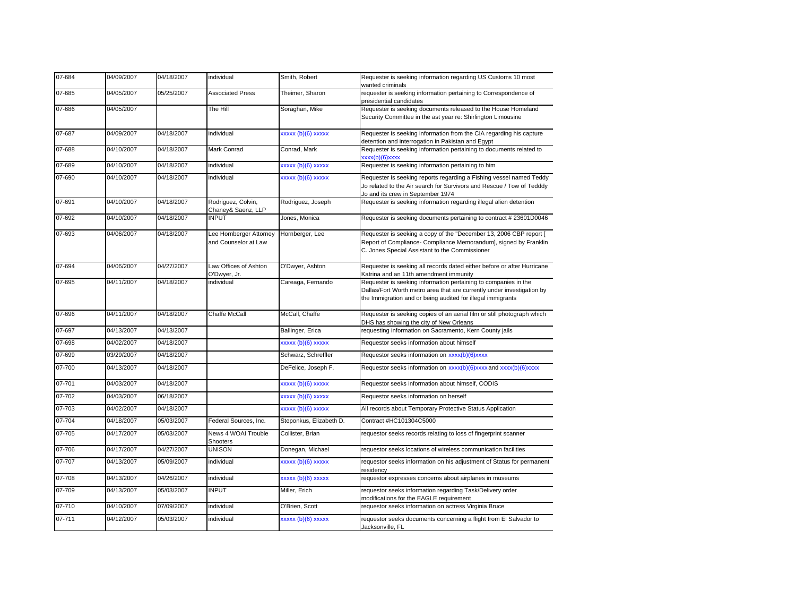| 07-684<br>Requester is seeking information regarding US Customs 10 most<br>04/09/2007<br>04/18/2007<br>individual<br>Smith, Robert<br>wanted criminals<br>07-685<br>04/05/2007<br>05/25/2007<br><b>Associated Press</b><br>Theimer, Sharon<br>requester is seeking information pertaining to Correspondence of<br>presidential candidates<br>Requester is seeking documents released to the House Homeland<br>07-686<br>04/05/2007<br>The Hill<br>Soraghan, Mike<br>Security Committee in the ast year re: Shirlington Limousine<br>07-687<br>04/09/2007<br>04/18/2007<br>xxxxx (b)(6) xxxxx<br>Requester is seeking information from the CIA regarding his capture<br>individual<br>detention and interrogation in Pakistan and Egypt<br>07-688<br>04/10/2007<br>04/18/2007<br>Conrad, Mark<br>Mark Conrad<br>Requester is seeking information pertaining to documents related to<br>$xxx(b)(6)$ xxxx<br>07-689<br>04/10/2007<br>04/18/2007<br>xxxxx (b)(6) xxxxx<br>Requester is seeking information pertaining to him<br>individual<br>07-690<br>04/10/2007<br>04/18/2007<br>xxxxx (b)(6) xxxxx<br>individual<br>Requester is seeking reports regarding a Fishing vessel named Teddy<br>Jo related to the Air search for Survivors and Rescue / Tow of Tedddy<br>Jo and its crew in September 1974<br>Requester is seeking information regarding illegal alien detention<br>07-691<br>04/10/2007<br>04/18/2007<br>Rodriguez, Colvin,<br>Rodriguez, Joseph<br>Chaney& Saenz, LLP<br>07-692<br>04/10/2007<br>04/18/2007<br><b>INPUT</b><br>Jones, Monica<br>Requester is seeking documents pertaining to contract #23601D0046<br>07-693<br>04/06/2007<br>04/18/2007<br>Lee Hornberger Attorney<br>Hornberger, Lee<br>Requester is seeking a copy of the "December 13, 2006 CBP report [<br>Report of Compliance- Compliance Memorandum], signed by Franklin<br>and Counselor at Law<br>C. Jones Special Assistant to the Commissioner<br>07-694<br>04/06/2007<br>04/27/2007<br>Law Offices of Ashton<br>O'Dwyer, Ashton<br>Requester is seeking all records dated either before or after Hurricane<br>Katrina and an 11th amendment immunity<br>O'Dwyer, Jr.<br>07-695<br>04/11/2007<br>04/18/2007<br>Requester is seeking information pertaining to companies in the<br>individual<br>Careaga, Fernando<br>Dallas/Fort Worth metro area that are currently under investigation by<br>the Immigration and or being audited for illegal immigrants<br>07-696<br>04/11/2007<br>04/18/2007<br>Chaffe McCall<br>McCall, Chaffe<br>Requester is seeking copies of an aerial film or still photograph which<br>DHS has showing the city of New Orleans<br>07-697<br>04/13/2007<br>04/13/2007<br>Ballinger, Erica<br>requesting information on Sacramento, Kern County jails<br>07-698<br>04/02/2007<br>04/18/2007<br>xxxxx (b)(6) xxxxx<br>Requestor seeks information about himself<br>07-699<br>03/29/2007<br>04/18/2007<br>Schwarz, Schreffler<br>Requestor seeks information on xxxx(b)(6)xxxx<br>07-700<br>04/13/2007<br>04/18/2007<br>DeFelice, Joseph F.<br>Requestor seeks information on xxxx(b)(6)xxxx and xxxx(b)(6)xxxx<br>07-701<br>04/03/2007<br>04/18/2007<br>xxxxx (b)(6) xxxxx<br>Requestor seeks information about himself, CODIS<br>07-702<br>04/03/2007<br>06/18/2007<br>xxxxx (b)(6) xxxxx<br>Requestor seeks information on herself<br>07-703<br>04/02/2007<br>04/18/2007<br>xxxxx (b)(6) xxxxx<br>All records about Temporary Protective Status Application<br>07-704<br>Contract #HC101304C5000<br>04/18/2007<br>05/03/2007<br>Federal Sources, Inc.<br>Steponkus, Elizabeth D.<br>07-705<br>04/17/2007<br>05/03/2007<br>News 4 WOAI Trouble<br>Collister, Brian<br>requestor seeks records relating to loss of fingerprint scanner<br>Shooters<br>07-706<br>04/17/2007<br>04/27/2007<br>UNISON<br>Donegan, Michael<br>requestor seeks locations of wireless communication facilities<br>07-707<br>04/13/2007<br>05/09/2007<br>$xxxxx(b)(6)$ xxxxx<br>requestor seeks information on his adjustment of Status for permanent<br>individual<br>residency<br>07-708<br>04/13/2007<br>04/26/2007<br>xxxxx (b)(6) xxxxx<br>requestor expresses concerns about airplanes in museums<br>individual<br>07-709<br>04/13/2007<br>05/03/2007<br><b>INPUT</b><br>Miller, Erich<br>requestor seeks information regarding Task/Delivery order<br>modifications for the EAGLE requirement<br>07-710<br>04/10/2007<br>07/09/2007<br>O'Brien, Scott<br>requestor seeks information on actress Virginia Bruce<br>individual<br>$07 - 711$<br>04/12/2007<br>05/03/2007<br>xxxxx (b)(6) xxxxx<br>requestor seeks documents concerning a flight from El Salvador to<br>individual<br>Jacksonville, FL |  |  |  |
|-----------------------------------------------------------------------------------------------------------------------------------------------------------------------------------------------------------------------------------------------------------------------------------------------------------------------------------------------------------------------------------------------------------------------------------------------------------------------------------------------------------------------------------------------------------------------------------------------------------------------------------------------------------------------------------------------------------------------------------------------------------------------------------------------------------------------------------------------------------------------------------------------------------------------------------------------------------------------------------------------------------------------------------------------------------------------------------------------------------------------------------------------------------------------------------------------------------------------------------------------------------------------------------------------------------------------------------------------------------------------------------------------------------------------------------------------------------------------------------------------------------------------------------------------------------------------------------------------------------------------------------------------------------------------------------------------------------------------------------------------------------------------------------------------------------------------------------------------------------------------------------------------------------------------------------------------------------------------------------------------------------------------------------------------------------------------------------------------------------------------------------------------------------------------------------------------------------------------------------------------------------------------------------------------------------------------------------------------------------------------------------------------------------------------------------------------------------------------------------------------------------------------------------------------------------------------------------------------------------------------------------------------------------------------------------------------------------------------------------------------------------------------------------------------------------------------------------------------------------------------------------------------------------------------------------------------------------------------------------------------------------------------------------------------------------------------------------------------------------------------------------------------------------------------------------------------------------------------------------------------------------------------------------------------------------------------------------------------------------------------------------------------------------------------------------------------------------------------------------------------------------------------------------------------------------------------------------------------------------------------------------------------------------------------------------------------------------------------------------------------------------------------------------------------------------------------------------------------------------------------------------------------------------------------------------------------------------------------------------------------------------------------------------------------------------------------------------------------------------------------------------------------------------------------------------------------------------------------------------------------------------------------------------------------------------------------------------------------------------------------------------------------------------------------------------------------------------------------------------------------------------------------------------------------------------------------------------------------------------------------------------------------------------------------------------------------------|--|--|--|
|                                                                                                                                                                                                                                                                                                                                                                                                                                                                                                                                                                                                                                                                                                                                                                                                                                                                                                                                                                                                                                                                                                                                                                                                                                                                                                                                                                                                                                                                                                                                                                                                                                                                                                                                                                                                                                                                                                                                                                                                                                                                                                                                                                                                                                                                                                                                                                                                                                                                                                                                                                                                                                                                                                                                                                                                                                                                                                                                                                                                                                                                                                                                                                                                                                                                                                                                                                                                                                                                                                                                                                                                                                                                                                                                                                                                                                                                                                                                                                                                                                                                                                                                                                                                                                                                                                                                                                                                                                                                                                                                                                                                                                                                                                     |  |  |  |
|                                                                                                                                                                                                                                                                                                                                                                                                                                                                                                                                                                                                                                                                                                                                                                                                                                                                                                                                                                                                                                                                                                                                                                                                                                                                                                                                                                                                                                                                                                                                                                                                                                                                                                                                                                                                                                                                                                                                                                                                                                                                                                                                                                                                                                                                                                                                                                                                                                                                                                                                                                                                                                                                                                                                                                                                                                                                                                                                                                                                                                                                                                                                                                                                                                                                                                                                                                                                                                                                                                                                                                                                                                                                                                                                                                                                                                                                                                                                                                                                                                                                                                                                                                                                                                                                                                                                                                                                                                                                                                                                                                                                                                                                                                     |  |  |  |
|                                                                                                                                                                                                                                                                                                                                                                                                                                                                                                                                                                                                                                                                                                                                                                                                                                                                                                                                                                                                                                                                                                                                                                                                                                                                                                                                                                                                                                                                                                                                                                                                                                                                                                                                                                                                                                                                                                                                                                                                                                                                                                                                                                                                                                                                                                                                                                                                                                                                                                                                                                                                                                                                                                                                                                                                                                                                                                                                                                                                                                                                                                                                                                                                                                                                                                                                                                                                                                                                                                                                                                                                                                                                                                                                                                                                                                                                                                                                                                                                                                                                                                                                                                                                                                                                                                                                                                                                                                                                                                                                                                                                                                                                                                     |  |  |  |
|                                                                                                                                                                                                                                                                                                                                                                                                                                                                                                                                                                                                                                                                                                                                                                                                                                                                                                                                                                                                                                                                                                                                                                                                                                                                                                                                                                                                                                                                                                                                                                                                                                                                                                                                                                                                                                                                                                                                                                                                                                                                                                                                                                                                                                                                                                                                                                                                                                                                                                                                                                                                                                                                                                                                                                                                                                                                                                                                                                                                                                                                                                                                                                                                                                                                                                                                                                                                                                                                                                                                                                                                                                                                                                                                                                                                                                                                                                                                                                                                                                                                                                                                                                                                                                                                                                                                                                                                                                                                                                                                                                                                                                                                                                     |  |  |  |
|                                                                                                                                                                                                                                                                                                                                                                                                                                                                                                                                                                                                                                                                                                                                                                                                                                                                                                                                                                                                                                                                                                                                                                                                                                                                                                                                                                                                                                                                                                                                                                                                                                                                                                                                                                                                                                                                                                                                                                                                                                                                                                                                                                                                                                                                                                                                                                                                                                                                                                                                                                                                                                                                                                                                                                                                                                                                                                                                                                                                                                                                                                                                                                                                                                                                                                                                                                                                                                                                                                                                                                                                                                                                                                                                                                                                                                                                                                                                                                                                                                                                                                                                                                                                                                                                                                                                                                                                                                                                                                                                                                                                                                                                                                     |  |  |  |
|                                                                                                                                                                                                                                                                                                                                                                                                                                                                                                                                                                                                                                                                                                                                                                                                                                                                                                                                                                                                                                                                                                                                                                                                                                                                                                                                                                                                                                                                                                                                                                                                                                                                                                                                                                                                                                                                                                                                                                                                                                                                                                                                                                                                                                                                                                                                                                                                                                                                                                                                                                                                                                                                                                                                                                                                                                                                                                                                                                                                                                                                                                                                                                                                                                                                                                                                                                                                                                                                                                                                                                                                                                                                                                                                                                                                                                                                                                                                                                                                                                                                                                                                                                                                                                                                                                                                                                                                                                                                                                                                                                                                                                                                                                     |  |  |  |
|                                                                                                                                                                                                                                                                                                                                                                                                                                                                                                                                                                                                                                                                                                                                                                                                                                                                                                                                                                                                                                                                                                                                                                                                                                                                                                                                                                                                                                                                                                                                                                                                                                                                                                                                                                                                                                                                                                                                                                                                                                                                                                                                                                                                                                                                                                                                                                                                                                                                                                                                                                                                                                                                                                                                                                                                                                                                                                                                                                                                                                                                                                                                                                                                                                                                                                                                                                                                                                                                                                                                                                                                                                                                                                                                                                                                                                                                                                                                                                                                                                                                                                                                                                                                                                                                                                                                                                                                                                                                                                                                                                                                                                                                                                     |  |  |  |
|                                                                                                                                                                                                                                                                                                                                                                                                                                                                                                                                                                                                                                                                                                                                                                                                                                                                                                                                                                                                                                                                                                                                                                                                                                                                                                                                                                                                                                                                                                                                                                                                                                                                                                                                                                                                                                                                                                                                                                                                                                                                                                                                                                                                                                                                                                                                                                                                                                                                                                                                                                                                                                                                                                                                                                                                                                                                                                                                                                                                                                                                                                                                                                                                                                                                                                                                                                                                                                                                                                                                                                                                                                                                                                                                                                                                                                                                                                                                                                                                                                                                                                                                                                                                                                                                                                                                                                                                                                                                                                                                                                                                                                                                                                     |  |  |  |
|                                                                                                                                                                                                                                                                                                                                                                                                                                                                                                                                                                                                                                                                                                                                                                                                                                                                                                                                                                                                                                                                                                                                                                                                                                                                                                                                                                                                                                                                                                                                                                                                                                                                                                                                                                                                                                                                                                                                                                                                                                                                                                                                                                                                                                                                                                                                                                                                                                                                                                                                                                                                                                                                                                                                                                                                                                                                                                                                                                                                                                                                                                                                                                                                                                                                                                                                                                                                                                                                                                                                                                                                                                                                                                                                                                                                                                                                                                                                                                                                                                                                                                                                                                                                                                                                                                                                                                                                                                                                                                                                                                                                                                                                                                     |  |  |  |
|                                                                                                                                                                                                                                                                                                                                                                                                                                                                                                                                                                                                                                                                                                                                                                                                                                                                                                                                                                                                                                                                                                                                                                                                                                                                                                                                                                                                                                                                                                                                                                                                                                                                                                                                                                                                                                                                                                                                                                                                                                                                                                                                                                                                                                                                                                                                                                                                                                                                                                                                                                                                                                                                                                                                                                                                                                                                                                                                                                                                                                                                                                                                                                                                                                                                                                                                                                                                                                                                                                                                                                                                                                                                                                                                                                                                                                                                                                                                                                                                                                                                                                                                                                                                                                                                                                                                                                                                                                                                                                                                                                                                                                                                                                     |  |  |  |
|                                                                                                                                                                                                                                                                                                                                                                                                                                                                                                                                                                                                                                                                                                                                                                                                                                                                                                                                                                                                                                                                                                                                                                                                                                                                                                                                                                                                                                                                                                                                                                                                                                                                                                                                                                                                                                                                                                                                                                                                                                                                                                                                                                                                                                                                                                                                                                                                                                                                                                                                                                                                                                                                                                                                                                                                                                                                                                                                                                                                                                                                                                                                                                                                                                                                                                                                                                                                                                                                                                                                                                                                                                                                                                                                                                                                                                                                                                                                                                                                                                                                                                                                                                                                                                                                                                                                                                                                                                                                                                                                                                                                                                                                                                     |  |  |  |
|                                                                                                                                                                                                                                                                                                                                                                                                                                                                                                                                                                                                                                                                                                                                                                                                                                                                                                                                                                                                                                                                                                                                                                                                                                                                                                                                                                                                                                                                                                                                                                                                                                                                                                                                                                                                                                                                                                                                                                                                                                                                                                                                                                                                                                                                                                                                                                                                                                                                                                                                                                                                                                                                                                                                                                                                                                                                                                                                                                                                                                                                                                                                                                                                                                                                                                                                                                                                                                                                                                                                                                                                                                                                                                                                                                                                                                                                                                                                                                                                                                                                                                                                                                                                                                                                                                                                                                                                                                                                                                                                                                                                                                                                                                     |  |  |  |
|                                                                                                                                                                                                                                                                                                                                                                                                                                                                                                                                                                                                                                                                                                                                                                                                                                                                                                                                                                                                                                                                                                                                                                                                                                                                                                                                                                                                                                                                                                                                                                                                                                                                                                                                                                                                                                                                                                                                                                                                                                                                                                                                                                                                                                                                                                                                                                                                                                                                                                                                                                                                                                                                                                                                                                                                                                                                                                                                                                                                                                                                                                                                                                                                                                                                                                                                                                                                                                                                                                                                                                                                                                                                                                                                                                                                                                                                                                                                                                                                                                                                                                                                                                                                                                                                                                                                                                                                                                                                                                                                                                                                                                                                                                     |  |  |  |
|                                                                                                                                                                                                                                                                                                                                                                                                                                                                                                                                                                                                                                                                                                                                                                                                                                                                                                                                                                                                                                                                                                                                                                                                                                                                                                                                                                                                                                                                                                                                                                                                                                                                                                                                                                                                                                                                                                                                                                                                                                                                                                                                                                                                                                                                                                                                                                                                                                                                                                                                                                                                                                                                                                                                                                                                                                                                                                                                                                                                                                                                                                                                                                                                                                                                                                                                                                                                                                                                                                                                                                                                                                                                                                                                                                                                                                                                                                                                                                                                                                                                                                                                                                                                                                                                                                                                                                                                                                                                                                                                                                                                                                                                                                     |  |  |  |
|                                                                                                                                                                                                                                                                                                                                                                                                                                                                                                                                                                                                                                                                                                                                                                                                                                                                                                                                                                                                                                                                                                                                                                                                                                                                                                                                                                                                                                                                                                                                                                                                                                                                                                                                                                                                                                                                                                                                                                                                                                                                                                                                                                                                                                                                                                                                                                                                                                                                                                                                                                                                                                                                                                                                                                                                                                                                                                                                                                                                                                                                                                                                                                                                                                                                                                                                                                                                                                                                                                                                                                                                                                                                                                                                                                                                                                                                                                                                                                                                                                                                                                                                                                                                                                                                                                                                                                                                                                                                                                                                                                                                                                                                                                     |  |  |  |
|                                                                                                                                                                                                                                                                                                                                                                                                                                                                                                                                                                                                                                                                                                                                                                                                                                                                                                                                                                                                                                                                                                                                                                                                                                                                                                                                                                                                                                                                                                                                                                                                                                                                                                                                                                                                                                                                                                                                                                                                                                                                                                                                                                                                                                                                                                                                                                                                                                                                                                                                                                                                                                                                                                                                                                                                                                                                                                                                                                                                                                                                                                                                                                                                                                                                                                                                                                                                                                                                                                                                                                                                                                                                                                                                                                                                                                                                                                                                                                                                                                                                                                                                                                                                                                                                                                                                                                                                                                                                                                                                                                                                                                                                                                     |  |  |  |
|                                                                                                                                                                                                                                                                                                                                                                                                                                                                                                                                                                                                                                                                                                                                                                                                                                                                                                                                                                                                                                                                                                                                                                                                                                                                                                                                                                                                                                                                                                                                                                                                                                                                                                                                                                                                                                                                                                                                                                                                                                                                                                                                                                                                                                                                                                                                                                                                                                                                                                                                                                                                                                                                                                                                                                                                                                                                                                                                                                                                                                                                                                                                                                                                                                                                                                                                                                                                                                                                                                                                                                                                                                                                                                                                                                                                                                                                                                                                                                                                                                                                                                                                                                                                                                                                                                                                                                                                                                                                                                                                                                                                                                                                                                     |  |  |  |
|                                                                                                                                                                                                                                                                                                                                                                                                                                                                                                                                                                                                                                                                                                                                                                                                                                                                                                                                                                                                                                                                                                                                                                                                                                                                                                                                                                                                                                                                                                                                                                                                                                                                                                                                                                                                                                                                                                                                                                                                                                                                                                                                                                                                                                                                                                                                                                                                                                                                                                                                                                                                                                                                                                                                                                                                                                                                                                                                                                                                                                                                                                                                                                                                                                                                                                                                                                                                                                                                                                                                                                                                                                                                                                                                                                                                                                                                                                                                                                                                                                                                                                                                                                                                                                                                                                                                                                                                                                                                                                                                                                                                                                                                                                     |  |  |  |
|                                                                                                                                                                                                                                                                                                                                                                                                                                                                                                                                                                                                                                                                                                                                                                                                                                                                                                                                                                                                                                                                                                                                                                                                                                                                                                                                                                                                                                                                                                                                                                                                                                                                                                                                                                                                                                                                                                                                                                                                                                                                                                                                                                                                                                                                                                                                                                                                                                                                                                                                                                                                                                                                                                                                                                                                                                                                                                                                                                                                                                                                                                                                                                                                                                                                                                                                                                                                                                                                                                                                                                                                                                                                                                                                                                                                                                                                                                                                                                                                                                                                                                                                                                                                                                                                                                                                                                                                                                                                                                                                                                                                                                                                                                     |  |  |  |
|                                                                                                                                                                                                                                                                                                                                                                                                                                                                                                                                                                                                                                                                                                                                                                                                                                                                                                                                                                                                                                                                                                                                                                                                                                                                                                                                                                                                                                                                                                                                                                                                                                                                                                                                                                                                                                                                                                                                                                                                                                                                                                                                                                                                                                                                                                                                                                                                                                                                                                                                                                                                                                                                                                                                                                                                                                                                                                                                                                                                                                                                                                                                                                                                                                                                                                                                                                                                                                                                                                                                                                                                                                                                                                                                                                                                                                                                                                                                                                                                                                                                                                                                                                                                                                                                                                                                                                                                                                                                                                                                                                                                                                                                                                     |  |  |  |
|                                                                                                                                                                                                                                                                                                                                                                                                                                                                                                                                                                                                                                                                                                                                                                                                                                                                                                                                                                                                                                                                                                                                                                                                                                                                                                                                                                                                                                                                                                                                                                                                                                                                                                                                                                                                                                                                                                                                                                                                                                                                                                                                                                                                                                                                                                                                                                                                                                                                                                                                                                                                                                                                                                                                                                                                                                                                                                                                                                                                                                                                                                                                                                                                                                                                                                                                                                                                                                                                                                                                                                                                                                                                                                                                                                                                                                                                                                                                                                                                                                                                                                                                                                                                                                                                                                                                                                                                                                                                                                                                                                                                                                                                                                     |  |  |  |
|                                                                                                                                                                                                                                                                                                                                                                                                                                                                                                                                                                                                                                                                                                                                                                                                                                                                                                                                                                                                                                                                                                                                                                                                                                                                                                                                                                                                                                                                                                                                                                                                                                                                                                                                                                                                                                                                                                                                                                                                                                                                                                                                                                                                                                                                                                                                                                                                                                                                                                                                                                                                                                                                                                                                                                                                                                                                                                                                                                                                                                                                                                                                                                                                                                                                                                                                                                                                                                                                                                                                                                                                                                                                                                                                                                                                                                                                                                                                                                                                                                                                                                                                                                                                                                                                                                                                                                                                                                                                                                                                                                                                                                                                                                     |  |  |  |
|                                                                                                                                                                                                                                                                                                                                                                                                                                                                                                                                                                                                                                                                                                                                                                                                                                                                                                                                                                                                                                                                                                                                                                                                                                                                                                                                                                                                                                                                                                                                                                                                                                                                                                                                                                                                                                                                                                                                                                                                                                                                                                                                                                                                                                                                                                                                                                                                                                                                                                                                                                                                                                                                                                                                                                                                                                                                                                                                                                                                                                                                                                                                                                                                                                                                                                                                                                                                                                                                                                                                                                                                                                                                                                                                                                                                                                                                                                                                                                                                                                                                                                                                                                                                                                                                                                                                                                                                                                                                                                                                                                                                                                                                                                     |  |  |  |
|                                                                                                                                                                                                                                                                                                                                                                                                                                                                                                                                                                                                                                                                                                                                                                                                                                                                                                                                                                                                                                                                                                                                                                                                                                                                                                                                                                                                                                                                                                                                                                                                                                                                                                                                                                                                                                                                                                                                                                                                                                                                                                                                                                                                                                                                                                                                                                                                                                                                                                                                                                                                                                                                                                                                                                                                                                                                                                                                                                                                                                                                                                                                                                                                                                                                                                                                                                                                                                                                                                                                                                                                                                                                                                                                                                                                                                                                                                                                                                                                                                                                                                                                                                                                                                                                                                                                                                                                                                                                                                                                                                                                                                                                                                     |  |  |  |
|                                                                                                                                                                                                                                                                                                                                                                                                                                                                                                                                                                                                                                                                                                                                                                                                                                                                                                                                                                                                                                                                                                                                                                                                                                                                                                                                                                                                                                                                                                                                                                                                                                                                                                                                                                                                                                                                                                                                                                                                                                                                                                                                                                                                                                                                                                                                                                                                                                                                                                                                                                                                                                                                                                                                                                                                                                                                                                                                                                                                                                                                                                                                                                                                                                                                                                                                                                                                                                                                                                                                                                                                                                                                                                                                                                                                                                                                                                                                                                                                                                                                                                                                                                                                                                                                                                                                                                                                                                                                                                                                                                                                                                                                                                     |  |  |  |
|                                                                                                                                                                                                                                                                                                                                                                                                                                                                                                                                                                                                                                                                                                                                                                                                                                                                                                                                                                                                                                                                                                                                                                                                                                                                                                                                                                                                                                                                                                                                                                                                                                                                                                                                                                                                                                                                                                                                                                                                                                                                                                                                                                                                                                                                                                                                                                                                                                                                                                                                                                                                                                                                                                                                                                                                                                                                                                                                                                                                                                                                                                                                                                                                                                                                                                                                                                                                                                                                                                                                                                                                                                                                                                                                                                                                                                                                                                                                                                                                                                                                                                                                                                                                                                                                                                                                                                                                                                                                                                                                                                                                                                                                                                     |  |  |  |
|                                                                                                                                                                                                                                                                                                                                                                                                                                                                                                                                                                                                                                                                                                                                                                                                                                                                                                                                                                                                                                                                                                                                                                                                                                                                                                                                                                                                                                                                                                                                                                                                                                                                                                                                                                                                                                                                                                                                                                                                                                                                                                                                                                                                                                                                                                                                                                                                                                                                                                                                                                                                                                                                                                                                                                                                                                                                                                                                                                                                                                                                                                                                                                                                                                                                                                                                                                                                                                                                                                                                                                                                                                                                                                                                                                                                                                                                                                                                                                                                                                                                                                                                                                                                                                                                                                                                                                                                                                                                                                                                                                                                                                                                                                     |  |  |  |
|                                                                                                                                                                                                                                                                                                                                                                                                                                                                                                                                                                                                                                                                                                                                                                                                                                                                                                                                                                                                                                                                                                                                                                                                                                                                                                                                                                                                                                                                                                                                                                                                                                                                                                                                                                                                                                                                                                                                                                                                                                                                                                                                                                                                                                                                                                                                                                                                                                                                                                                                                                                                                                                                                                                                                                                                                                                                                                                                                                                                                                                                                                                                                                                                                                                                                                                                                                                                                                                                                                                                                                                                                                                                                                                                                                                                                                                                                                                                                                                                                                                                                                                                                                                                                                                                                                                                                                                                                                                                                                                                                                                                                                                                                                     |  |  |  |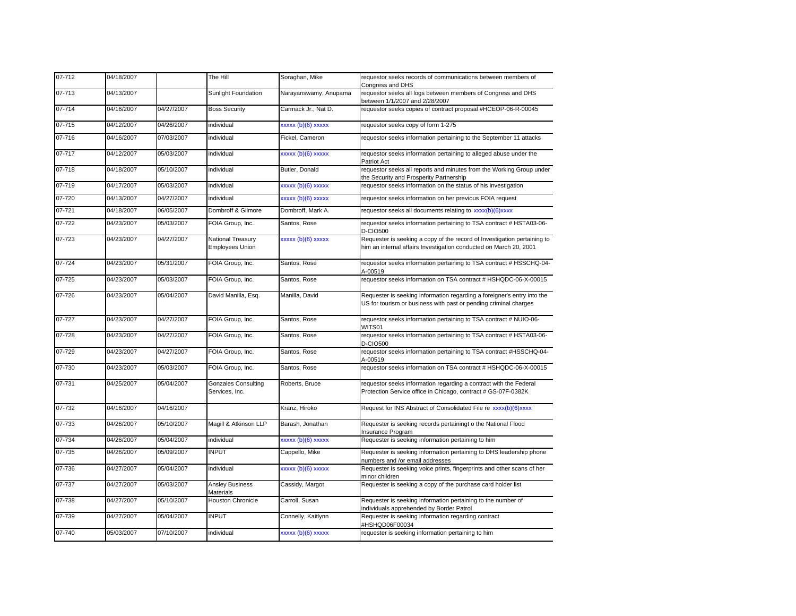| 07-712 | 04/18/2007 |            | The Hill                                    | Soraghan, Mike        | requestor seeks records of communications between members of<br>Congress and DHS                                                              |
|--------|------------|------------|---------------------------------------------|-----------------------|-----------------------------------------------------------------------------------------------------------------------------------------------|
| 07-713 | 04/13/2007 |            | Sunlight Foundation                         | Narayanswamy, Anupama | requestor seeks all logs between members of Congress and DHS<br>between 1/1/2007 and 2/28/2007                                                |
| 07-714 | 04/16/2007 | 04/27/2007 | <b>Boss Security</b>                        | Carmack Jr., Nat D.   | requestor seeks copies of contract proposal #HCEOP-06-R-00045                                                                                 |
| 07-715 | 04/12/2007 | 04/26/2007 | individual                                  | xxxxx (b)(6) xxxxx    | requestor seeks copy of form 1-275                                                                                                            |
| 07-716 | 04/16/2007 | 07/03/2007 | individual                                  | Fickel, Cameron       | requestor seeks information pertaining to the September 11 attacks                                                                            |
| 07-717 | 04/12/2007 | 05/03/2007 | individual                                  | xxxxx (b)(6) xxxxx    | requestor seeks information pertaining to alleged abuse under the<br>Patriot Act                                                              |
| 07-718 | 04/18/2007 | 05/10/2007 | individual                                  | Butler, Donald        | requestor seeks all reports and minutes from the Working Group under<br>the Security and Prosperity Partnership                               |
| 07-719 | 04/17/2007 | 05/03/2007 | individual                                  | xxxxx (b)(6) xxxxx    | requestor seeks information on the status of his investigation                                                                                |
| 07-720 | 04/13/2007 | 04/27/2007 | individual                                  | xxxxx (b)(6) xxxxx    | requestor seeks information on her previous FOIA request                                                                                      |
| 07-721 | 04/18/2007 | 06/05/2007 | Dombroff & Gilmore                          | Dombroff, Mark A.     | requestor seeks all documents relating to xxxx(b)(6)xxxx                                                                                      |
| 07-722 | 04/23/2007 | 05/03/2007 | FOIA Group, Inc.                            | Santos, Rose          | requestor seeks information pertaining to TSA contract # HSTA03-06-<br>D-CIO500                                                               |
| 07-723 | 04/23/2007 | 04/27/2007 | National Treasury<br><b>Employees Union</b> | xxxxx (b)(6) xxxxx    | Requester is seeking a copy of the record of Investigation pertaining to<br>him an internal affairs Investigation conducted on March 20, 2001 |
| 07-724 | 04/23/2007 | 05/31/2007 | FOIA Group, Inc.                            | Santos, Rose          | requestor seeks information pertaining to TSA contract # HSSCHQ-04-<br>A-00519                                                                |
| 07-725 | 04/23/2007 | 05/03/2007 | FOIA Group, Inc.                            | Santos, Rose          | requestor seeks information on TSA contract # HSHQDC-06-X-00015                                                                               |
| 07-726 | 04/23/2007 | 05/04/2007 | David Manilla, Esq.                         | Manilla, David        | Requester is seeking information regarding a foreigner's entry into the<br>US for tourism or business with past or pending criminal charges   |
| 07-727 | 04/23/2007 | 04/27/2007 | FOIA Group, Inc.                            | Santos, Rose          | requestor seeks information pertaining to TSA contract # NUIO-06-<br>WITS01                                                                   |
| 07-728 | 04/23/2007 | 04/27/2007 | FOIA Group, Inc.                            | Santos, Rose          | requestor seeks information pertaining to TSA contract # HSTA03-06-<br>D-CIO500                                                               |
| 07-729 | 04/23/2007 | 04/27/2007 | FOIA Group, Inc.                            | Santos, Rose          | requestor seeks information pertaining to TSA contract #HSSCHQ-04-<br>A-00519                                                                 |
| 07-730 | 04/23/2007 | 05/03/2007 | FOIA Group, Inc.                            | Santos, Rose          | requestor seeks information on TSA contract # HSHQDC-06-X-00015                                                                               |
| 07-731 | 04/25/2007 | 05/04/2007 | Gonzales Consulting<br>Services, Inc.       | Roberts, Bruce        | requestor seeks information regarding a contract with the Federal<br>Protection Service office in Chicago, contract # GS-07F-0382K            |
| 07-732 | 04/16/2007 | 04/16/2007 |                                             | Kranz, Hiroko         | Request for INS Abstract of Consolidated File re xxxx(b)(6)xxxx                                                                               |
| 07-733 | 04/26/2007 | 05/10/2007 | Magill & Atkinson LLP                       | Barash, Jonathan      | Requester is seeking records pertainingt o the National Flood<br><b>Insurance Program</b>                                                     |
| 07-734 | 04/26/2007 | 05/04/2007 | individual                                  | xxxxx (b)(6) xxxxx    | Requester is seeking information pertaining to him                                                                                            |
| 07-735 | 04/26/2007 | 05/09/2007 | <b>INPUT</b>                                | Cappello, Mike        | Requester is seeking information pertaining to DHS leadership phone<br>numbers and /or email addresses                                        |
| 07-736 | 04/27/2007 | 05/04/2007 | individual                                  | xxxxx (b)(6) xxxxx    | Requester is seeking voice prints, fingerprints and other scans of her<br>minor children                                                      |
| 07-737 | 04/27/2007 | 05/03/2007 | <b>Ansley Business</b><br>Materials         | Cassidy, Margot       | Requester is seeking a copy of the purchase card holder list                                                                                  |
| 07-738 | 04/27/2007 | 05/10/2007 | Houston Chronicle                           | Carroll, Susan        | Requester is seeking information pertaining to the number of<br>individuals apprehended by Border Patrol                                      |
| 07-739 | 04/27/2007 | 05/04/2007 | <b>INPUT</b>                                | Connelly, Kaitlynn    | Requester is seeking information regarding contract<br>#HSHQD06F00034                                                                         |
| 07-740 | 05/03/2007 | 07/10/2007 | individual                                  | xxxxx (b)(6) xxxxx    | requester is seeking information pertaining to him                                                                                            |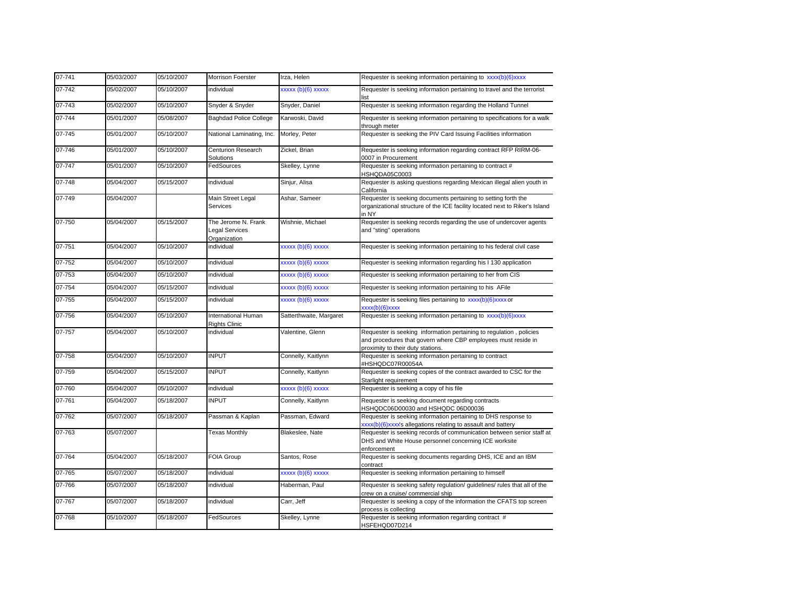| 07-741     | 05/03/2007 | 05/10/2007 | Morrison Foerster                                            | Irza, Helen             | Requester is seeking information pertaining to xxxx(b)(6)xxxx                                                                                                             |
|------------|------------|------------|--------------------------------------------------------------|-------------------------|---------------------------------------------------------------------------------------------------------------------------------------------------------------------------|
| 07-742     | 05/02/2007 | 05/10/2007 | individual                                                   | xxxxx (b)(6) xxxxx      | Requester is seeking information pertaining to travel and the terrorist<br>list                                                                                           |
| $07 - 743$ | 05/02/2007 | 05/10/2007 | Snyder & Snyder                                              | Snyder, Daniel          | Requester is seeking information regarding the Holland Tunnel                                                                                                             |
| 07-744     | 05/01/2007 | 05/08/2007 | <b>Baghdad Police College</b>                                | Karwoski, David         | Requester is seeking information pertaining to specifications for a walk<br>through meter                                                                                 |
| 07-745     | 05/01/2007 | 05/10/2007 | National Laminating, Inc.                                    | Morley, Peter           | Requester is seeking the PIV Card Issuing Facilities information                                                                                                          |
| 07-746     | 05/01/2007 | 05/10/2007 | <b>Centurion Research</b><br>Solutions                       | Zickel, Brian           | Requester is seeking information regarding contract RFP RIRM-06-<br>0007 in Procurement                                                                                   |
| 07-747     | 05/01/2007 | 05/10/2007 | FedSources                                                   | Skelley, Lynne          | Requester is seeking information pertaining to contract #<br>HSHQDA05C0003                                                                                                |
| 07-748     | 05/04/2007 | 05/15/2007 | individual                                                   | Sinjur, Alisa           | Requester is asking questions regarding Mexican illegal alien youth in<br>California                                                                                      |
| 07-749     | 05/04/2007 |            | Main Street Legal<br>Services                                | Ashar, Sameer           | Requester is seeking documents pertaining to setting forth the<br>organizational structure of the ICE facility located next to Riker's Island<br>in NY                    |
| 07-750     | 05/04/2007 | 05/15/2007 | The Jerome N. Frank<br><b>Legal Services</b><br>Organization | Wishnie, Michael        | Requester is seeking records regarding the use of undercover agents<br>and "sting" operations                                                                             |
| $07 - 751$ | 05/04/2007 | 05/10/2007 | individual                                                   | $xxxxx(b)(6)$ xxxxx     | Requester is seeking information pertaining to his federal civil case                                                                                                     |
| $07 - 752$ | 05/04/2007 | 05/10/2007 | individual                                                   | xxxxx (b)(6) xxxxx      | Requester is seeking information regarding his I 130 application                                                                                                          |
| 07-753     | 05/04/2007 | 05/10/2007 | individual                                                   | xxxxx (b)(6) xxxxx      | Requester is seeking information pertaining to her from CIS                                                                                                               |
| 07-754     | 05/04/2007 | 05/15/2007 | individual                                                   | xxxxx (b)(6) xxxxx      | Requester is seeking information pertaining to his AFile                                                                                                                  |
| 07-755     | 05/04/2007 | 05/15/2007 | individual                                                   | xxxxx (b)(6) xxxxx      | Requester is seeking files pertaining to xxxx(b)(6)xxxx or<br>$xxx(b)(6)$ xxxx                                                                                            |
| 07-756     | 05/04/2007 | 05/10/2007 | International Human<br>Rights Clinic                         | Satterthwaite, Margaret | Requester is seeking information pertaining to xxxx(b)(6)xxxx                                                                                                             |
| 07-757     | 05/04/2007 | 05/10/2007 | individual                                                   | Valentine, Glenn        | Requester is seeking information pertaining to regulation, policies<br>and procedures that govern where CBP employees must reside in<br>proximity to their duty stations. |
| 07-758     | 05/04/2007 | 05/10/2007 | <b>INPUT</b>                                                 | Connelly, Kaitlynn      | Requester is seeking information pertaining to contract<br>#HSHQDC07R00054A                                                                                               |
| 07-759     | 05/04/2007 | 05/15/2007 | <b>INPUT</b>                                                 | Connelly, Kaitlynn      | Requester is seeking copies of the contract awarded to CSC for the<br>Starlight requirement                                                                               |
| 07-760     | 05/04/2007 | 05/10/2007 | individual                                                   | xxxxx (b)(6) xxxxx      | Requester is seeking a copy of his file                                                                                                                                   |
| 07-761     | 05/04/2007 | 05/18/2007 | <b>INPUT</b>                                                 | Connelly, Kaitlynn      | Requester is seeking document regarding contracts<br>HSHQDC06D00030 and HSHQDC 06D00036                                                                                   |
| 07-762     | 05/07/2007 | 05/18/2007 | Passman & Kaplan                                             | Passman, Edward         | Requester is seeking information pertaining to DHS response to<br>xxx(b)(6)xxxx's allegations relating to assault and battery                                             |
| 07-763     | 05/07/2007 |            | <b>Texas Monthly</b>                                         | Blakeslee, Nate         | Requester is seeking records of communication between senior staff at<br>DHS and White House personnel concerning ICE worksite<br>enforcement                             |
| 07-764     | 05/04/2007 | 05/18/2007 | <b>FOIA Group</b>                                            | Santos, Rose            | Requester is seeking documents regarding DHS, ICE and an IBM<br>contract                                                                                                  |
| 07-765     | 05/07/2007 | 05/18/2007 | individual                                                   | xxxxx (b)(6) xxxxx      | Requester is seeking information pertaining to himself                                                                                                                    |
| 07-766     | 05/07/2007 | 05/18/2007 | individual                                                   | Haberman, Paul          | Requester is seeking safety regulation/ guidelines/ rules that all of the<br>crew on a cruise/ commercial ship                                                            |
| 07-767     | 05/07/2007 | 05/18/2007 | individual                                                   | Carr, Jeff              | Requester is seeking a copy of the information the CFATS top screen<br>process is collecting                                                                              |
| 07-768     | 05/10/2007 | 05/18/2007 | FedSources                                                   | Skelley, Lynne          | Requester is seeking information regarding contract #<br>HSFEHQD07D214                                                                                                    |
|            |            |            |                                                              |                         |                                                                                                                                                                           |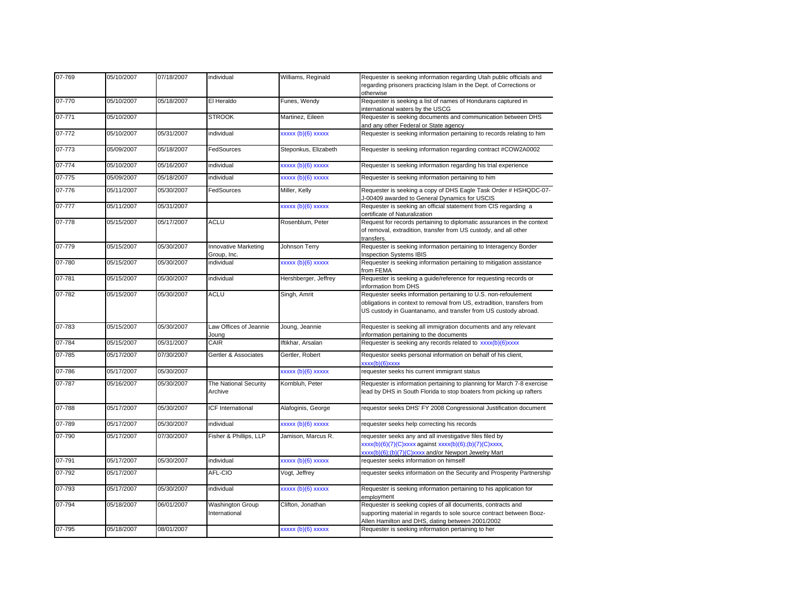| 07-769 | 05/10/2007 | 07/18/2007 | individual                               | Williams, Reginald   | Requester is seeking information regarding Utah public officials and<br>regarding prisoners practicing Islam in the Dept. of Corrections or<br>otherwise                                                   |
|--------|------------|------------|------------------------------------------|----------------------|------------------------------------------------------------------------------------------------------------------------------------------------------------------------------------------------------------|
| 07-770 | 05/10/2007 | 05/18/2007 | El Heraldo                               | Funes, Wendy         | Requester is seeking a list of names of Hondurans captured in<br>international waters by the USCG                                                                                                          |
| 07-771 | 05/10/2007 |            | <b>STROOK</b>                            | Martinez, Eileen     | Requester is seeking documents and communication between DHS<br>and any other Federal or State agency                                                                                                      |
| 07-772 | 05/10/2007 | 05/31/2007 | individual                               | xxxxx (b)(6) xxxxx   | Requester is seeking information pertaining to records relating to him                                                                                                                                     |
| 07-773 | 05/09/2007 | 05/18/2007 | FedSources                               | Steponkus, Elizabeth | Requester is seeking information regarding contract #COW2A0002                                                                                                                                             |
| 07-774 | 05/10/2007 | 05/16/2007 | individual                               | xxxxx (b)(6) xxxxx   | Requester is seeking information regarding his trial experience                                                                                                                                            |
| 07-775 | 05/09/2007 | 05/18/2007 | individual                               | xxxxx (b)(6) xxxxx   | Requester is seeking information pertaining to him                                                                                                                                                         |
| 07-776 | 05/11/2007 | 05/30/2007 | FedSources                               | Miller, Kelly        | Requester is seeking a copy of DHS Eagle Task Order # HSHQDC-07-<br>J-00409 awarded to General Dynamics for USCIS                                                                                          |
| 07-777 | 05/11/2007 | 05/31/2007 |                                          | xxxxx (b)(6) xxxxx   | Requester is seeking an official statement from CIS regarding a<br>certificate of Naturalization                                                                                                           |
| 07-778 | 05/15/2007 | 05/17/2007 | <b>ACLU</b>                              | Rosenblum, Peter     | Request for records pertaining to diplomatic assurances in the context<br>of removal, extradition, transfer from US custody, and all other<br>transfers.                                                   |
| 07-779 | 05/15/2007 | 05/30/2007 | Innovative Marketing<br>Group, Inc.      | Johnson Terry        | Requester is seeking information pertaining to Interagency Border<br><b>Inspection Systems IBIS</b>                                                                                                        |
| 07-780 | 05/15/2007 | 05/30/2007 | individual                               | xxxxx (b)(6) xxxxx   | Requester is seeking information pertaining to mitigation assistance<br>from FEMA                                                                                                                          |
| 07-781 | 05/15/2007 | 05/30/2007 | individual                               | Hershberger, Jeffrey | Requester is seeking a guide/reference for requesting records or<br>information from DHS                                                                                                                   |
| 07-782 | 05/15/2007 | 05/30/2007 | <b>ACLU</b>                              | Singh, Amrit         | Requester seeks information pertaining to U.S. non-refoulement<br>obligations in context to removal from US, extradition, transfers from<br>US custody in Guantanamo, and transfer from US custody abroad. |
| 07-783 | 05/15/2007 | 05/30/2007 | Law Offices of Jeannie<br>Joung          | Joung, Jeannie       | Requester is seeking all immigration documents and any relevant<br>information pertaining to the documents                                                                                                 |
| 07-784 | 05/15/2007 | 05/31/2007 | CAIR                                     | Iftikhar, Arsalan    | Requester is seeking any records related to xxxx(b)(6)xxxx                                                                                                                                                 |
| 07-785 | 05/17/2007 | 07/30/2007 | Gertler & Associates                     | Gertler, Robert      | Requestor seeks personal information on behalf of his client,<br>(xxx(b)(6)xxxxx                                                                                                                           |
| 07-786 | 05/17/2007 | 05/30/2007 |                                          | xxxxx (b)(6) xxxxx   | requester seeks his current immigrant status                                                                                                                                                               |
| 07-787 | 05/16/2007 | 05/30/2007 | The National Security<br>Archive         | Kornbluh, Peter      | Requester is information pertaining to planning for March 7-8 exercise<br>lead by DHS in South Florida to stop boaters from picking up rafters                                                             |
| 07-788 | 05/17/2007 | 05/30/2007 | <b>ICF</b> International                 | Alafoginis, George   | requestor seeks DHS' FY 2008 Congressional Justification document                                                                                                                                          |
| 07-789 | 05/17/2007 | 05/30/2007 | individual                               | xxxxx (b)(6) xxxxx   | requester seeks help correcting his records                                                                                                                                                                |
| 07-790 | 05/17/2007 | 07/30/2007 | Fisher & Phillips, LLP                   | Jamison, Marcus R.   | requester seeks any and all investigative files filed by<br>$xxxx(b)(6)(7)(C)xxxx$ against $xxxx(b)(6)(b)(7)(C)xxxx$ ,<br>xxxx(b)(6);(b)(7)(C)xxxx and/or Newport Jewelry Mart                             |
| 07-791 | 05/17/2007 | 05/30/2007 | individual                               | xxxxx (b)(6) xxxxx   | requester seeks information on himself                                                                                                                                                                     |
| 07-792 | 05/17/2007 |            | AFL-CIO                                  | Vogt, Jeffrey        | requester seeks information on the Security and Prosperity Partnership                                                                                                                                     |
| 07-793 | 05/17/2007 | 05/30/2007 | individual                               | xxxxx (b)(6) xxxxx   | Requester is seeking information pertaining to his application for<br>employment                                                                                                                           |
| 07-794 | 05/18/2007 | 06/01/2007 | <b>Washington Group</b><br>International | Clifton, Jonathan    | Requester is seeking copies of all documents, contracts and<br>supporting material in regards to sole source contract between Booz-<br>Allen Hamilton and DHS, dating between 2001/2002                    |
| 07-795 | 05/18/2007 | 08/01/2007 |                                          | xxxxx (b)(6) xxxxx   | Requester is seeking information pertaining to her                                                                                                                                                         |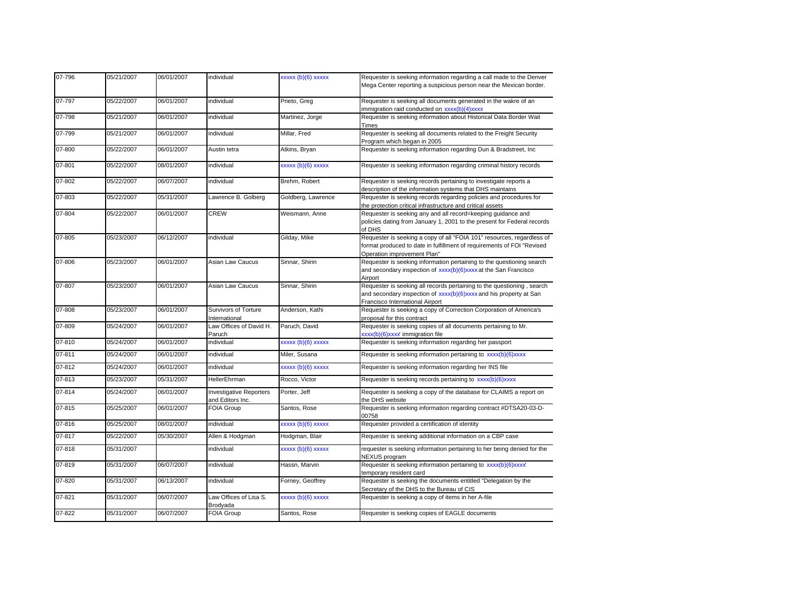| 07-796 | 05/21/2007 | 06/01/2007 | individual                                         | xxxxx (b)(6) xxxxx | Requester is seeking information regarding a call made to the Denver<br>Mega Center reporting a suspicious person near the Mexican border.                                      |
|--------|------------|------------|----------------------------------------------------|--------------------|---------------------------------------------------------------------------------------------------------------------------------------------------------------------------------|
| 07-797 | 05/22/2007 | 06/01/2007 | individual                                         | Prieto, Greg       | Requester is seeking all documents generated in the wakre of an<br>immigration raid conducted on xxxx(b)(4)xxxx                                                                 |
| 07-798 | 05/21/2007 | 06/01/2007 | individual                                         | Martinez, Jorge    | Requester is seeking information about Historical Data Border Wait<br>Times                                                                                                     |
| 07-799 | 05/21/2007 | 06/01/2007 | individual                                         | Millar, Fred       | Requester is seeking all documents related to the Freight Security<br>Program which began in 2005                                                                               |
| 07-800 | 05/22/2007 | 06/01/2007 | Austin tetra                                       | Atkins, Bryan      | Requester is seeking information regarding Dun & Bradstreet, Inc.                                                                                                               |
| 07-801 | 05/22/2007 | 08/01/2007 | individual                                         | xxxxx (b)(6) xxxxx | Requester is seeking information regarding criminal history records                                                                                                             |
| 07-802 | 05/22/2007 | 06/07/2007 | individual                                         | Brehm, Robert      | Requester is seeking records pertaining to investigate reports a<br>description of the information systems that DHS maintains                                                   |
| 07-803 | 05/22/2007 | 05/31/2007 | Lawrence B. Golberg                                | Goldberg, Lawrence | Requester is seeking records regarding policies and procedures for<br>the protection critical infrastructure and critical assets                                                |
| 07-804 | 05/22/2007 | 06/01/2007 | <b>CREW</b>                                        | Weismann, Anne     | Requester is seeking any and all record=keeping guidance and<br>policies dating from January 1, 2001 to the present for Federal records<br>of DHS                               |
| 07-805 | 05/23/2007 | 06/12/2007 | individual                                         | Gilday, Mike       | Requester is seeking a copy of all "FOIA 101" resources, regardless of<br>format produced to date in fulfillment of requirements of FOI "Revised<br>Operation improvement Plan" |
| 07-806 | 05/23/2007 | 06/01/2007 | Asian Law Caucus                                   | Sinnar, Shirin     | Requester is seeking information pertaining to the questioning search<br>and secondary inspection of xxxx(b)(6)xxxx at the San Francisco<br>Airport                             |
| 07-807 | 05/23/2007 | 06/01/2007 | Asian Law Caucus                                   | Sinnar, Shirin     | Requester is seeking all records pertaining to the questioning, search<br>and secondary inspection of xxxx(b)(6)xxxx and his property at San<br>Francisco International Airport |
| 07-808 | 05/23/2007 | 06/01/2007 | Survivors of Torture<br>International              | Anderson, Kathi    | Requester is seeking a copy of Correction Corporation of America's<br>proposal for this contract                                                                                |
| 07-809 | 05/24/2007 | 06/01/2007 | Law Offices of David H.<br>Paruch                  | Paruch, David      | Requester is seeking copies of all documents pertaining to Mr.<br>xxxx(b)(6)xxxx' immigration file                                                                              |
| 07-810 | 05/24/2007 | 06/01/2007 | individual                                         | xxxxx (b)(6) xxxxx | Requester is seeking information regarding her passport                                                                                                                         |
| 07-811 | 05/24/2007 | 06/01/2007 | individual                                         | Miler, Susana      | Requester is seeking information pertaining to xxxx(b)(6)xxxx                                                                                                                   |
| 07-812 | 05/24/2007 | 06/01/2007 | individual                                         | xxxxx (b)(6) xxxxx | Requester is seeking information regarding her INS file                                                                                                                         |
| 07-813 | 05/23/2007 | 05/31/2007 | HellerEhrman                                       | Rocco, Victor      | Requester is seeking records pertaining to xxxx(b)(6)xxxx                                                                                                                       |
| 07-814 | 05/24/2007 | 06/01/2007 | <b>Investigative Reporters</b><br>and Editors Inc. | Porter, Jeff       | Requester is seeking a copy of the database for CLAIMS a report on<br>the DHS website                                                                                           |
| 07-815 | 05/25/2007 | 06/01/2007 | FOIA Group                                         | Santos, Rose       | Requester is seeking information regarding contract #DTSA20-03-D-<br>00758                                                                                                      |
| 07-816 | 05/25/2007 | 08/01/2007 | individual                                         | xxxxx (b)(6) xxxxx | Requester provided a certification of identity                                                                                                                                  |
| 07-817 | 05/22/2007 | 05/30/2007 | Allen & Hodgman                                    | Hodgman, Blair     | Requester is seeking additional information on a CBP case                                                                                                                       |
| 07-818 | 05/31/2007 |            | individual                                         | xxxxx (b)(6) xxxxx | requester is seeking information pertaining to her being denied for the<br>NEXUS program                                                                                        |
| 07-819 | 05/31/2007 | 06/07/2007 | individual                                         | Hassn, Marvin      | Requester is seeking information pertaining to xxxx(b)(6)xxxx<br>temporary resident card                                                                                        |
| 07-820 | 05/31/2007 | 06/13/2007 | individual                                         | Forney, Geoffrey   | Requester is seeking the documents entitled "Delegation by the<br>Secretary of the DHS to the Bureau of CIS                                                                     |
| 07-821 | 05/31/2007 | 06/07/2007 | Law Offices of Lisa S.<br>Brodyada                 | xxxxx (b)(6) xxxxx | Requester is seeking a copy of items in her A-file                                                                                                                              |
| 07-822 | 05/31/2007 | 06/07/2007 | FOIA Group                                         | Santos, Rose       | Requester is seeking copies of EAGLE documents                                                                                                                                  |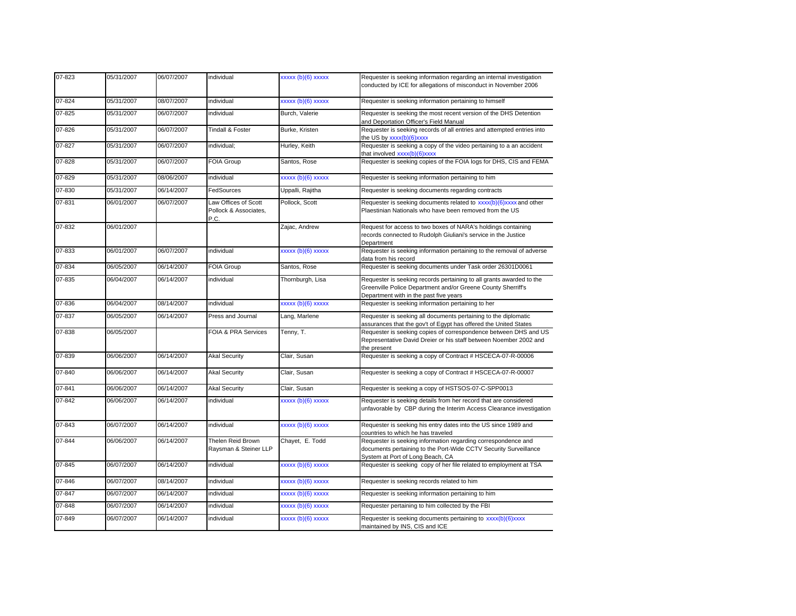| 07-823 | 05/31/2007 | 06/07/2007 | individual                                            | xxxxx (b)(6) xxxxx  | Requester is seeking information regarding an internal investigation<br>conducted by ICE for allegations of misconduct in November 2006                                        |
|--------|------------|------------|-------------------------------------------------------|---------------------|--------------------------------------------------------------------------------------------------------------------------------------------------------------------------------|
| 07-824 | 05/31/2007 | 08/07/2007 | individual                                            | xxxxx (b)(6) xxxxx  | Requester is seeking information pertaining to himself                                                                                                                         |
| 07-825 | 05/31/2007 | 06/07/2007 | individual                                            | Burch, Valerie      | Requester is seeking the most recent version of the DHS Detention<br>and Deportation Officer's Field Manual                                                                    |
| 07-826 | 05/31/2007 | 06/07/2007 | <b>Tindall &amp; Foster</b>                           | Burke, Kristen      | Requester is seeking records of all entries and attempted entries into<br>the US by xxxx(b)(6)xxxx                                                                             |
| 07-827 | 05/31/2007 | 06/07/2007 | individual;                                           | Hurley, Keith       | Requester is seeking a copy of the video pertaining to a an accident<br>that involved $xxxx(b)(6)xxxxx$                                                                        |
| 07-828 | 05/31/2007 | 06/07/2007 | <b>FOIA Group</b>                                     | Santos, Rose        | Requester is seeking copies of the FOIA logs for DHS, CIS and FEMA                                                                                                             |
| 07-829 | 05/31/2007 | 08/06/2007 | individual                                            | xxxxx (b)(6) xxxxx  | Requester is seeking information pertaining to him                                                                                                                             |
| 07-830 | 05/31/2007 | 06/14/2007 | FedSources                                            | Uppalli, Rajitha    | Requester is seeking documents regarding contracts                                                                                                                             |
| 07-831 | 06/01/2007 | 06/07/2007 | Law Offices of Scott<br>Pollock & Associates,<br>P.C. | Pollock, Scott      | Requester is seeking documents related to xxxx(b)(6)xxxx and other<br>Plaestinian Nationals who have been removed from the US                                                  |
| 07-832 | 06/01/2007 |            |                                                       | Zajac, Andrew       | Request for access to two boxes of NARA's holdings containing<br>records connected to Rudolph Giuliani's service in the Justice<br>Department                                  |
| 07-833 | 06/01/2007 | 06/07/2007 | individual                                            | xxxxx (b)(6) xxxxx  | Requester is seeking information pertaining to the removal of adverse<br>data from his record                                                                                  |
| 07-834 | 06/05/2007 | 06/14/2007 | <b>FOIA Group</b>                                     | Santos, Rose        | Requester is seeking documents under Task order 26301D0061                                                                                                                     |
| 07-835 | 06/04/2007 | 06/14/2007 | individual                                            | Thornburgh, Lisa    | Requester is seeking records pertaining to all grants awarded to the<br>Greenville Police Department and/or Greene County Sherriff's<br>Department with in the past five years |
| 07-836 | 06/04/2007 | 08/14/2007 | individual                                            | $xxxxx(b)(6)$ xxxxx | Requester is seeking information pertaining to her                                                                                                                             |
| 07-837 | 06/05/2007 | 06/14/2007 | Press and Journal                                     | Lang, Marlene       | Requester is seeking all documents pertaining to the diplomatic<br>assurances that the gov't of Egypt has offered the United States                                            |
| 07-838 | 06/05/2007 |            | FOIA & PRA Services                                   | Tenny, T.           | Requester is seeking copies of correspondence between DHS and US<br>Representative David Dreier or his staff between Noember 2002 and<br>the present                           |
| 07-839 | 06/06/2007 | 06/14/2007 | <b>Akal Security</b>                                  | Clair, Susan        | Requester is seeking a copy of Contract # HSCECA-07-R-00006                                                                                                                    |
| 07-840 | 06/06/2007 | 06/14/2007 | <b>Akal Security</b>                                  | Clair, Susan        | Requester is seeking a copy of Contract # HSCECA-07-R-00007                                                                                                                    |
| 07-841 | 06/06/2007 | 06/14/2007 | <b>Akal Security</b>                                  | Clair, Susan        | Requester is seeking a copy of HSTSOS-07-C-SPP0013                                                                                                                             |
| 07-842 | 06/06/2007 | 06/14/2007 | individual                                            | xxxxx (b)(6) xxxxx  | Requester is seeking details from her record that are considered<br>unfavorable by CBP during the Interim Access Clearance investigation                                       |
| 07-843 | 06/07/2007 | 06/14/2007 | individual                                            | xxxxx (b)(6) xxxxx  | Requester is seeking his entry dates into the US since 1989 and<br>countries to which he has traveled                                                                          |
| 07-844 | 06/06/2007 | 06/14/2007 | Thelen Reid Brown<br>Raysman & Steiner LLP            | Chayet, E. Todd     | Requester is seeking information regarding correspondence and<br>documents pertaining to the Port-Wide CCTV Security Surveillance<br>System at Port of Long Beach, CA          |
| 07-845 | 06/07/2007 | 06/14/2007 | individual                                            | xxxxx (b)(6) xxxxx  | Requester is seeking copy of her file related to employment at TSA                                                                                                             |
| 07-846 | 06/07/2007 | 08/14/2007 | individual                                            | xxxxx (b)(6) xxxxx  | Requester is seeking records related to him                                                                                                                                    |
| 07-847 | 06/07/2007 | 06/14/2007 | individual                                            | xxxxx (b)(6) xxxxx  | Requester is seeking information pertaining to him                                                                                                                             |
| 07-848 | 06/07/2007 | 06/14/2007 | individual                                            | xxxxx (b)(6) xxxxx  | Requester pertaining to him collected by the FBI                                                                                                                               |
| 07-849 | 06/07/2007 | 06/14/2007 | individual                                            | xxxxx (b)(6) xxxxx  | Requester is seeking documents pertaining to xxxx(b)(6)xxxx<br>maintained by INS, CIS and ICE                                                                                  |
|        |            |            |                                                       |                     |                                                                                                                                                                                |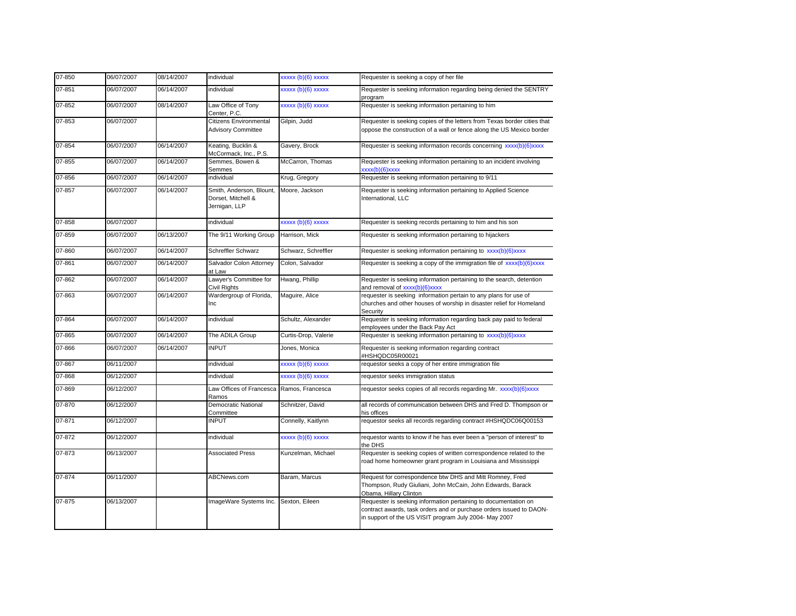| 07-850     | 06/07/2007 | 08/14/2007 | individual                                                      | xxxxx (b)(6) xxxxx   | Requester is seeking a copy of her file                                                                                                                                                          |
|------------|------------|------------|-----------------------------------------------------------------|----------------------|--------------------------------------------------------------------------------------------------------------------------------------------------------------------------------------------------|
| 07-851     | 06/07/2007 | 06/14/2007 | ndividual                                                       | xxxxx (b)(6) xxxxx   | Requester is seeking information regarding being denied the SENTRY<br>program                                                                                                                    |
| 07-852     | 06/07/2007 | 08/14/2007 | Law Office of Tony<br>Center, P.C.                              | xxxxx (b)(6) xxxxx   | Requester is seeking information pertaining to him                                                                                                                                               |
| 07-853     | 06/07/2007 |            | <b>Citizens Environmental</b><br><b>Advisory Committee</b>      | Gilpin, Judd         | Requester is seeking copies of the letters from Texas border cities that<br>oppose the construction of a wall or fence along the US Mexico border                                                |
| 07-854     | 06/07/2007 | 06/14/2007 | Keating, Bucklin &<br>McCormack, Inc., P.S.                     | Gavery, Brock        | Requester is seeking information records concerning xxxx(b)(6)xxxx                                                                                                                               |
| 07-855     | 06/07/2007 | 06/14/2007 | Semmes, Bowen &<br>Semmes                                       | McCarron, Thomas     | Requester is seeking information pertaining to an incident involving<br>xxxx(b)(6)xxxxx                                                                                                          |
| 07-856     | 06/07/2007 | 06/14/2007 | individual                                                      | Krug, Gregory        | Requester is seeking information pertaining to 9/11                                                                                                                                              |
| $07 - 857$ | 06/07/2007 | 06/14/2007 | Smith, Anderson, Blount,<br>Dorset, Mitchell &<br>Jernigan, LLP | Moore, Jackson       | Requester is seeking information pertaining to Applied Science<br>International, LLC                                                                                                             |
| 07-858     | 06/07/2007 |            | individual                                                      | xxxxx (b)(6) xxxxx   | Requester is seeking records pertaining to him and his son                                                                                                                                       |
| 07-859     | 06/07/2007 | 06/13/2007 | The 9/11 Working Group                                          | Harrison, Mick       | Requester is seeking information pertaining to hijackers                                                                                                                                         |
| 07-860     | 06/07/2007 | 06/14/2007 | Schreffler Schwarz                                              | Schwarz, Schreffler  | Requester is seeking information pertaining to xxxx(b)(6)xxxx                                                                                                                                    |
| 07-861     | 06/07/2007 | 06/14/2007 | Salvador Colon Attorney<br>at Law                               | Colon, Salvador      | Requester is seeking a copy of the immigration file of xxxx(b)(6)xxxx                                                                                                                            |
| 07-862     | 06/07/2007 | 06/14/2007 | Lawyer's Committee for<br>Civil Rights                          | Hwang, Phillip       | Requester is seeking information pertaining to the search, detention<br>and removal of xxxx(b)(6)xxxx                                                                                            |
| 07-863     | 06/07/2007 | 06/14/2007 | Wardergroup of Florida,<br>Inc                                  | Maguire, Alice       | requester is seeking information pertain to any plans for use of<br>churches and other houses of worship in disaster relief for Homeland<br>Security                                             |
| 07-864     | 06/07/2007 | 06/14/2007 | individual                                                      | Schultz, Alexander   | Requester is seeking information regarding back pay paid to federal<br>employees under the Back Pay Act                                                                                          |
| 07-865     | 06/07/2007 | 06/14/2007 | The ADILA Group                                                 | Curtis-Drop, Valerie | Requester is seeking information pertaining to xxxx(b)(6)xxxx                                                                                                                                    |
| 07-866     | 06/07/2007 | 06/14/2007 | <b>INPUT</b>                                                    | Jones, Monica        | Requester is seeking information regarding contract<br>#HSHQDC05R00021                                                                                                                           |
| 07-867     | 06/11/2007 |            | individual                                                      | xxxxx (b)(6) xxxxx   | requestor seeks a copy of her entire immigration file                                                                                                                                            |
| 07-868     | 06/12/2007 |            | individual                                                      | xxxxx (b)(6) xxxxx   | requestor seeks immigration status                                                                                                                                                               |
| 07-869     | 06/12/2007 |            | Law Offices of Francesca Ramos, Francesca<br>Ramos              |                      | requestor seeks copies of all records regarding Mr. xxxx(b)(6)xxxx                                                                                                                               |
| 07-870     | 06/12/2007 |            | Democratic National<br>Committee                                | Schnitzer, David     | all records of communication between DHS and Fred D. Thompson or<br>his offices                                                                                                                  |
| 07-871     | 06/12/2007 |            | <b>INPUT</b>                                                    | Connelly, Kaitlynn   | requestor seeks all records regarding contract #HSHQDC06Q00153                                                                                                                                   |
| 07-872     | 06/12/2007 |            | individual                                                      | xxxxx (b)(6) xxxxx   | requestor wants to know if he has ever been a "person of interest" to<br>the DHS                                                                                                                 |
| 07-873     | 06/13/2007 |            | <b>Associated Press</b>                                         | Kunzelman, Michael   | Requester is seeking copies of written correspondence related to the<br>road home homeowner grant program in Louisiana and Mississippi                                                           |
| 07-874     | 06/11/2007 |            | ABCNews.com                                                     | Baram, Marcus        | Request for correspondence btw DHS and Mitt Romney, Fred<br>Thompson, Rudy Giuliani, John McCain, John Edwards, Barack<br>Obama, Hillary Clinton                                                 |
| 07-875     | 06/13/2007 |            | ImageWare Systems Inc. Sexton, Eileen                           |                      | Requester is seeking information pertaining to documentation on<br>contract awards, task orders and or purchase orders issued to DAON-<br>in support of the US VISIT program July 2004- May 2007 |
|            |            |            |                                                                 |                      |                                                                                                                                                                                                  |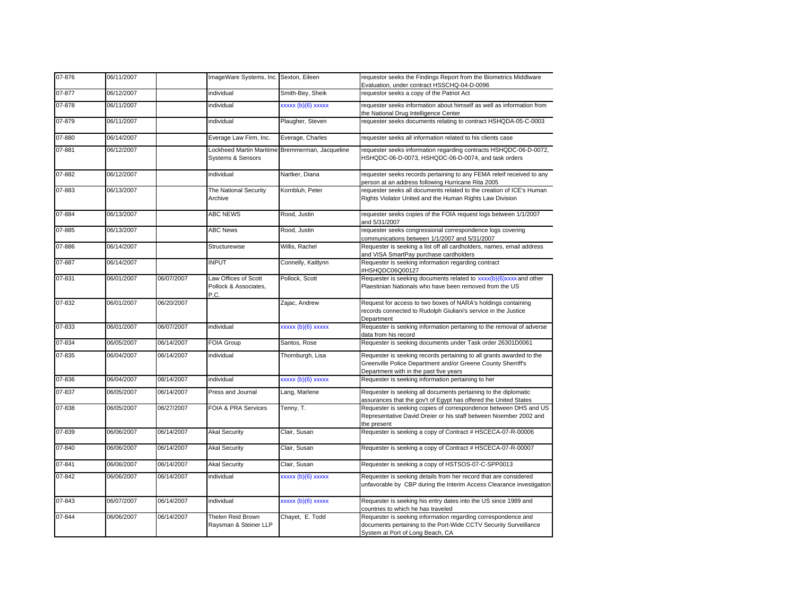| 07-876 | 06/11/2007 |            | ImageWare Systems, Inc. Sexton, Eileen                |                                                 | requestor seeks the Findings Report from the Biometrics Middlware<br>Evaluation, under contract HSSCHQ-04-D-0096                                                               |
|--------|------------|------------|-------------------------------------------------------|-------------------------------------------------|--------------------------------------------------------------------------------------------------------------------------------------------------------------------------------|
| 07-877 | 06/12/2007 |            | individual                                            | Smith-Bey, Sheik                                | requestor seeks a copy of the Patriot Act                                                                                                                                      |
| 07-878 | 06/11/2007 |            | individual                                            | xxxxx (b)(6) xxxxx                              | requester seeks information about himself as well as information from<br>the National Drug Intelligence Center                                                                 |
| 07-879 | 06/11/2007 |            | individual                                            | Plaugher, Steven                                | requester seeks documents relating to contract HSHQDA-05-C-0003                                                                                                                |
| 07-880 | 06/14/2007 |            | Everage Law Firm, Inc.                                | Everage, Charles                                | requester seeks all information related to his clients case                                                                                                                    |
| 07-881 | 06/12/2007 |            | Systems & Sensors                                     | Lockheed Martin Maritime Bremmerman, Jacqueline | requester seeks information regarding contracts HSHQDC-06-D-0072,<br>HSHQDC-06-D-0073, HSHQDC-06-D-0074, and task orders                                                       |
| 07-882 | 06/12/2007 |            | individual                                            | Nartker, Diana                                  | requester seeks records pertaining to any FEMA releif received to any<br>person at an address following Hurricane Rita 2005                                                    |
| 07-883 | 06/13/2007 |            | The National Security<br>Archive                      | Kornbluh, Peter                                 | requester seeks all documents related to the creation of ICE's Human<br>Rights Violator United and the Human Rights Law Division                                               |
| 07-884 | 06/13/2007 |            | ABC NEWS                                              | Rood, Justin                                    | requester seeks copies of the FOIA request logs between 1/1/2007<br>and 5/31/2007                                                                                              |
| 07-885 | 06/13/2007 |            | <b>ABC News</b>                                       | Rood, Justin                                    | requester seeks congressional correspondence logs covering<br>communications between 1/1/2007 and 5/31/2007                                                                    |
| 07-886 | 06/14/2007 |            | Structurewise                                         | Willis, Rachel                                  | Requester is seeking a list off all cardholders, names, email address<br>and VISA SmartPay purchase cardholders                                                                |
| 07-887 | 06/14/2007 |            | <b>INPUT</b>                                          | Connelly, Kaitlynn                              | Requester is seeking information regarding contract<br>#HSHQDC06Q00127                                                                                                         |
| 07-831 | 06/01/2007 | 06/07/2007 | Law Offices of Scott<br>Pollock & Associates,<br>P.C. | Pollock, Scott                                  | Requester is seeking documents related to xxxx(b)(6)xxxx and other<br>Plaestinian Nationals who have been removed from the US                                                  |
| 07-832 | 06/01/2007 | 06/20/2007 |                                                       | Zajac, Andrew                                   | Request for access to two boxes of NARA's holdings containing<br>records connected to Rudolph Giuliani's service in the Justice<br>Department                                  |
| 07-833 | 06/01/2007 | 06/07/2007 | individual                                            | xxxxx (b)(6) xxxxx                              | Requester is seeking information pertaining to the removal of adverse<br>data from his record                                                                                  |
| 07-834 | 06/05/2007 | 06/14/2007 | <b>FOIA Group</b>                                     | Santos, Rose                                    | Requester is seeking documents under Task order 26301D0061                                                                                                                     |
| 07-835 | 06/04/2007 | 06/14/2007 | individual                                            | Thornburgh, Lisa                                | Requester is seeking records pertaining to all grants awarded to the<br>Greenville Police Department and/or Greene County Sherriff's<br>Department with in the past five years |
| 07-836 | 06/04/2007 | 08/14/2007 | individual                                            | xxxxx (b)(6) xxxxx                              | Requester is seeking information pertaining to her                                                                                                                             |
| 07-837 | 06/05/2007 | 06/14/2007 | Press and Journal                                     | Lang, Marlene                                   | Requester is seeking all documents pertaining to the diplomatic<br>assurances that the gov't of Egypt has offered the United States                                            |
| 07-838 | 06/05/2007 | 06/27/2007 | FOIA & PRA Services                                   | Tenny, T.                                       | Requester is seeking copies of correspondence between DHS and US<br>Representative David Dreier or his staff between Noember 2002 and<br>the present                           |
| 07-839 | 06/06/2007 | 06/14/2007 | <b>Akal Security</b>                                  | Clair, Susan                                    | Requester is seeking a copy of Contract # HSCECA-07-R-00006                                                                                                                    |
| 07-840 | 06/06/2007 | 06/14/2007 | <b>Akal Security</b>                                  | Clair, Susan                                    | Requester is seeking a copy of Contract # HSCECA-07-R-00007                                                                                                                    |
| 07-841 | 06/06/2007 | 06/14/2007 | <b>Akal Security</b>                                  | Clair, Susan                                    | Requester is seeking a copy of HSTSOS-07-C-SPP0013                                                                                                                             |
| 07-842 | 06/06/2007 | 06/14/2007 | individual                                            | $\frac{1}{2}$ (b)(6) xxxxx                      | Requester is seeking details from her record that are considered<br>unfavorable by CBP during the Interim Access Clearance investigation                                       |
| 07-843 | 06/07/2007 | 06/14/2007 | individual                                            | xxxxx (b)(6) xxxxx                              | Requester is seeking his entry dates into the US since 1989 and<br>countries to which he has traveled                                                                          |
| 07-844 | 06/06/2007 | 06/14/2007 | Thelen Reid Brown<br>Raysman & Steiner LLP            | Chayet, E. Todd                                 | Requester is seeking information regarding correspondence and<br>documents pertaining to the Port-Wide CCTV Security Surveillance<br>System at Port of Long Beach, CA          |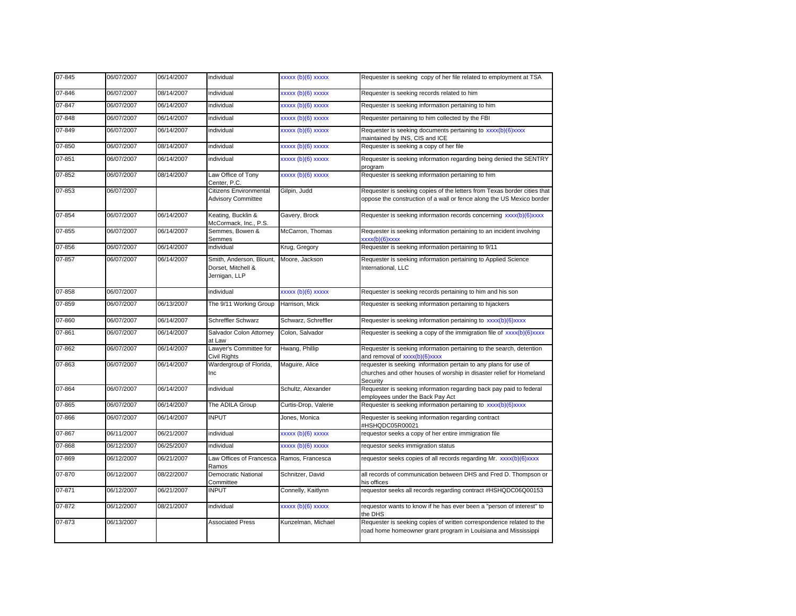| 07-845 | 06/07/2007 | 06/14/2007 | individual                                                      | xxxxx (b)(6) xxxxx   | Requester is seeking copy of her file related to employment at TSA                                                                                   |
|--------|------------|------------|-----------------------------------------------------------------|----------------------|------------------------------------------------------------------------------------------------------------------------------------------------------|
| 07-846 | 06/07/2007 | 08/14/2007 | individual                                                      | xxxxx (b)(6) xxxxx   | Requester is seeking records related to him                                                                                                          |
| 07-847 | 06/07/2007 | 06/14/2007 | individual                                                      | xxxxx (b)(6) xxxxx   | Requester is seeking information pertaining to him                                                                                                   |
| 07-848 | 06/07/2007 | 06/14/2007 | individual                                                      | xxxxx (b)(6) xxxxx   | Requester pertaining to him collected by the FBI                                                                                                     |
| 07-849 | 06/07/2007 | 06/14/2007 | individual                                                      | xxxxx (b)(6) xxxxx   | Requester is seeking documents pertaining to xxxx(b)(6)xxxx<br>maintained by INS, CIS and ICE                                                        |
| 07-850 | 06/07/2007 | 08/14/2007 | individual                                                      | xxxxx (b)(6) xxxxx   | Requester is seeking a copy of her file                                                                                                              |
| 07-851 | 06/07/2007 | 06/14/2007 | individual                                                      | xxxxx (b)(6) xxxxx   | Requester is seeking information regarding being denied the SENTRY<br>program                                                                        |
| 07-852 | 06/07/2007 | 08/14/2007 | aw Office of Tony<br>Center, P.C.                               | xxxxx (b)(6) xxxxx   | Requester is seeking information pertaining to him                                                                                                   |
| 07-853 | 06/07/2007 |            | Citizens Environmental<br><b>Advisory Committee</b>             | Gilpin, Judd         | Requester is seeking copies of the letters from Texas border cities that<br>oppose the construction of a wall or fence along the US Mexico border    |
| 07-854 | 06/07/2007 | 06/14/2007 | Keating, Bucklin &<br>McCormack, Inc., P.S.                     | Gavery, Brock        | Requester is seeking information records concerning xxxx(b)(6)xxxx                                                                                   |
| 07-855 | 06/07/2007 | 06/14/2007 | Semmes, Bowen &<br>Semmes                                       | McCarron, Thomas     | Requester is seeking information pertaining to an incident involving<br>xxxx(b)(6)xxxxx                                                              |
| 07-856 | 06/07/2007 | 06/14/2007 | individual                                                      | Krug, Gregory        | Requester is seeking information pertaining to 9/11                                                                                                  |
| 07-857 | 06/07/2007 | 06/14/2007 | Smith, Anderson, Blount,<br>Dorset, Mitchell &<br>Jernigan, LLP | Moore, Jackson       | Requester is seeking information pertaining to Applied Science<br>International, LLC                                                                 |
| 07-858 | 06/07/2007 |            | individual                                                      | xxxxx (b)(6) xxxxx   | Requester is seeking records pertaining to him and his son                                                                                           |
| 07-859 | 06/07/2007 | 06/13/2007 | The 9/11 Working Group                                          | Harrison, Mick       | Requester is seeking information pertaining to hijackers                                                                                             |
| 07-860 | 06/07/2007 | 06/14/2007 | Schreffler Schwarz                                              | Schwarz, Schreffler  | Requester is seeking information pertaining to xxxx(b)(6)xxxx                                                                                        |
| 07-861 | 06/07/2007 | 06/14/2007 | Salvador Colon Attorney<br>at Law                               | Colon, Salvador      | Requester is seeking a copy of the immigration file of xxxx(b)(6)xxxx                                                                                |
| 07-862 | 06/07/2007 | 06/14/2007 | Lawyer's Committee for<br>Civil Rights                          | Hwang, Phillip       | Requester is seeking information pertaining to the search, detention<br>and removal of xxxx(b)(6)xxxx                                                |
| 07-863 | 06/07/2007 | 06/14/2007 | Wardergroup of Florida,<br>Inc                                  | Maguire, Alice       | requester is seeking information pertain to any plans for use of<br>churches and other houses of worship in disaster relief for Homeland<br>Security |
| 07-864 | 06/07/2007 | 06/14/2007 | individual                                                      | Schultz, Alexander   | Requester is seeking information regarding back pay paid to federal<br>employees under the Back Pay Act                                              |
| 07-865 | 06/07/2007 | 06/14/2007 | The ADILA Group                                                 | Curtis-Drop, Valerie | Requester is seeking information pertaining to xxxx(b)(6)xxxx                                                                                        |
| 07-866 | 06/07/2007 | 06/14/2007 | <b>INPUT</b>                                                    | Jones, Monica        | Requester is seeking information regarding contract<br>#HSHQDC05R00021                                                                               |
| 07-867 | 06/11/2007 | 06/21/2007 | individual                                                      | xxxxx (b)(6) xxxxx   | requestor seeks a copy of her entire immigration file                                                                                                |
| 07-868 | 06/12/2007 | 06/25/2007 | individual                                                      | xxxxx (b)(6) xxxxx   | requestor seeks immigration status                                                                                                                   |
| 07-869 | 06/12/2007 | 06/21/2007 | Law Offices of Francesca Ramos, Francesca<br>Ramos              |                      | requestor seeks copies of all records regarding Mr. xxxx(b)(6)xxxx                                                                                   |
| 07-870 | 06/12/2007 | 08/22/2007 | Democratic National<br>Committee                                | Schnitzer, David     | all records of communication between DHS and Fred D. Thompson or<br>his offices                                                                      |
| 07-871 | 06/12/2007 | 06/21/2007 | <b>INPUT</b>                                                    | Connelly, Kaitlynn   | requestor seeks all records regarding contract #HSHQDC06Q00153                                                                                       |
| 07-872 | 06/12/2007 | 08/21/2007 | individual                                                      | xxxxx (b)(6) xxxxx   | requestor wants to know if he has ever been a "person of interest" to<br>the DHS                                                                     |
| 07-873 | 06/13/2007 |            | <b>Associated Press</b>                                         | Kunzelman, Michael   | Requester is seeking copies of written correspondence related to the<br>road home homeowner grant program in Louisiana and Mississippi               |
|        |            |            |                                                                 |                      |                                                                                                                                                      |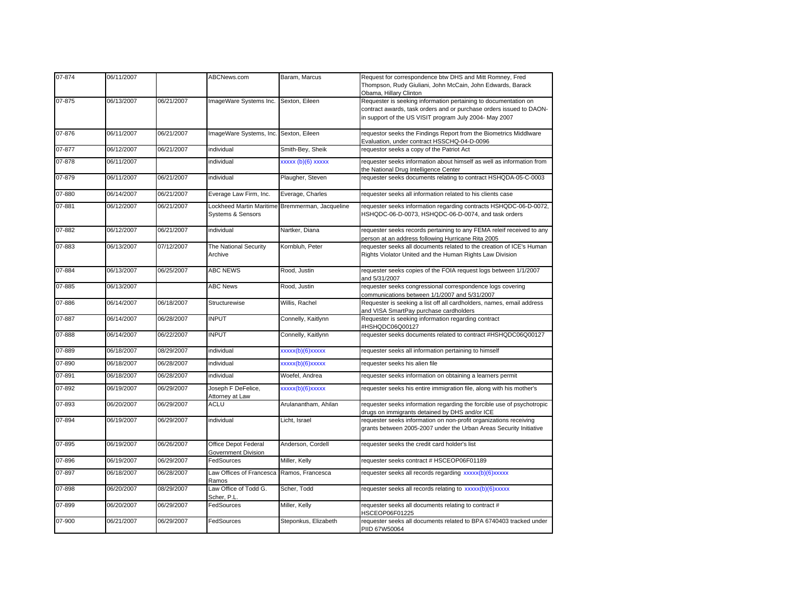| 07-874 | 06/11/2007 |            | ABCNews.com                                 | Baram, Marcus                                   | Request for correspondence btw DHS and Mitt Romney, Fred<br>Thompson, Rudy Giuliani, John McCain, John Edwards, Barack<br>Obama, Hillary Clinton                                                 |
|--------|------------|------------|---------------------------------------------|-------------------------------------------------|--------------------------------------------------------------------------------------------------------------------------------------------------------------------------------------------------|
| 07-875 | 06/13/2007 | 06/21/2007 | ImageWare Systems Inc. Sexton, Eileen       |                                                 | Requester is seeking information pertaining to documentation on<br>contract awards, task orders and or purchase orders issued to DAON-<br>in support of the US VISIT program July 2004- May 2007 |
| 07-876 | 06/11/2007 | 06/21/2007 | ImageWare Systems, Inc. Sexton, Eileen      |                                                 | requestor seeks the Findings Report from the Biometrics Middlware<br>Evaluation, under contract HSSCHQ-04-D-0096                                                                                 |
| 07-877 | 06/12/2007 | 06/21/2007 | individual                                  | Smith-Bey, Sheik                                | requestor seeks a copy of the Patriot Act                                                                                                                                                        |
| 07-878 | 06/11/2007 |            | individual                                  | xxxxx (b)(6) xxxxx                              | requester seeks information about himself as well as information from<br>the National Drug Intelligence Center                                                                                   |
| 07-879 | 06/11/2007 | 06/21/2007 | individual                                  | Plaugher, Steven                                | requester seeks documents relating to contract HSHQDA-05-C-0003                                                                                                                                  |
| 07-880 | 06/14/2007 | 06/21/2007 | Everage Law Firm, Inc.                      | Everage, Charles                                | requester seeks all information related to his clients case                                                                                                                                      |
| 07-881 | 06/12/2007 | 06/21/2007 | Systems & Sensors                           | Lockheed Martin Maritime Bremmerman, Jacqueline | requester seeks information regarding contracts HSHQDC-06-D-0072,<br>HSHQDC-06-D-0073, HSHQDC-06-D-0074, and task orders                                                                         |
| 07-882 | 06/12/2007 | 06/21/2007 | individual                                  | Nartker, Diana                                  | requester seeks records pertaining to any FEMA releif received to any<br>person at an address following Hurricane Rita 2005                                                                      |
| 07-883 | 06/13/2007 | 07/12/2007 | The National Security<br>Archive            | Kornbluh, Peter                                 | requester seeks all documents related to the creation of ICE's Human<br>Rights Violator United and the Human Rights Law Division                                                                 |
| 07-884 | 06/13/2007 | 06/25/2007 | <b>ABC NEWS</b>                             | Rood, Justin                                    | requester seeks copies of the FOIA request logs between 1/1/2007<br>and 5/31/2007                                                                                                                |
| 07-885 | 06/13/2007 |            | <b>ABC News</b>                             | Rood, Justin                                    | requester seeks congressional correspondence logs covering<br>communications between 1/1/2007 and 5/31/2007                                                                                      |
| 07-886 | 06/14/2007 | 06/18/2007 | Structurewise                               | Willis, Rachel                                  | Requester is seeking a list off all cardholders, names, email address<br>and VISA SmartPay purchase cardholders                                                                                  |
| 07-887 | 06/14/2007 | 06/28/2007 | <b>INPUT</b>                                | Connelly, Kaitlynn                              | Requester is seeking information regarding contract<br>#HSHQDC06Q00127                                                                                                                           |
| 07-888 | 06/14/2007 | 06/22/2007 | <b>INPUT</b>                                | Connelly, Kaitlynn                              | requester seeks documents related to contract #HSHQDC06Q00127                                                                                                                                    |
| 07-889 | 06/18/2007 | 08/29/2007 | individual                                  | xxxxx(b)(6)xxxxx                                | requester seeks all information pertaining to himself                                                                                                                                            |
| 07-890 | 06/18/2007 | 06/28/2007 | individual                                  | xxxxx(b)(6)xxxxx                                | requester seeks his alien file                                                                                                                                                                   |
| 07-891 | 06/18/2007 | 06/28/2007 | individual                                  | Woefel, Andrea                                  | requester seeks information on obtaining a learners permit                                                                                                                                       |
| 07-892 | 06/19/2007 | 06/29/2007 | Joseph F DeFelice,<br>Attorney at Law       | xxxxx(b)(6)xxxxx                                | requester seeks his entire immigration file, along with his mother's                                                                                                                             |
| 07-893 | 06/20/2007 | 06/29/2007 | <b>ACLU</b>                                 | Arulanantham, Ahilan                            | requester seeks information regarding the forcible use of psychotropic<br>drugs on immigrants detained by DHS and/or ICE                                                                         |
| 07-894 | 06/19/2007 | 06/29/2007 | individual                                  | Licht, Israel                                   | requester seeks information on non-profit organizations receiving<br>grants between 2005-2007 under the Urban Areas Security Initiative                                                          |
| 07-895 | 06/19/2007 | 06/26/2007 | Office Depot Federal<br>Government Division | Anderson, Cordell                               | requester seeks the credit card holder's list                                                                                                                                                    |
| 07-896 | 06/19/2007 | 06/29/2007 | FedSources                                  | Miller, Kelly                                   | requester seeks contract # HSCEOP06F01189                                                                                                                                                        |
| 07-897 | 06/18/2007 | 06/28/2007 | Law Offices of Francesca<br>Ramos           | Ramos, Francesca                                | requester seeks all records regarding xxxxx(b)(6)xxxxx                                                                                                                                           |
| 07-898 | 06/20/2007 | 08/29/2007 | Law Office of Todd G.<br>Scher, P.L         | Scher, Todd                                     | requester seeks all records relating to xxxxx(b)(6)xxxxx                                                                                                                                         |
| 07-899 | 06/20/2007 | 06/29/2007 | FedSources                                  | Miller, Kelly                                   | requester seeks all documents relating to contract #<br>HSCEOP06F01225                                                                                                                           |
| 07-900 | 06/21/2007 | 06/29/2007 | FedSources                                  | Steponkus, Elizabeth                            | requester seeks all documents related to BPA 6740403 tracked under<br>PIID 67W50064                                                                                                              |
|        |            |            |                                             |                                                 |                                                                                                                                                                                                  |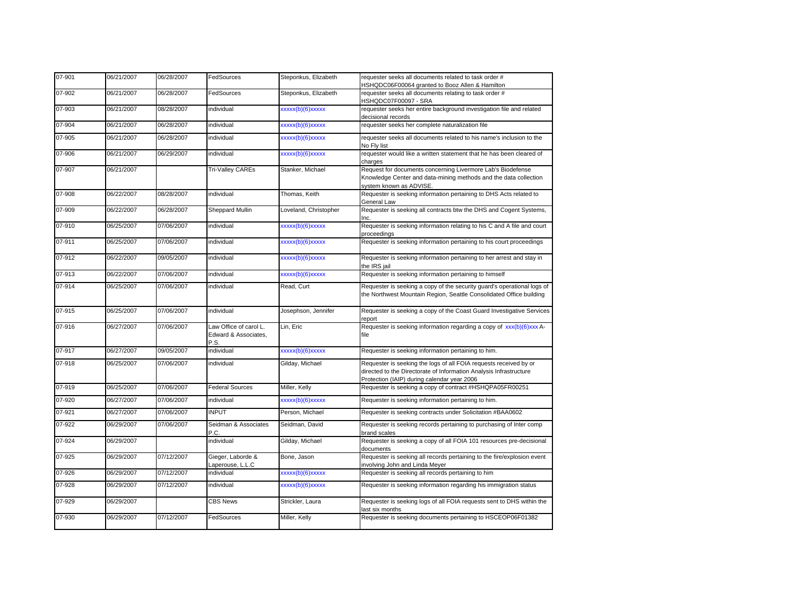| 07-901 | 06/21/2007 | 06/28/2007 | FedSources                                             | Steponkus, Elizabeth  | requester seeks all documents related to task order #<br>HSHQDC06F00064 granted to Booz Allen & Hamilton                                                                               |
|--------|------------|------------|--------------------------------------------------------|-----------------------|----------------------------------------------------------------------------------------------------------------------------------------------------------------------------------------|
| 07-902 | 06/21/2007 | 06/28/2007 | FedSources                                             | Steponkus, Elizabeth  | requester seeks all documents relating to task order #<br>HSHQDC07F00097 - SRA                                                                                                         |
| 07-903 | 06/21/2007 | 08/28/2007 | individual                                             | xxxxx(b)(6)xxxxx      | requester seeks her entire background investigation file and related<br>decisional records                                                                                             |
| 07-904 | 06/21/2007 | 06/28/2007 | individual                                             | xxxxx(b)(6)xxxxx      | requester seeks her complete naturalization file                                                                                                                                       |
| 07-905 | 06/21/2007 | 06/28/2007 | individual                                             | xxxxx(b)(6)xxxxx      | requester seeks all documents related to his name's inclusion to the<br>No Fly list                                                                                                    |
| 07-906 | 06/21/2007 | 06/29/2007 | individual                                             | xxxxx(b)(6)xxxxx      | requester would like a written statement that he has been cleared of<br>charges                                                                                                        |
| 07-907 | 06/21/2007 |            | <b>Tri-Valley CAREs</b>                                | Stanker, Michael      | Request for documents concerning Livermore Lab's Biodefense<br>Knowledge Center and data-mining methods and the data collection<br>system known as ADVISE.                             |
| 07-908 | 06/22/2007 | 08/28/2007 | individual                                             | Thomas, Keith         | Requester is seeking information pertaining to DHS Acts related to<br>General Law                                                                                                      |
| 07-909 | 06/22/2007 | 06/28/2007 | Sheppard Mullin                                        | Loveland, Christopher | Requester is seeking all contracts btw the DHS and Cogent Systems,<br>Inc.                                                                                                             |
| 07-910 | 06/25/2007 | 07/06/2007 | individual                                             | xxxxx(b)(6)xxxxx      | Requester is seeking information relating to his C and A file and court<br>proceedings                                                                                                 |
| 07-911 | 06/25/2007 | 07/06/2007 | individual                                             | xxxxx(b)(6)xxxxx      | Requester is seeking information pertaining to his court proceedings                                                                                                                   |
| 07-912 | 06/22/2007 | 09/05/2007 | individual                                             | xxxxx(b)(6)xxxxx      | Requester is seeking information pertaining to her arrest and stay in<br>the IRS jail                                                                                                  |
| 07-913 | 06/22/2007 | 07/06/2007 | individual                                             | xxxxx(b)(6)xxxxx      | Requester is seeking information pertaining to himself                                                                                                                                 |
| 07-914 | 06/25/2007 | 07/06/2007 | individual                                             | Read, Curt            | Requester is seeking a copy of the security guard's operational logs of<br>the Northwest Mountain Region, Seattle Consolidated Office building                                         |
| 07-915 | 06/25/2007 | 07/06/2007 | individual                                             | Josephson, Jennifer   | Requester is seeking a copy of the Coast Guard Investigative Services<br>report                                                                                                        |
| 07-916 | 06/27/2007 | 07/06/2007 | Law Office of carol L.<br>Edward & Associates,<br>P.S. | Lin, Eric             | Requester is seeking information regarding a copy of xxx(b)(6)xxx A-<br>file                                                                                                           |
| 07-917 | 06/27/2007 | 09/05/2007 | individual                                             | xxxxx(b)(6)xxxxx      | Requester is seeking information pertaining to him.                                                                                                                                    |
| 07-918 | 06/25/2007 | 07/06/2007 | individual                                             | Gilday, Michael       | Requester is seeking the logs of all FOIA requests received by or<br>directed to the Directorate of Information Analysis Infrastructure<br>Protection (IAIP) during calendar year 2006 |
| 07-919 | 06/25/2007 | 07/06/2007 | <b>Federal Sources</b>                                 | Miller, Kelly         | Requester is seeking a copy of contract #HSHQPA05FR00251                                                                                                                               |
| 07-920 | 06/27/2007 | 07/06/2007 | individual                                             | xxxxx(b)(6)xxxxx      | Requester is seeking information pertaining to him.                                                                                                                                    |
| 07-921 | 06/27/2007 | 07/06/2007 | <b>INPUT</b>                                           | Person, Michael       | Requester is seeking contracts under Solicitation #BAA0602                                                                                                                             |
| 07-922 | 06/29/2007 | 07/06/2007 | Seidman & Associates<br>P.C.                           | Seidman, David        | Requester is seeking records pertaining to purchasing of Inter comp<br>brand scales                                                                                                    |
| 07-924 | 06/29/2007 |            | individual                                             | Gilday, Michael       | Requester is seeking a copy of all FOIA 101 resources pre-decisional<br>documents                                                                                                      |
| 07-925 | 06/29/2007 | 07/12/2007 | Gieger, Laborde &<br>aperouse, L.L.C                   | Bone, Jason           | Requester is seeking all records pertaining to the fire/explosion event<br>involving John and Linda Meyer                                                                              |
| 07-926 | 06/29/2007 | 07/12/2007 | individual                                             | xxxxx(b)(6)xxxxx      | Requester is seeking all records pertaining to him                                                                                                                                     |
| 07-928 | 06/29/2007 | 07/12/2007 | individual                                             | xxxxx(b)(6)xxxxx      | Requester is seeking information regarding his immigration status                                                                                                                      |
| 07-929 | 06/29/2007 |            | <b>CBS News</b>                                        | Strickler, Laura      | Requester is seeking logs of all FOIA requests sent to DHS within the<br>last six months                                                                                               |
| 07-930 | 06/29/2007 | 07/12/2007 | FedSources                                             | Miller, Kelly         | Requester is seeking documents pertaining to HSCEOP06F01382                                                                                                                            |
|        |            |            |                                                        |                       |                                                                                                                                                                                        |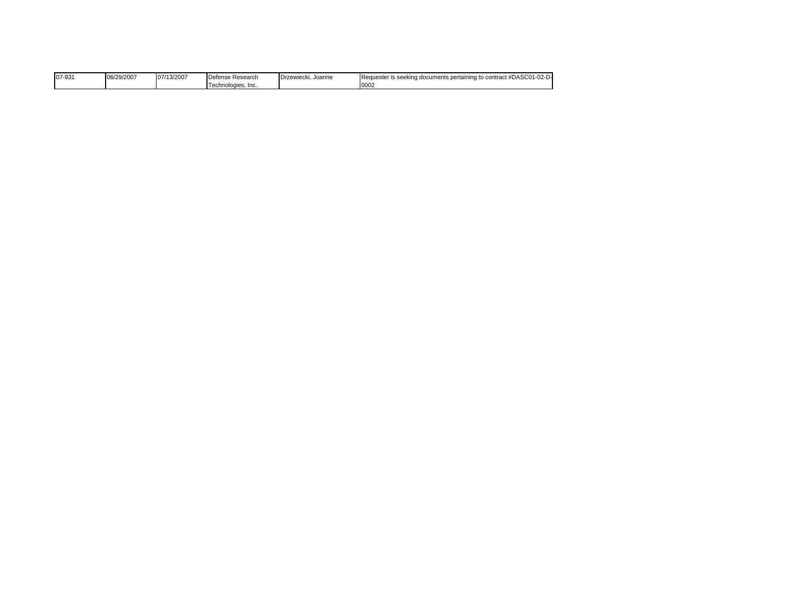| 07-931 | 06/29/2007<br>10t | //13/2007<br>$-1$<br>IO 7 | Defense Research   | Drzewiecki, Joanne | $#DASC01-0$<br>$\sim$ $\sim$<br><b>IRed</b><br>tuester is seeking⊣<br>i documents pertaining to<br>↑ contract .<br>-02-L |
|--------|-------------------|---------------------------|--------------------|--------------------|--------------------------------------------------------------------------------------------------------------------------|
|        |                   |                           | Technologies, Inc. |                    | 0002                                                                                                                     |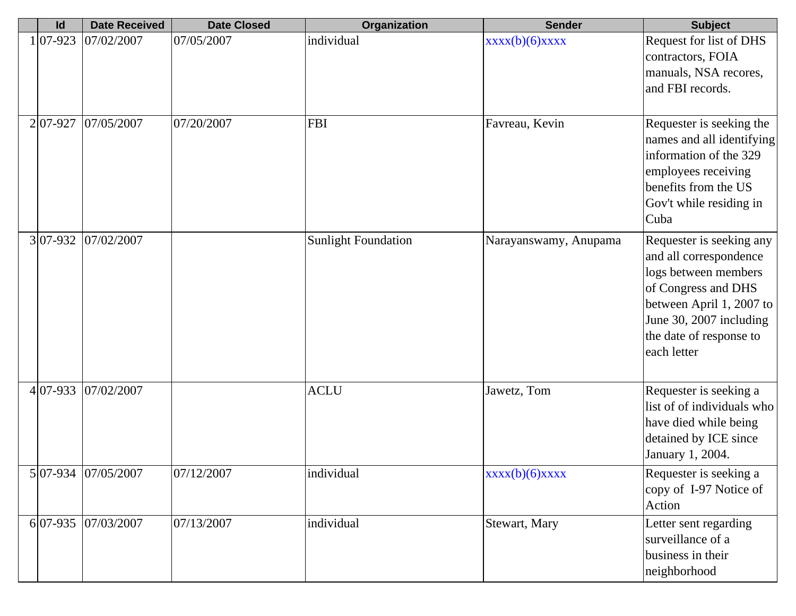| Id          | <b>Date Received</b> | <b>Date Closed</b> | Organization               | <b>Sender</b>         | <b>Subject</b>                                                                                                                                                                                     |
|-------------|----------------------|--------------------|----------------------------|-----------------------|----------------------------------------------------------------------------------------------------------------------------------------------------------------------------------------------------|
| $1 07-923$  | 07/02/2007           | 07/05/2007         | individual                 | $xxxx(b)(6)$ $xxxxx$  | Request for list of DHS<br>contractors, FOIA<br>manuals, NSA recores,<br>and FBI records.                                                                                                          |
| $2 07-927$  | 07/05/2007           | 07/20/2007         | <b>FBI</b>                 | Favreau, Kevin        | Requester is seeking the<br>names and all identifying<br>information of the 329<br>employees receiving<br>benefits from the US<br>Gov't while residing in<br>Cuba                                  |
| $3 07-932 $ | 07/02/2007           |                    | <b>Sunlight Foundation</b> | Narayanswamy, Anupama | Requester is seeking any<br>and all correspondence<br>logs between members<br>of Congress and DHS<br>between April 1, 2007 to<br>June 30, 2007 including<br>the date of response to<br>each letter |
| $4 07-933$  | 07/02/2007           |                    | <b>ACLU</b>                | Jawetz, Tom           | Requester is seeking a<br>list of of individuals who<br>have died while being<br>detained by ICE since<br>January 1, 2004.                                                                         |
|             | 5 07-934  07/05/2007 | 07/12/2007         | individual                 | $xxx(b)(6)$ $xxxxx$   | Requester is seeking a<br>copy of I-97 Notice of<br>Action                                                                                                                                         |
| $6 07-935$  | 07/03/2007           | 07/13/2007         | individual                 | Stewart, Mary         | Letter sent regarding<br>surveillance of a<br>business in their<br>neighborhood                                                                                                                    |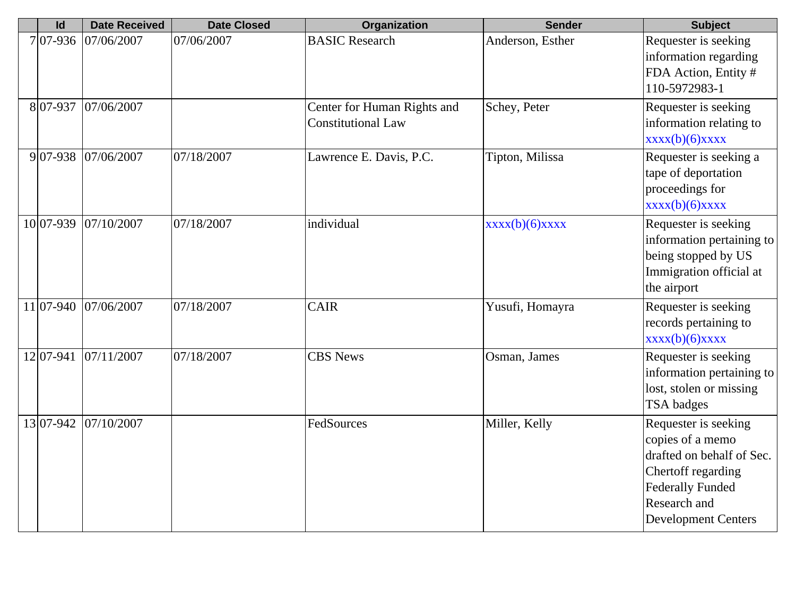| Id          | <b>Date Received</b> | <b>Date Closed</b> | Organization                                             | <b>Sender</b>    | <b>Subject</b>                                                                                                                                                       |
|-------------|----------------------|--------------------|----------------------------------------------------------|------------------|----------------------------------------------------------------------------------------------------------------------------------------------------------------------|
| $7 07-936$  | 07/06/2007           | 07/06/2007         | <b>BASIC Research</b>                                    | Anderson, Esther | Requester is seeking<br>information regarding<br>FDA Action, Entity #<br>110-5972983-1                                                                               |
| 8 07-937    | 07/06/2007           |                    | Center for Human Rights and<br><b>Constitutional Law</b> | Schey, Peter     | Requester is seeking<br>information relating to<br>xxxx(b)(6)xxxx                                                                                                    |
| 9 07-938    | 07/06/2007           | 07/18/2007         | Lawrence E. Davis, P.C.                                  | Tipton, Milissa  | Requester is seeking a<br>tape of deportation<br>proceedings for<br>xxxx(b)(6)xxxx                                                                                   |
| 10 07-939   | 07/10/2007           | 07/18/2007         | individual                                               | xxxx(b)(6)xxxx   | Requester is seeking<br>information pertaining to<br>being stopped by US<br>Immigration official at<br>the airport                                                   |
| $11 07-940$ | 07/06/2007           | 07/18/2007         | <b>CAIR</b>                                              | Yusufi, Homayra  | Requester is seeking<br>records pertaining to<br>xxxx(b)(6)xxxx                                                                                                      |
| 12 07-941   | 07/11/2007           | 07/18/2007         | <b>CBS</b> News                                          | Osman, James     | Requester is seeking<br>information pertaining to<br>lost, stolen or missing<br>TSA badges                                                                           |
| 13 07-942   | 07/10/2007           |                    | FedSources                                               | Miller, Kelly    | Requester is seeking<br>copies of a memo<br>drafted on behalf of Sec.<br>Chertoff regarding<br><b>Federally Funded</b><br>Research and<br><b>Development Centers</b> |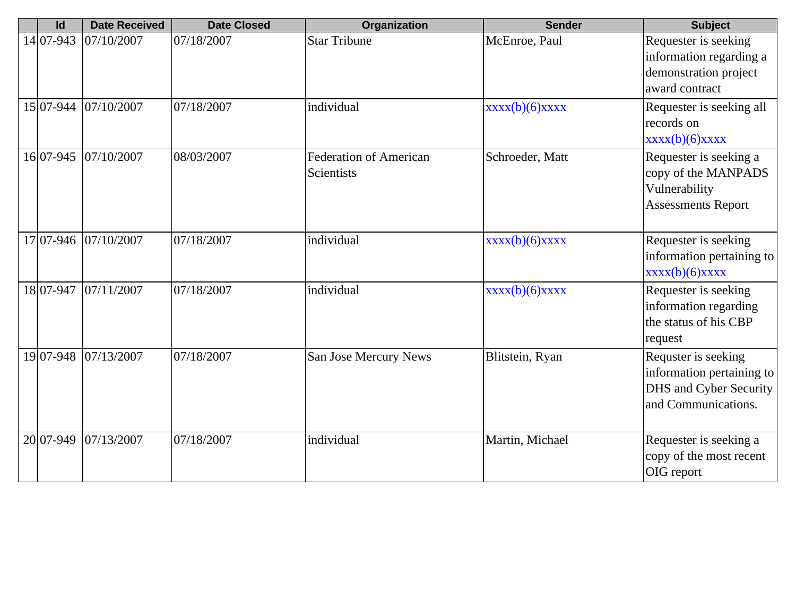| Id        | <b>Date Received</b> | <b>Date Closed</b> | Organization                  | <b>Sender</b>   | <b>Subject</b>                |
|-----------|----------------------|--------------------|-------------------------------|-----------------|-------------------------------|
| 14 07-943 | 07/10/2007           | 07/18/2007         | <b>Star Tribune</b>           | McEnroe, Paul   | Requester is seeking          |
|           |                      |                    |                               |                 | information regarding a       |
|           |                      |                    |                               |                 | demonstration project         |
|           |                      |                    |                               |                 | award contract                |
| 15 07-944 | 07/10/2007           | 07/18/2007         | individual                    | xxxx(b)(6)xxxx  | Requester is seeking all      |
|           |                      |                    |                               |                 | records on                    |
|           |                      |                    |                               |                 | $xxxx(b)(6)$ $xxxxx$          |
| 16 07-945 | 07/10/2007           | 08/03/2007         | <b>Federation of American</b> | Schroeder, Matt | Requester is seeking a        |
|           |                      |                    | <b>Scientists</b>             |                 | copy of the MANPADS           |
|           |                      |                    |                               |                 | Vulnerability                 |
|           |                      |                    |                               |                 | Assessments Report            |
|           |                      |                    |                               |                 |                               |
|           | 17 07-946 07/10/2007 | 07/18/2007         | individual                    | xxxx(b)(6)xxxx  | Requester is seeking          |
|           |                      |                    |                               |                 | information pertaining to     |
|           |                      |                    |                               |                 | $xxxx(b)(6)$ $xxxxx$          |
| 18 07-947 | 07/11/2007           | 07/18/2007         | individual                    | xxxx(b)(6)xxxx  | Requester is seeking          |
|           |                      |                    |                               |                 | information regarding         |
|           |                      |                    |                               |                 | the status of his CBP         |
|           |                      |                    |                               |                 | request                       |
| 19 07-948 | 07/13/2007           | 07/18/2007         | San Jose Mercury News         | Blitstein, Ryan | Requster is seeking           |
|           |                      |                    |                               |                 | information pertaining to     |
|           |                      |                    |                               |                 | <b>DHS</b> and Cyber Security |
|           |                      |                    |                               |                 | and Communications.           |
|           |                      |                    |                               |                 |                               |
| 20 07-949 | 07/13/2007           | 07/18/2007         | individual                    | Martin, Michael | Requester is seeking a        |
|           |                      |                    |                               |                 | copy of the most recent       |
|           |                      |                    |                               |                 | OIG report                    |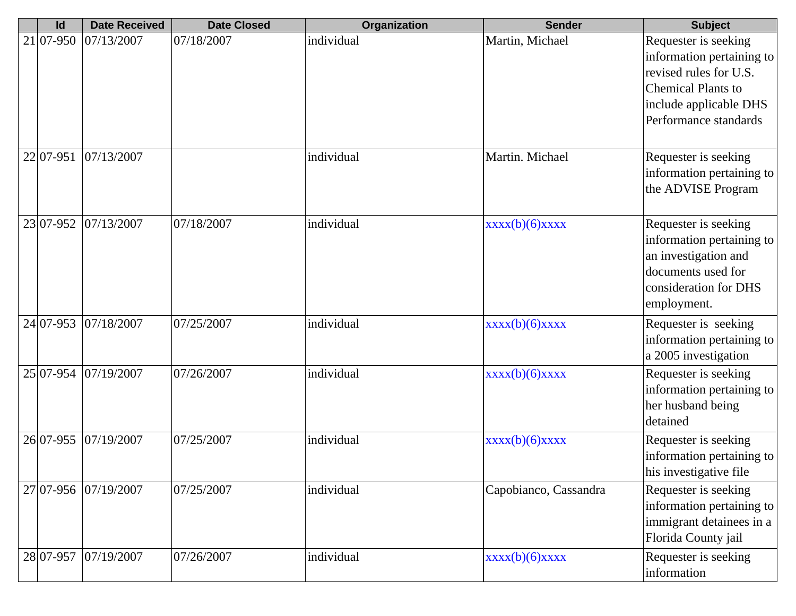| Id          | <b>Date Received</b> | <b>Date Closed</b> | Organization | <b>Sender</b>         | <b>Subject</b>                                    |
|-------------|----------------------|--------------------|--------------|-----------------------|---------------------------------------------------|
| $21 07-950$ | 07/13/2007           | 07/18/2007         | individual   | Martin, Michael       | Requester is seeking<br>information pertaining to |
|             |                      |                    |              |                       | revised rules for U.S.                            |
|             |                      |                    |              |                       | <b>Chemical Plants to</b>                         |
|             |                      |                    |              |                       | include applicable DHS                            |
|             |                      |                    |              |                       | Performance standards                             |
|             |                      |                    |              |                       |                                                   |
| 22 07-951   | 07/13/2007           |                    | individual   | Martin. Michael       | Requester is seeking                              |
|             |                      |                    |              |                       | information pertaining to                         |
|             |                      |                    |              |                       | the ADVISE Program                                |
| 23 07-952   | 07/13/2007           | 07/18/2007         | individual   | $xxxx(b)(6)$ $xxxxx$  | Requester is seeking                              |
|             |                      |                    |              |                       | information pertaining to                         |
|             |                      |                    |              |                       | an investigation and                              |
|             |                      |                    |              |                       | documents used for                                |
|             |                      |                    |              |                       | consideration for DHS                             |
|             |                      |                    |              |                       | employment.                                       |
| 24 07-953   | 07/18/2007           | 07/25/2007         | individual   | xxxx(b)(6)xxxx        | Requester is seeking                              |
|             |                      |                    |              |                       | information pertaining to                         |
|             |                      |                    |              |                       | a 2005 investigation                              |
| 25 07-954   | 07/19/2007           | 07/26/2007         | individual   | $xxxx(b)(6)$ $xxxxx$  | Requester is seeking                              |
|             |                      |                    |              |                       | information pertaining to                         |
|             |                      |                    |              |                       | her husband being                                 |
|             |                      |                    |              |                       | detained                                          |
| 26 07-955   | 07/19/2007           | 07/25/2007         | individual   | xxxx(b)(6)xxxx        | Requester is seeking                              |
|             |                      |                    |              |                       | information pertaining to                         |
|             |                      |                    |              |                       | his investigative file                            |
|             | 27 07-956 07/19/2007 | 07/25/2007         | individual   | Capobianco, Cassandra | Requester is seeking                              |
|             |                      |                    |              |                       | information pertaining to                         |
|             |                      |                    |              |                       | immigrant detainees in a                          |
|             |                      |                    |              |                       | Florida County jail                               |
| 28 07-957   | 07/19/2007           | 07/26/2007         | individual   | xxxx(b)(6)xxxx        | Requester is seeking                              |
|             |                      |                    |              |                       | information                                       |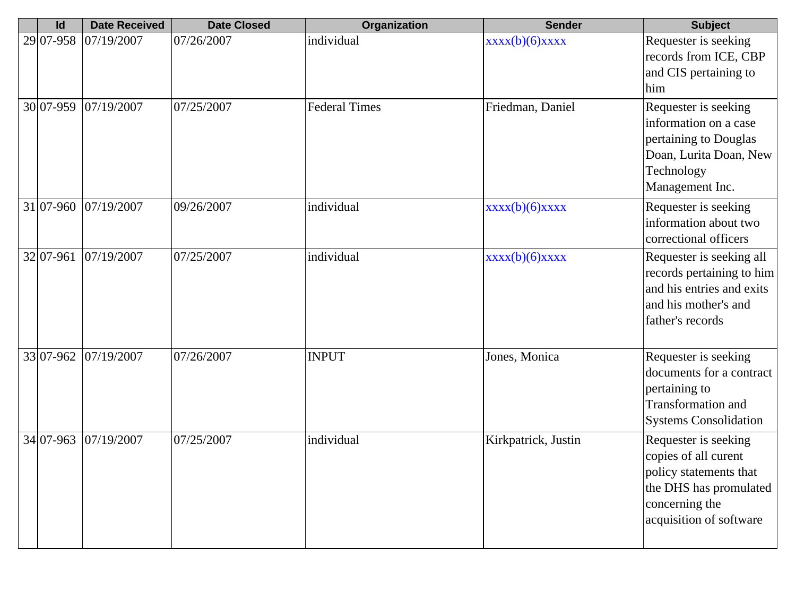| Id           | <b>Date Received</b> | <b>Date Closed</b> | Organization         | <b>Sender</b>        | <b>Subject</b>                                                                                                                                |
|--------------|----------------------|--------------------|----------------------|----------------------|-----------------------------------------------------------------------------------------------------------------------------------------------|
| 29 07-958    | 07/19/2007           | 07/26/2007         | individual           | $xxxx(b)(6)$ $xxxxx$ | Requester is seeking<br>records from ICE, CBP<br>and CIS pertaining to<br>him                                                                 |
| 30 07-959    | 07/19/2007           | 07/25/2007         | <b>Federal Times</b> | Friedman, Daniel     | Requester is seeking<br>information on a case<br>pertaining to Douglas<br>Doan, Lurita Doan, New<br>Technology<br>Management Inc.             |
|              | 31 07-960 07/19/2007 | 09/26/2007         | individual           | $xxxx(b)(6)$ $xxxxx$ | Requester is seeking<br>information about two<br>correctional officers                                                                        |
| $32 07-961$  | 07/19/2007           | 07/25/2007         | individual           | $xxxx(b)(6)$ $xxxxx$ | Requester is seeking all<br>records pertaining to him<br>and his entries and exits<br>and his mother's and<br>father's records                |
| 33 07-962    | 07/19/2007           | 07/26/2007         | <b>INPUT</b>         | Jones, Monica        | Requester is seeking<br>documents for a contract<br>pertaining to<br><b>Transformation and</b><br><b>Systems Consolidation</b>                |
| $34 07-963 $ | 07/19/2007           | 07/25/2007         | individual           | Kirkpatrick, Justin  | Requester is seeking<br>copies of all curent<br>policy statements that<br>the DHS has promulated<br>concerning the<br>acquisition of software |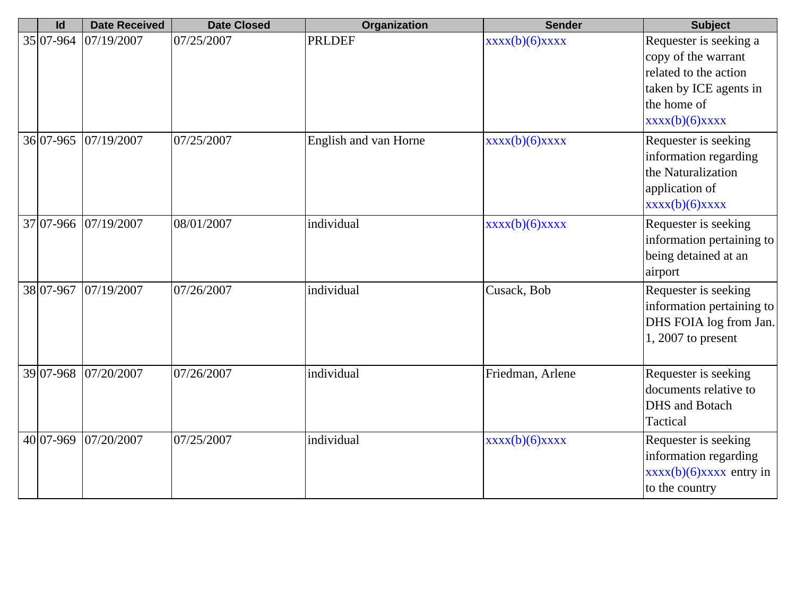| Id        | <b>Date Received</b> | <b>Date Closed</b> | Organization          | <b>Sender</b>       | <b>Subject</b>                                                                                                                    |
|-----------|----------------------|--------------------|-----------------------|---------------------|-----------------------------------------------------------------------------------------------------------------------------------|
| 35 07-964 | 07/19/2007           | 07/25/2007         | <b>PRLDEF</b>         | xxxx(b)(6)xxxx      | Requester is seeking a<br>copy of the warrant<br>related to the action<br>taken by ICE agents in<br>the home of<br>xxxx(b)(6)xxxx |
|           | 36 07-965 07/19/2007 | 07/25/2007         | English and van Horne | $xxx(b)(6)$ $xxxxx$ | Requester is seeking<br>information regarding<br>the Naturalization<br>application of<br>$xxxx(b)(6)$ $xxxxx$                     |
|           | 37 07-966 07/19/2007 | 08/01/2007         | individual            | xxxx(b)(6)xxxx      | Requester is seeking<br>information pertaining to<br>being detained at an<br>airport                                              |
| 38 07-967 | 07/19/2007           | 07/26/2007         | individual            | Cusack, Bob         | Requester is seeking<br>information pertaining to<br>DHS FOIA log from Jan.<br>$1,2007$ to present                                |
|           | 39 07-968 07/20/2007 | 07/26/2007         | individual            | Friedman, Arlene    | Requester is seeking<br>documents relative to<br><b>DHS</b> and Botach<br>Tactical                                                |
| 40 07-969 | 07/20/2007           | 07/25/2007         | individual            | $xxx(b)(6)$ $xxxxx$ | Requester is seeking<br>information regarding<br>$xxxx(b)(6)$ $xxxxx$ entry in<br>to the country                                  |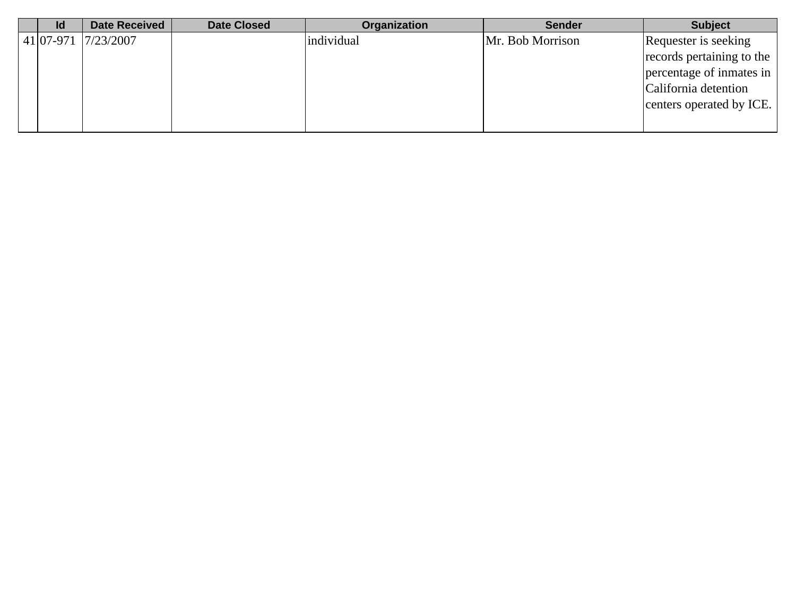| <b>Id</b> | Date Received       | <b>Date Closed</b> | Organization | <b>Sender</b>    | <b>Subject</b>            |
|-----------|---------------------|--------------------|--------------|------------------|---------------------------|
|           | 41 07-971 7/23/2007 |                    | individual   | Mr. Bob Morrison | Requester is seeking      |
|           |                     |                    |              |                  | records pertaining to the |
|           |                     |                    |              |                  | percentage of inmates in  |
|           |                     |                    |              |                  | California detention      |
|           |                     |                    |              |                  | centers operated by ICE.  |
|           |                     |                    |              |                  |                           |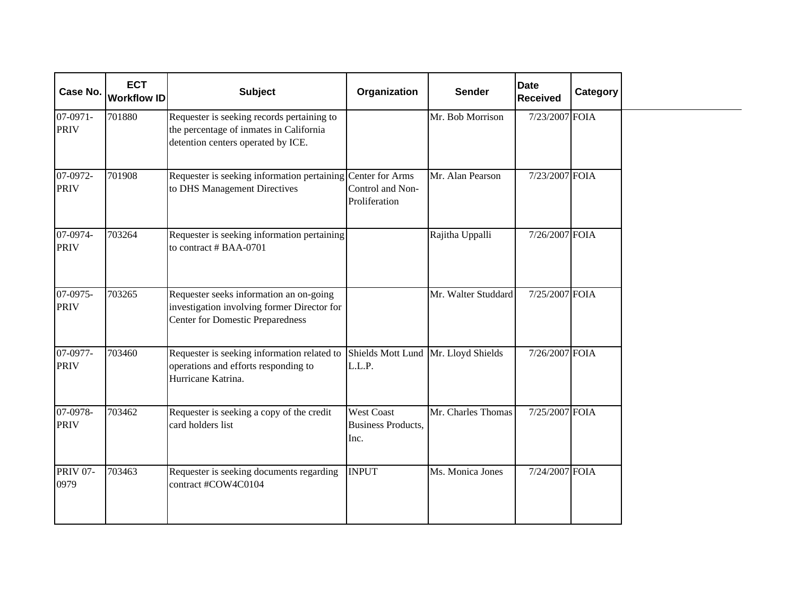| Case No.                | <b>ECT</b><br><b>Workflow ID</b> | <b>Subject</b>                                                                                                                    | Organization                                           | <b>Sender</b>       | <b>Date</b><br><b>Received</b> | Category |
|-------------------------|----------------------------------|-----------------------------------------------------------------------------------------------------------------------------------|--------------------------------------------------------|---------------------|--------------------------------|----------|
| 07-0971-<br><b>PRIV</b> | 701880                           | Requester is seeking records pertaining to<br>the percentage of inmates in California<br>detention centers operated by ICE.       |                                                        | Mr. Bob Morrison    | 7/23/2007 FOIA                 |          |
| 07-0972-<br><b>PRIV</b> | 701908                           | Requester is seeking information pertaining Center for Arms<br>to DHS Management Directives                                       | Control and Non-<br>Proliferation                      | Mr. Alan Pearson    | 7/23/2007 FOIA                 |          |
| 07-0974-<br><b>PRIV</b> | 703264                           | Requester is seeking information pertaining<br>to contract # BAA-0701                                                             |                                                        | Rajitha Uppalli     | 7/26/2007 FOIA                 |          |
| 07-0975-<br><b>PRIV</b> | 703265                           | Requester seeks information an on-going<br>investigation involving former Director for<br><b>Center for Domestic Preparedness</b> |                                                        | Mr. Walter Studdard | 7/25/2007 FOIA                 |          |
| 07-0977-<br><b>PRIV</b> | 703460                           | Requester is seeking information related to<br>operations and efforts responding to<br>Hurricane Katrina.                         | Shields Mott Lund   Mr. Lloyd Shields<br>L.L.P.        |                     | 7/26/2007 FOIA                 |          |
| 07-0978-<br><b>PRIV</b> | 703462                           | Requester is seeking a copy of the credit<br>card holders list                                                                    | <b>West Coast</b><br><b>Business Products,</b><br>Inc. | Mr. Charles Thomas  | 7/25/2007 FOIA                 |          |
| <b>PRIV 07-</b><br>0979 | 703463                           | Requester is seeking documents regarding<br>contract #COW4C0104                                                                   | <b>INPUT</b>                                           | Ms. Monica Jones    | 7/24/2007 FOIA                 |          |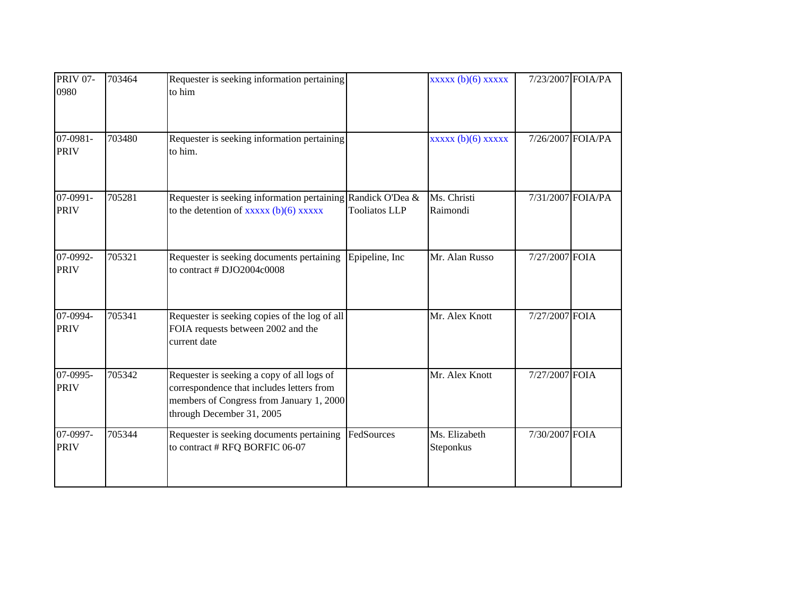| <b>PRIV 07-</b><br>0980      | 703464 | Requester is seeking information pertaining<br>to him                                                                                                            |                      | $xxxxx(b)(6)$ $xxxxx$      |                | 7/23/2007 FOIA/PA |
|------------------------------|--------|------------------------------------------------------------------------------------------------------------------------------------------------------------------|----------------------|----------------------------|----------------|-------------------|
| $07 - 0981 -$<br><b>PRIV</b> | 703480 | Requester is seeking information pertaining<br>to him.                                                                                                           |                      | $xxxxx$ (b)(6) $xxxxx$     |                | 7/26/2007 FOIA/PA |
| 07-0991-<br><b>PRIV</b>      | 705281 | Requester is seeking information pertaining Randick O'Dea &<br>to the detention of $xxxxx$ (b)(6) $xxxxx$                                                        | <b>Tooliatos LLP</b> | Ms. Christi<br>Raimondi    |                | 7/31/2007 FOIA/PA |
| 07-0992-<br><b>PRIV</b>      | 705321 | Requester is seeking documents pertaining<br>to contract # DJO2004c0008                                                                                          | Epipeline, Inc       | Mr. Alan Russo             | 7/27/2007 FOIA |                   |
| 07-0994-<br><b>PRIV</b>      | 705341 | Requester is seeking copies of the log of all<br>FOIA requests between 2002 and the<br>current date                                                              |                      | Mr. Alex Knott             | 7/27/2007 FOIA |                   |
| 07-0995-<br><b>PRIV</b>      | 705342 | Requester is seeking a copy of all logs of<br>correspondence that includes letters from<br>members of Congress from January 1, 2000<br>through December 31, 2005 |                      | Mr. Alex Knott             | 7/27/2007 FOIA |                   |
| 07-0997-<br><b>PRIV</b>      | 705344 | Requester is seeking documents pertaining<br>to contract # RFQ BORFIC 06-07                                                                                      | FedSources           | Ms. Elizabeth<br>Steponkus | 7/30/2007 FOIA |                   |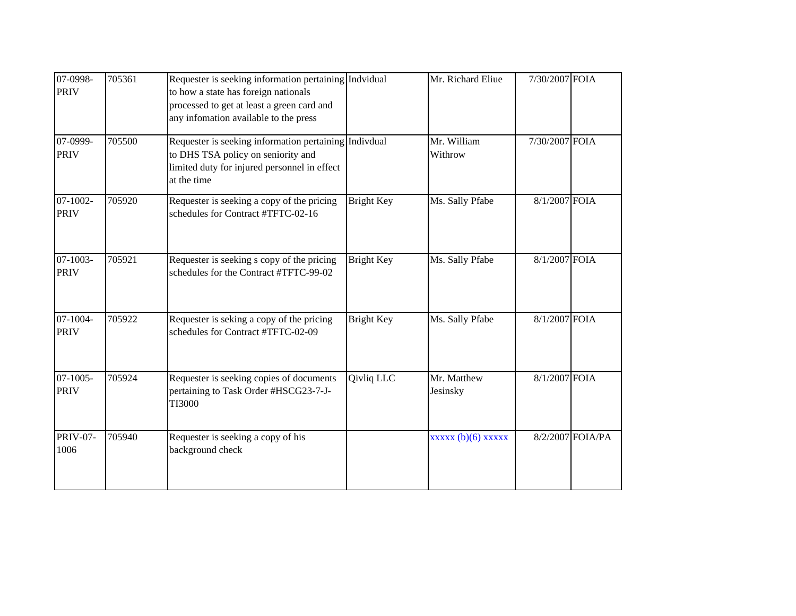| 07-0998-<br><b>PRIV</b>   | 705361 | Requester is seeking information pertaining Indvidual<br>to how a state has foreign nationals<br>processed to get at least a green card and<br>any infomation available to the press |                   | Mr. Richard Eliue       | 7/30/2007 FOIA |                  |
|---------------------------|--------|--------------------------------------------------------------------------------------------------------------------------------------------------------------------------------------|-------------------|-------------------------|----------------|------------------|
| 07-0999-<br><b>PRIV</b>   | 705500 | Requester is seeking information pertaining Indivdual<br>to DHS TSA policy on seniority and<br>limited duty for injured personnel in effect<br>at the time                           |                   | Mr. William<br>Withrow  | 7/30/2007 FOIA |                  |
| 07-1002-<br><b>PRIV</b>   | 705920 | Requester is seeking a copy of the pricing<br>schedules for Contract #TFTC-02-16                                                                                                     | <b>Bright Key</b> | Ms. Sally Pfabe         | 8/1/2007 FOIA  |                  |
| $07-1003-$<br><b>PRIV</b> | 705921 | Requester is seeking s copy of the pricing<br>schedules for the Contract #TFTC-99-02                                                                                                 | <b>Bright Key</b> | Ms. Sally Pfabe         | 8/1/2007 FOIA  |                  |
| $07-1004-$<br><b>PRIV</b> | 705922 | Requester is seking a copy of the pricing<br>schedules for Contract #TFTC-02-09                                                                                                      | <b>Bright Key</b> | Ms. Sally Pfabe         | 8/1/2007 FOIA  |                  |
| $07-1005-$<br><b>PRIV</b> | 705924 | Requester is seeking copies of documents<br>pertaining to Task Order #HSCG23-7-J-<br><b>TI3000</b>                                                                                   | Qivliq LLC        | Mr. Matthew<br>Jesinsky | 8/1/2007 FOIA  |                  |
| <b>PRIV-07-</b><br>1006   | 705940 | Requester is seeking a copy of his<br>background check                                                                                                                               |                   | $xxxxx(b)(6)$ $xxxxx$   |                | 8/2/2007 FOIA/PA |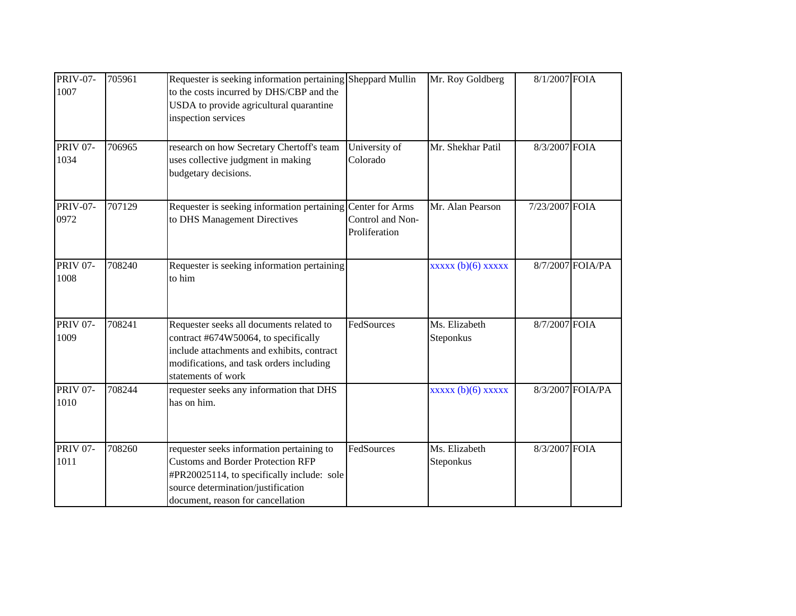| <b>PRIV-07-</b><br>1007 | 705961 | Requester is seeking information pertaining Sheppard Mullin<br>to the costs incurred by DHS/CBP and the<br>USDA to provide agricultural quarantine<br>inspection services                                      |                                                             | Mr. Roy Goldberg           | 8/1/2007 FOIA  |                  |
|-------------------------|--------|----------------------------------------------------------------------------------------------------------------------------------------------------------------------------------------------------------------|-------------------------------------------------------------|----------------------------|----------------|------------------|
| <b>PRIV 07-</b><br>1034 | 706965 | research on how Secretary Chertoff's team<br>uses collective judgment in making<br>budgetary decisions.                                                                                                        | University of<br>Colorado                                   | Mr. Shekhar Patil          | 8/3/2007 FOIA  |                  |
| <b>PRIV-07-</b><br>0972 | 707129 | Requester is seeking information pertaining<br>to DHS Management Directives                                                                                                                                    | <b>Center for Arms</b><br>Control and Non-<br>Proliferation | Mr. Alan Pearson           | 7/23/2007 FOIA |                  |
| <b>PRIV 07-</b><br>1008 | 708240 | Requester is seeking information pertaining<br>to him                                                                                                                                                          |                                                             | $xxxxx$ (b)(6) $xxxxx$     |                | 8/7/2007 FOIA/PA |
| <b>PRIV 07-</b><br>1009 | 708241 | Requester seeks all documents related to<br>contract #674W50064, to specifically<br>include attachments and exhibits, contract<br>modifications, and task orders including<br>statements of work               | FedSources                                                  | Ms. Elizabeth<br>Steponkus | 8/7/2007 FOIA  |                  |
| <b>PRIV 07-</b><br>1010 | 708244 | requester seeks any information that DHS<br>has on him.                                                                                                                                                        |                                                             | $xxxxx(b)(6)$ $xxxxx$      |                | 8/3/2007 FOIA/PA |
| <b>PRIV 07-</b><br>1011 | 708260 | requester seeks information pertaining to<br><b>Customs and Border Protection RFP</b><br>#PR20025114, to specifically include: sole<br>source determination/justification<br>document, reason for cancellation | FedSources                                                  | Ms. Elizabeth<br>Steponkus | 8/3/2007 FOIA  |                  |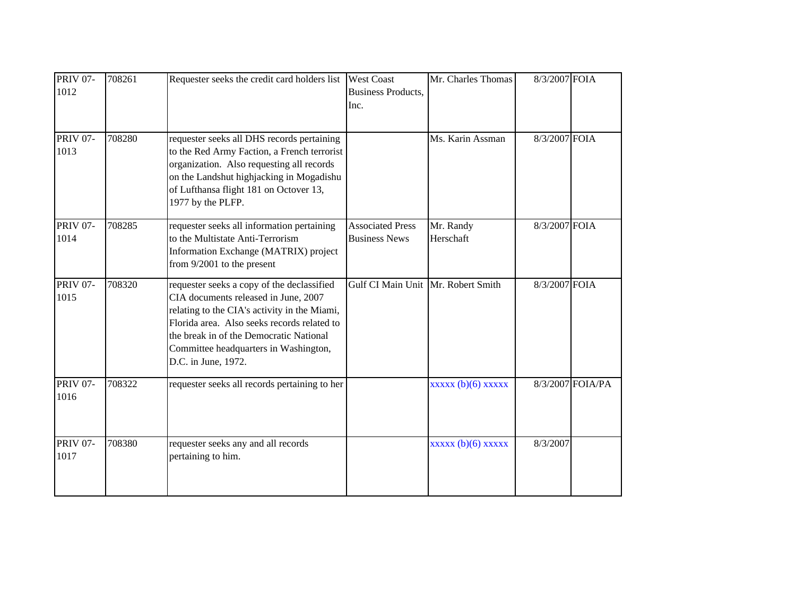| <b>PRIV 07-</b><br>1012 | 708261 | Requester seeks the credit card holders list                                                                                                                                                                                                                                                 | <b>West Coast</b><br><b>Business Products,</b><br>Inc. | Mr. Charles Thomas     | 8/3/2007 FOIA |                  |
|-------------------------|--------|----------------------------------------------------------------------------------------------------------------------------------------------------------------------------------------------------------------------------------------------------------------------------------------------|--------------------------------------------------------|------------------------|---------------|------------------|
| <b>PRIV 07-</b><br>1013 | 708280 | requester seeks all DHS records pertaining<br>to the Red Army Faction, a French terrorist<br>organization. Also requesting all records<br>on the Landshut highjacking in Mogadishu<br>of Lufthansa flight 181 on Octover 13,<br>1977 by the PLFP.                                            |                                                        | Ms. Karin Assman       | 8/3/2007 FOIA |                  |
| <b>PRIV 07-</b><br>1014 | 708285 | requester seeks all information pertaining<br>to the Multistate Anti-Terrorism<br>Information Exchange (MATRIX) project<br>from $9/2001$ to the present                                                                                                                                      | <b>Associated Press</b><br><b>Business News</b>        | Mr. Randy<br>Herschaft | 8/3/2007 FOIA |                  |
| <b>PRIV 07-</b><br>1015 | 708320 | requester seeks a copy of the declassified<br>CIA documents released in June, 2007<br>relating to the CIA's activity in the Miami,<br>Florida area. Also seeks records related to<br>the break in of the Democratic National<br>Committee headquarters in Washington,<br>D.C. in June, 1972. | Gulf CI Main Unit Mr. Robert Smith                     |                        | 8/3/2007 FOIA |                  |
| <b>PRIV 07-</b><br>1016 | 708322 | requester seeks all records pertaining to her                                                                                                                                                                                                                                                |                                                        | xxxxx (b)(6) xxxxx     |               | 8/3/2007 FOIA/PA |
| <b>PRIV 07-</b><br>1017 | 708380 | requester seeks any and all records<br>pertaining to him.                                                                                                                                                                                                                                    |                                                        | $xxxxx$ (b)(6) $xxxxx$ | 8/3/2007      |                  |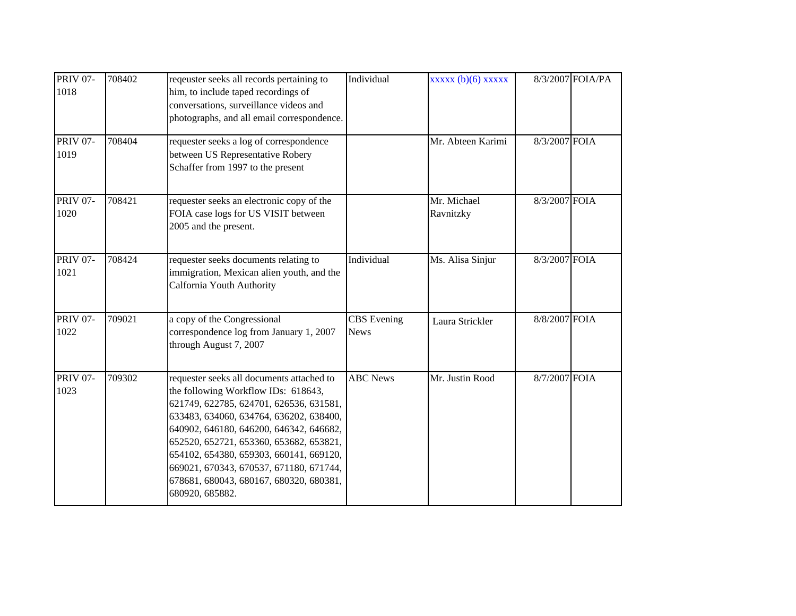| <b>PRIV 07-</b><br>1018 | 708402 | reqeuster seeks all records pertaining to<br>him, to include taped recordings of<br>conversations, surveillance videos and<br>photographs, and all email correspondence.                                                                                                                                                                                                                                         | Individual                        | $xxxxx(b)(6)$ $xxxxx$    |               | 8/3/2007 FOIA/PA |
|-------------------------|--------|------------------------------------------------------------------------------------------------------------------------------------------------------------------------------------------------------------------------------------------------------------------------------------------------------------------------------------------------------------------------------------------------------------------|-----------------------------------|--------------------------|---------------|------------------|
| <b>PRIV 07-</b><br>1019 | 708404 | requester seeks a log of correspondence<br>between US Representative Robery<br>Schaffer from 1997 to the present                                                                                                                                                                                                                                                                                                 |                                   | Mr. Abteen Karimi        | 8/3/2007 FOIA |                  |
| <b>PRIV 07-</b><br>1020 | 708421 | requester seeks an electronic copy of the<br>FOIA case logs for US VISIT between<br>2005 and the present.                                                                                                                                                                                                                                                                                                        |                                   | Mr. Michael<br>Ravnitzky | 8/3/2007 FOIA |                  |
| <b>PRIV 07-</b><br>1021 | 708424 | requester seeks documents relating to<br>immigration, Mexican alien youth, and the<br>Calfornia Youth Authority                                                                                                                                                                                                                                                                                                  | Individual                        | Ms. Alisa Sinjur         | 8/3/2007 FOIA |                  |
| <b>PRIV 07-</b><br>1022 | 709021 | a copy of the Congressional<br>correspondence log from January 1, 2007<br>through August 7, 2007                                                                                                                                                                                                                                                                                                                 | <b>CBS</b> Evening<br><b>News</b> | Laura Strickler          | 8/8/2007 FOIA |                  |
| <b>PRIV 07-</b><br>1023 | 709302 | requester seeks all documents attached to<br>the following Workflow IDs: 618643,<br>621749, 622785, 624701, 626536, 631581,<br>633483, 634060, 634764, 636202, 638400,<br>640902, 646180, 646200, 646342, 646682,<br>652520, 652721, 653360, 653682, 653821,<br>654102, 654380, 659303, 660141, 669120,<br>669021, 670343, 670537, 671180, 671744,<br>678681, 680043, 680167, 680320, 680381,<br>680920, 685882. | <b>ABC</b> News                   | Mr. Justin Rood          | 8/7/2007 FOIA |                  |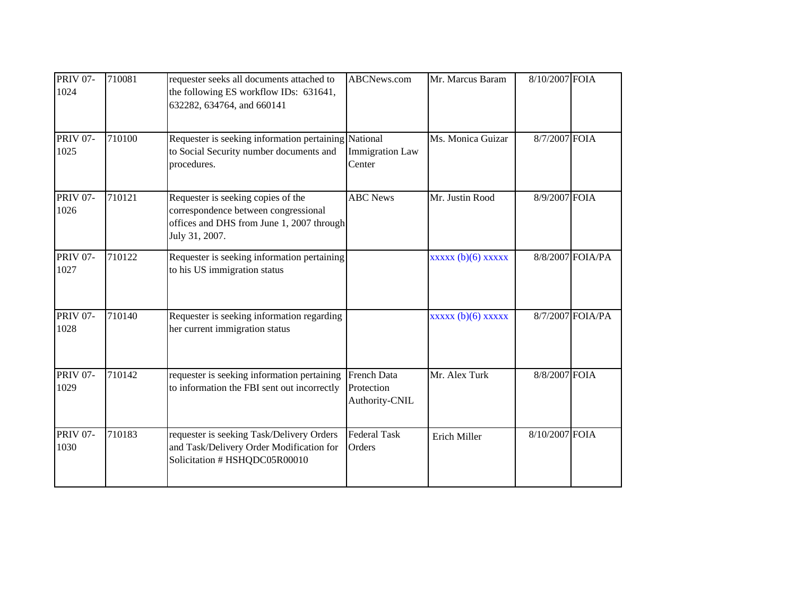| <b>PRIV 07-</b><br>1024 | 710081 | requester seeks all documents attached to<br>the following ES workflow IDs: 631641,<br>632282, 634764, and 660141                         | ABCNews.com                                 | Mr. Marcus Baram       | 8/10/2007 FOIA |                  |
|-------------------------|--------|-------------------------------------------------------------------------------------------------------------------------------------------|---------------------------------------------|------------------------|----------------|------------------|
| <b>PRIV 07-</b><br>1025 | 710100 | Requester is seeking information pertaining National<br>to Social Security number documents and<br>procedures.                            | <b>Immigration Law</b><br>Center            | Ms. Monica Guizar      | 8/7/2007 FOIA  |                  |
| <b>PRIV 07-</b><br>1026 | 710121 | Requester is seeking copies of the<br>correspondence between congressional<br>offices and DHS from June 1, 2007 through<br>July 31, 2007. | <b>ABC</b> News                             | Mr. Justin Rood        | 8/9/2007 FOIA  |                  |
| <b>PRIV 07-</b><br>1027 | 710122 | Requester is seeking information pertaining<br>to his US immigration status                                                               |                                             | $xxxxx$ (b)(6) $xxxxx$ |                | 8/8/2007 FOIA/PA |
| <b>PRIV 07-</b><br>1028 | 710140 | Requester is seeking information regarding<br>her current immigration status                                                              |                                             | $xxxxx$ (b)(6) $xxxxx$ |                | 8/7/2007 FOIA/PA |
| <b>PRIV 07-</b><br>1029 | 710142 | requester is seeking information pertaining<br>to information the FBI sent out incorrectly                                                | French Data<br>Protection<br>Authority-CNIL | Mr. Alex Turk          | 8/8/2007 FOIA  |                  |
| <b>PRIV 07-</b><br>1030 | 710183 | requester is seeking Task/Delivery Orders<br>and Task/Delivery Order Modification for<br>Solicitation # HSHQDC05R00010                    | <b>Federal Task</b><br>Orders               | Erich Miller           | 8/10/2007 FOIA |                  |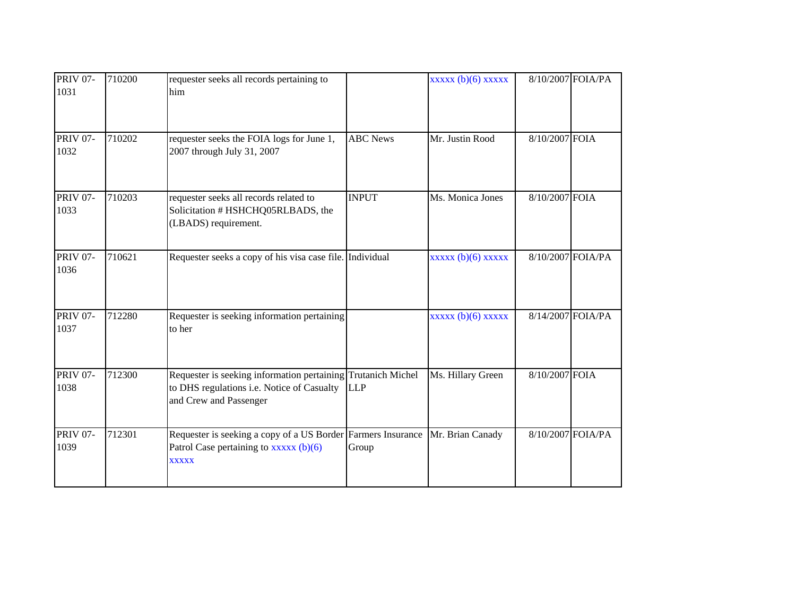| <b>PRIV 07-</b><br>1031 | 710200 | requester seeks all records pertaining to<br>him                                                                                     |                 | $xxxxx(b)(6)$ $xxxxx$  | 8/10/2007 FOIA/PA |                   |
|-------------------------|--------|--------------------------------------------------------------------------------------------------------------------------------------|-----------------|------------------------|-------------------|-------------------|
| <b>PRIV 07-</b><br>1032 | 710202 | requester seeks the FOIA logs for June 1,<br>2007 through July 31, 2007                                                              | <b>ABC</b> News | Mr. Justin Rood        | 8/10/2007 FOIA    |                   |
| <b>PRIV 07-</b><br>1033 | 710203 | requester seeks all records related to<br>Solicitation # HSHCHQ05RLBADS, the<br>(LBADS) requirement.                                 | <b>INPUT</b>    | Ms. Monica Jones       | 8/10/2007 FOIA    |                   |
| <b>PRIV 07-</b><br>1036 | 710621 | Requester seeks a copy of his visa case file. Individual                                                                             |                 | xxxxx(b)(6)xxxxx       | 8/10/2007 FOIA/PA |                   |
| <b>PRIV 07-</b><br>1037 | 712280 | Requester is seeking information pertaining<br>to her                                                                                |                 | $xxxxx$ (b)(6) $xxxxx$ |                   | 8/14/2007 FOIA/PA |
| <b>PRIV 07-</b><br>1038 | 712300 | Requester is seeking information pertaining Trutanich Michel<br>to DHS regulations i.e. Notice of Casualty<br>and Crew and Passenger | <b>LLP</b>      | Ms. Hillary Green      | 8/10/2007 FOIA    |                   |
| <b>PRIV 07-</b><br>1039 | 712301 | Requester is seeking a copy of a US Border Farmers Insurance<br>Patrol Case pertaining to $xxxxx$ (b)(6)<br><b>XXXXX</b>             | Group           | Mr. Brian Canady       |                   | 8/10/2007 FOIA/PA |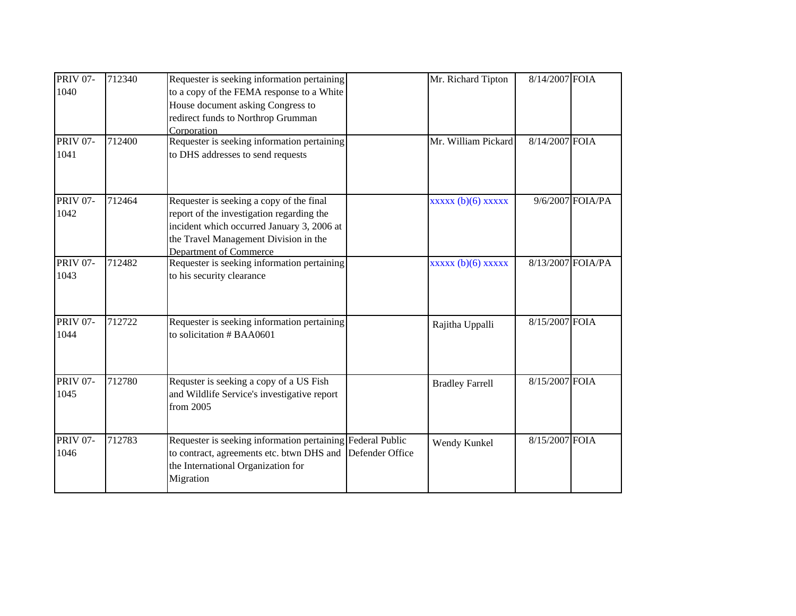| <b>PRIV 07-</b><br>1040 | 712340 | Requester is seeking information pertaining<br>to a copy of the FEMA response to a White<br>House document asking Congress to<br>redirect funds to Northrop Grumman<br>Corporation                            | Mr. Richard Tipton     | 8/14/2007 FOIA    |                  |
|-------------------------|--------|---------------------------------------------------------------------------------------------------------------------------------------------------------------------------------------------------------------|------------------------|-------------------|------------------|
| <b>PRIV 07-</b><br>1041 | 712400 | Requester is seeking information pertaining<br>to DHS addresses to send requests                                                                                                                              | Mr. William Pickard    | 8/14/2007 FOIA    |                  |
| <b>PRIV 07-</b><br>1042 | 712464 | Requester is seeking a copy of the final<br>report of the investigation regarding the<br>incident which occurred January 3, 2006 at<br>the Travel Management Division in the<br><b>Department of Commerce</b> | $xxxxx$ (b)(6) $xxxxx$ |                   | 9/6/2007 FOIA/PA |
| <b>PRIV 07-</b><br>1043 | 712482 | Requester is seeking information pertaining<br>to his security clearance                                                                                                                                      | $xxxxx$ (b)(6) $xxxxx$ | 8/13/2007 FOIA/PA |                  |
| <b>PRIV 07-</b><br>1044 | 712722 | Requester is seeking information pertaining<br>to solicitation # BAA0601                                                                                                                                      | Rajitha Uppalli        | 8/15/2007 FOIA    |                  |
| <b>PRIV 07-</b><br>1045 | 712780 | Requster is seeking a copy of a US Fish<br>and Wildlife Service's investigative report<br>from 2005                                                                                                           | <b>Bradley Farrell</b> | 8/15/2007 FOIA    |                  |
| <b>PRIV 07-</b><br>1046 | 712783 | Requester is seeking information pertaining Federal Public<br>to contract, agreements etc. btwn DHS and Defender Office<br>the International Organization for<br>Migration                                    | Wendy Kunkel           | 8/15/2007 FOIA    |                  |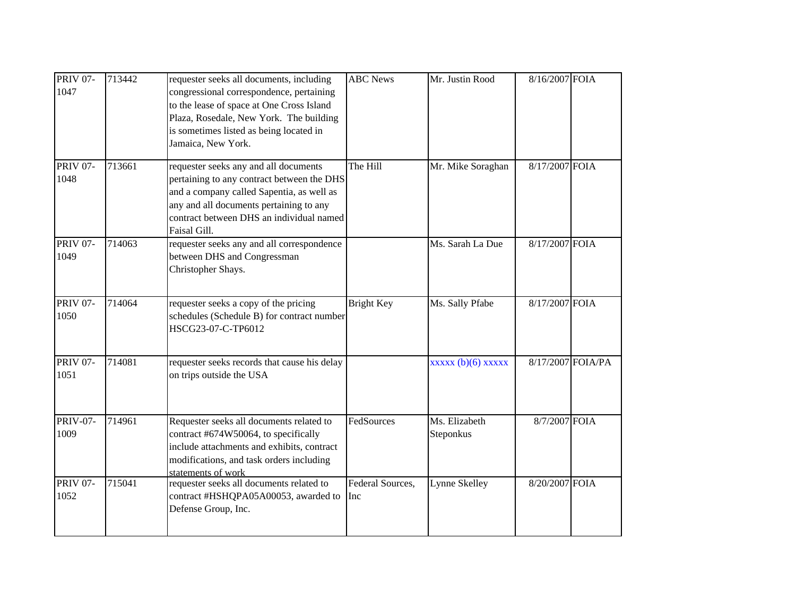| <b>PRIV 07-</b><br>1047 | 713442 | requester seeks all documents, including<br>congressional correspondence, pertaining<br>to the lease of space at One Cross Island<br>Plaza, Rosedale, New York. The building<br>is sometimes listed as being located in<br>Jamaica, New York. | <b>ABC</b> News         | Mr. Justin Rood            | 8/16/2007 FOIA    |  |
|-------------------------|--------|-----------------------------------------------------------------------------------------------------------------------------------------------------------------------------------------------------------------------------------------------|-------------------------|----------------------------|-------------------|--|
| <b>PRIV 07-</b><br>1048 | 713661 | requester seeks any and all documents<br>pertaining to any contract between the DHS<br>and a company called Sapentia, as well as<br>any and all documents pertaining to any<br>contract between DHS an individual named<br>Faisal Gill.       | The Hill                | Mr. Mike Soraghan          | 8/17/2007 FOIA    |  |
| <b>PRIV 07-</b><br>1049 | 714063 | requester seeks any and all correspondence<br>between DHS and Congressman<br>Christopher Shays.                                                                                                                                               |                         | Ms. Sarah La Due           | 8/17/2007 FOIA    |  |
| <b>PRIV 07-</b><br>1050 | 714064 | requester seeks a copy of the pricing<br>schedules (Schedule B) for contract number<br>HSCG23-07-C-TP6012                                                                                                                                     | <b>Bright Key</b>       | Ms. Sally Pfabe            | 8/17/2007 FOIA    |  |
| <b>PRIV 07-</b><br>1051 | 714081 | requester seeks records that cause his delay<br>on trips outside the USA                                                                                                                                                                      |                         | $xxxxx$ (b)(6) $xxxxx$     | 8/17/2007 FOIA/PA |  |
| <b>PRIV-07-</b><br>1009 | 714961 | Requester seeks all documents related to<br>contract #674W50064, to specifically<br>include attachments and exhibits, contract<br>modifications, and task orders including<br>statements of work                                              | FedSources              | Ms. Elizabeth<br>Steponkus | 8/7/2007 FOIA     |  |
| <b>PRIV 07-</b><br>1052 | 715041 | requester seeks all documents related to<br>contract #HSHQPA05A00053, awarded to<br>Defense Group, Inc.                                                                                                                                       | Federal Sources,<br>Inc | Lynne Skelley              | 8/20/2007 FOIA    |  |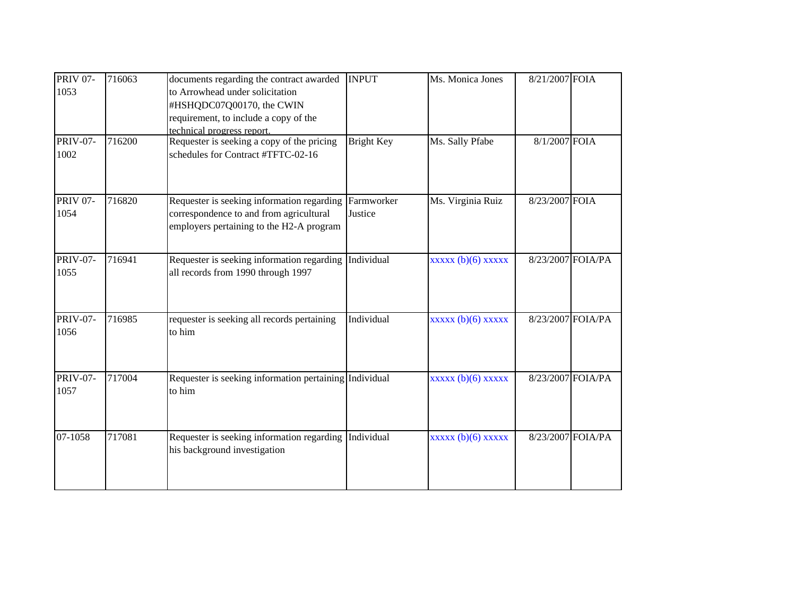| <b>PRIV 07-</b><br>1053 | 716063 | documents regarding the contract awarded<br>to Arrowhead under solicitation<br>#HSHQDC07Q00170, the CWIN<br>requirement, to include a copy of the<br>technical progress report. | <b>INPUT</b>          | Ms. Monica Jones       | 8/21/2007 FOIA |                   |
|-------------------------|--------|---------------------------------------------------------------------------------------------------------------------------------------------------------------------------------|-----------------------|------------------------|----------------|-------------------|
| <b>PRIV-07-</b><br>1002 | 716200 | Requester is seeking a copy of the pricing<br>schedules for Contract #TFTC-02-16                                                                                                | <b>Bright Key</b>     | Ms. Sally Pfabe        | 8/1/2007 FOIA  |                   |
| <b>PRIV 07-</b><br>1054 | 716820 | Requester is seeking information regarding<br>correspondence to and from agricultural<br>employers pertaining to the H2-A program                                               | Farmworker<br>Justice | Ms. Virginia Ruiz      | 8/23/2007 FOIA |                   |
| <b>PRIV-07-</b><br>1055 | 716941 | Requester is seeking information regarding<br>all records from 1990 through 1997                                                                                                | Individual            | $xxxxx$ (b)(6) $xxxxx$ |                | 8/23/2007 FOIA/PA |
| <b>PRIV-07-</b><br>1056 | 716985 | requester is seeking all records pertaining<br>to him                                                                                                                           | Individual            | $xxxxx(b)(6)$ $xxxxx$  |                | 8/23/2007 FOIA/PA |
| <b>PRIV-07-</b><br>1057 | 717004 | Requester is seeking information pertaining Individual<br>to him                                                                                                                |                       | $xxxxx$ (b)(6) $xxxxx$ |                | 8/23/2007 FOIA/PA |
| 07-1058                 | 717081 | Requester is seeking information regarding Individual<br>his background investigation                                                                                           |                       | xxxxx(b)(6)xxxxx       |                | 8/23/2007 FOIA/PA |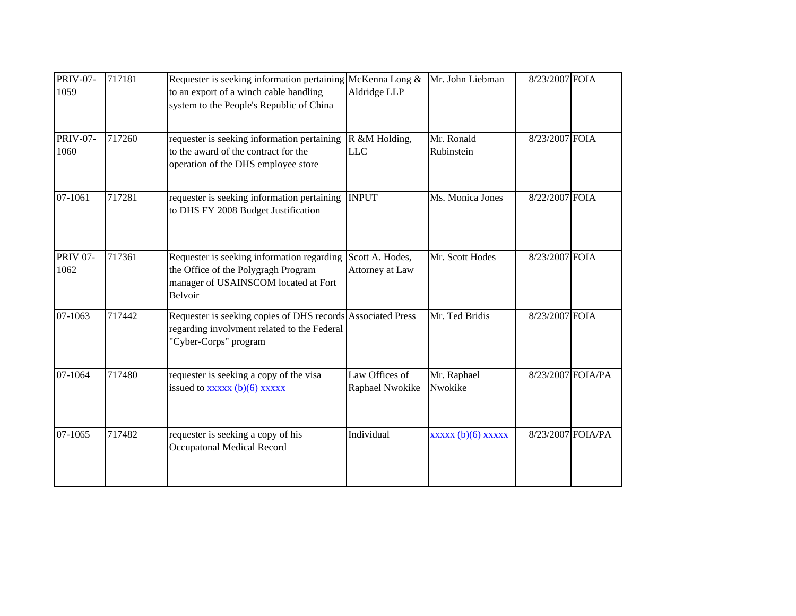| <b>PRIV-07-</b><br>1059 | 717181 | Requester is seeking information pertaining McKenna Long $\&$<br>to an export of a winch cable handling<br>system to the People's Republic of China | Aldridge LLP                       | Mr. John Liebman         | 8/23/2007 FOIA    |  |
|-------------------------|--------|-----------------------------------------------------------------------------------------------------------------------------------------------------|------------------------------------|--------------------------|-------------------|--|
| <b>PRIV-07-</b><br>1060 | 717260 | requester is seeking information pertaining<br>to the award of the contract for the<br>operation of the DHS employee store                          | R &M Holding,<br>LLC               | Mr. Ronald<br>Rubinstein | 8/23/2007 FOIA    |  |
| 07-1061                 | 717281 | requester is seeking information pertaining<br>to DHS FY 2008 Budget Justification                                                                  | <b>INPUT</b>                       | Ms. Monica Jones         | 8/22/2007 FOIA    |  |
| <b>PRIV 07-</b><br>1062 | 717361 | Requester is seeking information regarding<br>the Office of the Polygragh Program<br>manager of USAINSCOM located at Fort<br>Belvoir                | Scott A. Hodes,<br>Attorney at Law | Mr. Scott Hodes          | 8/23/2007 FOIA    |  |
| 07-1063                 | 717442 | Requester is seeking copies of DHS records Associated Press<br>regarding involvment related to the Federal<br>"Cyber-Corps" program                 |                                    | Mr. Ted Bridis           | 8/23/2007 FOIA    |  |
| 07-1064                 | 717480 | requester is seeking a copy of the visa<br>issued to $\overline{xxxx}$ (b)(6) $\overline{xxxx}$                                                     | Law Offices of<br>Raphael Nwokike  | Mr. Raphael<br>Nwokike   | 8/23/2007 FOIA/PA |  |
| 07-1065                 | 717482 | requester is seeking a copy of his<br>Occupatonal Medical Record                                                                                    | Individual                         | xxxxx(b)(6)xxxxx         | 8/23/2007 FOIA/PA |  |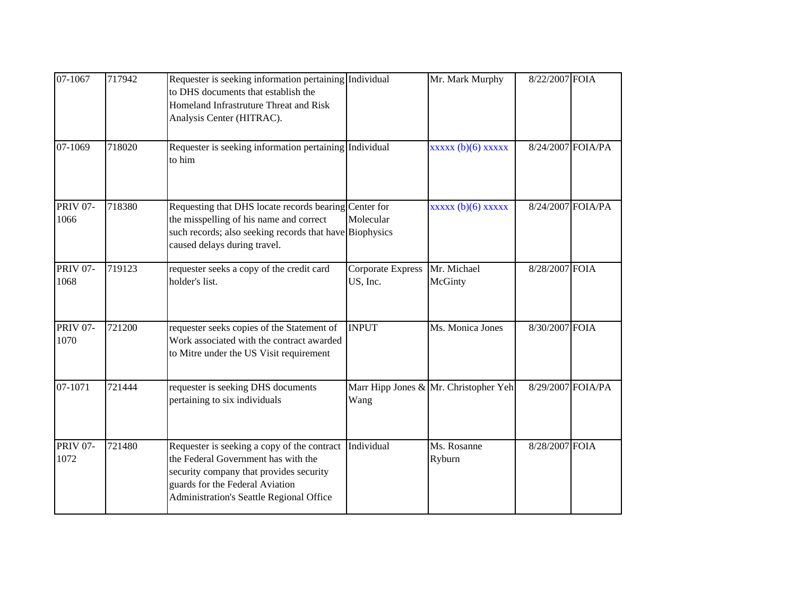| 07-1067                 | 717942 | Requester is seeking information pertaining Individual<br>to DHS documents that establish the<br>Homeland Infrastruture Threat and Risk<br>Analysis Center (HITRAC).                                         |                               | Mr. Mark Murphy                       | 8/22/2007 FOIA |                   |
|-------------------------|--------|--------------------------------------------------------------------------------------------------------------------------------------------------------------------------------------------------------------|-------------------------------|---------------------------------------|----------------|-------------------|
| 07-1069                 | 718020 | Requester is seeking information pertaining Individual<br>to him                                                                                                                                             |                               | xxxxx(b)(6)xxxxx                      |                | 8/24/2007 FOIA/PA |
| <b>PRIV 07-</b><br>1066 | 718380 | Requesting that DHS locate records bearing Center for<br>the misspelling of his name and correct<br>such records; also seeking records that have Biophysics<br>caused delays during travel.                  | Molecular                     | $xxxxx$ (b)(6) $xxxxx$                |                | 8/24/2007 FOIA/PA |
| <b>PRIV 07-</b><br>1068 | 719123 | requester seeks a copy of the credit card<br>holder's list.                                                                                                                                                  | Corporate Express<br>US, Inc. | Mr. Michael<br>McGinty                | 8/28/2007 FOIA |                   |
| <b>PRIV 07-</b><br>1070 | 721200 | requester seeks copies of the Statement of<br>Work associated with the contract awarded<br>to Mitre under the US Visit requirement                                                                           | <b>INPUT</b>                  | Ms. Monica Jones                      | 8/30/2007 FOIA |                   |
| 07-1071                 | 721444 | requester is seeking DHS documents<br>pertaining to six individuals                                                                                                                                          | Wang                          | Marr Hipp Jones & Mr. Christopher Yeh |                | 8/29/2007 FOIA/PA |
| <b>PRIV 07-</b><br>1072 | 721480 | Requester is seeking a copy of the contract<br>the Federal Government has with the<br>security company that provides security<br>guards for the Federal Aviation<br>Administration's Seattle Regional Office | Individual                    | Ms. Rosanne<br>Ryburn                 | 8/28/2007 FOIA |                   |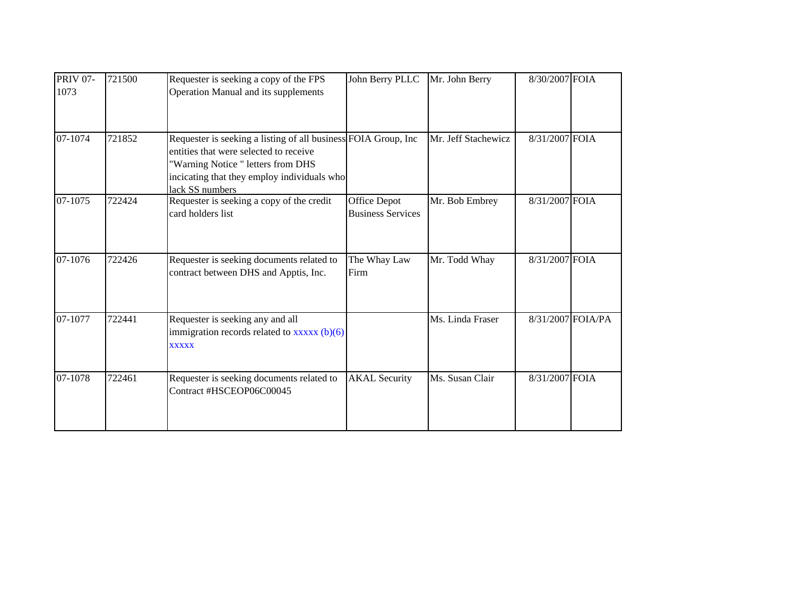| <b>PRIV 07-</b><br>1073 | 721500 | Requester is seeking a copy of the FPS<br>Operation Manual and its supplements                                                                                                                                   | John Berry PLLC                                 | Mr. John Berry      | 8/30/2007 FOIA |                   |
|-------------------------|--------|------------------------------------------------------------------------------------------------------------------------------------------------------------------------------------------------------------------|-------------------------------------------------|---------------------|----------------|-------------------|
| 07-1074                 | 721852 | Requester is seeking a listing of all business FOIA Group, Inc<br>entities that were selected to receive<br>"Warning Notice " letters from DHS<br>incicating that they employ individuals who<br>lack SS numbers |                                                 | Mr. Jeff Stachewicz | 8/31/2007 FOIA |                   |
| 07-1075                 | 722424 | Requester is seeking a copy of the credit<br>card holders list                                                                                                                                                   | <b>Office Depot</b><br><b>Business Services</b> | Mr. Bob Embrey      | 8/31/2007 FOIA |                   |
| 07-1076                 | 722426 | Requester is seeking documents related to<br>contract between DHS and Apptis, Inc.                                                                                                                               | The Whay Law<br>Firm                            | Mr. Todd Whay       | 8/31/2007 FOIA |                   |
| 07-1077                 | 722441 | Requester is seeking any and all<br>immigration records related to $xxxxx$ (b)(6)<br><b>XXXXX</b>                                                                                                                |                                                 | Ms. Linda Fraser    |                | 8/31/2007 FOIA/PA |
| 07-1078                 | 722461 | Requester is seeking documents related to<br>Contract #HSCEOP06C00045                                                                                                                                            | <b>AKAL</b> Security                            | Ms. Susan Clair     | 8/31/2007 FOIA |                   |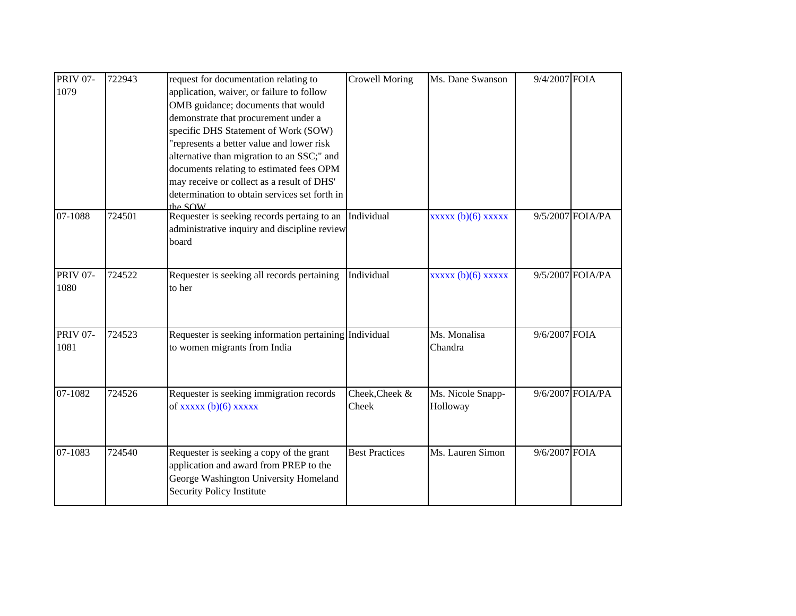| <b>PRIV 07-</b><br>1079 | 722943 | request for documentation relating to<br>application, waiver, or failure to follow<br>OMB guidance; documents that would<br>demonstrate that procurement under a<br>specific DHS Statement of Work (SOW)<br>"represents a better value and lower risk<br>alternative than migration to an SSC;" and<br>documents relating to estimated fees OPM<br>may receive or collect as a result of DHS'<br>determination to obtain services set forth in<br>the $SOW$ | <b>Crowell Moring</b>   | Ms. Dane Swanson              | 9/4/2007 FOIA |                  |
|-------------------------|--------|-------------------------------------------------------------------------------------------------------------------------------------------------------------------------------------------------------------------------------------------------------------------------------------------------------------------------------------------------------------------------------------------------------------------------------------------------------------|-------------------------|-------------------------------|---------------|------------------|
| 07-1088                 | 724501 | Requester is seeking records pertaing to an<br>administrative inquiry and discipline review<br>board                                                                                                                                                                                                                                                                                                                                                        | Individual              | $xxxxx$ (b)(6) $xxxxx$        |               | 9/5/2007 FOIA/PA |
| <b>PRIV 07-</b><br>1080 | 724522 | Requester is seeking all records pertaining<br>to her                                                                                                                                                                                                                                                                                                                                                                                                       | Individual              | $xxxxx(b)(6)$ $xxxxx$         |               | 9/5/2007 FOIA/PA |
| <b>PRIV 07-</b><br>1081 | 724523 | Requester is seeking information pertaining Individual<br>to women migrants from India                                                                                                                                                                                                                                                                                                                                                                      |                         | Ms. Monalisa<br>Chandra       | 9/6/2007 FOIA |                  |
| 07-1082                 | 724526 | Requester is seeking immigration records<br>of $\overline{xxxx}$ (b)(6) $\overline{xxxx}$                                                                                                                                                                                                                                                                                                                                                                   | Cheek, Cheek &<br>Cheek | Ms. Nicole Snapp-<br>Holloway |               | 9/6/2007 FOIA/PA |
| 07-1083                 | 724540 | Requester is seeking a copy of the grant<br>application and award from PREP to the<br>George Washington University Homeland<br>Security Policy Institute                                                                                                                                                                                                                                                                                                    | <b>Best Practices</b>   | Ms. Lauren Simon              | 9/6/2007 FOIA |                  |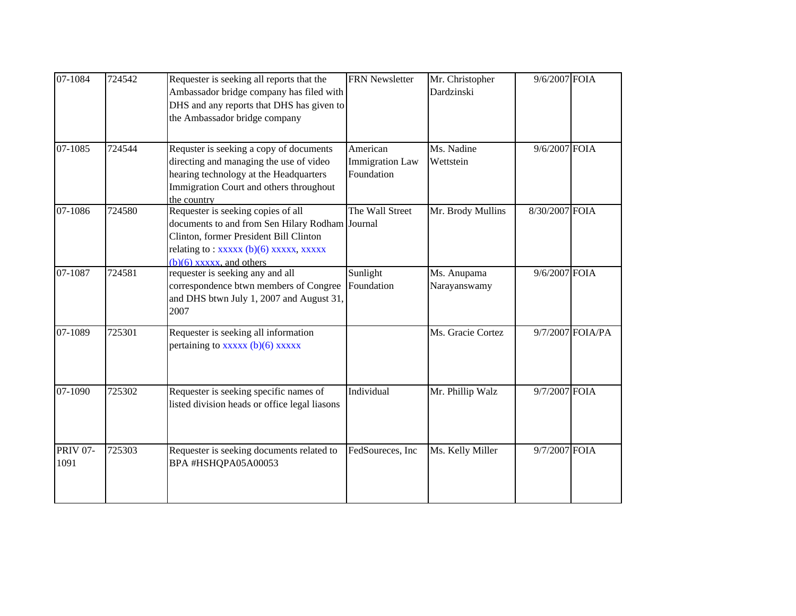| 07-1084                 | 724542 | Requester is seeking all reports that the<br>Ambassador bridge company has filed with<br>DHS and any reports that DHS has given to<br>the Ambassador bridge company                                                    | <b>FRN Newsletter</b>                            | Mr. Christopher<br>Dardzinski | 9/6/2007 FOIA  |                  |
|-------------------------|--------|------------------------------------------------------------------------------------------------------------------------------------------------------------------------------------------------------------------------|--------------------------------------------------|-------------------------------|----------------|------------------|
| 07-1085                 | 724544 | Requster is seeking a copy of documents<br>directing and managing the use of video<br>hearing technology at the Headquarters<br>Immigration Court and others throughout<br>the country                                 | American<br><b>Immigration Law</b><br>Foundation | Ms. Nadine<br>Wettstein       | 9/6/2007 FOIA  |                  |
| 07-1086                 | 724580 | Requester is seeking copies of all<br>documents to and from Sen Hilary Rodham Journal<br>Clinton, former President Bill Clinton<br>relating to: $\overline{x}$ xxxxx (b)(6) xxxxx, xxxxx<br>$(b)(6)$ xxxxx, and others | The Wall Street                                  | Mr. Brody Mullins             | 8/30/2007 FOIA |                  |
| 07-1087                 | 724581 | requester is seeking any and all<br>correspondence btwn members of Congree<br>and DHS btwn July 1, 2007 and August 31,<br>2007                                                                                         | Sunlight<br>Foundation                           | Ms. Anupama<br>Narayanswamy   | 9/6/2007 FOIA  |                  |
| 07-1089                 | 725301 | Requester is seeking all information<br>pertaining to $xxxxx$ (b)(6) $xxxxx$                                                                                                                                           |                                                  | Ms. Gracie Cortez             |                | 9/7/2007 FOIA/PA |
| 07-1090                 | 725302 | Requester is seeking specific names of<br>listed division heads or office legal liasons                                                                                                                                | Individual                                       | Mr. Phillip Walz              | 9/7/2007 FOIA  |                  |
| <b>PRIV 07-</b><br>1091 | 725303 | Requester is seeking documents related to<br>BPA #HSHQPA05A00053                                                                                                                                                       | FedSoureces, Inc                                 | Ms. Kelly Miller              | 9/7/2007 FOIA  |                  |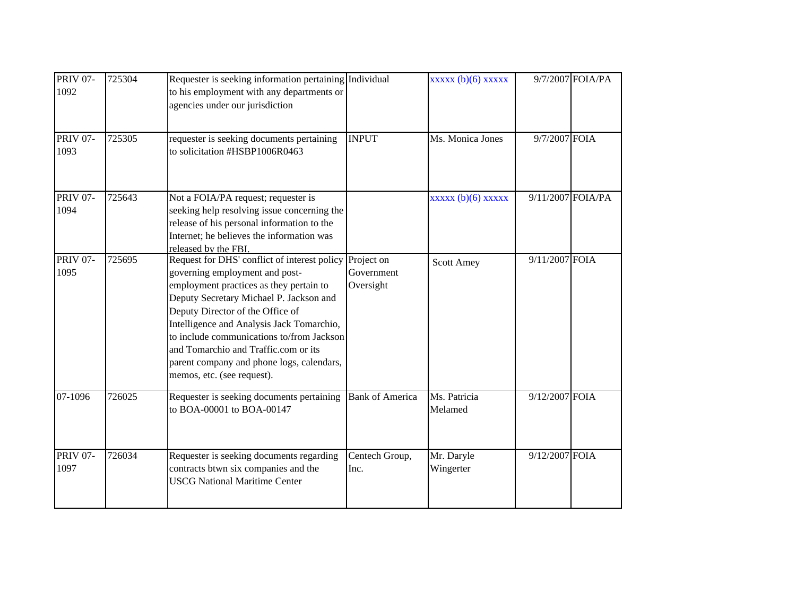| <b>PRIV 07-</b><br>1092 | 725304 | Requester is seeking information pertaining Individual<br>to his employment with any departments or<br>agencies under our jurisdiction                                                                                                                                                                                                                                                                                |                                       | $xxxxx$ (b)(6) $xxxxx$  |                   | 9/7/2007 FOIA/PA |
|-------------------------|--------|-----------------------------------------------------------------------------------------------------------------------------------------------------------------------------------------------------------------------------------------------------------------------------------------------------------------------------------------------------------------------------------------------------------------------|---------------------------------------|-------------------------|-------------------|------------------|
| <b>PRIV 07-</b><br>1093 | 725305 | requester is seeking documents pertaining<br>to solicitation #HSBP1006R0463                                                                                                                                                                                                                                                                                                                                           | <b>INPUT</b>                          | Ms. Monica Jones        | 9/7/2007 FOIA     |                  |
| <b>PRIV 07-</b><br>1094 | 725643 | Not a FOIA/PA request; requester is<br>seeking help resolving issue concerning the<br>release of his personal information to the<br>Internet; he believes the information was<br>released by the FBI.                                                                                                                                                                                                                 |                                       | $xxxxx$ (b)(6) $xxxxx$  | 9/11/2007 FOIA/PA |                  |
| <b>PRIV 07-</b><br>1095 | 725695 | Request for DHS' conflict of interest policy<br>governing employment and post-<br>employment practices as they pertain to<br>Deputy Secretary Michael P. Jackson and<br>Deputy Director of the Office of<br>Intelligence and Analysis Jack Tomarchio,<br>to include communications to/from Jackson<br>and Tomarchio and Traffic.com or its<br>parent company and phone logs, calendars,<br>memos, etc. (see request). | Project on<br>Government<br>Oversight | <b>Scott Amey</b>       | 9/11/2007 FOIA    |                  |
| 07-1096                 | 726025 | Requester is seeking documents pertaining<br>to BOA-00001 to BOA-00147                                                                                                                                                                                                                                                                                                                                                | <b>Bank of America</b>                | Ms. Patricia<br>Melamed | 9/12/2007 FOIA    |                  |
| <b>PRIV 07-</b><br>1097 | 726034 | Requester is seeking documents regarding<br>contracts btwn six companies and the<br><b>USCG National Maritime Center</b>                                                                                                                                                                                                                                                                                              | Centech Group,<br>Inc.                | Mr. Daryle<br>Wingerter | 9/12/2007 FOIA    |                  |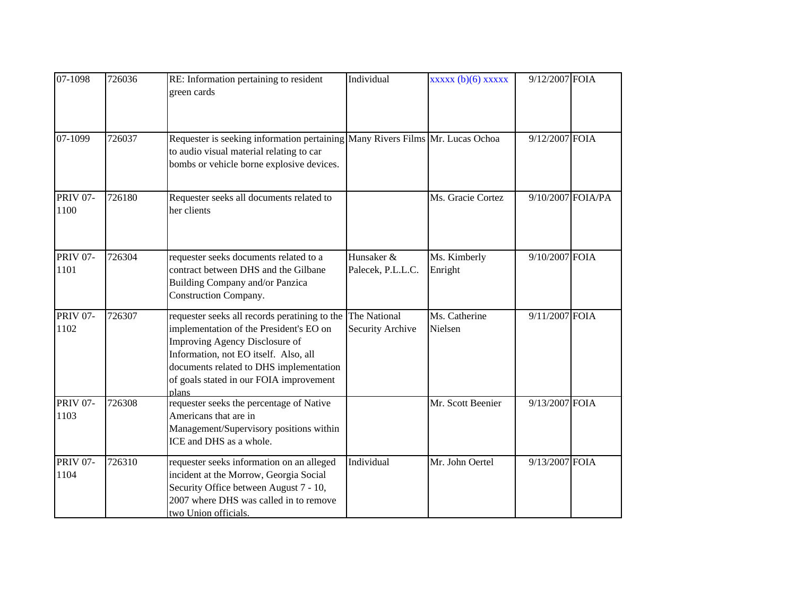| 07-1098                 | 726036 | RE: Information pertaining to resident<br>green cards                                                                                                                                                                                                                           | Individual                      | $xxxxx$ (b)(6) $xxxxx$   | 9/12/2007 FOIA |                   |
|-------------------------|--------|---------------------------------------------------------------------------------------------------------------------------------------------------------------------------------------------------------------------------------------------------------------------------------|---------------------------------|--------------------------|----------------|-------------------|
| 07-1099                 | 726037 | Requester is seeking information pertaining Many Rivers Films Mr. Lucas Ochoa<br>to audio visual material relating to car<br>bombs or vehicle borne explosive devices.                                                                                                          |                                 |                          | 9/12/2007 FOIA |                   |
| <b>PRIV 07-</b><br>1100 | 726180 | Requester seeks all documents related to<br>her clients                                                                                                                                                                                                                         |                                 | Ms. Gracie Cortez        |                | 9/10/2007 FOIA/PA |
| <b>PRIV 07-</b><br>1101 | 726304 | requester seeks documents related to a<br>contract between DHS and the Gilbane<br>Building Company and/or Panzica<br>Construction Company.                                                                                                                                      | Hunsaker &<br>Palecek, P.L.L.C. | Ms. Kimberly<br>Enright  | 9/10/2007 FOIA |                   |
| <b>PRIV 07-</b><br>1102 | 726307 | requester seeks all records peratining to the The National<br>implementation of the President's EO on<br>Improving Agency Disclosure of<br>Information, not EO itself. Also, all<br>documents related to DHS implementation<br>of goals stated in our FOIA improvement<br>plans | Security Archive                | Ms. Catherine<br>Nielsen | 9/11/2007 FOIA |                   |
| <b>PRIV 07-</b><br>1103 | 726308 | requester seeks the percentage of Native<br>Americans that are in<br>Management/Supervisory positions within<br>ICE and DHS as a whole.                                                                                                                                         |                                 | Mr. Scott Beenier        | 9/13/2007 FOIA |                   |
| <b>PRIV 07-</b><br>1104 | 726310 | requester seeks information on an alleged<br>incident at the Morrow, Georgia Social<br>Security Office between August 7 - 10,<br>2007 where DHS was called in to remove<br>two Union officials.                                                                                 | Individual                      | Mr. John Oertel          | 9/13/2007 FOIA |                   |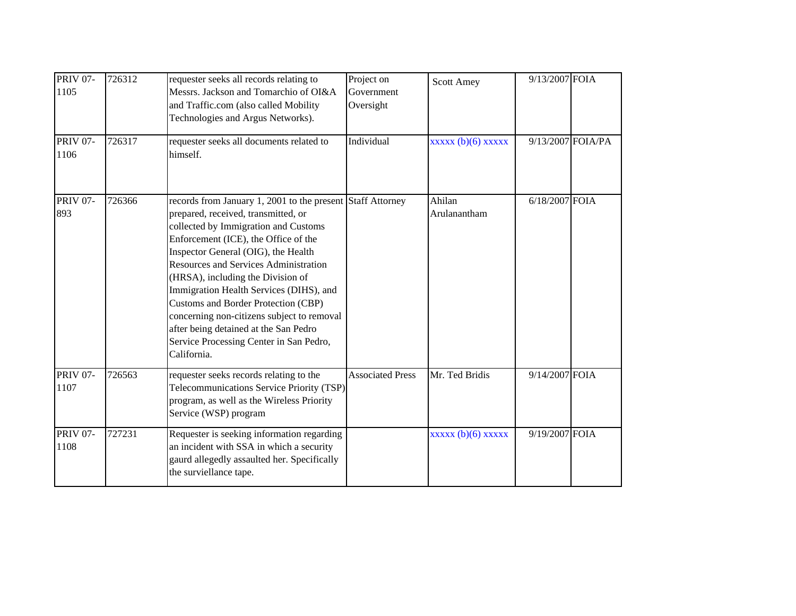| <b>PRIV 07-</b><br>1105 | 726312 | requester seeks all records relating to<br>Messrs. Jackson and Tomarchio of OI&A<br>and Traffic.com (also called Mobility<br>Technologies and Argus Networks).                                                                                                                                                                                                                                                                                                                                                                                          | Project on<br>Government<br>Oversight | <b>Scott Amey</b>      | 9/13/2007 FOIA    |
|-------------------------|--------|---------------------------------------------------------------------------------------------------------------------------------------------------------------------------------------------------------------------------------------------------------------------------------------------------------------------------------------------------------------------------------------------------------------------------------------------------------------------------------------------------------------------------------------------------------|---------------------------------------|------------------------|-------------------|
| <b>PRIV 07-</b><br>1106 | 726317 | requester seeks all documents related to<br>himself.                                                                                                                                                                                                                                                                                                                                                                                                                                                                                                    | Individual                            | $xxxxx(b)(6)$ $xxxxx$  | 9/13/2007 FOIA/PA |
| <b>PRIV 07-</b><br>893  | 726366 | records from January 1, 2001 to the present Staff Attorney<br>prepared, received, transmitted, or<br>collected by Immigration and Customs<br>Enforcement (ICE), the Office of the<br>Inspector General (OIG), the Health<br><b>Resources and Services Administration</b><br>(HRSA), including the Division of<br>Immigration Health Services (DIHS), and<br><b>Customs and Border Protection (CBP)</b><br>concerning non-citizens subject to removal<br>after being detained at the San Pedro<br>Service Processing Center in San Pedro,<br>California. |                                       | Ahilan<br>Arulanantham | 6/18/2007 FOIA    |
| <b>PRIV 07-</b><br>1107 | 726563 | requester seeks records relating to the<br>Telecommunications Service Priority (TSP)<br>program, as well as the Wireless Priority<br>Service (WSP) program                                                                                                                                                                                                                                                                                                                                                                                              | <b>Associated Press</b>               | Mr. Ted Bridis         | 9/14/2007 FOIA    |
| <b>PRIV 07-</b><br>1108 | 727231 | Requester is seeking information regarding<br>an incident with SSA in which a security<br>gaurd allegedly assaulted her. Specifically<br>the surviellance tape.                                                                                                                                                                                                                                                                                                                                                                                         |                                       | $xxxxx(b)(6)$ $xxxxx$  | 9/19/2007 FOIA    |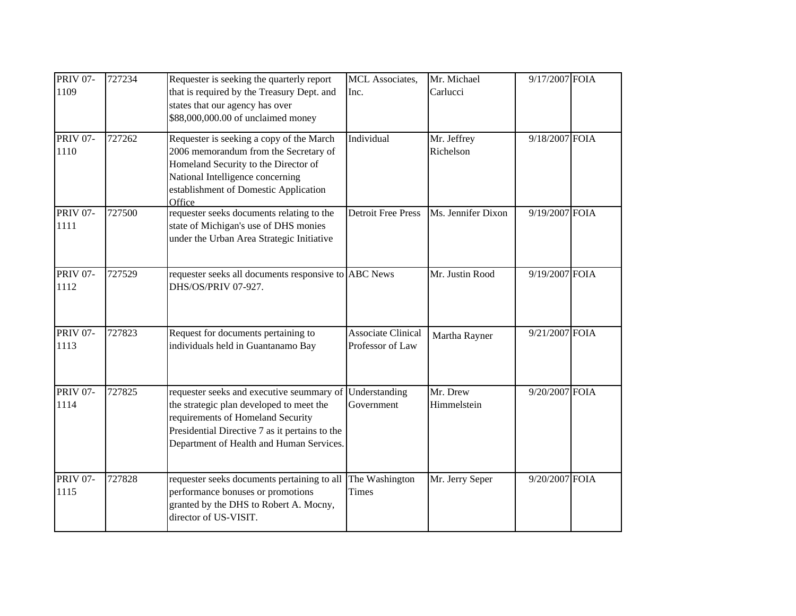| <b>PRIV 07-</b><br>1109 | 727234 | Requester is seeking the quarterly report<br>that is required by the Treasury Dept. and<br>states that our agency has over<br>\$88,000,000.00 of unclaimed money                                                         | <b>MCL</b> Associates,<br>Inc.                | Mr. Michael<br>Carlucci  | 9/17/2007 FOIA |  |
|-------------------------|--------|--------------------------------------------------------------------------------------------------------------------------------------------------------------------------------------------------------------------------|-----------------------------------------------|--------------------------|----------------|--|
| <b>PRIV 07-</b><br>1110 | 727262 | Requester is seeking a copy of the March<br>2006 memorandum from the Secretary of<br>Homeland Security to the Director of<br>National Intelligence concerning<br>establishment of Domestic Application<br>Office         | Individual                                    | Mr. Jeffrey<br>Richelson | 9/18/2007 FOIA |  |
| <b>PRIV 07-</b><br>1111 | 727500 | requester seeks documents relating to the<br>state of Michigan's use of DHS monies<br>under the Urban Area Strategic Initiative                                                                                          | <b>Detroit Free Press</b>                     | Ms. Jennifer Dixon       | 9/19/2007 FOIA |  |
| <b>PRIV 07-</b><br>1112 | 727529 | requester seeks all documents responsive to ABC News<br>DHS/OS/PRIV 07-927.                                                                                                                                              |                                               | Mr. Justin Rood          | 9/19/2007 FOIA |  |
| <b>PRIV 07-</b><br>1113 | 727823 | Request for documents pertaining to<br>individuals held in Guantanamo Bay                                                                                                                                                | <b>Associate Clinical</b><br>Professor of Law | Martha Rayner            | 9/21/2007 FOIA |  |
| <b>PRIV 07-</b><br>1114 | 727825 | requester seeks and executive seummary of<br>the strategic plan developed to meet the<br>requirements of Homeland Security<br>Presidential Directive 7 as it pertains to the<br>Department of Health and Human Services. | Understanding<br>Government                   | Mr. Drew<br>Himmelstein  | 9/20/2007 FOIA |  |
| <b>PRIV 07-</b><br>1115 | 727828 | requester seeks documents pertaining to all<br>performance bonuses or promotions<br>granted by the DHS to Robert A. Mocny,<br>director of US-VISIT.                                                                      | The Washington<br><b>Times</b>                | Mr. Jerry Seper          | 9/20/2007 FOIA |  |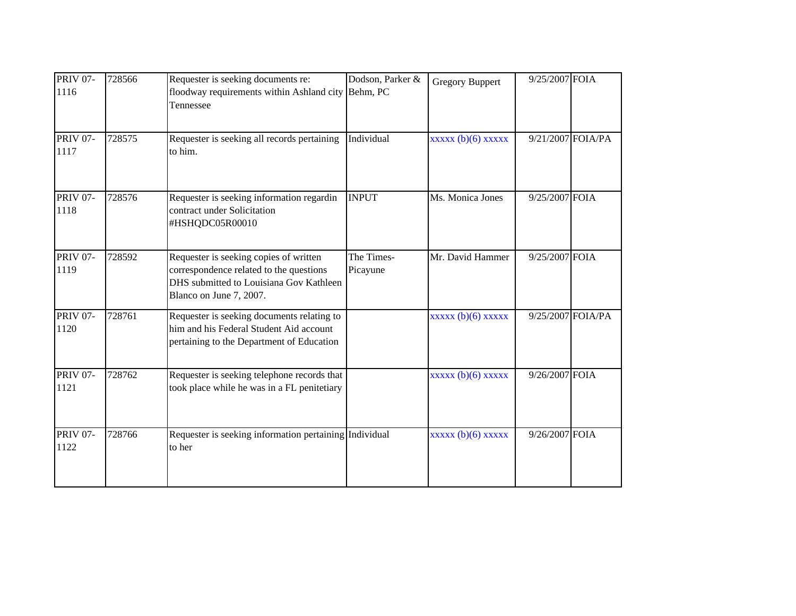| <b>PRIV 07-</b><br>1116 | 728566 | Requester is seeking documents re:<br>floodway requirements within Ashland city Behm, PC<br>Tennessee                                                   | Dodson, Parker &       | <b>Gregory Buppert</b> | 9/25/2007 FOIA    |  |
|-------------------------|--------|---------------------------------------------------------------------------------------------------------------------------------------------------------|------------------------|------------------------|-------------------|--|
| <b>PRIV 07-</b><br>1117 | 728575 | Requester is seeking all records pertaining<br>to him.                                                                                                  | Individual             | $xxxxx$ (b)(6) $xxxxx$ | 9/21/2007 FOIA/PA |  |
| <b>PRIV 07-</b><br>1118 | 728576 | Requester is seeking information regardin<br>contract under Solicitation<br>#HSHQDC05R00010                                                             | <b>INPUT</b>           | Ms. Monica Jones       | 9/25/2007 FOIA    |  |
| <b>PRIV 07-</b><br>1119 | 728592 | Requester is seeking copies of written<br>correspondence related to the questions<br>DHS submitted to Louisiana Gov Kathleen<br>Blanco on June 7, 2007. | The Times-<br>Picayune | Mr. David Hammer       | 9/25/2007 FOIA    |  |
| <b>PRIV 07-</b><br>1120 | 728761 | Requester is seeking documents relating to<br>him and his Federal Student Aid account<br>pertaining to the Department of Education                      |                        | $xxxxx(b)(6)$ $xxxxx$  | 9/25/2007 FOIA/PA |  |
| <b>PRIV 07-</b><br>1121 | 728762 | Requester is seeking telephone records that<br>took place while he was in a FL penitetiary                                                              |                        | $xxxxx$ (b)(6) $xxxxx$ | 9/26/2007 FOIA    |  |
| <b>PRIV 07-</b><br>1122 | 728766 | Requester is seeking information pertaining Individual<br>to her                                                                                        |                        | $xxxxx(b)(6)$ $xxxxx$  | $9/26/2007$ FOIA  |  |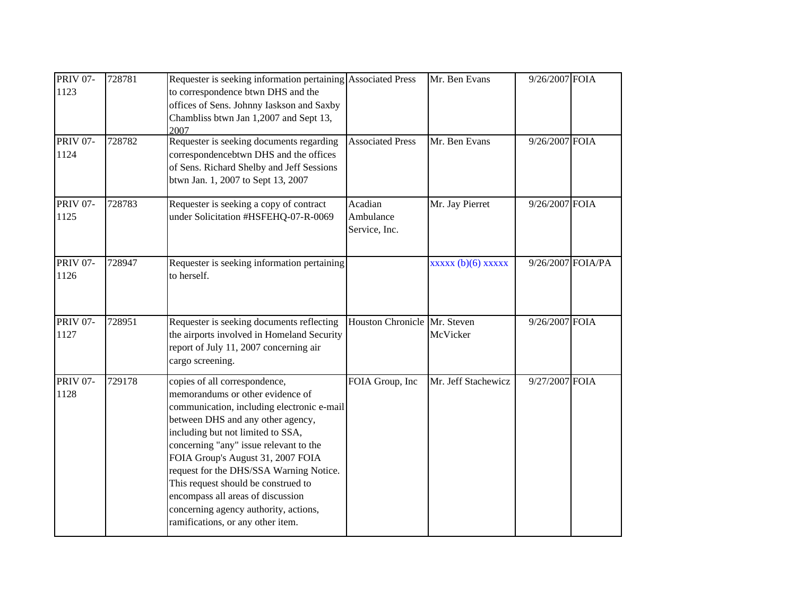| <b>PRIV 07-</b><br>1123 | 728781 | Requester is seeking information pertaining Associated Press<br>to correspondence btwn DHS and the<br>offices of Sens. Johnny Iaskson and Saxby<br>Chambliss btwn Jan 1,2007 and Sept 13,<br>2007                                                                                                                                                                                                                                                                             |                                       | Mr. Ben Evans         | 9/26/2007 FOIA    |  |
|-------------------------|--------|-------------------------------------------------------------------------------------------------------------------------------------------------------------------------------------------------------------------------------------------------------------------------------------------------------------------------------------------------------------------------------------------------------------------------------------------------------------------------------|---------------------------------------|-----------------------|-------------------|--|
| <b>PRIV 07-</b><br>1124 | 728782 | Requester is seeking documents regarding<br>correspondencebtwn DHS and the offices<br>of Sens. Richard Shelby and Jeff Sessions<br>btwn Jan. 1, 2007 to Sept 13, 2007                                                                                                                                                                                                                                                                                                         | <b>Associated Press</b>               | Mr. Ben Evans         | 9/26/2007 FOIA    |  |
| <b>PRIV 07-</b><br>1125 | 728783 | Requester is seeking a copy of contract<br>under Solicitation #HSFEHQ-07-R-0069                                                                                                                                                                                                                                                                                                                                                                                               | Acadian<br>Ambulance<br>Service, Inc. | Mr. Jay Pierret       | 9/26/2007 FOIA    |  |
| <b>PRIV 07-</b><br>1126 | 728947 | Requester is seeking information pertaining<br>to herself.                                                                                                                                                                                                                                                                                                                                                                                                                    |                                       | $xxxxx(b)(6)$ $xxxxx$ | 9/26/2007 FOIA/PA |  |
| <b>PRIV 07-</b><br>1127 | 728951 | Requester is seeking documents reflecting<br>the airports involved in Homeland Security<br>report of July 11, 2007 concerning air<br>cargo screening.                                                                                                                                                                                                                                                                                                                         | Houston Chronicle Mr. Steven          | McVicker              | 9/26/2007 FOIA    |  |
| <b>PRIV 07-</b><br>1128 | 729178 | copies of all correspondence,<br>memorandums or other evidence of<br>communication, including electronic e-mail<br>between DHS and any other agency,<br>including but not limited to SSA,<br>concerning "any" issue relevant to the<br>FOIA Group's August 31, 2007 FOIA<br>request for the DHS/SSA Warning Notice.<br>This request should be construed to<br>encompass all areas of discussion<br>concerning agency authority, actions,<br>ramifications, or any other item. | FOIA Group, Inc                       | Mr. Jeff Stachewicz   | 9/27/2007 FOIA    |  |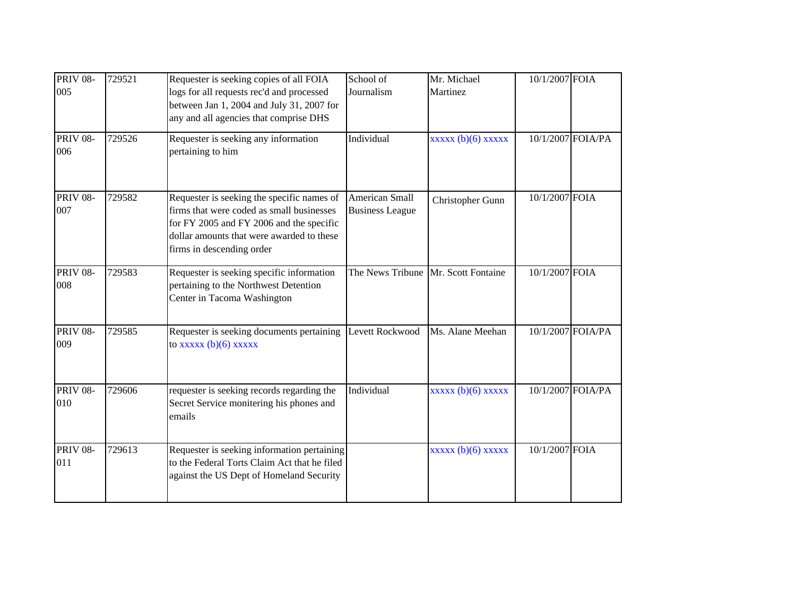| <b>PRIV 08-</b><br>005<br><b>PRIV 08-</b> | 729521<br>729526 | Requester is seeking copies of all FOIA<br>logs for all requests rec'd and processed<br>between Jan 1, 2004 and July 31, 2007 for<br>any and all agencies that comprise DHS<br>Requester is seeking any information | School of<br>Journalism<br>Individual    | Mr. Michael<br>Martinez<br>$xxxxx(b)(6)$ $xxxxx$ | 10/1/2007 FOIA<br>10/1/2007 FOIA/PA |                   |
|-------------------------------------------|------------------|---------------------------------------------------------------------------------------------------------------------------------------------------------------------------------------------------------------------|------------------------------------------|--------------------------------------------------|-------------------------------------|-------------------|
| 006                                       |                  | pertaining to him                                                                                                                                                                                                   |                                          |                                                  |                                     |                   |
| <b>PRIV 08-</b><br>007                    | 729582           | Requester is seeking the specific names of<br>firms that were coded as small businesses<br>for FY 2005 and FY 2006 and the specific<br>dollar amounts that were awarded to these<br>firms in descending order       | American Small<br><b>Business League</b> | Christopher Gunn                                 | 10/1/2007 FOIA                      |                   |
| <b>PRIV 08-</b><br>008                    | 729583           | Requester is seeking specific information<br>pertaining to the Northwest Detention<br>Center in Tacoma Washington                                                                                                   |                                          | The News Tribune Mr. Scott Fontaine              | 10/1/2007 FOIA                      |                   |
| <b>PRIV 08-</b><br>009                    | 729585           | Requester is seeking documents pertaining<br>to $\overline{xxxx}$ (b)(6) $\overline{xxxx}$                                                                                                                          | Levett Rockwood                          | Ms. Alane Meehan                                 |                                     | 10/1/2007 FOIA/PA |
| <b>PRIV 08-</b><br>010                    | 729606           | requester is seeking records regarding the<br>Secret Service monitering his phones and<br>emails                                                                                                                    | Individual                               | $xxxxx(b)(6)$ $xxxxx$                            | 10/1/2007 FOIA/PA                   |                   |
| <b>PRIV 08-</b><br>011                    | 729613           | Requester is seeking information pertaining<br>to the Federal Torts Claim Act that he filed<br>against the US Dept of Homeland Security                                                                             |                                          | $xxxxx(b)(6)$ $xxxxx$                            | 10/1/2007 FOIA                      |                   |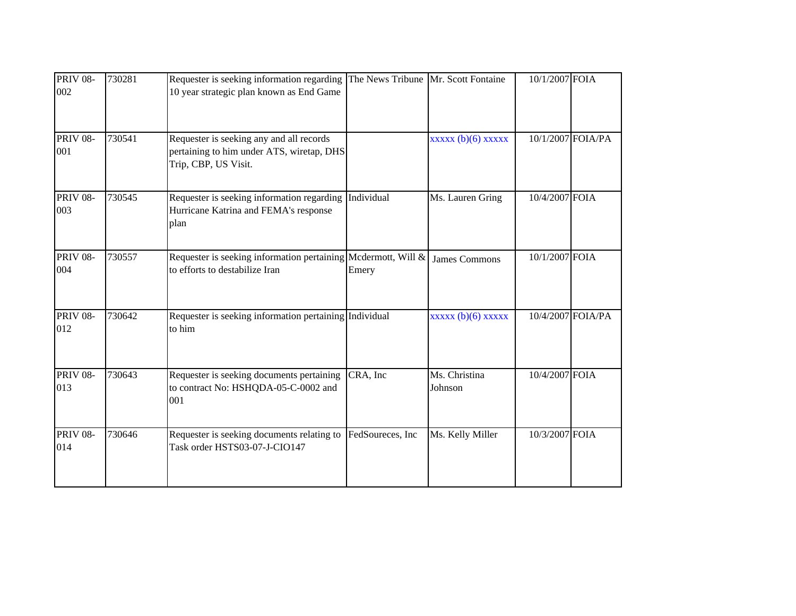| <b>PRIV 08-</b><br>002 | 730281 | Requester is seeking information regarding<br>10 year strategic plan known as End Game                        | The News Tribune Mr. Scott Fontaine |                          | 10/1/2007 FOIA |                   |
|------------------------|--------|---------------------------------------------------------------------------------------------------------------|-------------------------------------|--------------------------|----------------|-------------------|
| <b>PRIV 08-</b><br>001 | 730541 | Requester is seeking any and all records<br>pertaining to him under ATS, wiretap, DHS<br>Trip, CBP, US Visit. |                                     | $xxxxx$ (b)(6) $xxxxx$   |                | 10/1/2007 FOIA/PA |
| <b>PRIV 08-</b><br>003 | 730545 | Requester is seeking information regarding Individual<br>Hurricane Katrina and FEMA's response<br>plan        |                                     | Ms. Lauren Gring         | 10/4/2007 FOIA |                   |
| <b>PRIV 08-</b><br>004 | 730557 | Requester is seeking information pertaining Mcdermott, Will &<br>to efforts to destabilize Iran               | Emery                               | <b>James Commons</b>     | 10/1/2007 FOIA |                   |
| <b>PRIV 08-</b><br>012 | 730642 | Requester is seeking information pertaining Individual<br>to him                                              |                                     | $xxxxx(b)(6)$ $xxxxx$    |                | 10/4/2007 FOIA/PA |
| <b>PRIV 08-</b><br>013 | 730643 | Requester is seeking documents pertaining<br>to contract No: HSHQDA-05-C-0002 and<br>001                      | CRA, Inc                            | Ms. Christina<br>Johnson | 10/4/2007 FOIA |                   |
| <b>PRIV 08-</b><br>014 | 730646 | Requester is seeking documents relating to FedSoureces, Inc<br>Task order HSTS03-07-J-CIO147                  |                                     | Ms. Kelly Miller         | 10/3/2007 FOIA |                   |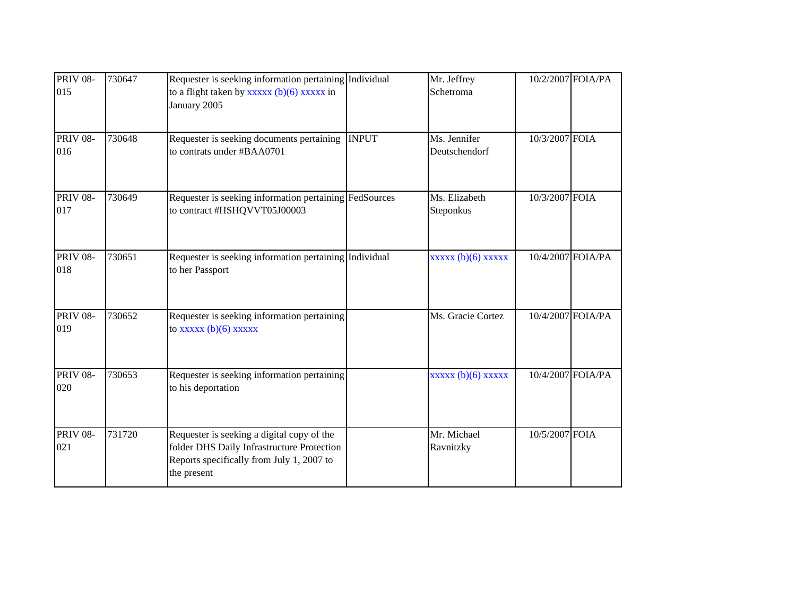| <b>PRIV 08-</b><br>015 | 730647 | Requester is seeking information pertaining Individual<br>to a flight taken by $xxxxx$ (b)(6) $xxxxx$ in<br>January 2005                             |              | Mr. Jeffrey<br>Schetroma      |                | 10/2/2007 FOIA/PA |
|------------------------|--------|------------------------------------------------------------------------------------------------------------------------------------------------------|--------------|-------------------------------|----------------|-------------------|
| <b>PRIV 08-</b><br>016 | 730648 | Requester is seeking documents pertaining<br>to contrats under #BAA0701                                                                              | <b>INPUT</b> | Ms. Jennifer<br>Deutschendorf | 10/3/2007 FOIA |                   |
| <b>PRIV 08-</b><br>017 | 730649 | Requester is seeking information pertaining FedSources<br>to contract #HSHQVVT05J00003                                                               |              | Ms. Elizabeth<br>Steponkus    | 10/3/2007 FOIA |                   |
| <b>PRIV 08-</b><br>018 | 730651 | Requester is seeking information pertaining Individual<br>to her Passport                                                                            |              | $xxxxx(b)(6)$ $xxxxx$         |                | 10/4/2007 FOIA/PA |
| <b>PRIV 08-</b><br>019 | 730652 | Requester is seeking information pertaining<br>to $\overline{xxxx}$ (b)(6) $\overline{xxxx}$                                                         |              | Ms. Gracie Cortez             |                | 10/4/2007 FOIA/PA |
| <b>PRIV 08-</b><br>020 | 730653 | Requester is seeking information pertaining<br>to his deportation                                                                                    |              | xxxxx(b)(6)xxxxx              |                | 10/4/2007 FOIA/PA |
| <b>PRIV 08-</b><br>021 | 731720 | Requester is seeking a digital copy of the<br>folder DHS Daily Infrastructure Protection<br>Reports specifically from July 1, 2007 to<br>the present |              | Mr. Michael<br>Ravnitzky      | 10/5/2007 FOIA |                   |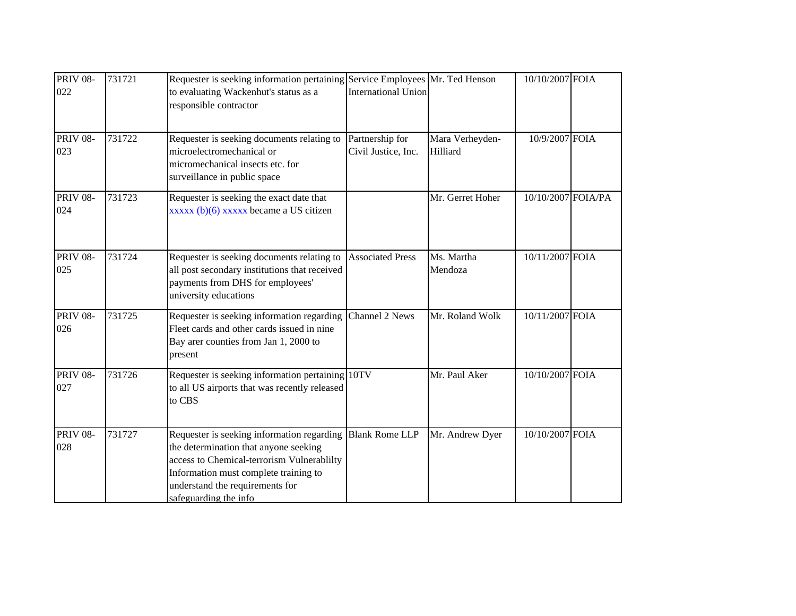| <b>PRIV 08-</b><br>022 | 731721 | Requester is seeking information pertaining Service Employees Mr. Ted Henson<br>to evaluating Wackenhut's status as a<br>responsible contractor                                                                                        | <b>International Union</b>             |                             | 10/10/2007 FOIA    |  |
|------------------------|--------|----------------------------------------------------------------------------------------------------------------------------------------------------------------------------------------------------------------------------------------|----------------------------------------|-----------------------------|--------------------|--|
| <b>PRIV 08-</b><br>023 | 731722 | Requester is seeking documents relating to<br>microelectromechanical or<br>micromechanical insects etc. for<br>surveillance in public space                                                                                            | Partnership for<br>Civil Justice, Inc. | Mara Verheyden-<br>Hilliard | 10/9/2007 FOIA     |  |
| <b>PRIV 08-</b><br>024 | 731723 | Requester is seeking the exact date that<br>xxxxx (b)(6) xxxxx became a US citizen                                                                                                                                                     |                                        | Mr. Gerret Hoher            | 10/10/2007 FOIA/PA |  |
| <b>PRIV 08-</b><br>025 | 731724 | Requester is seeking documents relating to<br>all post secondary institutions that received<br>payments from DHS for employees'<br>university educations                                                                               | <b>Associated Press</b>                | Ms. Martha<br>Mendoza       | 10/11/2007 FOIA    |  |
| <b>PRIV 08-</b><br>026 | 731725 | Requester is seeking information regarding<br>Fleet cards and other cards issued in nine<br>Bay arer counties from Jan 1, 2000 to<br>present                                                                                           | Channel 2 News                         | Mr. Roland Wolk             | 10/11/2007 FOIA    |  |
| <b>PRIV 08-</b><br>027 | 731726 | Requester is seeking information pertaining 10TV<br>to all US airports that was recently released<br>to CBS                                                                                                                            |                                        | Mr. Paul Aker               | 10/10/2007 FOIA    |  |
| <b>PRIV 08-</b><br>028 | 731727 | Requester is seeking information regarding<br>the determination that anyone seeking<br>access to Chemical-terrorism Vulnerablilty<br>Information must complete training to<br>understand the requirements for<br>safeguarding the info | <b>Blank Rome LLP</b>                  | Mr. Andrew Dyer             | 10/10/2007 FOIA    |  |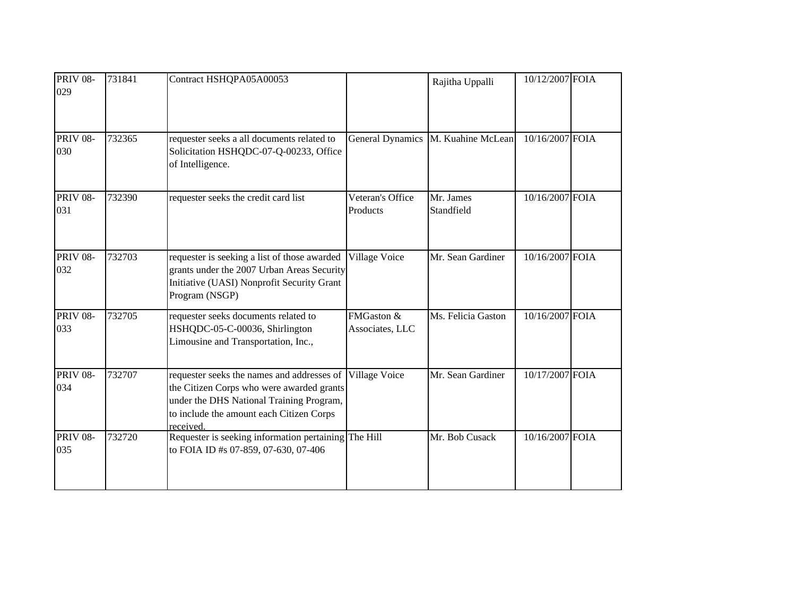| <b>PRIV 08-</b><br>029 | 731841 | Contract HSHQPA05A00053                                                                                                                                                                      |                                          | Rajitha Uppalli         | 10/12/2007 FOIA |  |
|------------------------|--------|----------------------------------------------------------------------------------------------------------------------------------------------------------------------------------------------|------------------------------------------|-------------------------|-----------------|--|
| <b>PRIV 08-</b><br>030 | 732365 | requester seeks a all documents related to<br>Solicitation HSHQDC-07-Q-00233, Office<br>of Intelligence.                                                                                     | General Dynamics                         | M. Kuahine McLean       | 10/16/2007 FOIA |  |
| <b>PRIV 08-</b><br>031 | 732390 | requester seeks the credit card list                                                                                                                                                         | Veteran's Office<br>Products             | Mr. James<br>Standfield | 10/16/2007 FOIA |  |
| <b>PRIV 08-</b><br>032 | 732703 | requester is seeking a list of those awarded<br>grants under the 2007 Urban Areas Security<br>Initiative (UASI) Nonprofit Security Grant<br>Program (NSGP)                                   | Village Voice                            | Mr. Sean Gardiner       | 10/16/2007 FOIA |  |
| <b>PRIV 08-</b><br>033 | 732705 | requester seeks documents related to<br>HSHQDC-05-C-00036, Shirlington<br>Limousine and Transportation, Inc.,                                                                                | <b>FMGaston &amp;</b><br>Associates, LLC | Ms. Felicia Gaston      | 10/16/2007 FOIA |  |
| <b>PRIV 08-</b><br>034 | 732707 | requester seeks the names and addresses of<br>the Citizen Corps who were awarded grants<br>under the DHS National Training Program,<br>to include the amount each Citizen Corps<br>received. | Village Voice                            | Mr. Sean Gardiner       | 10/17/2007 FOIA |  |
| <b>PRIV 08-</b><br>035 | 732720 | Requester is seeking information pertaining The Hill<br>to FOIA ID #s 07-859, 07-630, 07-406                                                                                                 |                                          | Mr. Bob Cusack          | 10/16/2007 FOIA |  |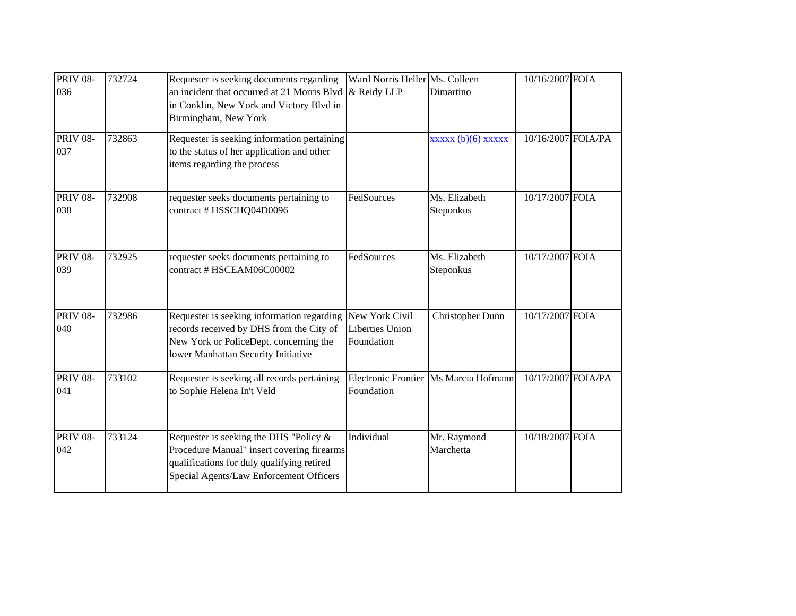| <b>PRIV 08-</b><br>036 | 732724 | Requester is seeking documents regarding<br>an incident that occurred at 21 Morris Blvd & Reidy LLP<br>in Conklin, New York and Victory Blvd in<br>Birmingham, New York                    | Ward Norris Heller Ms. Colleen                         | Dimartino                             | 10/16/2007 FOIA    |  |
|------------------------|--------|--------------------------------------------------------------------------------------------------------------------------------------------------------------------------------------------|--------------------------------------------------------|---------------------------------------|--------------------|--|
| <b>PRIV 08-</b><br>037 | 732863 | Requester is seeking information pertaining<br>to the status of her application and other<br>items regarding the process                                                                   |                                                        | $xxxxx$ (b)(6) $xxxxx$                | 10/16/2007 FOIA/PA |  |
| <b>PRIV 08-</b><br>038 | 732908 | requester seeks documents pertaining to<br>contract # HSSCHQ04D0096                                                                                                                        | FedSources                                             | Ms. Elizabeth<br>Steponkus            | 10/17/2007 FOIA    |  |
| <b>PRIV 08-</b><br>039 | 732925 | requester seeks documents pertaining to<br>contract # HSCEAM06C00002                                                                                                                       | FedSources                                             | Ms. Elizabeth<br>Steponkus            | 10/17/2007 FOIA    |  |
| <b>PRIV 08-</b><br>040 | 732986 | Requester is seeking information regarding<br>records received by DHS from the City of<br>New York or PoliceDept. concerning the<br>lower Manhattan Security Initiative                    | New York Civil<br><b>Liberties Union</b><br>Foundation | Christopher Dunn                      | 10/17/2007 FOIA    |  |
| <b>PRIV 08-</b><br>041 | 733102 | Requester is seeking all records pertaining<br>to Sophie Helena In't Veld                                                                                                                  | Foundation                                             | Electronic Frontier Ms Marcia Hofmann | 10/17/2007 FOIA/PA |  |
| <b>PRIV 08-</b><br>042 | 733124 | Requester is seeking the DHS $\overline{Policy \&}$<br>Procedure Manual" insert covering firearms<br>qualifications for duly qualifying retired<br>Special Agents/Law Enforcement Officers | Individual                                             | Mr. Raymond<br>Marchetta              | 10/18/2007 FOIA    |  |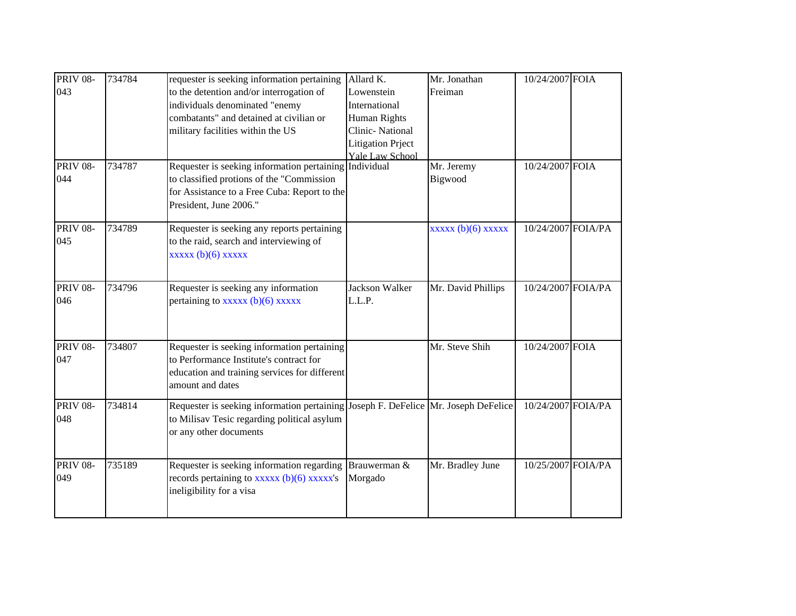| <b>PRIV 08-</b> | 734784 | requester is seeking information pertaining                                        | Allard K.                | Mr. Jonathan          | 10/24/2007 FOIA    |  |
|-----------------|--------|------------------------------------------------------------------------------------|--------------------------|-----------------------|--------------------|--|
| 043             |        | to the detention and/or interrogation of                                           | Lowenstein               | Freiman               |                    |  |
|                 |        | individuals denominated "enemy                                                     | International            |                       |                    |  |
|                 |        | combatants" and detained at civilian or                                            | <b>Human Rights</b>      |                       |                    |  |
|                 |        | military facilities within the US                                                  | Clinic-National          |                       |                    |  |
|                 |        |                                                                                    | <b>Litigation Prject</b> |                       |                    |  |
|                 |        |                                                                                    | Yale Law School          |                       |                    |  |
| <b>PRIV 08-</b> | 734787 | Requester is seeking information pertaining Individual                             |                          | Mr. Jeremy            | 10/24/2007 FOIA    |  |
| 044             |        | to classified protions of the "Commission                                          |                          | Bigwood               |                    |  |
|                 |        | for Assistance to a Free Cuba: Report to the                                       |                          |                       |                    |  |
|                 |        | President, June 2006."                                                             |                          |                       |                    |  |
| <b>PRIV 08-</b> | 734789 | Requester is seeking any reports pertaining                                        |                          | $xxxxx(b)(6)$ $xxxxx$ | 10/24/2007 FOIA/PA |  |
| 045             |        | to the raid, search and interviewing of                                            |                          |                       |                    |  |
|                 |        | $xxxxx(b)(6)$ $xxxxx$                                                              |                          |                       |                    |  |
|                 |        |                                                                                    |                          |                       |                    |  |
| <b>PRIV 08-</b> | 734796 | Requester is seeking any information                                               | Jackson Walker           | Mr. David Phillips    | 10/24/2007 FOIA/PA |  |
| 046             |        | pertaining to $xxxxx$ (b)(6) $xxxxx$                                               | L.L.P.                   |                       |                    |  |
|                 |        |                                                                                    |                          |                       |                    |  |
|                 |        |                                                                                    |                          |                       |                    |  |
| <b>PRIV 08-</b> | 734807 | Requester is seeking information pertaining                                        |                          | Mr. Steve Shih        | 10/24/2007 FOIA    |  |
| 047             |        | to Performance Institute's contract for                                            |                          |                       |                    |  |
|                 |        | education and training services for different                                      |                          |                       |                    |  |
|                 |        | amount and dates                                                                   |                          |                       |                    |  |
| <b>PRIV 08-</b> | 734814 | Requester is seeking information pertaining Joseph F. DeFelice Mr. Joseph DeFelice |                          |                       | 10/24/2007 FOIA/PA |  |
| 048             |        | to Milisav Tesic regarding political asylum                                        |                          |                       |                    |  |
|                 |        | or any other documents                                                             |                          |                       |                    |  |
|                 |        |                                                                                    |                          |                       |                    |  |
| <b>PRIV 08-</b> | 735189 | Requester is seeking information regarding                                         | Brauwerman &             | Mr. Bradley June      | 10/25/2007 FOIA/PA |  |
| 049             |        | records pertaining to $xxxxx$ (b)(6) $xxxxx$ 's                                    | Morgado                  |                       |                    |  |
|                 |        | ineligibility for a visa                                                           |                          |                       |                    |  |
|                 |        |                                                                                    |                          |                       |                    |  |
|                 |        |                                                                                    |                          |                       |                    |  |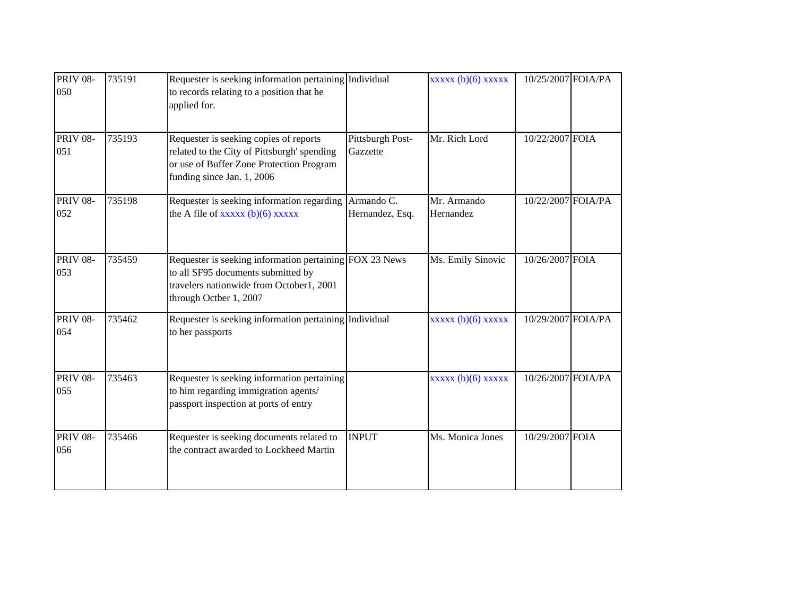| <b>PRIV 08-</b><br>050 | 735191 | Requester is seeking information pertaining Individual<br>to records relating to a position that he<br>applied for.                                                 |                               | xxxxx(b)(6)xxxxx         | 10/25/2007 FOIA/PA |  |
|------------------------|--------|---------------------------------------------------------------------------------------------------------------------------------------------------------------------|-------------------------------|--------------------------|--------------------|--|
| <b>PRIV 08-</b><br>051 | 735193 | Requester is seeking copies of reports<br>related to the City of Pittsburgh' spending<br>or use of Buffer Zone Protection Program<br>funding since Jan. 1, 2006     | Pittsburgh Post-<br>Gazzette  | Mr. Rich Lord            | 10/22/2007 FOIA    |  |
| <b>PRIV 08-</b><br>052 | 735198 | Requester is seeking information regarding<br>the A file of $xxxxx$ (b)(6) $xxxxx$                                                                                  | Armando C.<br>Hernandez, Esq. | Mr. Armando<br>Hernandez | 10/22/2007 FOIA/PA |  |
| <b>PRIV 08-</b><br>053 | 735459 | Requester is seeking information pertaining FOX 23 News<br>to all SF95 documents submitted by<br>travelers nationwide from October1, 2001<br>through Octber 1, 2007 |                               | Ms. Emily Sinovic        | 10/26/2007 FOIA    |  |
| <b>PRIV 08-</b><br>054 | 735462 | Requester is seeking information pertaining Individual<br>to her passports                                                                                          |                               | $xxxxx(b)(6)$ $xxxxx$    | 10/29/2007 FOIA/PA |  |
| <b>PRIV 08-</b><br>055 | 735463 | Requester is seeking information pertaining<br>to him regarding immigration agents/<br>passport inspection at ports of entry                                        |                               | $xxxxx(b)(6)$ $xxxxx$    | 10/26/2007 FOIA/PA |  |
| <b>PRIV 08-</b><br>056 | 735466 | Requester is seeking documents related to<br>the contract awarded to Lockheed Martin                                                                                | <b>INPUT</b>                  | Ms. Monica Jones         | 10/29/2007 FOIA    |  |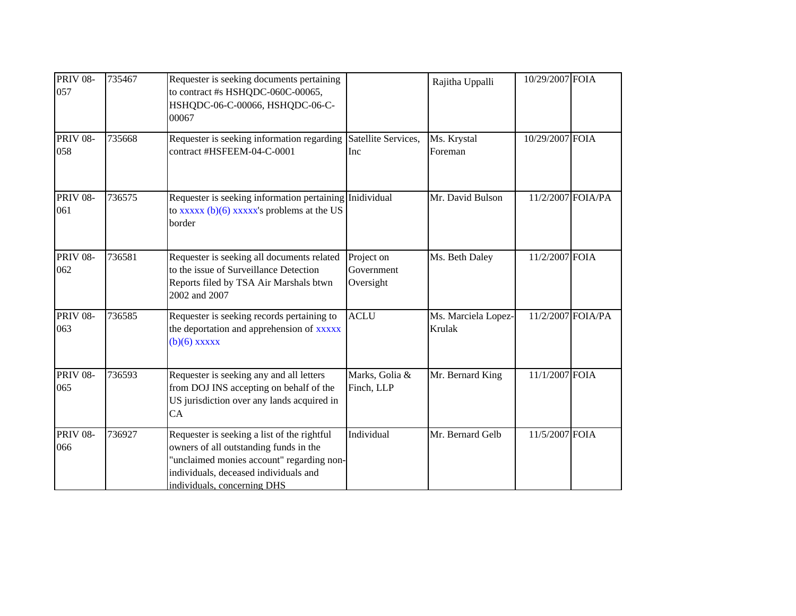| <b>PRIV 08-</b><br>057 | 735467 | Requester is seeking documents pertaining<br>to contract #s HSHQDC-060C-00065,<br>HSHQDC-06-C-00066, HSHQDC-06-C-<br>00067                                                                                 |                                       | Rajitha Uppalli               | 10/29/2007 FOIA |                   |
|------------------------|--------|------------------------------------------------------------------------------------------------------------------------------------------------------------------------------------------------------------|---------------------------------------|-------------------------------|-----------------|-------------------|
| <b>PRIV 08-</b><br>058 | 735668 | Requester is seeking information regarding<br>contract #HSFEEM-04-C-0001                                                                                                                                   | Satellite Services,<br>Inc            | Ms. Krystal<br>Foreman        | 10/29/2007 FOIA |                   |
| <b>PRIV 08-</b><br>061 | 736575 | Requester is seeking information pertaining Inidividual<br>to $\overline{xx}$ (b)(6) $\overline{xx}$ $\overline{x}$ is problems at the US<br>border                                                        |                                       | Mr. David Bulson              |                 | 11/2/2007 FOIA/PA |
| <b>PRIV 08-</b><br>062 | 736581 | Requester is seeking all documents related<br>to the issue of Surveillance Detection<br>Reports filed by TSA Air Marshals btwn<br>2002 and 2007                                                            | Project on<br>Government<br>Oversight | Ms. Beth Daley                | 11/2/2007 FOIA  |                   |
| <b>PRIV 08-</b><br>063 | 736585 | Requester is seeking records pertaining to<br>the deportation and apprehension of <b>xxxxx</b><br>$(b)(6)$ xxxxx                                                                                           | <b>ACLU</b>                           | Ms. Marciela Lopez-<br>Krulak |                 | 11/2/2007 FOIA/PA |
| <b>PRIV 08-</b><br>065 | 736593 | Requester is seeking any and all letters<br>from DOJ INS accepting on behalf of the<br>US jurisdiction over any lands acquired in<br>CA                                                                    | Marks, Golia &<br>Finch, LLP          | Mr. Bernard King              | 11/1/2007 FOIA  |                   |
| <b>PRIV 08-</b><br>066 | 736927 | Requester is seeking a list of the rightful<br>owners of all outstanding funds in the<br>"unclaimed monies account" regarding non-<br>individuals, deceased individuals and<br>individuals, concerning DHS | Individual                            | Mr. Bernard Gelb              | 11/5/2007 FOIA  |                   |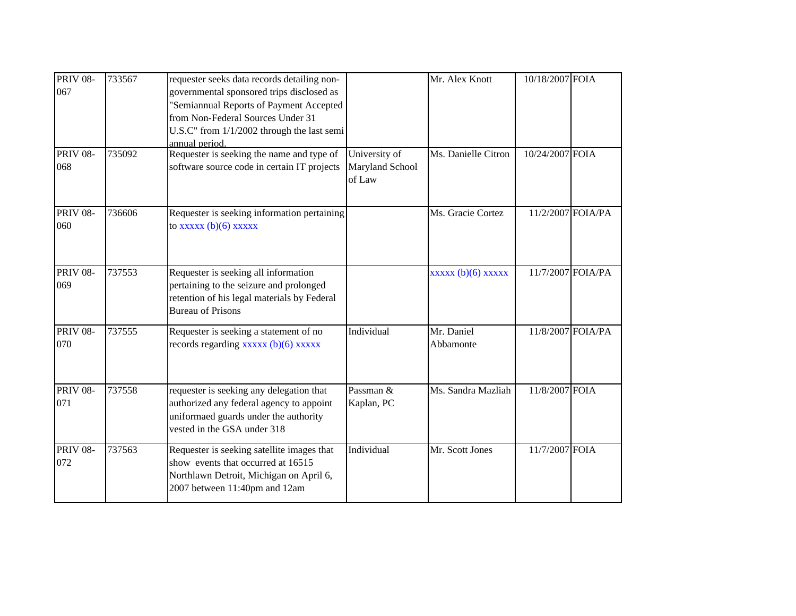| <b>PRIV 08-</b><br>067 | 733567 | requester seeks data records detailing non-<br>governmental sponsored trips disclosed as<br>"Semiannual Reports of Payment Accepted<br>from Non-Federal Sources Under 31<br>U.S.C" from 1/1/2002 through the last semi<br>annual period. |                                            | Mr. Alex Knott          | 10/18/2007 FOIA |                   |
|------------------------|--------|------------------------------------------------------------------------------------------------------------------------------------------------------------------------------------------------------------------------------------------|--------------------------------------------|-------------------------|-----------------|-------------------|
| <b>PRIV 08-</b><br>068 | 735092 | Requester is seeking the name and type of<br>software source code in certain IT projects                                                                                                                                                 | University of<br>Maryland School<br>of Law | Ms. Danielle Citron     | 10/24/2007 FOIA |                   |
| <b>PRIV 08-</b><br>060 | 736606 | Requester is seeking information pertaining<br>to $\overline{xxxx}$ (b)(6) $\overline{xxxx}$                                                                                                                                             |                                            | Ms. Gracie Cortez       |                 | 11/2/2007 FOIA/PA |
| <b>PRIV 08-</b><br>069 | 737553 | Requester is seeking all information<br>pertaining to the seizure and prolonged<br>retention of his legal materials by Federal<br><b>Bureau of Prisons</b>                                                                               |                                            | $xxxxx$ (b)(6) $xxxxx$  |                 | 11/7/2007 FOIA/PA |
| <b>PRIV 08-</b><br>070 | 737555 | Requester is seeking a statement of no<br>records regarding $xxxxx$ (b)(6) $xxxxx$                                                                                                                                                       | Individual                                 | Mr. Daniel<br>Abbamonte |                 | 11/8/2007 FOIA/PA |
| <b>PRIV 08-</b><br>071 | 737558 | requester is seeking any delegation that<br>authorized any federal agency to appoint<br>uniformaed guards under the authority<br>vested in the GSA under 318                                                                             | Passman &<br>Kaplan, PC                    | Ms. Sandra Mazliah      | 11/8/2007 FOIA  |                   |
| <b>PRIV 08-</b><br>072 | 737563 | Requester is seeking satellite images that<br>show events that occurred at 16515<br>Northlawn Detroit, Michigan on April 6,<br>2007 between 11:40pm and 12am                                                                             | Individual                                 | Mr. Scott Jones         | 11/7/2007 FOIA  |                   |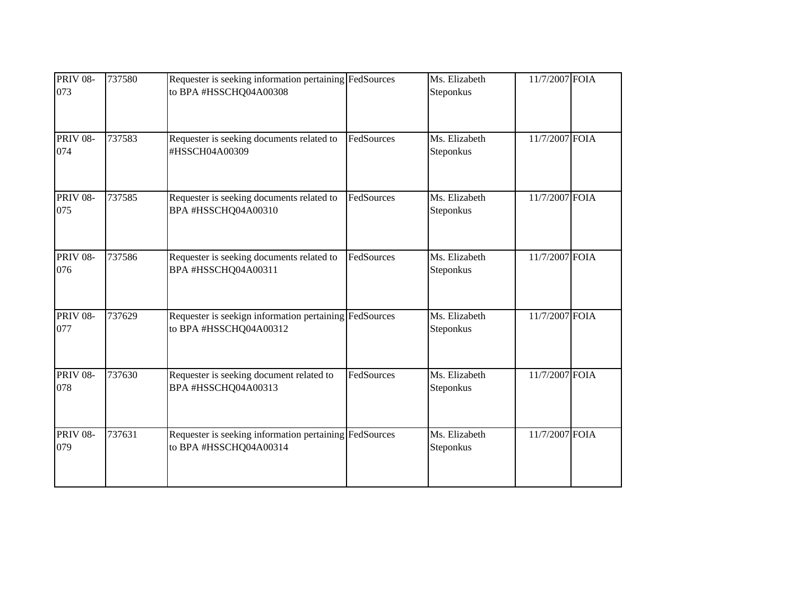| <b>PRIV 08-</b><br>073 | 737580 | Requester is seeking information pertaining FedSources<br>to BPA #HSSCHQ04A00308 |            | Ms. Elizabeth<br>Steponkus | 11/7/2007 FOIA |  |
|------------------------|--------|----------------------------------------------------------------------------------|------------|----------------------------|----------------|--|
| <b>PRIV 08-</b><br>074 | 737583 | Requester is seeking documents related to<br>#HSSCH04A00309                      | FedSources | Ms. Elizabeth<br>Steponkus | 11/7/2007 FOIA |  |
| <b>PRIV 08-</b><br>075 | 737585 | Requester is seeking documents related to<br>BPA #HSSCHQ04A00310                 | FedSources | Ms. Elizabeth<br>Steponkus | 11/7/2007 FOIA |  |
| <b>PRIV 08-</b><br>076 | 737586 | Requester is seeking documents related to<br>BPA #HSSCHQ04A00311                 | FedSources | Ms. Elizabeth<br>Steponkus | 11/7/2007 FOIA |  |
| <b>PRIV 08-</b><br>077 | 737629 | Requester is seekign information pertaining<br>to BPA #HSSCHQ04A00312            | FedSources | Ms. Elizabeth<br>Steponkus | 11/7/2007 FOIA |  |
| <b>PRIV 08-</b><br>078 | 737630 | Requester is seeking document related to<br>BPA #HSSCHQ04A00313                  | FedSources | Ms. Elizabeth<br>Steponkus | 11/7/2007 FOIA |  |
| <b>PRIV 08-</b><br>079 | 737631 | Requester is seeking information pertaining<br>to BPA #HSSCHQ04A00314            | FedSources | Ms. Elizabeth<br>Steponkus | 11/7/2007 FOIA |  |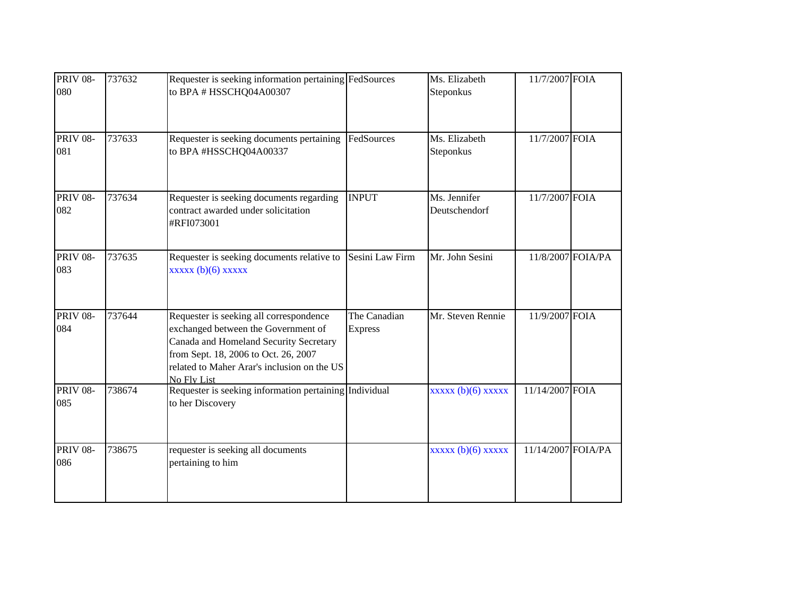| <b>PRIV 08-</b><br>080 | 737632 | Requester is seeking information pertaining FedSources<br>to BPA # HSSCHQ04A00307                                                                                                                                              |                                | Ms. Elizabeth<br>Steponkus    | 11/7/2007 FOIA     |                   |
|------------------------|--------|--------------------------------------------------------------------------------------------------------------------------------------------------------------------------------------------------------------------------------|--------------------------------|-------------------------------|--------------------|-------------------|
| <b>PRIV 08-</b><br>081 | 737633 | Requester is seeking documents pertaining<br>to BPA #HSSCHQ04A00337                                                                                                                                                            | FedSources                     | Ms. Elizabeth<br>Steponkus    | 11/7/2007 FOIA     |                   |
| <b>PRIV 08-</b><br>082 | 737634 | Requester is seeking documents regarding<br>contract awarded under solicitation<br>#RFI073001                                                                                                                                  | <b>INPUT</b>                   | Ms. Jennifer<br>Deutschendorf | 11/7/2007 FOIA     |                   |
| <b>PRIV 08-</b><br>083 | 737635 | Requester is seeking documents relative to<br>$xxxxx$ (b)(6) $xxxxx$                                                                                                                                                           | Sesini Law Firm                | Mr. John Sesini               |                    | 11/8/2007 FOIA/PA |
| <b>PRIV 08-</b><br>084 | 737644 | Requester is seeking all correspondence<br>exchanged between the Government of<br>Canada and Homeland Security Secretary<br>from Sept. 18, 2006 to Oct. 26, 2007<br>related to Maher Arar's inclusion on the US<br>No Fly List | The Canadian<br><b>Express</b> | Mr. Steven Rennie             | 11/9/2007 FOIA     |                   |
| <b>PRIV 08-</b><br>085 | 738674 | Requester is seeking information pertaining Individual<br>to her Discovery                                                                                                                                                     |                                | $xxxxx$ (b)(6) $xxxxx$        | 11/14/2007 FOIA    |                   |
| <b>PRIV 08-</b><br>086 | 738675 | requester is seeking all documents<br>pertaining to him                                                                                                                                                                        |                                | $xxxxx$ (b)(6) $xxxxx$        | 11/14/2007 FOIA/PA |                   |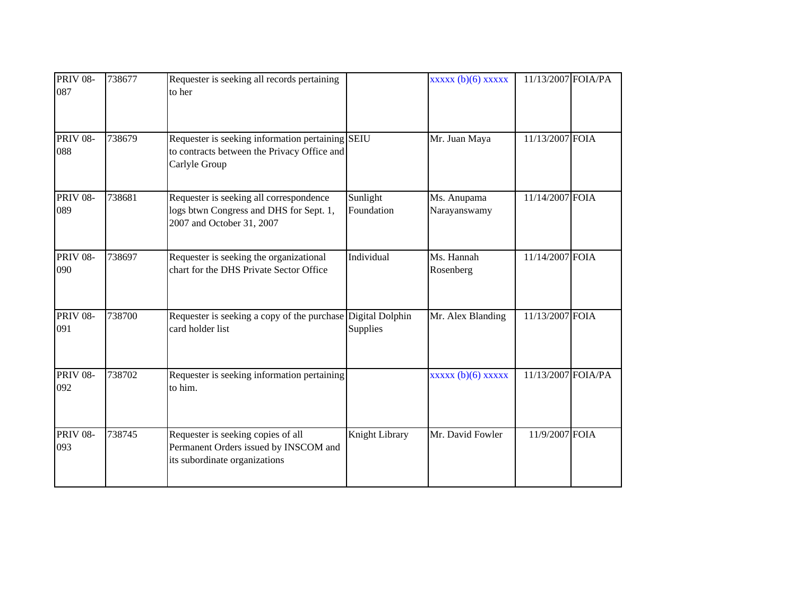| <b>PRIV 08-</b><br>087 | 738677 | Requester is seeking all records pertaining<br>to her                                                            |                        | $xxxxx(b)(6)$ $xxxxx$       | 11/13/2007 FOIA/PA |  |
|------------------------|--------|------------------------------------------------------------------------------------------------------------------|------------------------|-----------------------------|--------------------|--|
| <b>PRIV 08-</b><br>088 | 738679 | Requester is seeking information pertaining SEIU<br>to contracts between the Privacy Office and<br>Carlyle Group |                        | Mr. Juan Maya               | 11/13/2007 FOIA    |  |
| <b>PRIV 08-</b><br>089 | 738681 | Requester is seeking all correspondence<br>logs btwn Congress and DHS for Sept. 1,<br>2007 and October 31, 2007  | Sunlight<br>Foundation | Ms. Anupama<br>Narayanswamy | 11/14/2007 FOIA    |  |
| <b>PRIV 08-</b><br>090 | 738697 | Requester is seeking the organizational<br>chart for the DHS Private Sector Office                               | Individual             | Ms. Hannah<br>Rosenberg     | 11/14/2007 FOIA    |  |
| <b>PRIV 08-</b><br>091 | 738700 | Requester is seeking a copy of the purchase Digital Dolphin<br>card holder list                                  | Supplies               | Mr. Alex Blanding           | 11/13/2007 FOIA    |  |
| <b>PRIV 08-</b><br>092 | 738702 | Requester is seeking information pertaining<br>to him.                                                           |                        | $xxxxx$ (b)(6) $xxxxx$      | 11/13/2007 FOIA/PA |  |
| <b>PRIV 08-</b><br>093 | 738745 | Requester is seeking copies of all<br>Permanent Orders issued by INSCOM and<br>its subordinate organizations     | Knight Library         | Mr. David Fowler            | 11/9/2007 FOIA     |  |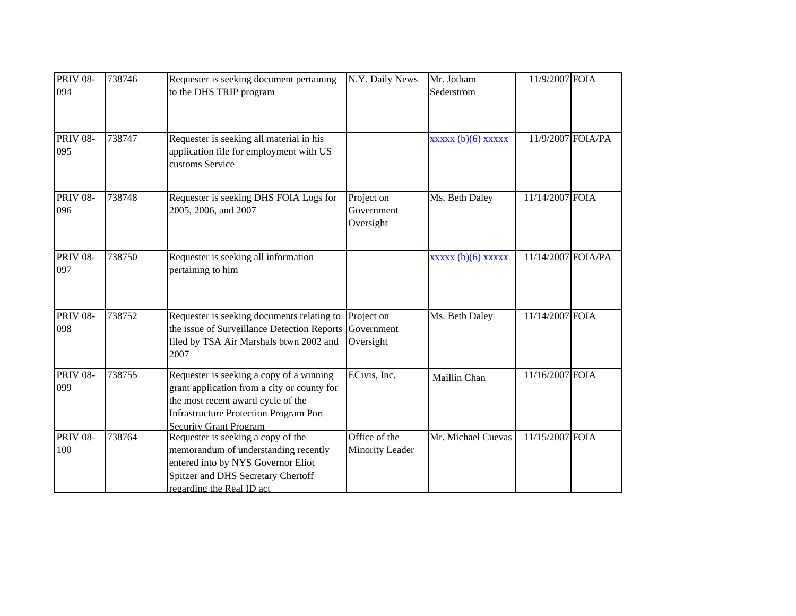| <b>PRIV 08-</b><br>094 | 738746 | Requester is seeking document pertaining<br>to the DHS TRIP program                                                                                                                                             | N.Y. Daily News                       | Mr. Jotham<br>Sederstrom | 11/9/2007 FOIA     |                   |
|------------------------|--------|-----------------------------------------------------------------------------------------------------------------------------------------------------------------------------------------------------------------|---------------------------------------|--------------------------|--------------------|-------------------|
| <b>PRIV 08-</b><br>095 | 738747 | Requester is seeking all material in his<br>application file for employment with US<br>customs Service                                                                                                          |                                       | $xxxxx$ (b)(6) $xxxxx$   |                    | 11/9/2007 FOIA/PA |
| <b>PRIV 08-</b><br>096 | 738748 | Requester is seeking DHS FOIA Logs for<br>2005, 2006, and 2007                                                                                                                                                  | Project on<br>Government<br>Oversight | Ms. Beth Daley           | 11/14/2007 FOIA    |                   |
| <b>PRIV 08-</b><br>097 | 738750 | Requester is seeking all information<br>pertaining to him                                                                                                                                                       |                                       | xxxxx(b)(6)xxxxx         | 11/14/2007 FOIA/PA |                   |
| <b>PRIV 08-</b><br>098 | 738752 | Requester is seeking documents relating to<br>the issue of Surveillance Detection Reports<br>filed by TSA Air Marshals btwn 2002 and<br>2007                                                                    | Project on<br>Government<br>Oversight | Ms. Beth Daley           | 11/14/2007 FOIA    |                   |
| <b>PRIV 08-</b><br>099 | 738755 | Requester is seeking a copy of a winning<br>grant application from a city or county for<br>the most recent award cycle of the<br><b>Infrastructure Protection Program Port</b><br><b>Security Grant Program</b> | ECivis, Inc.                          | Maillin Chan             | 11/16/2007 FOIA    |                   |
| <b>PRIV 08-</b><br>100 | 738764 | Requester is seeking a copy of the<br>memorandum of understanding recently<br>entered into by NYS Governor Eliot<br>Spitzer and DHS Secretary Chertoff<br>regarding the Real ID act                             | Office of the<br>Minority Leader      | Mr. Michael Cuevas       | 11/15/2007 FOIA    |                   |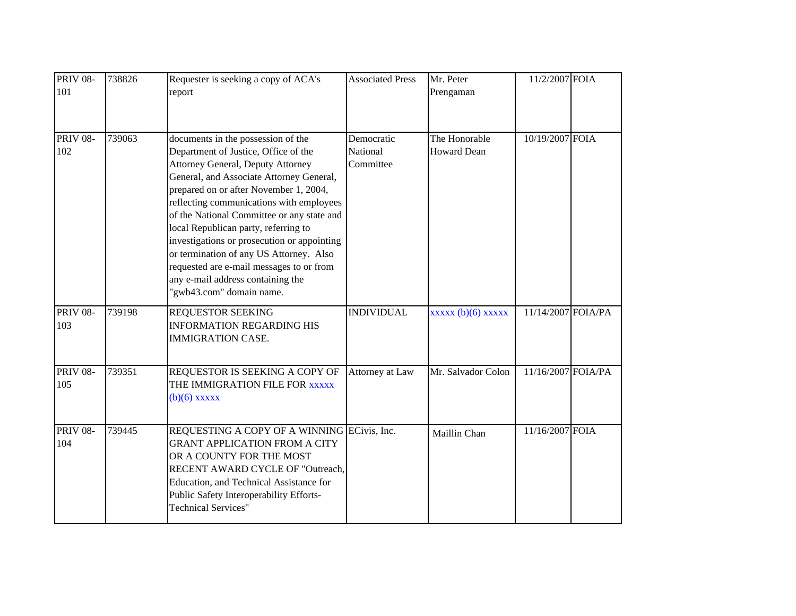| <b>PRIV 08-</b><br>101 | 738826 | Requester is seeking a copy of ACA's<br>report                                                                                                                                                                                                                                                                                                                                                                                                                                                                                                        | <b>Associated Press</b>             | Mr. Peter<br>Prengaman              | 11/2/2007 FOIA     |  |
|------------------------|--------|-------------------------------------------------------------------------------------------------------------------------------------------------------------------------------------------------------------------------------------------------------------------------------------------------------------------------------------------------------------------------------------------------------------------------------------------------------------------------------------------------------------------------------------------------------|-------------------------------------|-------------------------------------|--------------------|--|
| <b>PRIV 08-</b><br>102 | 739063 | documents in the possession of the<br>Department of Justice, Office of the<br><b>Attorney General, Deputy Attorney</b><br>General, and Associate Attorney General,<br>prepared on or after November 1, 2004,<br>reflecting communications with employees<br>of the National Committee or any state and<br>local Republican party, referring to<br>investigations or prosecution or appointing<br>or termination of any US Attorney. Also<br>requested are e-mail messages to or from<br>any e-mail address containing the<br>'gwb43.com" domain name. | Democratic<br>National<br>Committee | The Honorable<br><b>Howard Dean</b> | 10/19/2007 FOIA    |  |
| <b>PRIV 08-</b><br>103 | 739198 | <b>REQUESTOR SEEKING</b><br><b>INFORMATION REGARDING HIS</b><br><b>IMMIGRATION CASE.</b>                                                                                                                                                                                                                                                                                                                                                                                                                                                              | <b>INDIVIDUAL</b>                   | $xxxxx$ (b)(6) $xxxxx$              | 11/14/2007 FOIA/PA |  |
| <b>PRIV 08-</b><br>105 | 739351 | REQUESTOR IS SEEKING A COPY OF<br>THE IMMIGRATION FILE FOR <b>xxxxx</b><br>$(b)(6)$ xxxxx                                                                                                                                                                                                                                                                                                                                                                                                                                                             | Attorney at Law                     | Mr. Salvador Colon                  | 11/16/2007 FOIA/PA |  |
| <b>PRIV 08-</b><br>104 | 739445 | REQUESTING A COPY OF A WINNING ECivis, Inc.<br><b>GRANT APPLICATION FROM A CITY</b><br>OR A COUNTY FOR THE MOST<br>RECENT AWARD CYCLE OF "Outreach,<br>Education, and Technical Assistance for<br>Public Safety Interoperability Efforts-<br><b>Technical Services"</b>                                                                                                                                                                                                                                                                               |                                     | Maillin Chan                        | 11/16/2007 FOIA    |  |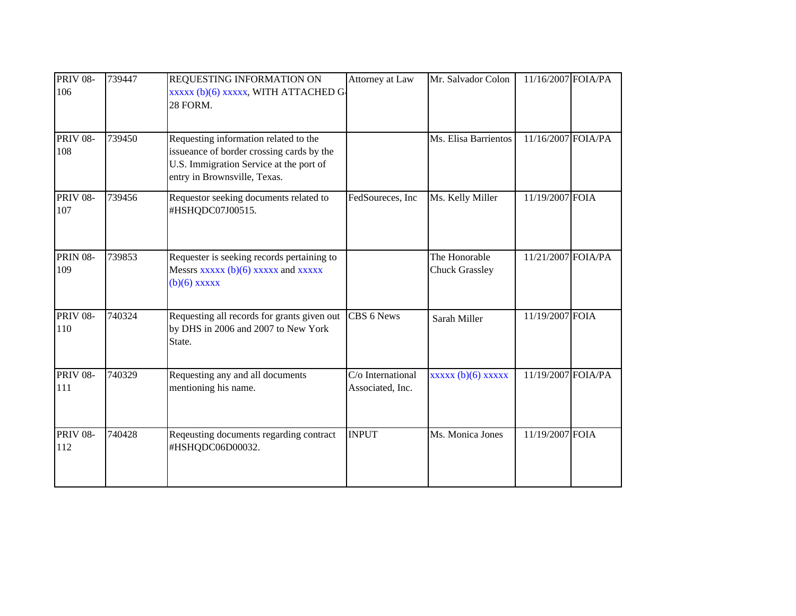| <b>PRIV 08-</b><br>106 | 739447 | REQUESTING INFORMATION ON<br>xxxxx (b)(6) xxxxx, WITH ATTACHED G-<br>28 FORM.                                                                                 | Attorney at Law                       | Mr. Salvador Colon                     | 11/16/2007 FOIA/PA |  |
|------------------------|--------|---------------------------------------------------------------------------------------------------------------------------------------------------------------|---------------------------------------|----------------------------------------|--------------------|--|
| <b>PRIV 08-</b><br>108 | 739450 | Requesting information related to the<br>issueance of border crossing cards by the<br>U.S. Immigration Service at the port of<br>entry in Brownsville, Texas. |                                       | Ms. Elisa Barrientos                   | 11/16/2007 FOIA/PA |  |
| <b>PRIV 08-</b><br>107 | 739456 | Requestor seeking documents related to<br>#HSHQDC07J00515.                                                                                                    | FedSoureces, Inc                      | Ms. Kelly Miller                       | 11/19/2007 FOIA    |  |
| <b>PRIN 08-</b><br>109 | 739853 | Requester is seeking records pertaining to<br>Messrs $\overline{xxxx}$ (b)(6) $\overline{xxx}$ and $\overline{xxx}$<br>$(b)(6)$ xxxxx                         |                                       | The Honorable<br><b>Chuck Grassley</b> | 11/21/2007 FOIA/PA |  |
| <b>PRIV 08-</b><br>110 | 740324 | Requesting all records for grants given out<br>by DHS in 2006 and 2007 to New York<br>State.                                                                  | CBS 6 News                            | Sarah Miller                           | 11/19/2007 FOIA    |  |
| <b>PRIV 08-</b><br>111 | 740329 | Requesting any and all documents<br>mentioning his name.                                                                                                      | C/o International<br>Associated, Inc. | xxxxx (b)(6) xxxxx                     | 11/19/2007 FOIA/PA |  |
| <b>PRIV 08-</b><br>112 | 740428 | Reqeusting documents regarding contract<br>#HSHQDC06D00032.                                                                                                   | <b>INPUT</b>                          | Ms. Monica Jones                       | 11/19/2007 FOIA    |  |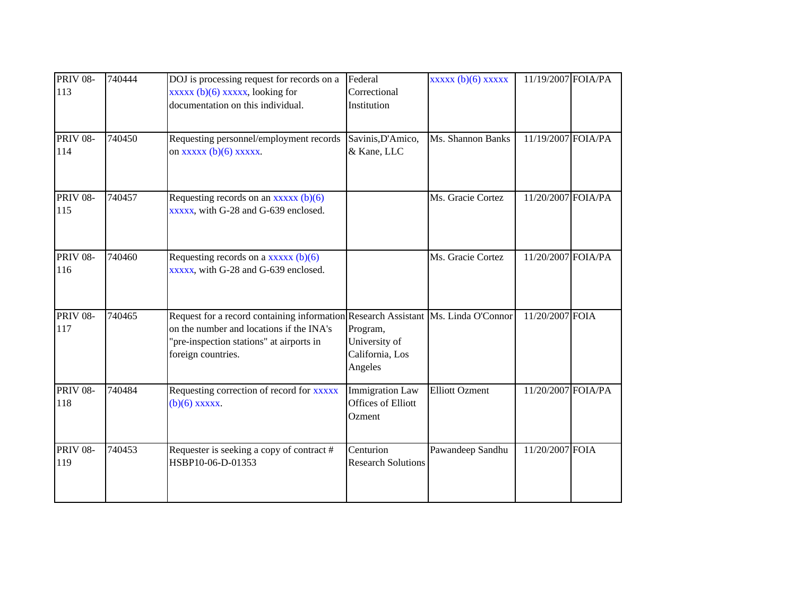| <b>PRIV 08-</b><br>113 | 740444 | DOJ is processing request for records on a<br>$xxxxx$ (b)(6) $xxxxx$ , looking for<br>documentation on this individual.                                                                           | Federal<br>Correctional<br>Institution                        | $xxxxx$ (b)(6) $xxxxx$ | 11/19/2007 FOIA/PA |  |
|------------------------|--------|---------------------------------------------------------------------------------------------------------------------------------------------------------------------------------------------------|---------------------------------------------------------------|------------------------|--------------------|--|
| <b>PRIV 08-</b><br>114 | 740450 | Requesting personnel/employment records<br>on $\overline{xxxx}$ (b)(6) $\overline{xxxx}$ .                                                                                                        | Savinis, D'Amico,<br>& Kane, LLC                              | Ms. Shannon Banks      | 11/19/2007 FOIA/PA |  |
| <b>PRIV 08-</b><br>115 | 740457 | Requesting records on an xxxxx (b)(6)<br>xxxxx, with G-28 and G-639 enclosed.                                                                                                                     |                                                               | Ms. Gracie Cortez      | 11/20/2007 FOIA/PA |  |
| <b>PRIV 08-</b><br>116 | 740460 | Requesting records on a $xxxxx$ (b)(6)<br>xxxxx, with G-28 and G-639 enclosed.                                                                                                                    |                                                               | Ms. Gracie Cortez      | 11/20/2007 FOIA/PA |  |
| <b>PRIV 08-</b><br>117 | 740465 | Request for a record containing information Research Assistant   Ms. Linda O'Connor<br>on the number and locations if the INA's<br>'pre-inspection stations" at airports in<br>foreign countries. | Program,<br>University of<br>California, Los<br>Angeles       |                        | 11/20/2007 FOIA    |  |
| <b>PRIV 08-</b><br>118 | 740484 | Requesting correction of record for <b>xxxxx</b><br>$(b)(6)$ xxxxx.                                                                                                                               | <b>Immigration Law</b><br><b>Offices of Elliott</b><br>Ozment | <b>Elliott Ozment</b>  | 11/20/2007 FOIA/PA |  |
| <b>PRIV 08-</b><br>119 | 740453 | Requester is seeking a copy of contract #<br>HSBP10-06-D-01353                                                                                                                                    | Centurion<br><b>Research Solutions</b>                        | Pawandeep Sandhu       | 11/20/2007 FOIA    |  |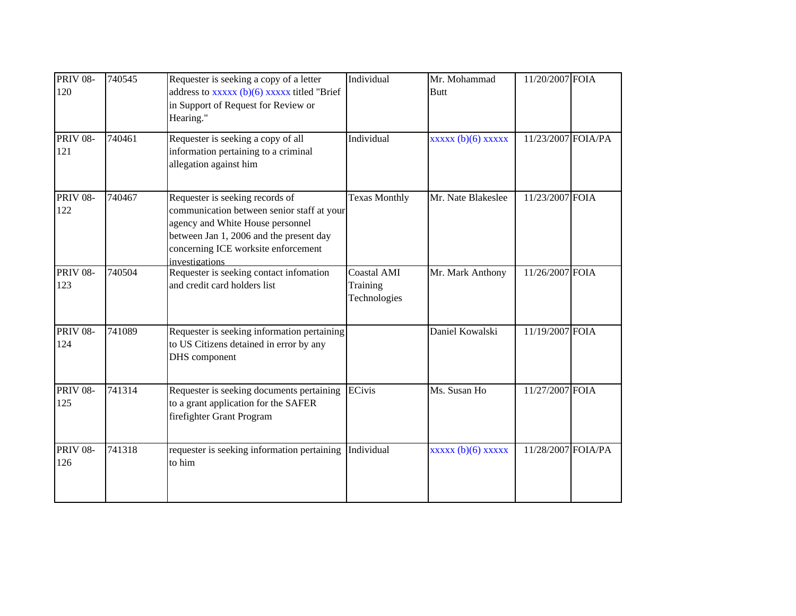| <b>PRIV 08-</b><br>120 | 740545 | Requester is seeking a copy of a letter<br>address to $\overline{xxxx}$ (b)(6) $\overline{xxx}$ titled "Brief<br>in Support of Request for Review or<br>Hearing."                                                     | Individual                              | Mr. Mohammad<br><b>Butt</b> | 11/20/2007 FOIA    |  |
|------------------------|--------|-----------------------------------------------------------------------------------------------------------------------------------------------------------------------------------------------------------------------|-----------------------------------------|-----------------------------|--------------------|--|
| <b>PRIV 08-</b><br>121 | 740461 | Requester is seeking a copy of all<br>information pertaining to a criminal<br>allegation against him                                                                                                                  | Individual                              | $xxxxx$ (b)(6) $xxxxx$      | 11/23/2007 FOIA/PA |  |
| <b>PRIV 08-</b><br>122 | 740467 | Requester is seeking records of<br>communication between senior staff at your<br>agency and White House personnel<br>between Jan 1, 2006 and the present day<br>concerning ICE worksite enforcement<br>investigations | <b>Texas Monthly</b>                    | Mr. Nate Blakeslee          | 11/23/2007 FOIA    |  |
| <b>PRIV 08-</b><br>123 | 740504 | Requester is seeking contact infomation<br>and credit card holders list                                                                                                                                               | Coastal AMI<br>Training<br>Technologies | Mr. Mark Anthony            | 11/26/2007 FOIA    |  |
| <b>PRIV 08-</b><br>124 | 741089 | Requester is seeking information pertaining<br>to US Citizens detained in error by any<br>DHS component                                                                                                               |                                         | Daniel Kowalski             | 11/19/2007 FOIA    |  |
| <b>PRIV 08-</b><br>125 | 741314 | Requester is seeking documents pertaining<br>to a grant application for the SAFER<br>firefighter Grant Program                                                                                                        | <b>ECivis</b>                           | Ms. Susan Ho                | 11/27/2007 FOIA    |  |
| <b>PRIV 08-</b><br>126 | 741318 | requester is seeking information pertaining<br>to him                                                                                                                                                                 | Individual                              | $xxxxx(b)(6)$ $xxxxx$       | 11/28/2007 FOIA/PA |  |